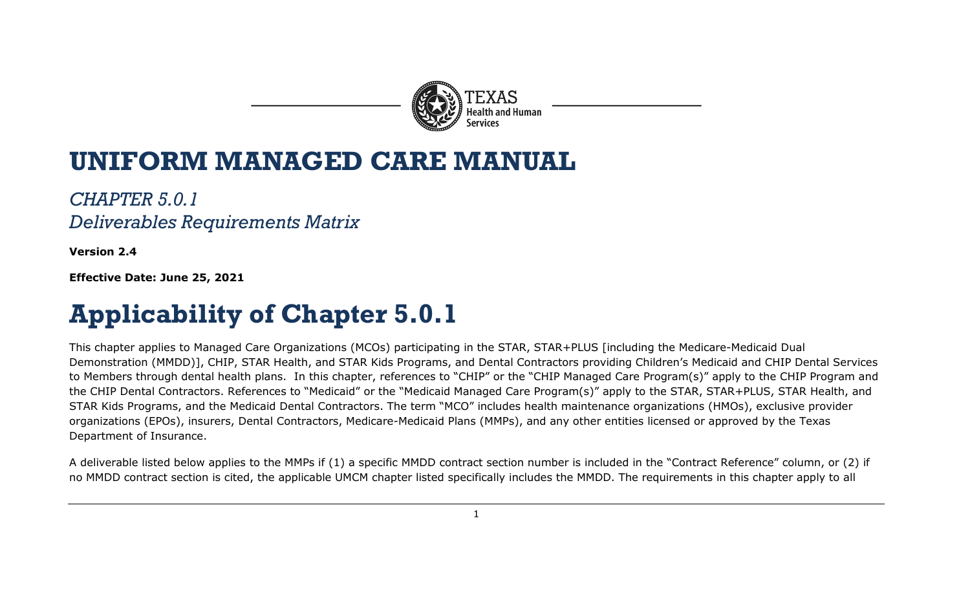

## **UNIFORM MANAGED CARE MANUAL**

*CHAPTER 5.0.1 Deliverables Requirements Matrix*

**Version 2.4**

**Effective Date: June 25, 2021**

## **Applicability of Chapter 5.0.1**

This chapter applies to Managed Care Organizations (MCOs) participating in the STAR, STAR+PLUS [including the Medicare-Medicaid Dual Demonstration (MMDD)], CHIP, STAR Health, and STAR Kids Programs, and Dental Contractors providing Children's Medicaid and CHIP Dental Services to Members through dental health plans. In this chapter, references to "CHIP" or the "CHIP Managed Care Program(s)" apply to the CHIP Program and the CHIP Dental Contractors. References to "Medicaid" or the "Medicaid Managed Care Program(s)" apply to the STAR, STAR+PLUS, STAR Health, and STAR Kids Programs, and the Medicaid Dental Contractors. The term "MCO" includes health maintenance organizations (HMOs), exclusive provider organizations (EPOs), insurers, Dental Contractors, Medicare-Medicaid Plans (MMPs), and any other entities licensed or approved by the Texas Department of Insurance.

A deliverable listed below applies to the MMPs if (1) a specific MMDD contract section number is included in the "Contract Reference" column, or (2) if no MMDD contract section is cited, the applicable UMCM chapter listed specifically includes the MMDD. The requirements in this chapter apply to all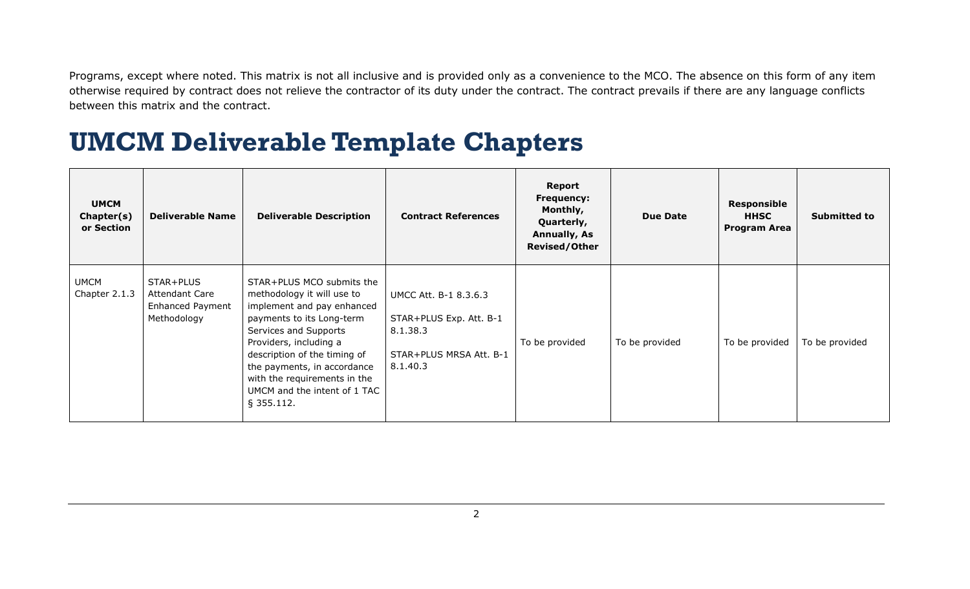Programs, except where noted. This matrix is not all inclusive and is provided only as a convenience to the MCO. The absence on this form of any item otherwise required by contract does not relieve the contractor of its duty under the contract. The contract prevails if there are any language conflicts between this matrix and the contract.

## **UMCM Deliverable Template Chapters**

| <b>UMCM</b><br>Chapter(s)<br>or Section | <b>Deliverable Name</b>                                                      | <b>Deliverable Description</b>                                                                                                                                                                                                                                                                                       | <b>Contract References</b>                                                                          | Report<br><b>Frequency:</b><br>Monthly,<br>Quarterly,<br><b>Annually, As</b><br><b>Revised/Other</b> | <b>Due Date</b> | <b>Responsible</b><br><b>HHSC</b><br><b>Program Area</b> | <b>Submitted to</b> |
|-----------------------------------------|------------------------------------------------------------------------------|----------------------------------------------------------------------------------------------------------------------------------------------------------------------------------------------------------------------------------------------------------------------------------------------------------------------|-----------------------------------------------------------------------------------------------------|------------------------------------------------------------------------------------------------------|-----------------|----------------------------------------------------------|---------------------|
| <b>UMCM</b><br>Chapter 2.1.3            | STAR+PLUS<br><b>Attendant Care</b><br><b>Enhanced Payment</b><br>Methodology | STAR+PLUS MCO submits the<br>methodology it will use to<br>implement and pay enhanced<br>payments to its Long-term<br>Services and Supports<br>Providers, including a<br>description of the timing of<br>the payments, in accordance<br>with the requirements in the<br>UMCM and the intent of 1 TAC<br>$§$ 355.112. | UMCC Att. B-1 8.3.6.3<br>STAR+PLUS Exp. Att. B-1<br>8.1.38.3<br>STAR+PLUS MRSA Att. B-1<br>8.1.40.3 | To be provided                                                                                       | To be provided  | To be provided                                           | To be provided      |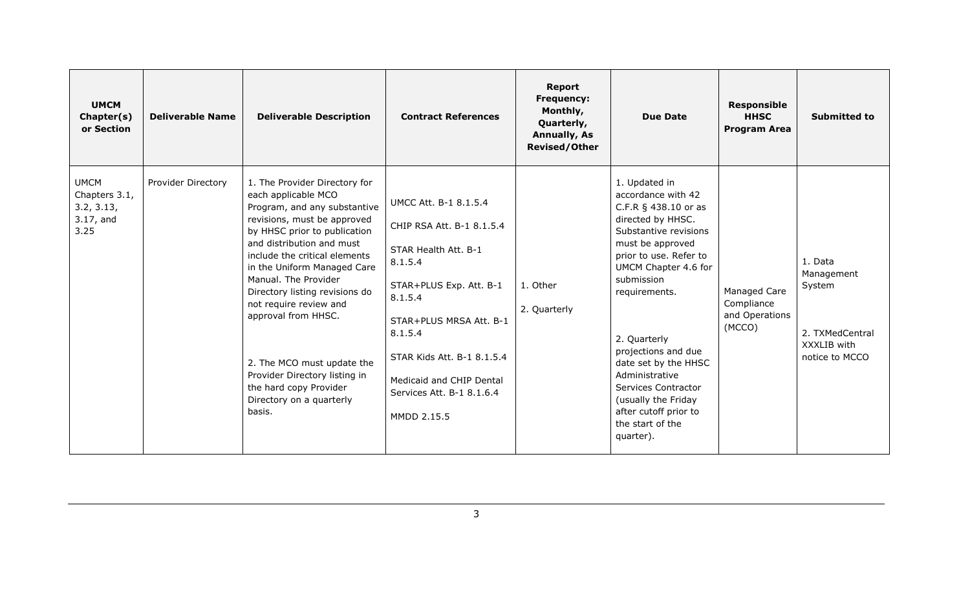| <b>UMCM</b><br>Chapter(s)<br>or Section                            | <b>Deliverable Name</b> | <b>Deliverable Description</b>                                                                                                                                                                                                                                                                                                                                                                                                                                                             | <b>Contract References</b>                                                                                                                                                                                                                                              | Report<br><b>Frequency:</b><br>Monthly,<br>Quarterly,<br><b>Annually, As</b><br><b>Revised/Other</b> | <b>Due Date</b>                                                                                                                                                                                                                                                                                                                                                                                         | <b>Responsible</b><br><b>HHSC</b><br><b>Program Area</b> | <b>Submitted to</b>                                                                 |
|--------------------------------------------------------------------|-------------------------|--------------------------------------------------------------------------------------------------------------------------------------------------------------------------------------------------------------------------------------------------------------------------------------------------------------------------------------------------------------------------------------------------------------------------------------------------------------------------------------------|-------------------------------------------------------------------------------------------------------------------------------------------------------------------------------------------------------------------------------------------------------------------------|------------------------------------------------------------------------------------------------------|---------------------------------------------------------------------------------------------------------------------------------------------------------------------------------------------------------------------------------------------------------------------------------------------------------------------------------------------------------------------------------------------------------|----------------------------------------------------------|-------------------------------------------------------------------------------------|
| <b>UMCM</b><br>Chapters 3.1,<br>3.2, 3.13,<br>$3.17$ , and<br>3.25 | Provider Directory      | 1. The Provider Directory for<br>each applicable MCO<br>Program, and any substantive<br>revisions, must be approved<br>by HHSC prior to publication<br>and distribution and must<br>include the critical elements<br>in the Uniform Managed Care<br>Manual. The Provider<br>Directory listing revisions do<br>not require review and<br>approval from HHSC.<br>2. The MCO must update the<br>Provider Directory listing in<br>the hard copy Provider<br>Directory on a quarterly<br>basis. | UMCC Att. B-1 8.1.5.4<br>CHIP RSA Att. B-1 8.1.5.4<br>STAR Health Att. B-1<br>8.1.5.4<br>STAR+PLUS Exp. Att. B-1<br>8.1.5.4<br>STAR+PLUS MRSA Att. B-1<br>8.1.5.4<br>STAR Kids Att. B-1 8.1.5.4<br>Medicaid and CHIP Dental<br>Services Att. B-1 8.1.6.4<br>MMDD 2.15.5 | 1. Other<br>2. Quarterly                                                                             | 1. Updated in<br>accordance with 42<br>C.F.R § 438.10 or as<br>directed by HHSC.<br>Substantive revisions<br>must be approved<br>prior to use. Refer to<br>UMCM Chapter 4.6 for<br>submission<br>requirements.<br>2. Quarterly<br>projections and due<br>date set by the HHSC<br>Administrative<br>Services Contractor<br>(usually the Friday<br>after cutoff prior to<br>the start of the<br>quarter). | Managed Care<br>Compliance<br>and Operations<br>(MCCO)   | 1. Data<br>Management<br>System<br>2. TXMedCentral<br>XXXLIB with<br>notice to MCCO |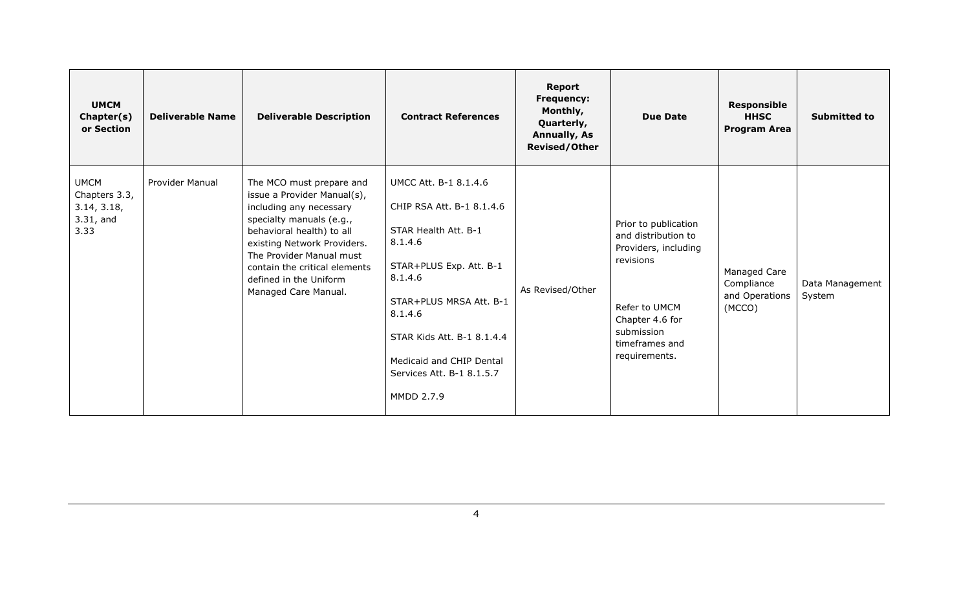| <b>UMCM</b><br>Chapter(s)<br>or Section                             | <b>Deliverable Name</b> | <b>Deliverable Description</b>                                                                                                                                                                                                                                                            | <b>Contract References</b>                                                                                                                                                                                                                                             | <b>Report</b><br><b>Frequency:</b><br>Monthly,<br>Quarterly,<br><b>Annually, As</b><br><b>Revised/Other</b> | <b>Due Date</b>                                                                                                                                                       | Responsible<br><b>HHSC</b><br><b>Program Area</b>      | <b>Submitted to</b>       |
|---------------------------------------------------------------------|-------------------------|-------------------------------------------------------------------------------------------------------------------------------------------------------------------------------------------------------------------------------------------------------------------------------------------|------------------------------------------------------------------------------------------------------------------------------------------------------------------------------------------------------------------------------------------------------------------------|-------------------------------------------------------------------------------------------------------------|-----------------------------------------------------------------------------------------------------------------------------------------------------------------------|--------------------------------------------------------|---------------------------|
| <b>UMCM</b><br>Chapters 3.3,<br>3.14, 3.18,<br>$3.31$ , and<br>3.33 | Provider Manual         | The MCO must prepare and<br>issue a Provider Manual(s),<br>including any necessary<br>specialty manuals (e.g.,<br>behavioral health) to all<br>existing Network Providers.<br>The Provider Manual must<br>contain the critical elements<br>defined in the Uniform<br>Managed Care Manual. | UMCC Att. B-1 8.1.4.6<br>CHIP RSA Att. B-1 8.1.4.6<br>STAR Health Att. B-1<br>8.1.4.6<br>STAR+PLUS Exp. Att. B-1<br>8.1.4.6<br>STAR+PLUS MRSA Att. B-1<br>8.1.4.6<br>STAR Kids Att. B-1 8.1.4.4<br>Medicaid and CHIP Dental<br>Services Att. B-1 8.1.5.7<br>MMDD 2.7.9 | As Revised/Other                                                                                            | Prior to publication<br>and distribution to<br>Providers, including<br>revisions<br>Refer to UMCM<br>Chapter 4.6 for<br>submission<br>timeframes and<br>requirements. | Managed Care<br>Compliance<br>and Operations<br>(MCCO) | Data Management<br>System |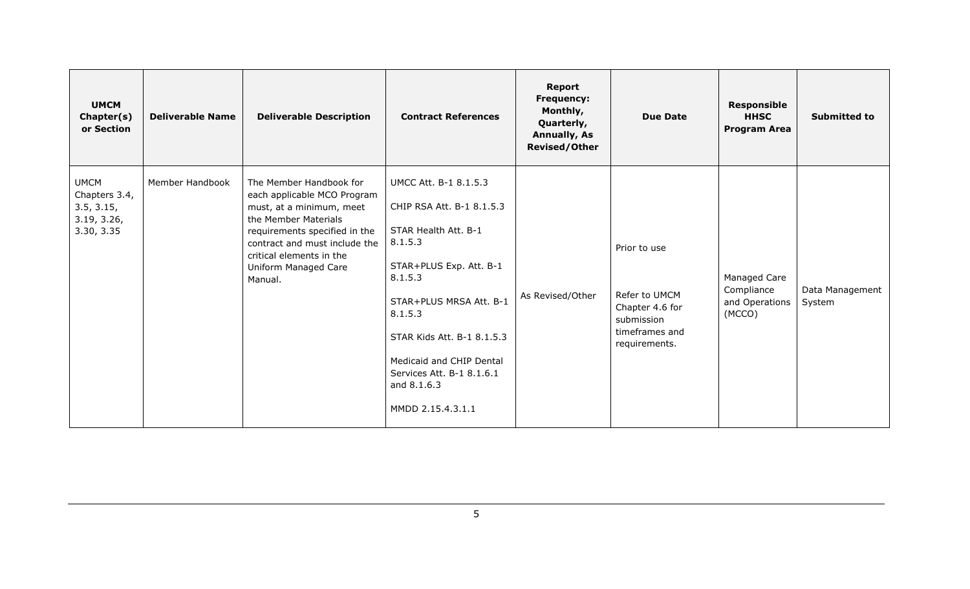| <b>UMCM</b><br>Chapter(s)<br>or Section                                 | <b>Deliverable Name</b> | <b>Deliverable Description</b>                                                                                                                                                                                                              | <b>Contract References</b>                                                                                                                                                                                                                                                                   | Report<br><b>Frequency:</b><br>Monthly,<br>Quarterly,<br><b>Annually, As</b><br><b>Revised/Other</b> | <b>Due Date</b>                                                                                   | <b>Responsible</b><br><b>HHSC</b><br><b>Program Area</b> | <b>Submitted to</b>       |
|-------------------------------------------------------------------------|-------------------------|---------------------------------------------------------------------------------------------------------------------------------------------------------------------------------------------------------------------------------------------|----------------------------------------------------------------------------------------------------------------------------------------------------------------------------------------------------------------------------------------------------------------------------------------------|------------------------------------------------------------------------------------------------------|---------------------------------------------------------------------------------------------------|----------------------------------------------------------|---------------------------|
| <b>UMCM</b><br>Chapters 3.4,<br>3.5, 3.15,<br>3.19, 3.26,<br>3.30, 3.35 | Member Handbook         | The Member Handbook for<br>each applicable MCO Program<br>must, at a minimum, meet<br>the Member Materials<br>requirements specified in the<br>contract and must include the<br>critical elements in the<br>Uniform Managed Care<br>Manual. | UMCC Att. B-1 8.1.5.3<br>CHIP RSA Att. B-1 8.1.5.3<br>STAR Health Att. B-1<br>8.1.5.3<br>STAR+PLUS Exp. Att. B-1<br>8.1.5.3<br>STAR+PLUS MRSA Att. B-1<br>8.1.5.3<br>STAR Kids Att. B-1 8.1.5.3<br>Medicaid and CHIP Dental<br>Services Att. B-1 8.1.6.1<br>and 8.1.6.3<br>MMDD 2.15.4.3.1.1 | As Revised/Other                                                                                     | Prior to use<br>Refer to UMCM<br>Chapter 4.6 for<br>submission<br>timeframes and<br>requirements. | Managed Care<br>Compliance<br>and Operations<br>(MCCO)   | Data Management<br>System |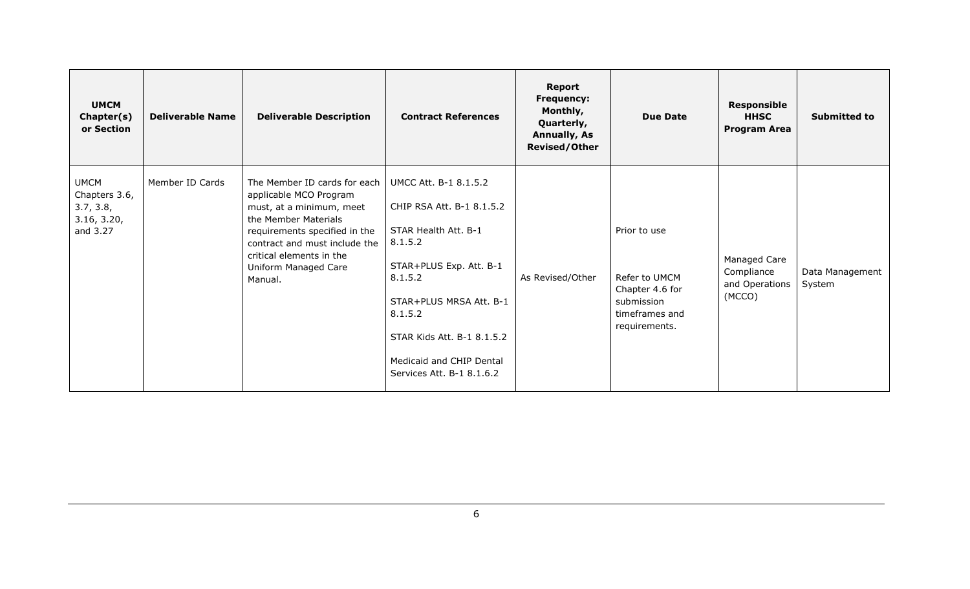| <b>UMCM</b><br>Chapter(s)<br>or Section                              | <b>Deliverable Name</b> | <b>Deliverable Description</b>                                                                                                                                                                                                              | <b>Contract References</b>                                                                                                                                                                                                                               | Report<br><b>Frequency:</b><br>Monthly,<br>Quarterly,<br><b>Annually, As</b><br><b>Revised/Other</b> | <b>Due Date</b>                                                                                   | Responsible<br><b>HHSC</b><br><b>Program Area</b>      | <b>Submitted to</b>       |
|----------------------------------------------------------------------|-------------------------|---------------------------------------------------------------------------------------------------------------------------------------------------------------------------------------------------------------------------------------------|----------------------------------------------------------------------------------------------------------------------------------------------------------------------------------------------------------------------------------------------------------|------------------------------------------------------------------------------------------------------|---------------------------------------------------------------------------------------------------|--------------------------------------------------------|---------------------------|
| <b>UMCM</b><br>Chapters 3.6,<br>3.7, 3.8,<br>3.16, 3.20,<br>and 3.27 | Member ID Cards         | The Member ID cards for each<br>applicable MCO Program<br>must, at a minimum, meet<br>the Member Materials<br>requirements specified in the<br>contract and must include the<br>critical elements in the<br>Uniform Managed Care<br>Manual. | UMCC Att. B-1 8.1.5.2<br>CHIP RSA Att. B-1 8.1.5.2<br>STAR Health Att. B-1<br>8.1.5.2<br>STAR+PLUS Exp. Att. B-1<br>8.1.5.2<br>STAR+PLUS MRSA Att. B-1<br>8.1.5.2<br>STAR Kids Att. B-1 8.1.5.2<br>Medicaid and CHIP Dental<br>Services Att. B-1 8.1.6.2 | As Revised/Other                                                                                     | Prior to use<br>Refer to UMCM<br>Chapter 4.6 for<br>submission<br>timeframes and<br>requirements. | Managed Care<br>Compliance<br>and Operations<br>(MCCO) | Data Management<br>System |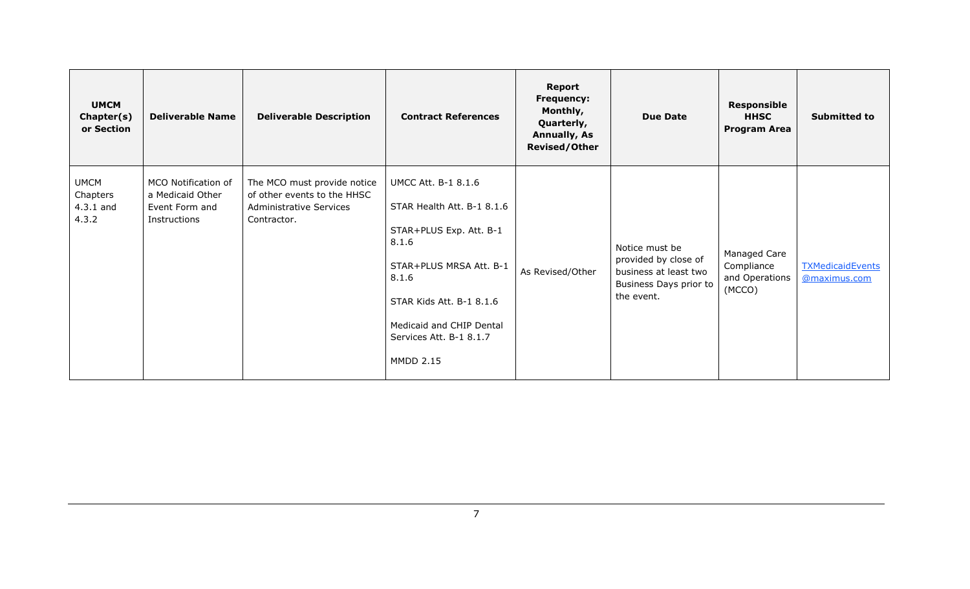| <b>UMCM</b><br>Chapter(s)<br>or Section         | <b>Deliverable Name</b>                                                   | <b>Deliverable Description</b>                                                                              | <b>Contract References</b>                                                                                                                                                                                                              | <b>Report</b><br><b>Frequency:</b><br>Monthly,<br>Quarterly,<br><b>Annually, As</b><br><b>Revised/Other</b> | <b>Due Date</b>                                                                                         | Responsible<br><b>HHSC</b><br><b>Program Area</b>      | <b>Submitted to</b>                     |
|-------------------------------------------------|---------------------------------------------------------------------------|-------------------------------------------------------------------------------------------------------------|-----------------------------------------------------------------------------------------------------------------------------------------------------------------------------------------------------------------------------------------|-------------------------------------------------------------------------------------------------------------|---------------------------------------------------------------------------------------------------------|--------------------------------------------------------|-----------------------------------------|
| <b>UMCM</b><br>Chapters<br>$4.3.1$ and<br>4.3.2 | MCO Notification of<br>a Medicaid Other<br>Event Form and<br>Instructions | The MCO must provide notice<br>of other events to the HHSC<br><b>Administrative Services</b><br>Contractor. | <b>UMCC Att. B-1 8.1.6</b><br>STAR Health Att. B-1 8.1.6<br>STAR+PLUS Exp. Att. B-1<br>8.1.6<br>STAR+PLUS MRSA Att. B-1<br>8.1.6<br>STAR Kids Att. B-1 8.1.6<br>Medicaid and CHIP Dental<br>Services Att. B-1 8.1.7<br><b>MMDD 2.15</b> | As Revised/Other                                                                                            | Notice must be<br>provided by close of<br>business at least two<br>Business Days prior to<br>the event. | Managed Care<br>Compliance<br>and Operations<br>(MCCO) | <b>TXMedicaidEvents</b><br>@maximus.com |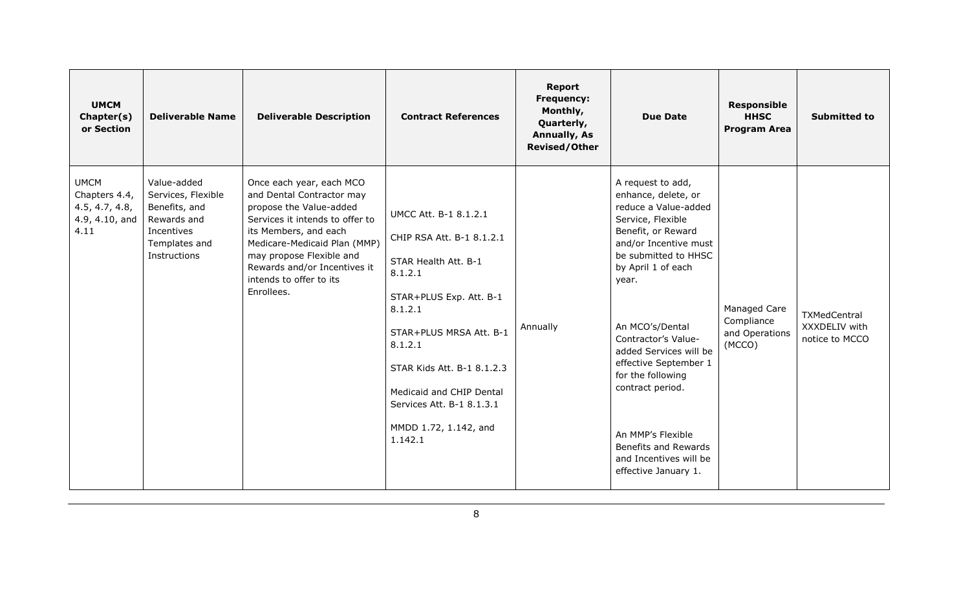| <b>UMCM</b><br>Chapter(s)<br>or Section                                  | <b>Deliverable Name</b>                                                                                          | <b>Deliverable Description</b>                                                                                                                                                                                                                                                    | <b>Contract References</b>                                                                                                                                                                                                                                                                   | Report<br><b>Frequency:</b><br>Monthly,<br>Quarterly,<br><b>Annually, As</b><br><b>Revised/Other</b> | <b>Due Date</b>                                                                                                                                                                                                                                                                                                                                                                                                                  | <b>Responsible</b><br><b>HHSC</b><br><b>Program Area</b> | <b>Submitted to</b>                                    |
|--------------------------------------------------------------------------|------------------------------------------------------------------------------------------------------------------|-----------------------------------------------------------------------------------------------------------------------------------------------------------------------------------------------------------------------------------------------------------------------------------|----------------------------------------------------------------------------------------------------------------------------------------------------------------------------------------------------------------------------------------------------------------------------------------------|------------------------------------------------------------------------------------------------------|----------------------------------------------------------------------------------------------------------------------------------------------------------------------------------------------------------------------------------------------------------------------------------------------------------------------------------------------------------------------------------------------------------------------------------|----------------------------------------------------------|--------------------------------------------------------|
| <b>UMCM</b><br>Chapters 4.4,<br>4.5, 4.7, 4.8,<br>4.9, 4.10, and<br>4.11 | Value-added<br>Services, Flexible<br>Benefits, and<br>Rewards and<br>Incentives<br>Templates and<br>Instructions | Once each year, each MCO<br>and Dental Contractor may<br>propose the Value-added<br>Services it intends to offer to<br>its Members, and each<br>Medicare-Medicaid Plan (MMP)<br>may propose Flexible and<br>Rewards and/or Incentives it<br>intends to offer to its<br>Enrollees. | UMCC Att. B-1 8.1.2.1<br>CHIP RSA Att. B-1 8.1.2.1<br>STAR Health Att. B-1<br>8.1.2.1<br>STAR+PLUS Exp. Att. B-1<br>8.1.2.1<br>STAR+PLUS MRSA Att. B-1<br>8.1.2.1<br>STAR Kids Att. B-1 8.1.2.3<br>Medicaid and CHIP Dental<br>Services Att. B-1 8.1.3.1<br>MMDD 1.72, 1.142, and<br>1.142.1 | Annually                                                                                             | A request to add,<br>enhance, delete, or<br>reduce a Value-added<br>Service, Flexible<br>Benefit, or Reward<br>and/or Incentive must<br>be submitted to HHSC<br>by April 1 of each<br>year.<br>An MCO's/Dental<br>Contractor's Value-<br>added Services will be<br>effective September 1<br>for the following<br>contract period.<br>An MMP's Flexible<br>Benefits and Rewards<br>and Incentives will be<br>effective January 1. | Managed Care<br>Compliance<br>and Operations<br>(MCCO)   | <b>TXMedCentral</b><br>XXXDELIV with<br>notice to MCCO |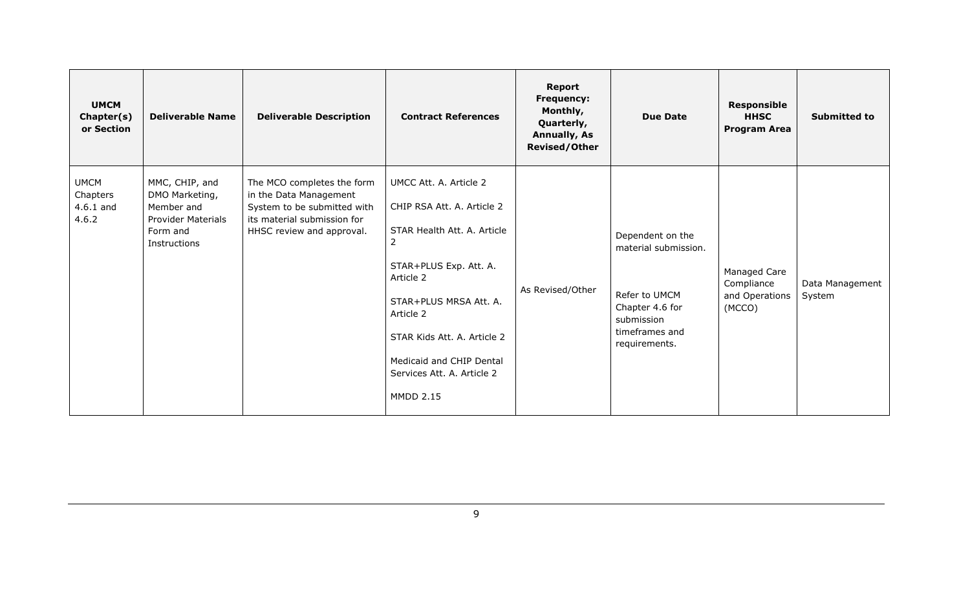| <b>UMCM</b><br>Chapter(s)<br>or Section         | <b>Deliverable Name</b>                                                                                 | <b>Deliverable Description</b>                                                                                                                  | <b>Contract References</b>                                                                                                                                                                                                                                                          | <b>Report</b><br><b>Frequency:</b><br>Monthly,<br>Quarterly,<br><b>Annually, As</b><br><b>Revised/Other</b> | <b>Due Date</b>                                                                                                               | <b>Responsible</b><br><b>HHSC</b><br><b>Program Area</b> | <b>Submitted to</b>       |
|-------------------------------------------------|---------------------------------------------------------------------------------------------------------|-------------------------------------------------------------------------------------------------------------------------------------------------|-------------------------------------------------------------------------------------------------------------------------------------------------------------------------------------------------------------------------------------------------------------------------------------|-------------------------------------------------------------------------------------------------------------|-------------------------------------------------------------------------------------------------------------------------------|----------------------------------------------------------|---------------------------|
| <b>UMCM</b><br>Chapters<br>$4.6.1$ and<br>4.6.2 | MMC, CHIP, and<br>DMO Marketing,<br>Member and<br><b>Provider Materials</b><br>Form and<br>Instructions | The MCO completes the form<br>in the Data Management<br>System to be submitted with<br>its material submission for<br>HHSC review and approval. | UMCC Att. A. Article 2<br>CHIP RSA Att. A. Article 2<br>STAR Health Att. A. Article<br>2<br>STAR+PLUS Exp. Att. A.<br>Article 2<br>STAR+PLUS MRSA Att. A.<br>Article 2<br>STAR Kids Att. A. Article 2<br>Medicaid and CHIP Dental<br>Services Att. A. Article 2<br><b>MMDD 2.15</b> | As Revised/Other                                                                                            | Dependent on the<br>material submission.<br>Refer to UMCM<br>Chapter 4.6 for<br>submission<br>timeframes and<br>requirements. | Managed Care<br>Compliance<br>and Operations<br>(MCCO)   | Data Management<br>System |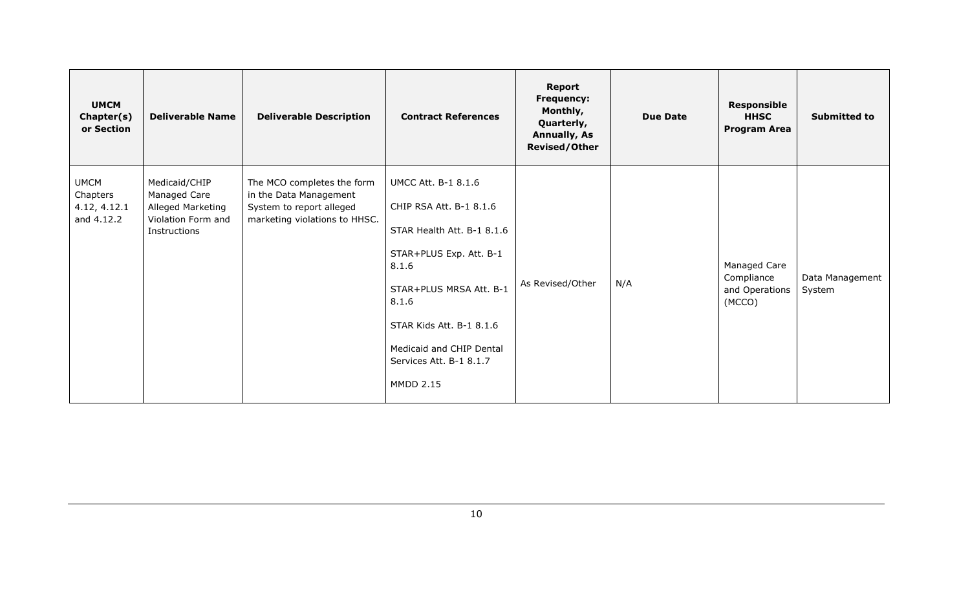| <b>UMCM</b><br>Chapter(s)<br>or Section               | <b>Deliverable Name</b>                                                                  | <b>Deliverable Description</b>                                                                                    | <b>Contract References</b>                                                                                                                                                                                                                                         | <b>Report</b><br><b>Frequency:</b><br>Monthly,<br>Quarterly,<br><b>Annually, As</b><br><b>Revised/Other</b> | <b>Due Date</b> | Responsible<br><b>HHSC</b><br><b>Program Area</b>      | <b>Submitted to</b>       |
|-------------------------------------------------------|------------------------------------------------------------------------------------------|-------------------------------------------------------------------------------------------------------------------|--------------------------------------------------------------------------------------------------------------------------------------------------------------------------------------------------------------------------------------------------------------------|-------------------------------------------------------------------------------------------------------------|-----------------|--------------------------------------------------------|---------------------------|
| <b>UMCM</b><br>Chapters<br>4.12, 4.12.1<br>and 4.12.2 | Medicaid/CHIP<br>Managed Care<br>Alleged Marketing<br>Violation Form and<br>Instructions | The MCO completes the form<br>in the Data Management<br>System to report alleged<br>marketing violations to HHSC. | <b>UMCC Att. B-1 8.1.6</b><br>CHIP RSA Att. B-1 8.1.6<br>STAR Health Att. B-1 8.1.6<br>STAR+PLUS Exp. Att. B-1<br>8.1.6<br>STAR+PLUS MRSA Att. B-1<br>8.1.6<br>STAR Kids Att. B-1 8.1.6<br>Medicaid and CHIP Dental<br>Services Att. B-1 8.1.7<br><b>MMDD 2.15</b> | As Revised/Other                                                                                            | N/A             | Managed Care<br>Compliance<br>and Operations<br>(MCCO) | Data Management<br>System |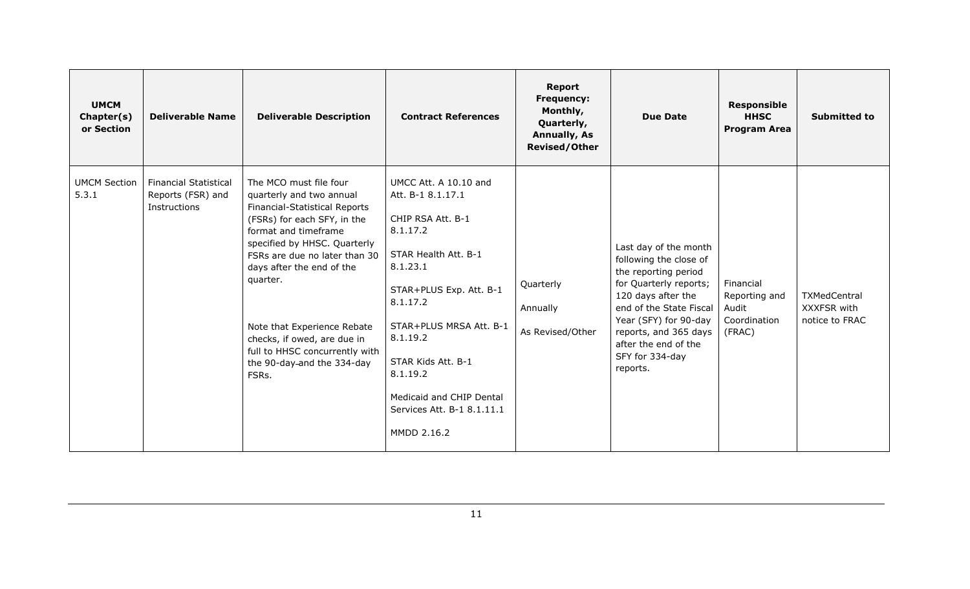| <b>UMCM</b><br>Chapter(s)<br>or Section | <b>Deliverable Name</b>                                           | <b>Deliverable Description</b>                                                                                                                                                                                                                                                                                                                                                              | <b>Contract References</b>                                                                                                                                                                                                                                                                               | <b>Report</b><br><b>Frequency:</b><br>Monthly,<br>Quarterly,<br><b>Annually, As</b><br><b>Revised/Other</b> | <b>Due Date</b>                                                                                                                                                                                                                                             | <b>Responsible</b><br><b>HHSC</b><br><b>Program Area</b>      | <b>Submitted to</b>                           |
|-----------------------------------------|-------------------------------------------------------------------|---------------------------------------------------------------------------------------------------------------------------------------------------------------------------------------------------------------------------------------------------------------------------------------------------------------------------------------------------------------------------------------------|----------------------------------------------------------------------------------------------------------------------------------------------------------------------------------------------------------------------------------------------------------------------------------------------------------|-------------------------------------------------------------------------------------------------------------|-------------------------------------------------------------------------------------------------------------------------------------------------------------------------------------------------------------------------------------------------------------|---------------------------------------------------------------|-----------------------------------------------|
| <b>UMCM Section</b><br>5.3.1            | <b>Financial Statistical</b><br>Reports (FSR) and<br>Instructions | The MCO must file four<br>quarterly and two annual<br>Financial-Statistical Reports<br>(FSRs) for each SFY, in the<br>format and timeframe<br>specified by HHSC. Quarterly<br>FSRs are due no later than 30<br>days after the end of the<br>quarter.<br>Note that Experience Rebate<br>checks, if owed, are due in<br>full to HHSC concurrently with<br>the 90-day-and the 334-day<br>FSRs. | UMCC Att. A 10.10 and<br>Att. B-1 8.1.17.1<br>CHIP RSA Att. B-1<br>8.1.17.2<br>STAR Health Att. B-1<br>8.1.23.1<br>STAR+PLUS Exp. Att. B-1<br>8.1.17.2<br>STAR+PLUS MRSA Att. B-1<br>8.1.19.2<br>STAR Kids Att. B-1<br>8.1.19.2<br>Medicaid and CHIP Dental<br>Services Att. B-1 8.1.11.1<br>MMDD 2.16.2 | Quarterly<br>Annually<br>As Revised/Other                                                                   | Last day of the month<br>following the close of<br>the reporting period<br>for Quarterly reports;<br>120 days after the<br>end of the State Fiscal<br>Year (SFY) for 90-day<br>reports, and 365 days<br>after the end of the<br>SFY for 334-day<br>reports. | Financial<br>Reporting and<br>Audit<br>Coordination<br>(FRAC) | TXMedCentral<br>XXXFSR with<br>notice to FRAC |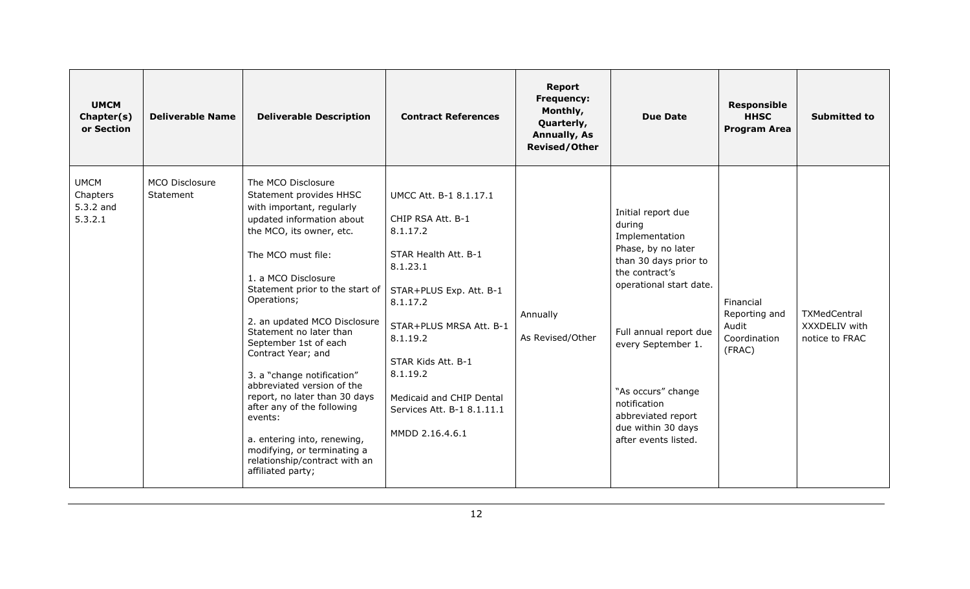| <b>UMCM</b><br>Chapter(s)<br>or Section         | <b>Deliverable Name</b>     | <b>Deliverable Description</b>                                                                                                                                                                                                                                                                                                                                                                                                                                                                                                                                                                         | <b>Contract References</b>                                                                                                                                                                                                                                                               | <b>Report</b><br><b>Frequency:</b><br>Monthly,<br>Quarterly,<br><b>Annually, As</b><br><b>Revised/Other</b> | <b>Due Date</b>                                                                                                                                                                                                                                                                                      | <b>Responsible</b><br><b>HHSC</b><br><b>Program Area</b>      | <b>Submitted to</b>                                    |
|-------------------------------------------------|-----------------------------|--------------------------------------------------------------------------------------------------------------------------------------------------------------------------------------------------------------------------------------------------------------------------------------------------------------------------------------------------------------------------------------------------------------------------------------------------------------------------------------------------------------------------------------------------------------------------------------------------------|------------------------------------------------------------------------------------------------------------------------------------------------------------------------------------------------------------------------------------------------------------------------------------------|-------------------------------------------------------------------------------------------------------------|------------------------------------------------------------------------------------------------------------------------------------------------------------------------------------------------------------------------------------------------------------------------------------------------------|---------------------------------------------------------------|--------------------------------------------------------|
| <b>UMCM</b><br>Chapters<br>5.3.2 and<br>5.3.2.1 | MCO Disclosure<br>Statement | The MCO Disclosure<br>Statement provides HHSC<br>with important, regularly<br>updated information about<br>the MCO, its owner, etc.<br>The MCO must file:<br>1. a MCO Disclosure<br>Statement prior to the start of<br>Operations;<br>2. an updated MCO Disclosure<br>Statement no later than<br>September 1st of each<br>Contract Year; and<br>3. a "change notification"<br>abbreviated version of the<br>report, no later than 30 days<br>after any of the following<br>events:<br>a. entering into, renewing,<br>modifying, or terminating a<br>relationship/contract with an<br>affiliated party; | UMCC Att. B-1 8.1.17.1<br>CHIP RSA Att. B-1<br>8.1.17.2<br>STAR Health Att. B-1<br>8.1.23.1<br>STAR+PLUS Exp. Att. B-1<br>8.1.17.2<br>STAR+PLUS MRSA Att. B-1<br>8.1.19.2<br>STAR Kids Att. B-1<br>8.1.19.2<br>Medicaid and CHIP Dental<br>Services Att. B-1 8.1.11.1<br>MMDD 2.16.4.6.1 | Annually<br>As Revised/Other                                                                                | Initial report due<br>during<br>Implementation<br>Phase, by no later<br>than 30 days prior to<br>the contract's<br>operational start date.<br>Full annual report due<br>every September 1.<br>"As occurs" change<br>notification<br>abbreviated report<br>due within 30 days<br>after events listed. | Financial<br>Reporting and<br>Audit<br>Coordination<br>(FRAC) | <b>TXMedCentral</b><br>XXXDELIV with<br>notice to FRAC |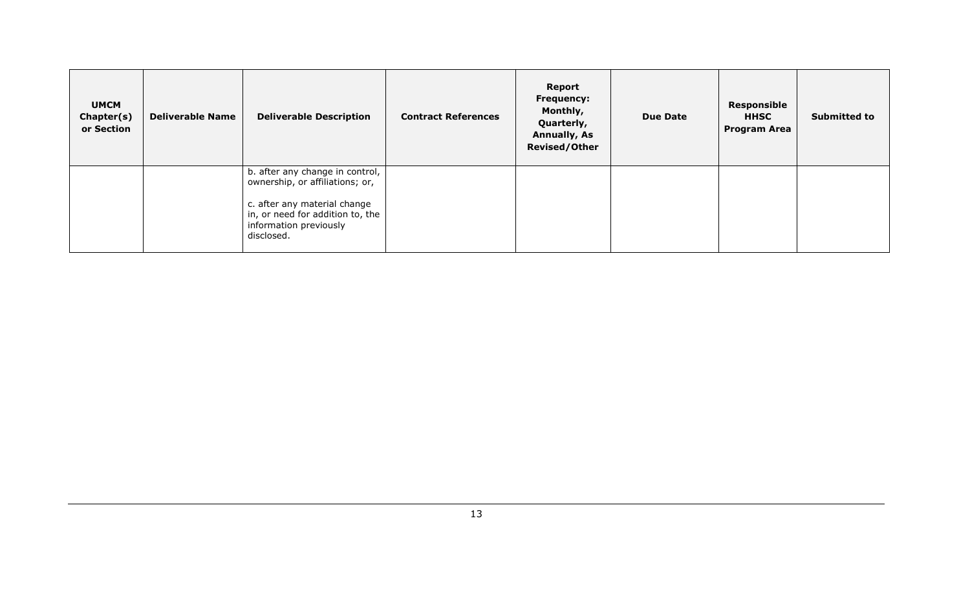| <b>UMCM</b><br>Chapter(s)<br>or Section | <b>Deliverable Name</b> | <b>Deliverable Description</b>                                                                                                                                                 | <b>Contract References</b> | Report<br><b>Frequency:</b><br>Monthly,<br>Quarterly,<br><b>Annually, As</b><br><b>Revised/Other</b> | <b>Due Date</b> | Responsible<br><b>HHSC</b><br><b>Program Area</b> | <b>Submitted to</b> |
|-----------------------------------------|-------------------------|--------------------------------------------------------------------------------------------------------------------------------------------------------------------------------|----------------------------|------------------------------------------------------------------------------------------------------|-----------------|---------------------------------------------------|---------------------|
|                                         |                         | b. after any change in control,<br>ownership, or affiliations; or,<br>c. after any material change<br>in, or need for addition to, the<br>information previously<br>disclosed. |                            |                                                                                                      |                 |                                                   |                     |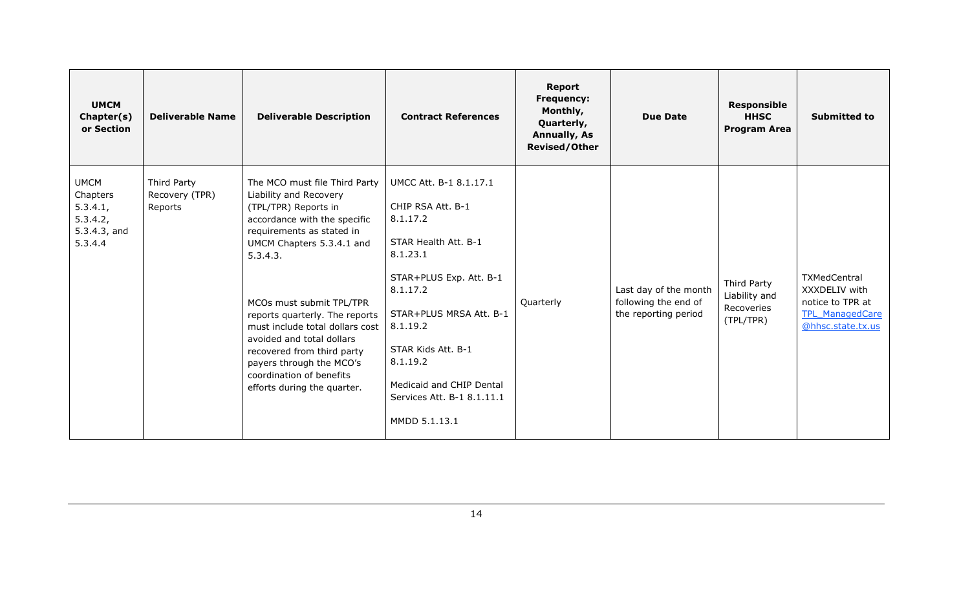| <b>UMCM</b><br>Chapter(s)<br>or Section                                       | <b>Deliverable Name</b>                  | <b>Deliverable Description</b>                                                                                                                                                                                                                                                                                                                                                                                                           | <b>Contract References</b>                                                                                                                                                                                                                                                             | Report<br><b>Frequency:</b><br>Monthly,<br>Quarterly,<br><b>Annually, As</b><br><b>Revised/Other</b> | <b>Due Date</b>                                                       | <b>Responsible</b><br><b>HHSC</b><br><b>Program Area</b> | <b>Submitted to</b>                                                                              |
|-------------------------------------------------------------------------------|------------------------------------------|------------------------------------------------------------------------------------------------------------------------------------------------------------------------------------------------------------------------------------------------------------------------------------------------------------------------------------------------------------------------------------------------------------------------------------------|----------------------------------------------------------------------------------------------------------------------------------------------------------------------------------------------------------------------------------------------------------------------------------------|------------------------------------------------------------------------------------------------------|-----------------------------------------------------------------------|----------------------------------------------------------|--------------------------------------------------------------------------------------------------|
| <b>UMCM</b><br>Chapters<br>5.3.4.1,<br>5.3.4.2,<br>$5.3.4.3$ , and<br>5.3.4.4 | Third Party<br>Recovery (TPR)<br>Reports | The MCO must file Third Party<br>Liability and Recovery<br>(TPL/TPR) Reports in<br>accordance with the specific<br>requirements as stated in<br>UMCM Chapters 5.3.4.1 and<br>5.3.4.3.<br>MCOs must submit TPL/TPR<br>reports quarterly. The reports<br>must include total dollars cost<br>avoided and total dollars<br>recovered from third party<br>payers through the MCO's<br>coordination of benefits<br>efforts during the quarter. | UMCC Att. B-1 8.1.17.1<br>CHIP RSA Att. B-1<br>8.1.17.2<br>STAR Health Att. B-1<br>8.1.23.1<br>STAR+PLUS Exp. Att. B-1<br>8.1.17.2<br>STAR+PLUS MRSA Att. B-1<br>8.1.19.2<br>STAR Kids Att. B-1<br>8.1.19.2<br>Medicaid and CHIP Dental<br>Services Att. B-1 8.1.11.1<br>MMDD 5.1.13.1 | Quarterly                                                                                            | Last day of the month<br>following the end of<br>the reporting period | Third Party<br>Liability and<br>Recoveries<br>(TPL/TPR)  | TXMedCentral<br>XXXDELIV with<br>notice to TPR at<br><b>TPL ManagedCare</b><br>@hhsc.state.tx.us |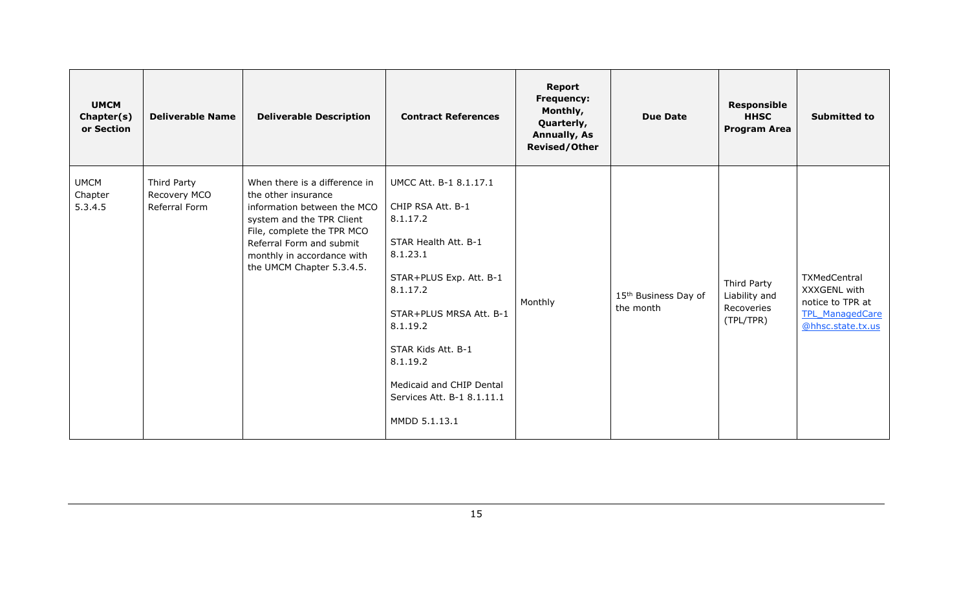| <b>UMCM</b><br>Chapter(s)<br>or Section | <b>Deliverable Name</b>                      | <b>Deliverable Description</b>                                                                                                                                                                                                        | <b>Contract References</b>                                                                                                                                                                                                                                                             | <b>Report</b><br>Frequency:<br>Monthly,<br>Quarterly,<br><b>Annually, As</b><br><b>Revised/Other</b> | <b>Due Date</b>                               | <b>Responsible</b><br><b>HHSC</b><br><b>Program Area</b> | <b>Submitted to</b>                                                                             |
|-----------------------------------------|----------------------------------------------|---------------------------------------------------------------------------------------------------------------------------------------------------------------------------------------------------------------------------------------|----------------------------------------------------------------------------------------------------------------------------------------------------------------------------------------------------------------------------------------------------------------------------------------|------------------------------------------------------------------------------------------------------|-----------------------------------------------|----------------------------------------------------------|-------------------------------------------------------------------------------------------------|
| <b>UMCM</b><br>Chapter<br>5.3.4.5       | Third Party<br>Recovery MCO<br>Referral Form | When there is a difference in<br>the other insurance<br>information between the MCO<br>system and the TPR Client<br>File, complete the TPR MCO<br>Referral Form and submit<br>monthly in accordance with<br>the UMCM Chapter 5.3.4.5. | UMCC Att. B-1 8.1.17.1<br>CHIP RSA Att. B-1<br>8.1.17.2<br>STAR Health Att. B-1<br>8.1.23.1<br>STAR+PLUS Exp. Att. B-1<br>8.1.17.2<br>STAR+PLUS MRSA Att. B-1<br>8.1.19.2<br>STAR Kids Att. B-1<br>8.1.19.2<br>Medicaid and CHIP Dental<br>Services Att. B-1 8.1.11.1<br>MMDD 5.1.13.1 | Monthly                                                                                              | 15 <sup>th</sup> Business Day of<br>the month | Third Party<br>Liability and<br>Recoveries<br>(TPL/TPR)  | TXMedCentral<br>XXXGENL with<br>notice to TPR at<br><b>TPL ManagedCare</b><br>@hhsc.state.tx.us |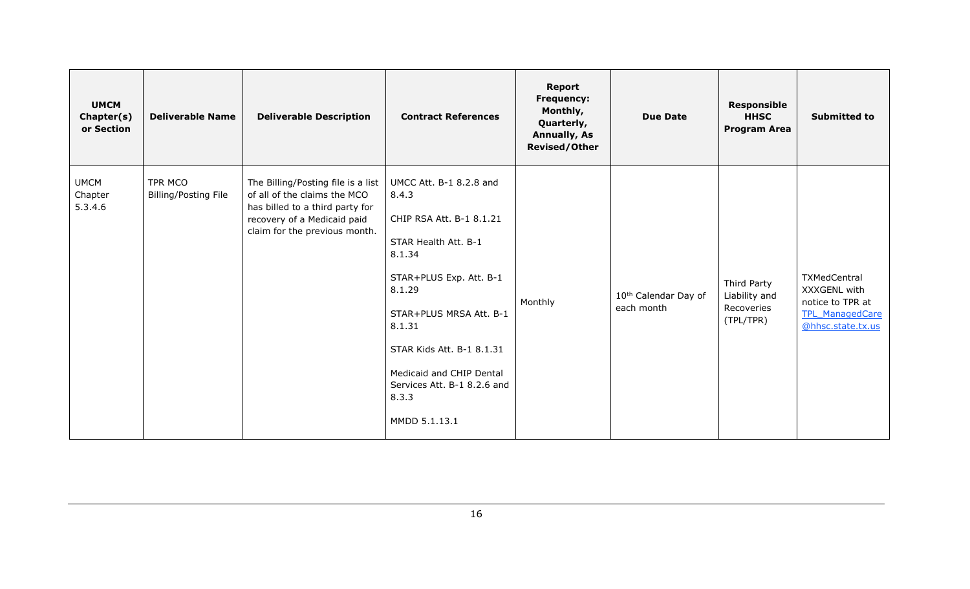| <b>UMCM</b><br>Chapter(s)<br>or Section | <b>Deliverable Name</b>                | <b>Deliverable Description</b>                                                                                                                                        | <b>Contract References</b>                                                                                                                                                                                                                                                                 | <b>Report</b><br>Frequency:<br>Monthly,<br>Quarterly,<br><b>Annually, As</b><br><b>Revised/Other</b> | <b>Due Date</b>                                | <b>Responsible</b><br><b>HHSC</b><br><b>Program Area</b> | <b>Submitted to</b>                                                                             |
|-----------------------------------------|----------------------------------------|-----------------------------------------------------------------------------------------------------------------------------------------------------------------------|--------------------------------------------------------------------------------------------------------------------------------------------------------------------------------------------------------------------------------------------------------------------------------------------|------------------------------------------------------------------------------------------------------|------------------------------------------------|----------------------------------------------------------|-------------------------------------------------------------------------------------------------|
| <b>UMCM</b><br>Chapter<br>5.3.4.6       | TPR MCO<br><b>Billing/Posting File</b> | The Billing/Posting file is a list<br>of all of the claims the MCO<br>has billed to a third party for<br>recovery of a Medicaid paid<br>claim for the previous month. | UMCC Att. B-1 8.2.8 and<br>8.4.3<br>CHIP RSA Att. B-1 8.1.21<br>STAR Health Att. B-1<br>8.1.34<br>STAR+PLUS Exp. Att. B-1<br>8.1.29<br>STAR+PLUS MRSA Att. B-1<br>8.1.31<br>STAR Kids Att. B-1 8.1.31<br>Medicaid and CHIP Dental<br>Services Att. B-1 8.2.6 and<br>8.3.3<br>MMDD 5.1.13.1 | Monthly                                                                                              | 10 <sup>th</sup> Calendar Day of<br>each month | Third Party<br>Liability and<br>Recoveries<br>(TPL/TPR)  | TXMedCentral<br>XXXGENL with<br>notice to TPR at<br><b>TPL ManagedCare</b><br>@hhsc.state.tx.us |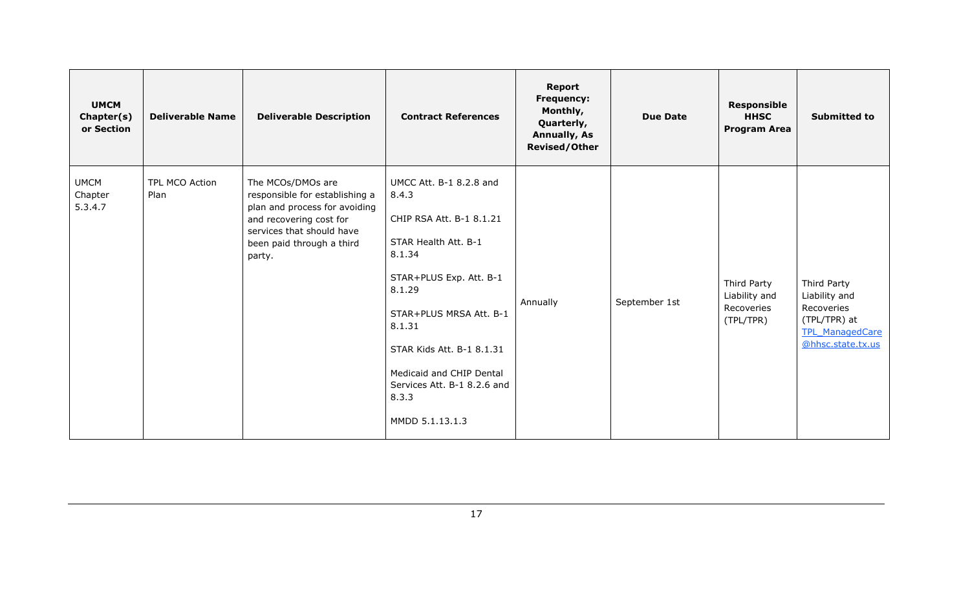| <b>UMCM</b><br>Chapter(s)<br>or Section | <b>Deliverable Name</b> | <b>Deliverable Description</b>                                                                                                                                                      | <b>Contract References</b>                                                                                                                                                                                                                                                                   | <b>Report</b><br>Frequency:<br>Monthly,<br>Quarterly,<br><b>Annually, As</b><br><b>Revised/Other</b> | <b>Due Date</b> | <b>Responsible</b><br><b>HHSC</b><br><b>Program Area</b> | <b>Submitted to</b>                                                                                       |
|-----------------------------------------|-------------------------|-------------------------------------------------------------------------------------------------------------------------------------------------------------------------------------|----------------------------------------------------------------------------------------------------------------------------------------------------------------------------------------------------------------------------------------------------------------------------------------------|------------------------------------------------------------------------------------------------------|-----------------|----------------------------------------------------------|-----------------------------------------------------------------------------------------------------------|
| <b>UMCM</b><br>Chapter<br>5.3.4.7       | TPL MCO Action<br>Plan  | The MCOs/DMOs are<br>responsible for establishing a<br>plan and process for avoiding<br>and recovering cost for<br>services that should have<br>been paid through a third<br>party. | UMCC Att. B-1 8.2.8 and<br>8.4.3<br>CHIP RSA Att. B-1 8.1.21<br>STAR Health Att. B-1<br>8.1.34<br>STAR+PLUS Exp. Att. B-1<br>8.1.29<br>STAR+PLUS MRSA Att. B-1<br>8.1.31<br>STAR Kids Att. B-1 8.1.31<br>Medicaid and CHIP Dental<br>Services Att. B-1 8.2.6 and<br>8.3.3<br>MMDD 5.1.13.1.3 | Annually                                                                                             | September 1st   | Third Party<br>Liability and<br>Recoveries<br>(TPL/TPR)  | Third Party<br>Liability and<br>Recoveries<br>(TPL/TPR) at<br><b>TPL ManagedCare</b><br>@hhsc.state.tx.us |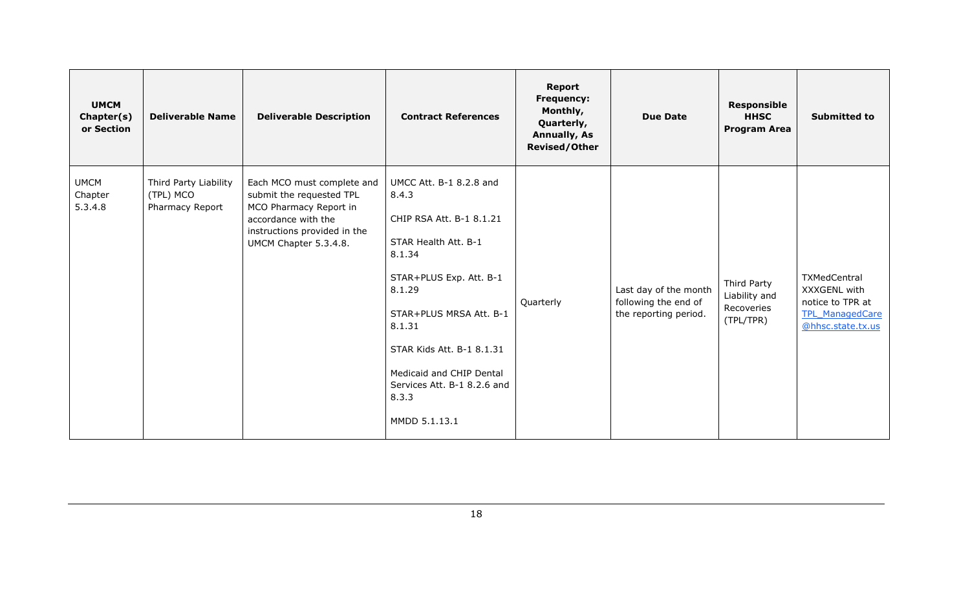| <b>UMCM</b><br>Chapter(s)<br>or Section | <b>Deliverable Name</b>                               | <b>Deliverable Description</b>                                                                                                                                   | <b>Contract References</b>                                                                                                                                                                                                                                                                 | Report<br>Frequency:<br>Monthly,<br>Quarterly,<br><b>Annually, As</b><br><b>Revised/Other</b> | <b>Due Date</b>                                                        | <b>Responsible</b><br><b>HHSC</b><br><b>Program Area</b> | <b>Submitted to</b>                                                                             |
|-----------------------------------------|-------------------------------------------------------|------------------------------------------------------------------------------------------------------------------------------------------------------------------|--------------------------------------------------------------------------------------------------------------------------------------------------------------------------------------------------------------------------------------------------------------------------------------------|-----------------------------------------------------------------------------------------------|------------------------------------------------------------------------|----------------------------------------------------------|-------------------------------------------------------------------------------------------------|
| <b>UMCM</b><br>Chapter<br>5.3.4.8       | Third Party Liability<br>(TPL) MCO<br>Pharmacy Report | Each MCO must complete and<br>submit the requested TPL<br>MCO Pharmacy Report in<br>accordance with the<br>instructions provided in the<br>UMCM Chapter 5.3.4.8. | UMCC Att. B-1 8.2.8 and<br>8.4.3<br>CHIP RSA Att. B-1 8.1.21<br>STAR Health Att. B-1<br>8.1.34<br>STAR+PLUS Exp. Att. B-1<br>8.1.29<br>STAR+PLUS MRSA Att. B-1<br>8.1.31<br>STAR Kids Att. B-1 8.1.31<br>Medicaid and CHIP Dental<br>Services Att. B-1 8.2.6 and<br>8.3.3<br>MMDD 5.1.13.1 | Quarterly                                                                                     | Last day of the month<br>following the end of<br>the reporting period. | Third Party<br>Liability and<br>Recoveries<br>(TPL/TPR)  | TXMedCentral<br>XXXGENL with<br>notice to TPR at<br><b>TPL ManagedCare</b><br>@hhsc.state.tx.us |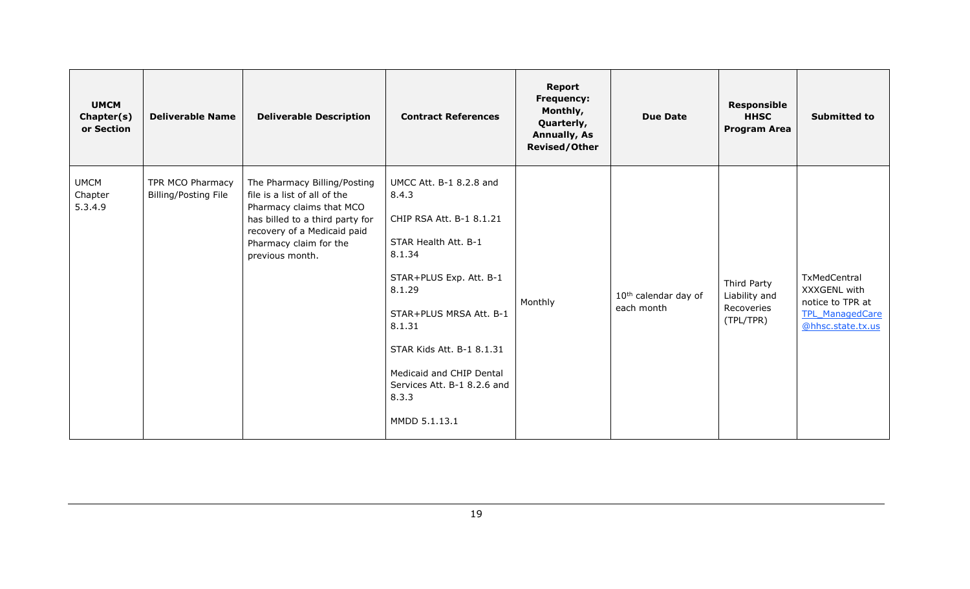| <b>UMCM</b><br>Chapter(s)<br>or Section | <b>Deliverable Name</b>                         | <b>Deliverable Description</b>                                                                                                                                                                          | <b>Contract References</b>                                                                                                                                                                                                                                                                 | Report<br>Frequency:<br>Monthly,<br>Quarterly,<br><b>Annually, As</b><br><b>Revised/Other</b> | <b>Due Date</b>                                | <b>Responsible</b><br><b>HHSC</b><br><b>Program Area</b> | <b>Submitted to</b>                                                                             |
|-----------------------------------------|-------------------------------------------------|---------------------------------------------------------------------------------------------------------------------------------------------------------------------------------------------------------|--------------------------------------------------------------------------------------------------------------------------------------------------------------------------------------------------------------------------------------------------------------------------------------------|-----------------------------------------------------------------------------------------------|------------------------------------------------|----------------------------------------------------------|-------------------------------------------------------------------------------------------------|
| <b>UMCM</b><br>Chapter<br>5.3.4.9       | TPR MCO Pharmacy<br><b>Billing/Posting File</b> | The Pharmacy Billing/Posting<br>file is a list of all of the<br>Pharmacy claims that MCO<br>has billed to a third party for<br>recovery of a Medicaid paid<br>Pharmacy claim for the<br>previous month. | UMCC Att. B-1 8.2.8 and<br>8.4.3<br>CHIP RSA Att. B-1 8.1.21<br>STAR Health Att. B-1<br>8.1.34<br>STAR+PLUS Exp. Att. B-1<br>8.1.29<br>STAR+PLUS MRSA Att. B-1<br>8.1.31<br>STAR Kids Att. B-1 8.1.31<br>Medicaid and CHIP Dental<br>Services Att. B-1 8.2.6 and<br>8.3.3<br>MMDD 5.1.13.1 | Monthly                                                                                       | 10 <sup>th</sup> calendar day of<br>each month | Third Party<br>Liability and<br>Recoveries<br>(TPL/TPR)  | TxMedCentral<br>XXXGENL with<br>notice to TPR at<br><b>TPL ManagedCare</b><br>@hhsc.state.tx.us |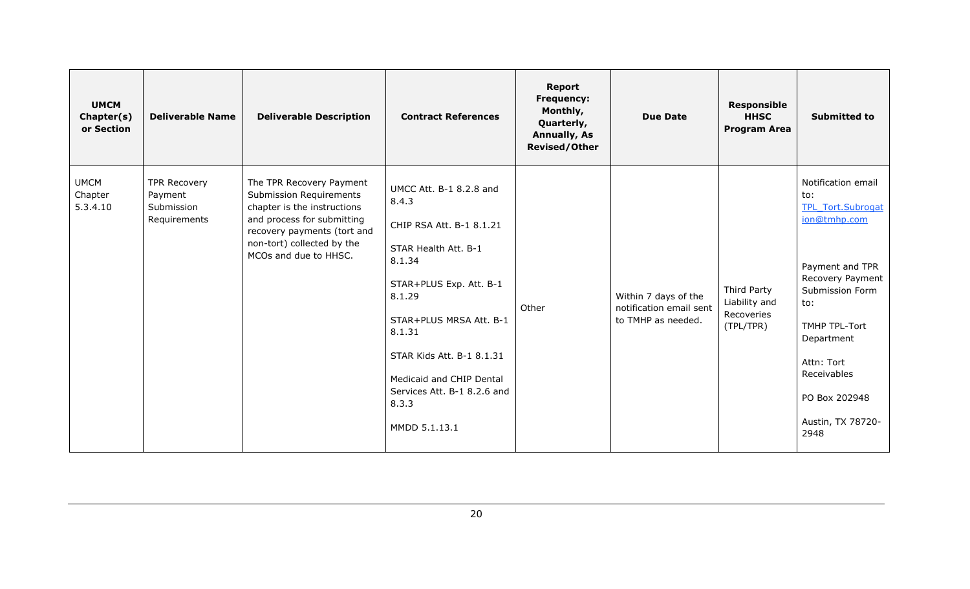| <b>UMCM</b><br>Chapter(s)<br>or Section | <b>Deliverable Name</b>                                      | <b>Deliverable Description</b>                                                                                                                                                                         | <b>Contract References</b>                                                                                                                                                                                                                                                                 | <b>Report</b><br><b>Frequency:</b><br>Monthly,<br>Quarterly,<br><b>Annually, As</b><br><b>Revised/Other</b> | <b>Due Date</b>                                                       | <b>Responsible</b><br><b>HHSC</b><br><b>Program Area</b> | <b>Submitted to</b>                                                                                                                                                                                                                              |
|-----------------------------------------|--------------------------------------------------------------|--------------------------------------------------------------------------------------------------------------------------------------------------------------------------------------------------------|--------------------------------------------------------------------------------------------------------------------------------------------------------------------------------------------------------------------------------------------------------------------------------------------|-------------------------------------------------------------------------------------------------------------|-----------------------------------------------------------------------|----------------------------------------------------------|--------------------------------------------------------------------------------------------------------------------------------------------------------------------------------------------------------------------------------------------------|
| <b>UMCM</b><br>Chapter<br>5.3.4.10      | <b>TPR Recovery</b><br>Payment<br>Submission<br>Requirements | The TPR Recovery Payment<br>Submission Requirements<br>chapter is the instructions<br>and process for submitting<br>recovery payments (tort and<br>non-tort) collected by the<br>MCOs and due to HHSC. | UMCC Att. B-1 8.2.8 and<br>8.4.3<br>CHIP RSA Att. B-1 8.1.21<br>STAR Health Att. B-1<br>8.1.34<br>STAR+PLUS Exp. Att. B-1<br>8.1.29<br>STAR+PLUS MRSA Att. B-1<br>8.1.31<br>STAR Kids Att. B-1 8.1.31<br>Medicaid and CHIP Dental<br>Services Att. B-1 8.2.6 and<br>8.3.3<br>MMDD 5.1.13.1 | Other                                                                                                       | Within 7 days of the<br>notification email sent<br>to TMHP as needed. | Third Party<br>Liability and<br>Recoveries<br>(TPL/TPR)  | Notification email<br>to:<br><b>TPL Tort.Subrogat</b><br>ion@tmhp.com<br>Payment and TPR<br>Recovery Payment<br>Submission Form<br>to:<br>TMHP TPL-Tort<br>Department<br>Attn: Tort<br>Receivables<br>PO Box 202948<br>Austin, TX 78720-<br>2948 |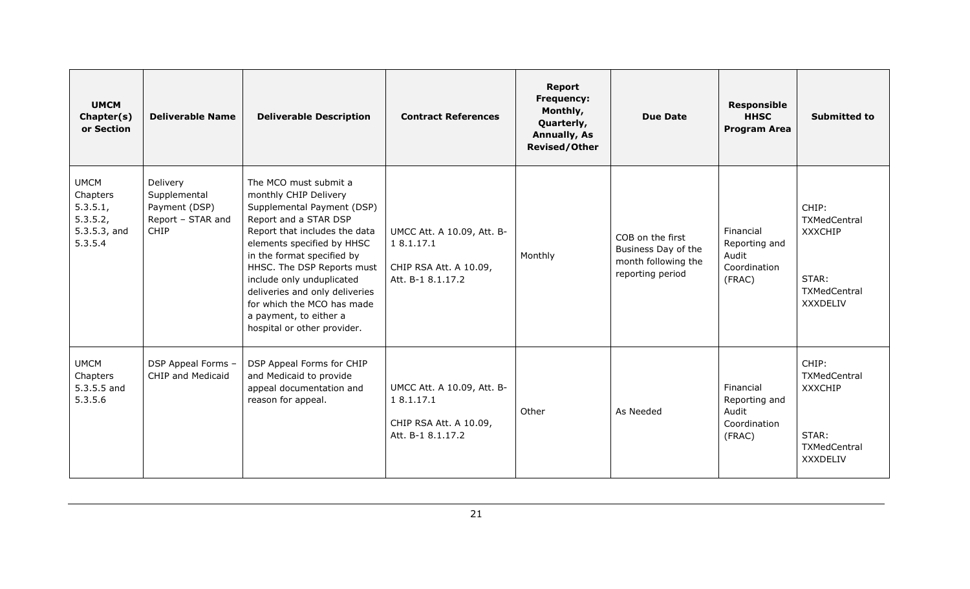| <b>UMCM</b><br>Chapter(s)<br>or Section                                      | <b>Deliverable Name</b>                                                       | <b>Deliverable Description</b>                                                                                                                                                                                                                                                                                                                                                         | <b>Contract References</b>                                                              | <b>Report</b><br><b>Frequency:</b><br>Monthly,<br>Quarterly,<br><b>Annually, As</b><br><b>Revised/Other</b> | <b>Due Date</b>                                                                    | <b>Responsible</b><br><b>HHSC</b><br><b>Program Area</b>      | <b>Submitted to</b>                                                                 |
|------------------------------------------------------------------------------|-------------------------------------------------------------------------------|----------------------------------------------------------------------------------------------------------------------------------------------------------------------------------------------------------------------------------------------------------------------------------------------------------------------------------------------------------------------------------------|-----------------------------------------------------------------------------------------|-------------------------------------------------------------------------------------------------------------|------------------------------------------------------------------------------------|---------------------------------------------------------------|-------------------------------------------------------------------------------------|
| <b>UMCM</b><br>Chapters<br>5.3.5.1<br>5.3.5.2,<br>$5.3.5.3$ , and<br>5.3.5.4 | Delivery<br>Supplemental<br>Payment (DSP)<br>Report - STAR and<br><b>CHIP</b> | The MCO must submit a<br>monthly CHIP Delivery<br>Supplemental Payment (DSP)<br>Report and a STAR DSP<br>Report that includes the data<br>elements specified by HHSC<br>in the format specified by<br>HHSC. The DSP Reports must<br>include only unduplicated<br>deliveries and only deliveries<br>for which the MCO has made<br>a payment, to either a<br>hospital or other provider. | UMCC Att. A 10.09, Att. B-<br>1 8.1.17.1<br>CHIP RSA Att. A 10.09,<br>Att. B-1 8.1.17.2 | Monthly                                                                                                     | COB on the first<br>Business Day of the<br>month following the<br>reporting period | Financial<br>Reporting and<br>Audit<br>Coordination<br>(FRAC) | CHIP:<br>TXMedCentral<br><b>XXXCHIP</b><br>STAR:<br>TXMedCentral<br><b>XXXDELIV</b> |
| <b>UMCM</b><br>Chapters<br>5.3.5.5 and<br>5.3.5.6                            | DSP Appeal Forms -<br><b>CHIP and Medicaid</b>                                | DSP Appeal Forms for CHIP<br>and Medicaid to provide<br>appeal documentation and<br>reason for appeal.                                                                                                                                                                                                                                                                                 | UMCC Att. A 10.09, Att. B-<br>18.1.17.1<br>CHIP RSA Att. A 10.09,<br>Att. B-1 8.1.17.2  | Other                                                                                                       | As Needed                                                                          | Financial<br>Reporting and<br>Audit<br>Coordination<br>(FRAC) | CHIP:<br>TXMedCentral<br><b>XXXCHIP</b><br>STAR:<br>TXMedCentral<br><b>XXXDELIV</b> |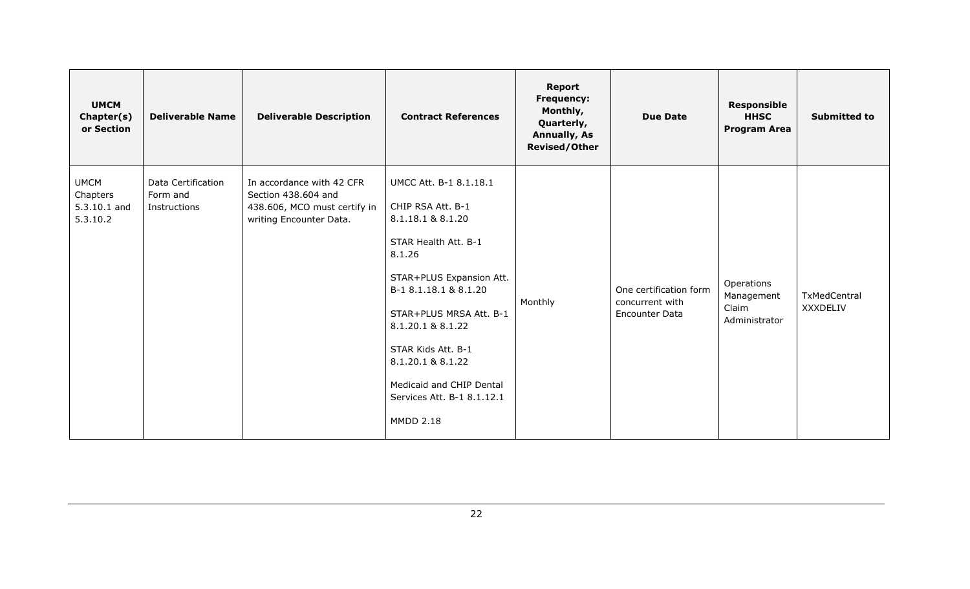| <b>UMCM</b><br>Chapter(s)<br>or Section             | <b>Deliverable Name</b>                        | <b>Deliverable Description</b>                                                                              | <b>Contract References</b>                                                                                                                                                                                                                                                                                                       | <b>Report</b><br><b>Frequency:</b><br>Monthly,<br>Quarterly,<br><b>Annually, As</b><br><b>Revised/Other</b> | <b>Due Date</b>                                                    | <b>Responsible</b><br><b>HHSC</b><br><b>Program Area</b> | <b>Submitted to</b>             |
|-----------------------------------------------------|------------------------------------------------|-------------------------------------------------------------------------------------------------------------|----------------------------------------------------------------------------------------------------------------------------------------------------------------------------------------------------------------------------------------------------------------------------------------------------------------------------------|-------------------------------------------------------------------------------------------------------------|--------------------------------------------------------------------|----------------------------------------------------------|---------------------------------|
| <b>UMCM</b><br>Chapters<br>5.3.10.1 and<br>5.3.10.2 | Data Certification<br>Form and<br>Instructions | In accordance with 42 CFR<br>Section 438.604 and<br>438.606, MCO must certify in<br>writing Encounter Data. | UMCC Att. B-1 8.1.18.1<br>CHIP RSA Att. B-1<br>8.1.18.1 & 8.1.20<br>STAR Health Att. B-1<br>8.1.26<br>STAR+PLUS Expansion Att.<br>B-1 8.1.18.1 & 8.1.20<br>STAR+PLUS MRSA Att. B-1<br>8.1.20.1 & 8.1.22<br>STAR Kids Att. B-1<br>8.1.20.1 & 8.1.22<br>Medicaid and CHIP Dental<br>Services Att. B-1 8.1.12.1<br><b>MMDD 2.18</b> | Monthly                                                                                                     | One certification form<br>concurrent with<br><b>Encounter Data</b> | Operations<br>Management<br>Claim<br>Administrator       | TxMedCentral<br><b>XXXDELIV</b> |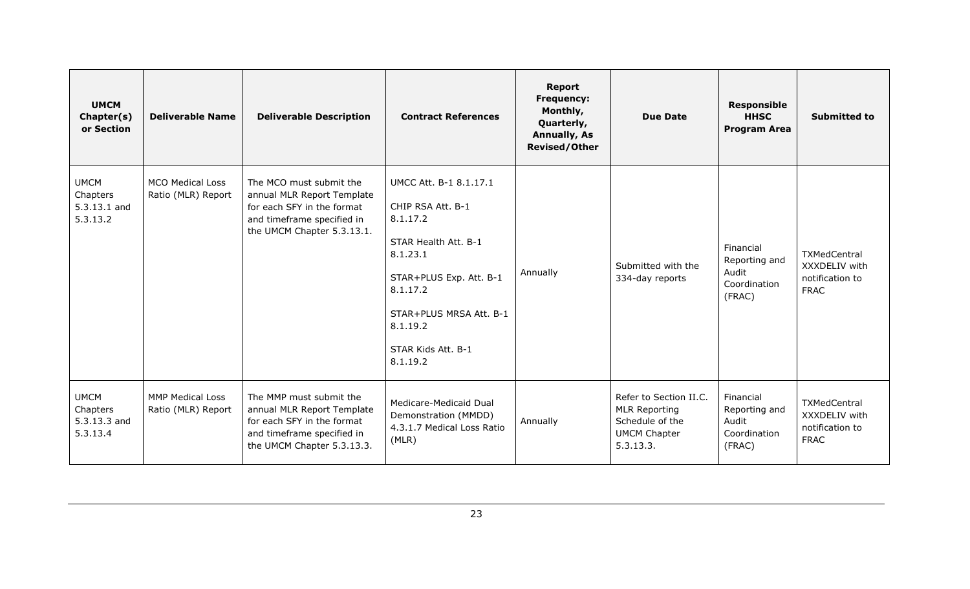| <b>UMCM</b><br>Chapter(s)<br>or Section             | <b>Deliverable Name</b>                       | <b>Deliverable Description</b>                                                                                                                  | <b>Contract References</b>                                                                                                                                                                                  | <b>Report</b><br><b>Frequency:</b><br>Monthly,<br>Quarterly,<br><b>Annually, As</b><br><b>Revised/Other</b> | <b>Due Date</b>                                                                                       | <b>Responsible</b><br><b>HHSC</b><br><b>Program Area</b>      | <b>Submitted to</b>                                             |
|-----------------------------------------------------|-----------------------------------------------|-------------------------------------------------------------------------------------------------------------------------------------------------|-------------------------------------------------------------------------------------------------------------------------------------------------------------------------------------------------------------|-------------------------------------------------------------------------------------------------------------|-------------------------------------------------------------------------------------------------------|---------------------------------------------------------------|-----------------------------------------------------------------|
| <b>UMCM</b><br>Chapters<br>5.3.13.1 and<br>5.3.13.2 | <b>MCO Medical Loss</b><br>Ratio (MLR) Report | The MCO must submit the<br>annual MLR Report Template<br>for each SFY in the format<br>and timeframe specified in<br>the UMCM Chapter 5.3.13.1. | UMCC Att. B-1 8.1.17.1<br>CHIP RSA Att. B-1<br>8.1.17.2<br>STAR Health Att. B-1<br>8.1.23.1<br>STAR+PLUS Exp. Att. B-1<br>8.1.17.2<br>STAR+PLUS MRSA Att. B-1<br>8.1.19.2<br>STAR Kids Att. B-1<br>8.1.19.2 | Annually                                                                                                    | Submitted with the<br>334-day reports                                                                 | Financial<br>Reporting and<br>Audit<br>Coordination<br>(FRAC) | TXMedCentral<br>XXXDELIV with<br>notification to<br><b>FRAC</b> |
| <b>UMCM</b><br>Chapters<br>5.3.13.3 and<br>5.3.13.4 | <b>MMP Medical Loss</b><br>Ratio (MLR) Report | The MMP must submit the<br>annual MLR Report Template<br>for each SFY in the format<br>and timeframe specified in<br>the UMCM Chapter 5.3.13.3. | Medicare-Medicaid Dual<br>Demonstration (MMDD)<br>4.3.1.7 Medical Loss Ratio<br>(MLR)                                                                                                                       | Annually                                                                                                    | Refer to Section II.C.<br><b>MLR Reporting</b><br>Schedule of the<br><b>UMCM Chapter</b><br>5.3.13.3. | Financial<br>Reporting and<br>Audit<br>Coordination<br>(FRAC) | TXMedCentral<br>XXXDELIV with<br>notification to<br><b>FRAC</b> |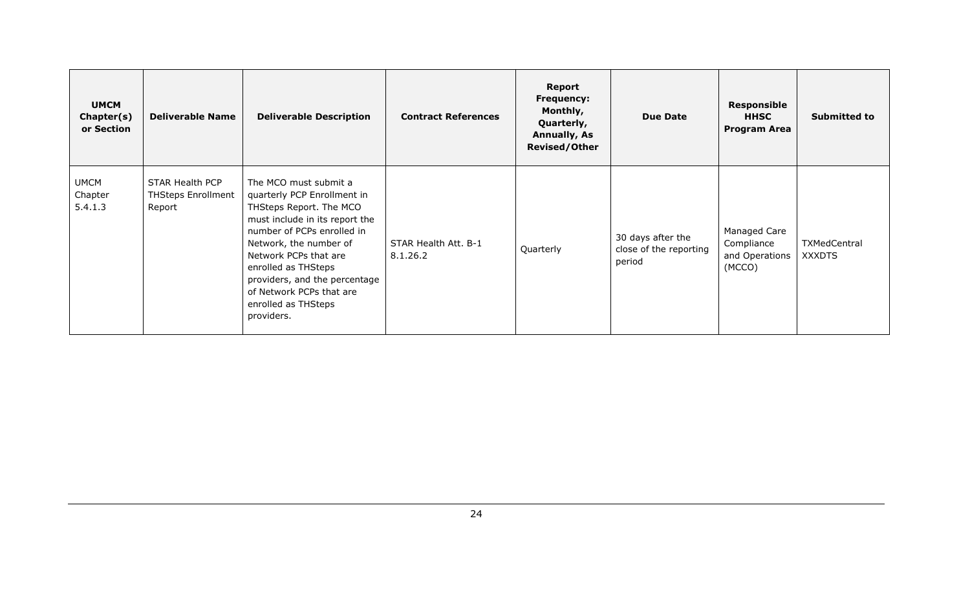| <b>UMCM</b><br>Chapter(s)<br>or Section | <b>Deliverable Name</b>                                | <b>Deliverable Description</b>                                                                                                                                                                                                                                                                                              | <b>Contract References</b>       | Report<br><b>Frequency:</b><br>Monthly,<br>Quarterly,<br>Annually, As<br><b>Revised/Other</b> | <b>Due Date</b>                                       | <b>Responsible</b><br><b>HHSC</b><br><b>Program Area</b> | <b>Submitted to</b>                  |
|-----------------------------------------|--------------------------------------------------------|-----------------------------------------------------------------------------------------------------------------------------------------------------------------------------------------------------------------------------------------------------------------------------------------------------------------------------|----------------------------------|-----------------------------------------------------------------------------------------------|-------------------------------------------------------|----------------------------------------------------------|--------------------------------------|
| <b>UMCM</b><br>Chapter<br>5.4.1.3       | STAR Health PCP<br><b>THSteps Enrollment</b><br>Report | The MCO must submit a<br>quarterly PCP Enrollment in<br>THSteps Report. The MCO<br>must include in its report the<br>number of PCPs enrolled in<br>Network, the number of<br>Network PCPs that are<br>enrolled as THSteps<br>providers, and the percentage<br>of Network PCPs that are<br>enrolled as THSteps<br>providers. | STAR Health Att. B-1<br>8.1.26.2 | Quarterly                                                                                     | 30 days after the<br>close of the reporting<br>period | Managed Care<br>Compliance<br>and Operations<br>(MCCO)   | <b>TXMedCentral</b><br><b>XXXDTS</b> |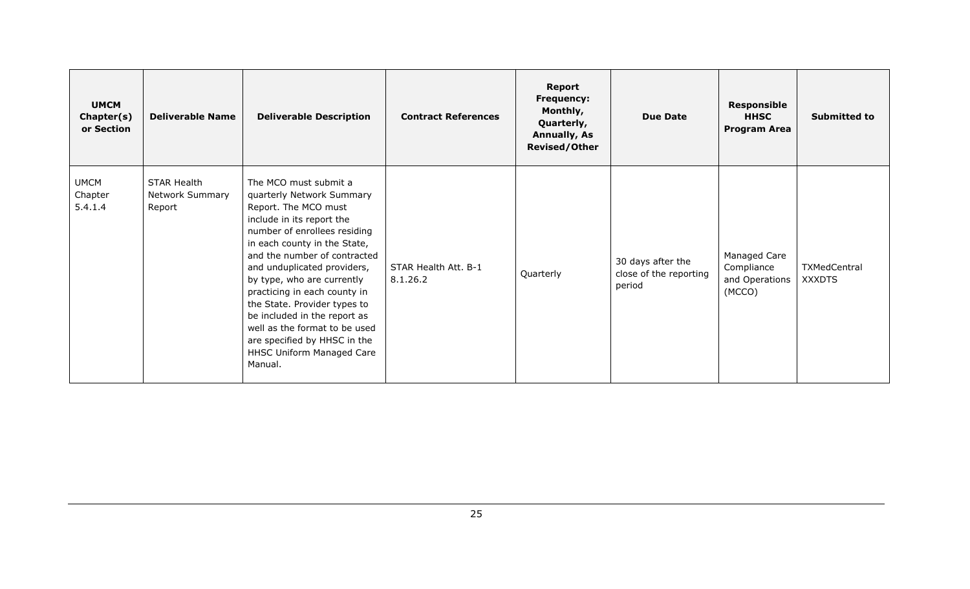| <b>UMCM</b><br>Chapter(s)<br>or Section | <b>Deliverable Name</b>                                | <b>Deliverable Description</b>                                                                                                                                                                                                                                                                                                                                                                                                                                                | <b>Contract References</b>       | Report<br><b>Frequency:</b><br>Monthly,<br>Quarterly,<br><b>Annually, As</b><br><b>Revised/Other</b> | <b>Due Date</b>                                       | <b>Responsible</b><br><b>HHSC</b><br><b>Program Area</b> | <b>Submitted to</b>           |
|-----------------------------------------|--------------------------------------------------------|-------------------------------------------------------------------------------------------------------------------------------------------------------------------------------------------------------------------------------------------------------------------------------------------------------------------------------------------------------------------------------------------------------------------------------------------------------------------------------|----------------------------------|------------------------------------------------------------------------------------------------------|-------------------------------------------------------|----------------------------------------------------------|-------------------------------|
| <b>UMCM</b><br>Chapter<br>5.4.1.4       | <b>STAR Health</b><br><b>Network Summary</b><br>Report | The MCO must submit a<br>quarterly Network Summary<br>Report. The MCO must<br>include in its report the<br>number of enrollees residing<br>in each county in the State,<br>and the number of contracted<br>and unduplicated providers,<br>by type, who are currently<br>practicing in each county in<br>the State. Provider types to<br>be included in the report as<br>well as the format to be used<br>are specified by HHSC in the<br>HHSC Uniform Managed Care<br>Manual. | STAR Health Att. B-1<br>8.1.26.2 | Quarterly                                                                                            | 30 days after the<br>close of the reporting<br>period | Managed Care<br>Compliance<br>and Operations<br>(MCCO)   | TXMedCentral<br><b>XXXDTS</b> |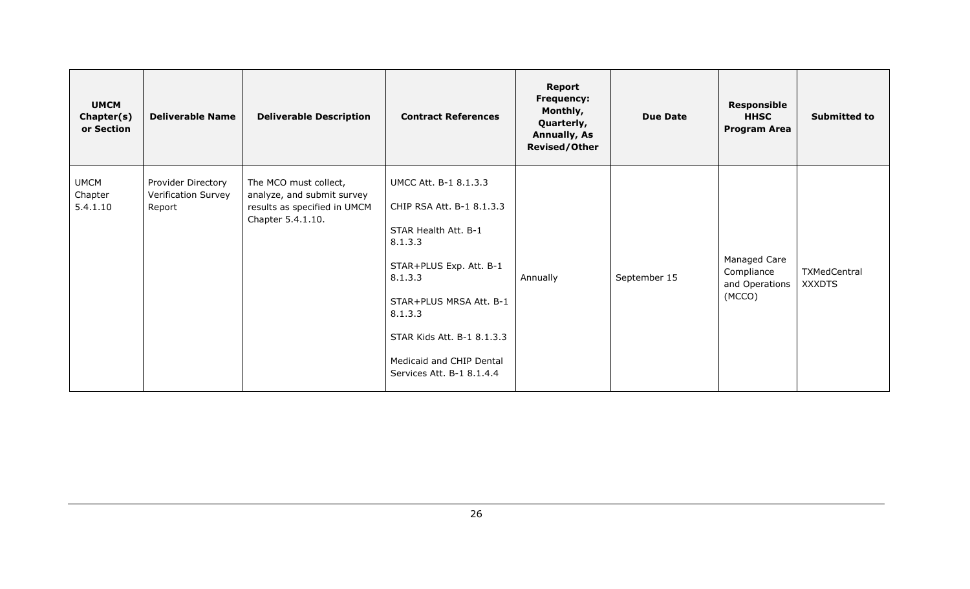| <b>UMCM</b><br>Chapter(s)<br>or Section | <b>Deliverable Name</b>                             | <b>Deliverable Description</b>                                                                           | <b>Contract References</b>                                                                                                                                                                                                                               | Report<br><b>Frequency:</b><br>Monthly,<br>Quarterly,<br><b>Annually, As</b><br><b>Revised/Other</b> | <b>Due Date</b> | <b>Responsible</b><br><b>HHSC</b><br><b>Program Area</b> | <b>Submitted to</b>           |
|-----------------------------------------|-----------------------------------------------------|----------------------------------------------------------------------------------------------------------|----------------------------------------------------------------------------------------------------------------------------------------------------------------------------------------------------------------------------------------------------------|------------------------------------------------------------------------------------------------------|-----------------|----------------------------------------------------------|-------------------------------|
| <b>UMCM</b><br>Chapter<br>5.4.1.10      | Provider Directory<br>Verification Survey<br>Report | The MCO must collect,<br>analyze, and submit survey<br>results as specified in UMCM<br>Chapter 5.4.1.10. | UMCC Att. B-1 8.1.3.3<br>CHIP RSA Att. B-1 8.1.3.3<br>STAR Health Att. B-1<br>8.1.3.3<br>STAR+PLUS Exp. Att. B-1<br>8.1.3.3<br>STAR+PLUS MRSA Att. B-1<br>8.1.3.3<br>STAR Kids Att. B-1 8.1.3.3<br>Medicaid and CHIP Dental<br>Services Att. B-1 8.1.4.4 | Annually                                                                                             | September 15    | Managed Care<br>Compliance<br>and Operations<br>(MCCO)   | TXMedCentral<br><b>XXXDTS</b> |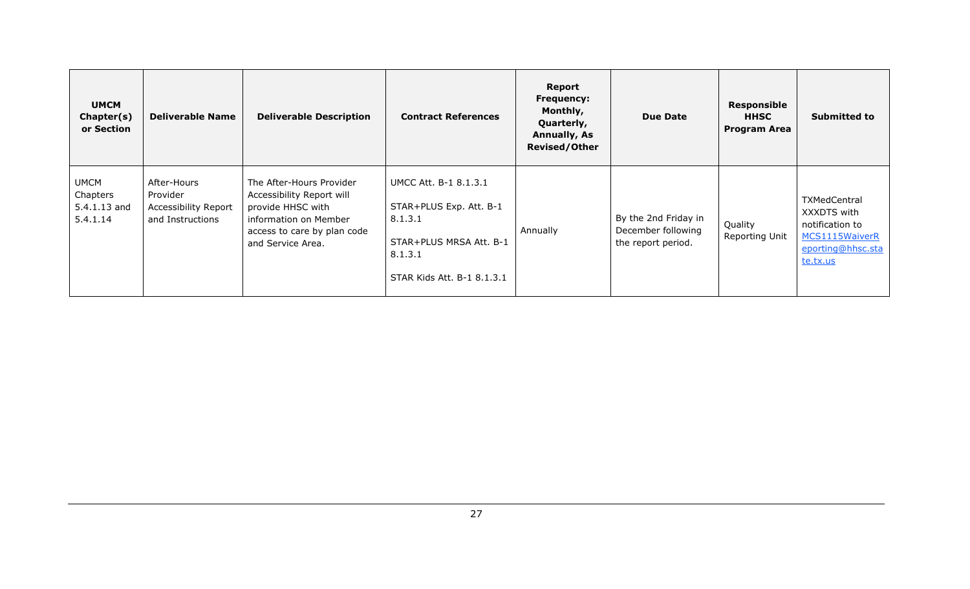| <b>UMCM</b><br>Chapter(s)<br>or Section             | <b>Deliverable Name</b>                                             | <b>Deliverable Description</b>                                                                                                                          | <b>Contract References</b>                                                                                                      | Report<br><b>Frequency:</b><br>Monthly,<br>Quarterly,<br><b>Annually, As</b><br><b>Revised/Other</b> | <b>Due Date</b>                                                  | Responsible<br><b>HHSC</b><br><b>Program Area</b> | <b>Submitted to</b>                                                                               |
|-----------------------------------------------------|---------------------------------------------------------------------|---------------------------------------------------------------------------------------------------------------------------------------------------------|---------------------------------------------------------------------------------------------------------------------------------|------------------------------------------------------------------------------------------------------|------------------------------------------------------------------|---------------------------------------------------|---------------------------------------------------------------------------------------------------|
| <b>UMCM</b><br>Chapters<br>5.4.1.13 and<br>5.4.1.14 | After-Hours<br>Provider<br>Accessibility Report<br>and Instructions | The After-Hours Provider<br>Accessibility Report will<br>provide HHSC with<br>information on Member<br>access to care by plan code<br>and Service Area. | UMCC Att. B-1 8.1.3.1<br>STAR+PLUS Exp. Att. B-1<br>8.1.3.1<br>STAR+PLUS MRSA Att. B-1<br>8.1.3.1<br>STAR Kids Att. B-1 8.1.3.1 | Annually                                                                                             | By the 2nd Friday in<br>December following<br>the report period. | Quality<br>Reporting Unit                         | TXMedCentral<br>XXXDTS with<br>notification to<br>MCS1115WaiverR<br>eporting@hhsc.sta<br>te.tx.us |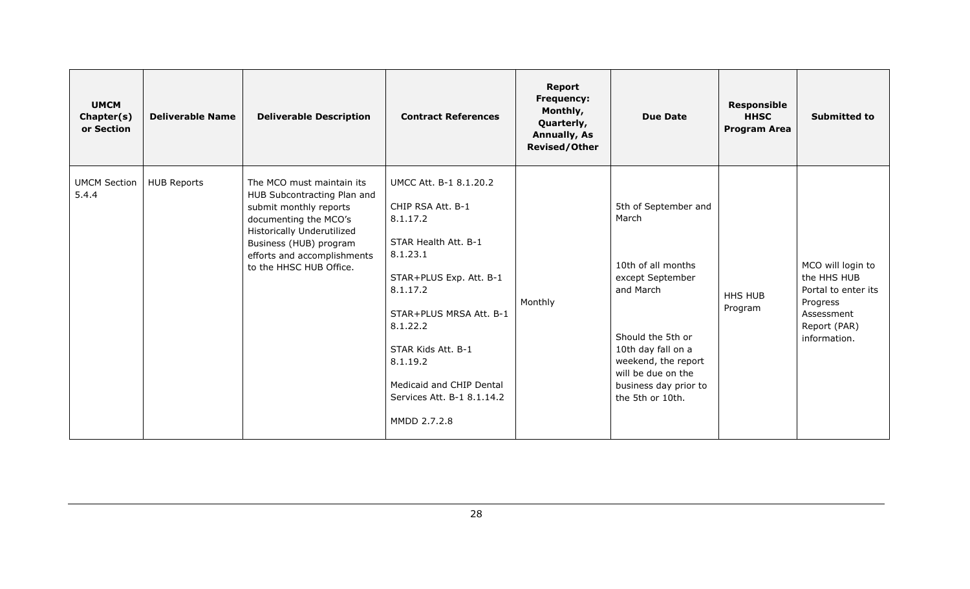| <b>UMCM</b><br>Chapter(s)<br>or Section | <b>Deliverable Name</b> | <b>Deliverable Description</b>                                                                                                                                                                                                       | <b>Contract References</b>                                                                                                                                                                                                                                                            | Report<br><b>Frequency:</b><br>Monthly,<br>Quarterly,<br><b>Annually, As</b><br><b>Revised/Other</b> | <b>Due Date</b>                                                                                                                                                                                                           | <b>Responsible</b><br><b>HHSC</b><br><b>Program Area</b> | <b>Submitted to</b>                                                                                               |
|-----------------------------------------|-------------------------|--------------------------------------------------------------------------------------------------------------------------------------------------------------------------------------------------------------------------------------|---------------------------------------------------------------------------------------------------------------------------------------------------------------------------------------------------------------------------------------------------------------------------------------|------------------------------------------------------------------------------------------------------|---------------------------------------------------------------------------------------------------------------------------------------------------------------------------------------------------------------------------|----------------------------------------------------------|-------------------------------------------------------------------------------------------------------------------|
| <b>UMCM Section</b><br>5.4.4            | <b>HUB Reports</b>      | The MCO must maintain its<br>HUB Subcontracting Plan and<br>submit monthly reports<br>documenting the MCO's<br><b>Historically Underutilized</b><br>Business (HUB) program<br>efforts and accomplishments<br>to the HHSC HUB Office. | UMCC Att. B-1 8.1.20.2<br>CHIP RSA Att. B-1<br>8.1.17.2<br>STAR Health Att. B-1<br>8.1.23.1<br>STAR+PLUS Exp. Att. B-1<br>8.1.17.2<br>STAR+PLUS MRSA Att. B-1<br>8.1.22.2<br>STAR Kids Att. B-1<br>8.1.19.2<br>Medicaid and CHIP Dental<br>Services Att. B-1 8.1.14.2<br>MMDD 2.7.2.8 | Monthly                                                                                              | 5th of September and<br>March<br>10th of all months<br>except September<br>and March<br>Should the 5th or<br>10th day fall on a<br>weekend, the report<br>will be due on the<br>business day prior to<br>the 5th or 10th. | <b>HHS HUB</b><br>Program                                | MCO will login to<br>the HHS HUB<br>Portal to enter its<br>Progress<br>Assessment<br>Report (PAR)<br>information. |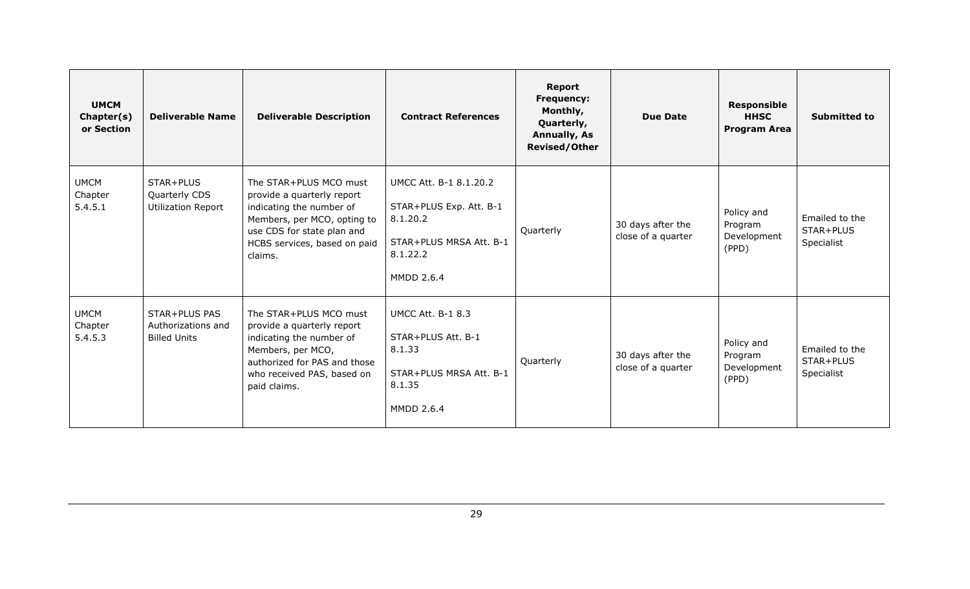| <b>UMCM</b><br>Chapter(s)<br>or Section | <b>Deliverable Name</b>                                    | <b>Deliverable Description</b>                                                                                                                                                           | <b>Contract References</b>                                                                                                | <b>Report</b><br><b>Frequency:</b><br>Monthly,<br>Quarterly,<br><b>Annually, As</b><br><b>Revised/Other</b> | <b>Due Date</b>                         | <b>Responsible</b><br><b>HHSC</b><br><b>Program Area</b> | <b>Submitted to</b>                       |
|-----------------------------------------|------------------------------------------------------------|------------------------------------------------------------------------------------------------------------------------------------------------------------------------------------------|---------------------------------------------------------------------------------------------------------------------------|-------------------------------------------------------------------------------------------------------------|-----------------------------------------|----------------------------------------------------------|-------------------------------------------|
| <b>UMCM</b><br>Chapter<br>5.4.5.1       | STAR+PLUS<br>Quarterly CDS<br><b>Utilization Report</b>    | The STAR+PLUS MCO must<br>provide a quarterly report<br>indicating the number of<br>Members, per MCO, opting to<br>use CDS for state plan and<br>HCBS services, based on paid<br>claims. | UMCC Att. B-1 8.1.20.2<br>STAR+PLUS Exp. Att. B-1<br>8.1.20.2<br>STAR+PLUS MRSA Att. B-1<br>8.1.22.2<br><b>MMDD 2.6.4</b> | Quarterly                                                                                                   | 30 days after the<br>close of a quarter | Policy and<br>Program<br>Development<br>(PPD)            | Emailed to the<br>STAR+PLUS<br>Specialist |
| <b>UMCM</b><br>Chapter<br>5.4.5.3       | STAR+PLUS PAS<br>Authorizations and<br><b>Billed Units</b> | The STAR+PLUS MCO must<br>provide a quarterly report<br>indicating the number of<br>Members, per MCO,<br>authorized for PAS and those<br>who received PAS, based on<br>paid claims.      | <b>UMCC Att. B-1 8.3</b><br>STAR+PLUS Att. B-1<br>8.1.33<br>STAR+PLUS MRSA Att. B-1<br>8.1.35<br><b>MMDD 2.6.4</b>        | Quarterly                                                                                                   | 30 days after the<br>close of a quarter | Policy and<br>Program<br>Development<br>(PPD)            | Emailed to the<br>STAR+PLUS<br>Specialist |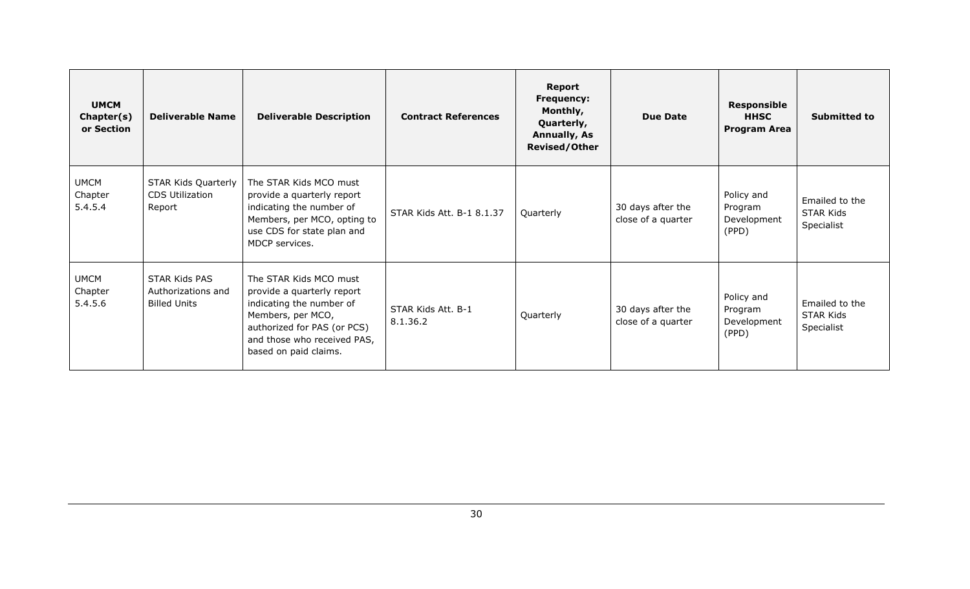| <b>UMCM</b><br>Chapter(s)<br>or Section | <b>Deliverable Name</b>                                    | <b>Deliverable Description</b>                                                                                                                                                               | <b>Contract References</b>     | <b>Report</b><br><b>Frequency:</b><br>Monthly,<br>Quarterly,<br><b>Annually, As</b><br><b>Revised/Other</b> | <b>Due Date</b>                         | <b>Responsible</b><br><b>HHSC</b><br><b>Program Area</b> | <b>Submitted to</b>                              |
|-----------------------------------------|------------------------------------------------------------|----------------------------------------------------------------------------------------------------------------------------------------------------------------------------------------------|--------------------------------|-------------------------------------------------------------------------------------------------------------|-----------------------------------------|----------------------------------------------------------|--------------------------------------------------|
| <b>UMCM</b><br>Chapter<br>5.4.5.4       | STAR Kids Quarterly<br><b>CDS Utilization</b><br>Report    | The STAR Kids MCO must<br>provide a quarterly report<br>indicating the number of<br>Members, per MCO, opting to<br>use CDS for state plan and<br>MDCP services.                              | STAR Kids Att. B-1 8.1.37      | Quarterly                                                                                                   | 30 days after the<br>close of a quarter | Policy and<br>Program<br>Development<br>(PPD)            | Emailed to the<br><b>STAR Kids</b><br>Specialist |
| <b>UMCM</b><br>Chapter<br>5.4.5.6       | STAR Kids PAS<br>Authorizations and<br><b>Billed Units</b> | The STAR Kids MCO must<br>provide a quarterly report<br>indicating the number of<br>Members, per MCO,<br>authorized for PAS (or PCS)<br>and those who received PAS,<br>based on paid claims. | STAR Kids Att. B-1<br>8.1.36.2 | Quarterly                                                                                                   | 30 days after the<br>close of a quarter | Policy and<br>Program<br>Development<br>(PPD)            | Emailed to the<br><b>STAR Kids</b><br>Specialist |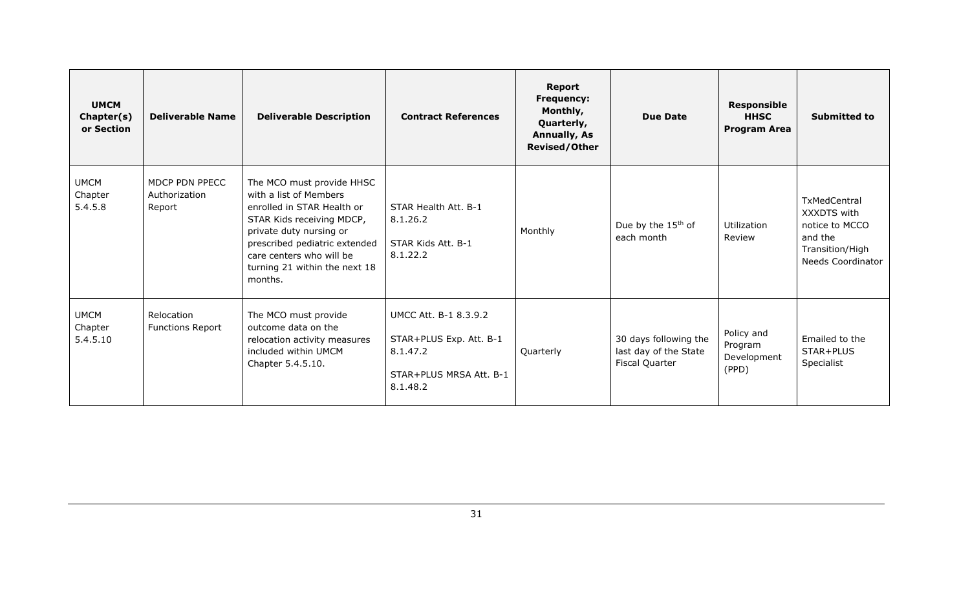| <b>UMCM</b><br>Chapter(s)<br>or Section | <b>Deliverable Name</b>                   | <b>Deliverable Description</b>                                                                                                                                                                                                                     | <b>Contract References</b>                                                                          | <b>Report</b><br><b>Frequency:</b><br>Monthly,<br>Quarterly,<br><b>Annually, As</b><br><b>Revised/Other</b> | <b>Due Date</b>                                                  | <b>Responsible</b><br><b>HHSC</b><br><b>Program Area</b> | <b>Submitted to</b>                                                                                     |
|-----------------------------------------|-------------------------------------------|----------------------------------------------------------------------------------------------------------------------------------------------------------------------------------------------------------------------------------------------------|-----------------------------------------------------------------------------------------------------|-------------------------------------------------------------------------------------------------------------|------------------------------------------------------------------|----------------------------------------------------------|---------------------------------------------------------------------------------------------------------|
| <b>UMCM</b><br>Chapter<br>5.4.5.8       | MDCP PDN PPECC<br>Authorization<br>Report | The MCO must provide HHSC<br>with a list of Members<br>enrolled in STAR Health or<br>STAR Kids receiving MDCP,<br>private duty nursing or<br>prescribed pediatric extended<br>care centers who will be<br>turning 21 within the next 18<br>months. | STAR Health Att. B-1<br>8.1.26.2<br>STAR Kids Att. B-1<br>8.1.22.2                                  | Monthly                                                                                                     | Due by the 15 <sup>th</sup> of<br>each month                     | Utilization<br>Review                                    | TxMedCentral<br>XXXDTS with<br>notice to MCCO<br>and the<br>Transition/High<br><b>Needs Coordinator</b> |
| <b>UMCM</b><br>Chapter<br>5.4.5.10      | Relocation<br><b>Functions Report</b>     | The MCO must provide<br>outcome data on the<br>relocation activity measures<br>included within UMCM<br>Chapter 5.4.5.10.                                                                                                                           | UMCC Att. B-1 8.3.9.2<br>STAR+PLUS Exp. Att. B-1<br>8.1.47.2<br>STAR+PLUS MRSA Att. B-1<br>8.1.48.2 | Quarterly                                                                                                   | 30 days following the<br>last day of the State<br>Fiscal Quarter | Policy and<br>Program<br>Development<br>(PPD)            | Emailed to the<br>STAR+PLUS<br>Specialist                                                               |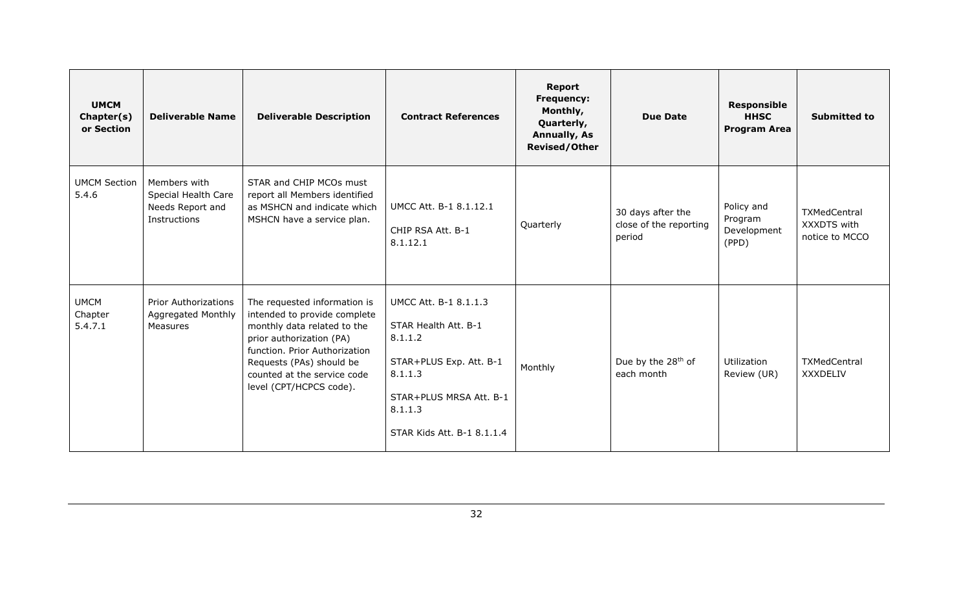| <b>UMCM</b><br>Chapter(s)<br>or Section | <b>Deliverable Name</b>                                                 | <b>Deliverable Description</b>                                                                                                                                                                                                                 | <b>Contract References</b>                                                                                                                                         | Report<br><b>Frequency:</b><br>Monthly,<br>Quarterly,<br><b>Annually, As</b><br><b>Revised/Other</b> | <b>Due Date</b>                                       | <b>Responsible</b><br><b>HHSC</b><br><b>Program Area</b> | <b>Submitted to</b>                                  |
|-----------------------------------------|-------------------------------------------------------------------------|------------------------------------------------------------------------------------------------------------------------------------------------------------------------------------------------------------------------------------------------|--------------------------------------------------------------------------------------------------------------------------------------------------------------------|------------------------------------------------------------------------------------------------------|-------------------------------------------------------|----------------------------------------------------------|------------------------------------------------------|
| <b>UMCM Section</b><br>5.4.6            | Members with<br>Special Health Care<br>Needs Report and<br>Instructions | STAR and CHIP MCOs must<br>report all Members identified<br>as MSHCN and indicate which<br>MSHCN have a service plan.                                                                                                                          | UMCC Att. B-1 8.1.12.1<br>CHIP RSA Att. B-1<br>8.1.12.1                                                                                                            | Quarterly                                                                                            | 30 days after the<br>close of the reporting<br>period | Policy and<br>Program<br>Development<br>(PPD)            | <b>TXMedCentral</b><br>XXXDTS with<br>notice to MCCO |
| <b>UMCM</b><br>Chapter<br>5.4.7.1       | <b>Prior Authorizations</b><br>Aggregated Monthly<br>Measures           | The requested information is<br>intended to provide complete<br>monthly data related to the<br>prior authorization (PA)<br>function. Prior Authorization<br>Requests (PAs) should be<br>counted at the service code<br>level (CPT/HCPCS code). | UMCC Att. B-1 8.1.1.3<br>STAR Health Att. B-1<br>8.1.1.2<br>STAR+PLUS Exp. Att. B-1<br>8.1.1.3<br>STAR+PLUS MRSA Att. B-1<br>8.1.1.3<br>STAR Kids Att. B-1 8.1.1.4 | Monthly                                                                                              | Due by the 28 <sup>th</sup> of<br>each month          | <b>Utilization</b><br>Review (UR)                        | TXMedCentral<br><b>XXXDELIV</b>                      |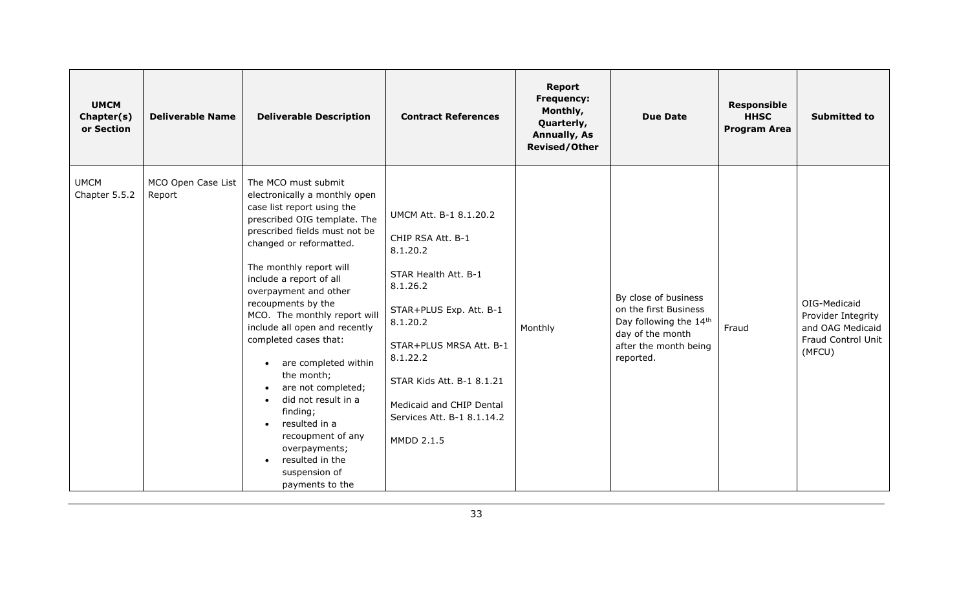| <b>UMCM</b><br>Chapter(s)<br>or Section | <b>Deliverable Name</b>      | <b>Deliverable Description</b>                                                                                                                                                                                                                                                                                                                                                                                                                                                                                                                                                                                                                 | <b>Contract References</b>                                                                                                                                                                                                                                                     | <b>Report</b><br>Frequency:<br>Monthly,<br>Quarterly,<br><b>Annually, As</b><br><b>Revised/Other</b> | <b>Due Date</b>                                                                                                                   | <b>Responsible</b><br><b>HHSC</b><br><b>Program Area</b> | <b>Submitted to</b>                                                                    |
|-----------------------------------------|------------------------------|------------------------------------------------------------------------------------------------------------------------------------------------------------------------------------------------------------------------------------------------------------------------------------------------------------------------------------------------------------------------------------------------------------------------------------------------------------------------------------------------------------------------------------------------------------------------------------------------------------------------------------------------|--------------------------------------------------------------------------------------------------------------------------------------------------------------------------------------------------------------------------------------------------------------------------------|------------------------------------------------------------------------------------------------------|-----------------------------------------------------------------------------------------------------------------------------------|----------------------------------------------------------|----------------------------------------------------------------------------------------|
| <b>UMCM</b><br>Chapter 5.5.2            | MCO Open Case List<br>Report | The MCO must submit<br>electronically a monthly open<br>case list report using the<br>prescribed OIG template. The<br>prescribed fields must not be<br>changed or reformatted.<br>The monthly report will<br>include a report of all<br>overpayment and other<br>recoupments by the<br>MCO. The monthly report will<br>include all open and recently<br>completed cases that:<br>are completed within<br>$\bullet$<br>the month;<br>are not completed;<br>did not result in a<br>$\bullet$<br>finding;<br>resulted in a<br>$\bullet$<br>recoupment of any<br>overpayments;<br>resulted in the<br>$\bullet$<br>suspension of<br>payments to the | UMCM Att. B-1 8.1.20.2<br>CHIP RSA Att. B-1<br>8.1.20.2<br>STAR Health Att. B-1<br>8.1.26.2<br>STAR+PLUS Exp. Att. B-1<br>8.1.20.2<br>STAR+PLUS MRSA Att. B-1<br>8.1.22.2<br>STAR Kids Att. B-1 8.1.21<br>Medicaid and CHIP Dental<br>Services Att. B-1 8.1.14.2<br>MMDD 2.1.5 | Monthly                                                                                              | By close of business<br>on the first Business<br>Day following the 14th<br>day of the month<br>after the month being<br>reported. | Fraud                                                    | OIG-Medicaid<br>Provider Integrity<br>and OAG Medicaid<br>Fraud Control Unit<br>(MFCU) |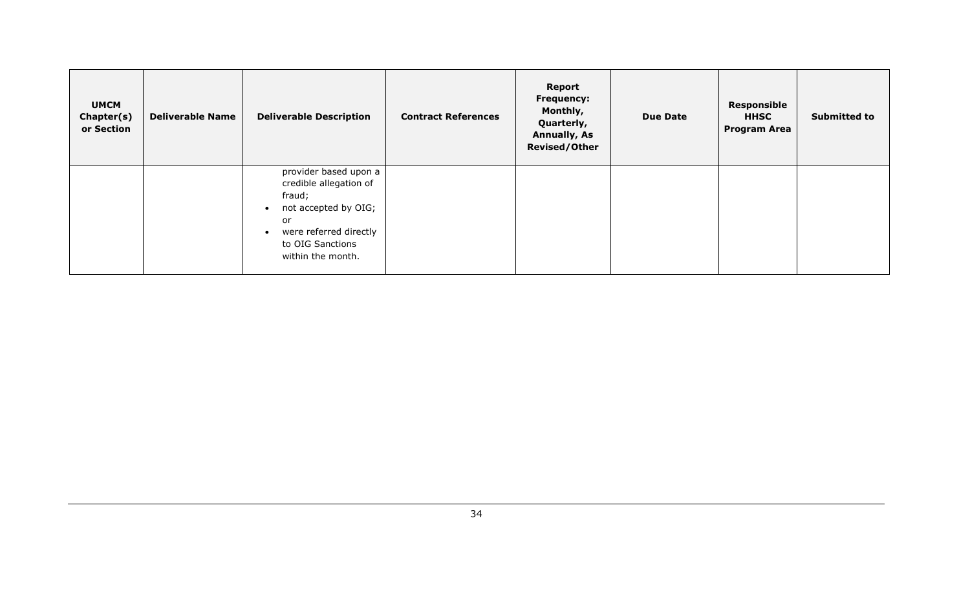| <b>UMCM</b><br>Chapter(s)<br>or Section | <b>Deliverable Name</b> | <b>Deliverable Description</b>                                                                                                                             | <b>Contract References</b> | Report<br><b>Frequency:</b><br>Monthly,<br>Quarterly,<br><b>Annually, As</b><br><b>Revised/Other</b> | <b>Due Date</b> | <b>Responsible</b><br><b>HHSC</b><br><b>Program Area</b> | <b>Submitted to</b> |
|-----------------------------------------|-------------------------|------------------------------------------------------------------------------------------------------------------------------------------------------------|----------------------------|------------------------------------------------------------------------------------------------------|-----------------|----------------------------------------------------------|---------------------|
|                                         |                         | provider based upon a<br>credible allegation of<br>fraud;<br>not accepted by OIG;<br>or<br>were referred directly<br>to OIG Sanctions<br>within the month. |                            |                                                                                                      |                 |                                                          |                     |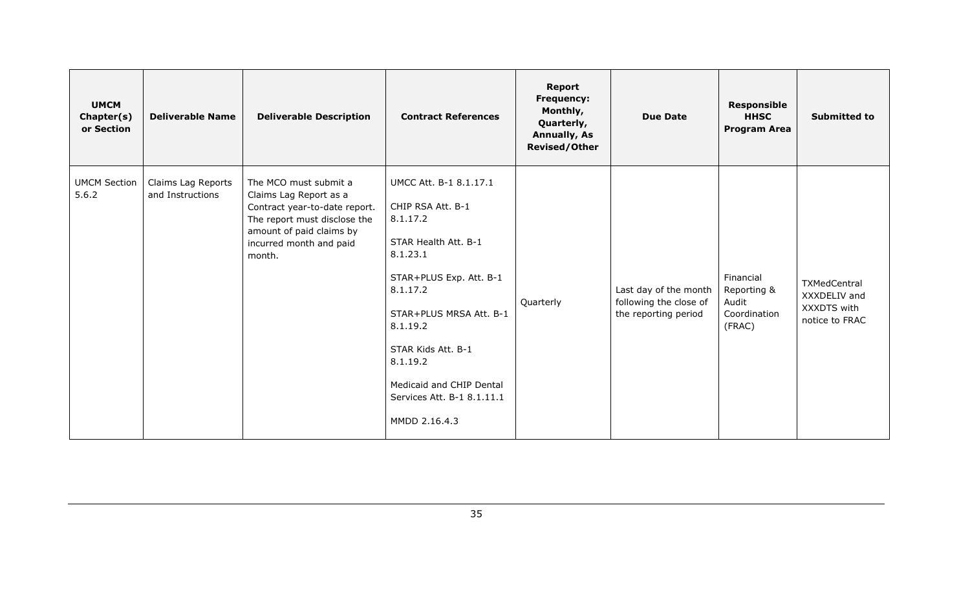| <b>UMCM</b><br>Chapter(s)<br>or Section | <b>Deliverable Name</b>                | <b>Deliverable Description</b>                                                                                                                                                    | <b>Contract References</b>                                                                                                                                                                                                                                                             | <b>Report</b><br><b>Frequency:</b><br>Monthly,<br>Quarterly,<br><b>Annually, As</b><br><b>Revised/Other</b> | <b>Due Date</b>                                                         | <b>Responsible</b><br><b>HHSC</b><br><b>Program Area</b>    | <b>Submitted to</b>                                           |
|-----------------------------------------|----------------------------------------|-----------------------------------------------------------------------------------------------------------------------------------------------------------------------------------|----------------------------------------------------------------------------------------------------------------------------------------------------------------------------------------------------------------------------------------------------------------------------------------|-------------------------------------------------------------------------------------------------------------|-------------------------------------------------------------------------|-------------------------------------------------------------|---------------------------------------------------------------|
| <b>UMCM Section</b><br>5.6.2            | Claims Lag Reports<br>and Instructions | The MCO must submit a<br>Claims Lag Report as a<br>Contract year-to-date report.<br>The report must disclose the<br>amount of paid claims by<br>incurred month and paid<br>month. | UMCC Att. B-1 8.1.17.1<br>CHIP RSA Att. B-1<br>8.1.17.2<br>STAR Health Att. B-1<br>8.1.23.1<br>STAR+PLUS Exp. Att. B-1<br>8.1.17.2<br>STAR+PLUS MRSA Att. B-1<br>8.1.19.2<br>STAR Kids Att. B-1<br>8.1.19.2<br>Medicaid and CHIP Dental<br>Services Att. B-1 8.1.11.1<br>MMDD 2.16.4.3 | Quarterly                                                                                                   | Last day of the month<br>following the close of<br>the reporting period | Financial<br>Reporting &<br>Audit<br>Coordination<br>(FRAC) | TXMedCentral<br>XXXDELIV and<br>XXXDTS with<br>notice to FRAC |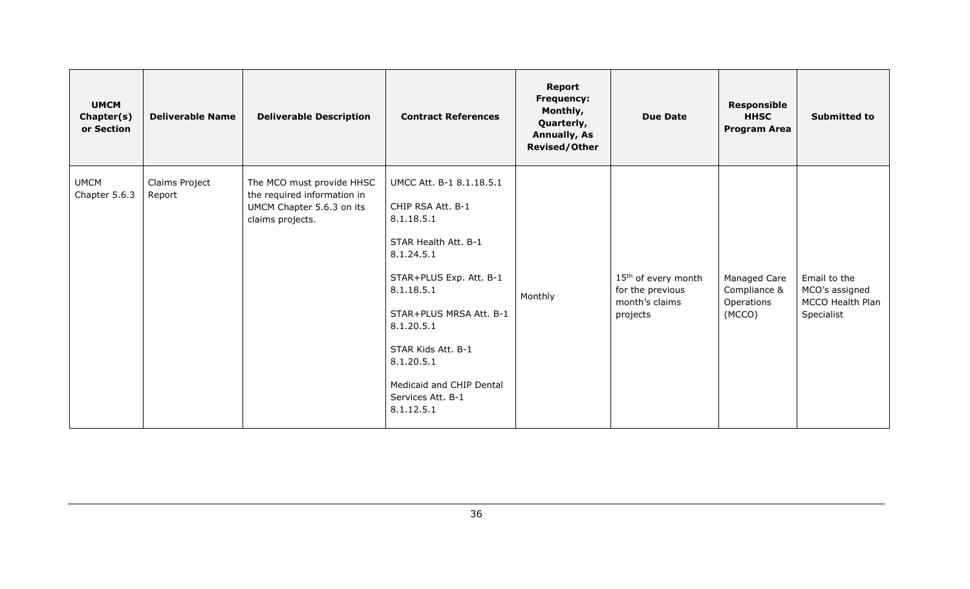| <b>UMCM</b><br>Chapter(s)<br>or Section | <b>Deliverable Name</b>  | <b>Deliverable Description</b>                                                                            | <b>Contract References</b>                                                                                                                                                                                                                                                             | <b>Report</b><br><b>Frequency:</b><br>Monthly,<br>Quarterly,<br><b>Annually, As</b><br><b>Revised/Other</b> | <b>Due Date</b>                                                                   | <b>Responsible</b><br><b>HHSC</b><br><b>Program Area</b> | <b>Submitted to</b>                                              |
|-----------------------------------------|--------------------------|-----------------------------------------------------------------------------------------------------------|----------------------------------------------------------------------------------------------------------------------------------------------------------------------------------------------------------------------------------------------------------------------------------------|-------------------------------------------------------------------------------------------------------------|-----------------------------------------------------------------------------------|----------------------------------------------------------|------------------------------------------------------------------|
| <b>UMCM</b><br>Chapter 5.6.3            | Claims Project<br>Report | The MCO must provide HHSC<br>the required information in<br>UMCM Chapter 5.6.3 on its<br>claims projects. | UMCC Att. B-1 8.1.18.5.1<br>CHIP RSA Att. B-1<br>8.1.18.5.1<br>STAR Health Att. B-1<br>8.1.24.5.1<br>STAR+PLUS Exp. Att. B-1<br>8.1.18.5.1<br>STAR+PLUS MRSA Att. B-1<br>8.1.20.5.1<br>STAR Kids Att. B-1<br>8.1.20.5.1<br>Medicaid and CHIP Dental<br>Services Att. B-1<br>8.1.12.5.1 | Monthly                                                                                                     | 15 <sup>th</sup> of every month<br>for the previous<br>month's claims<br>projects | Managed Care<br>Compliance &<br>Operations<br>(MCCO)     | Email to the<br>MCO's assigned<br>MCCO Health Plan<br>Specialist |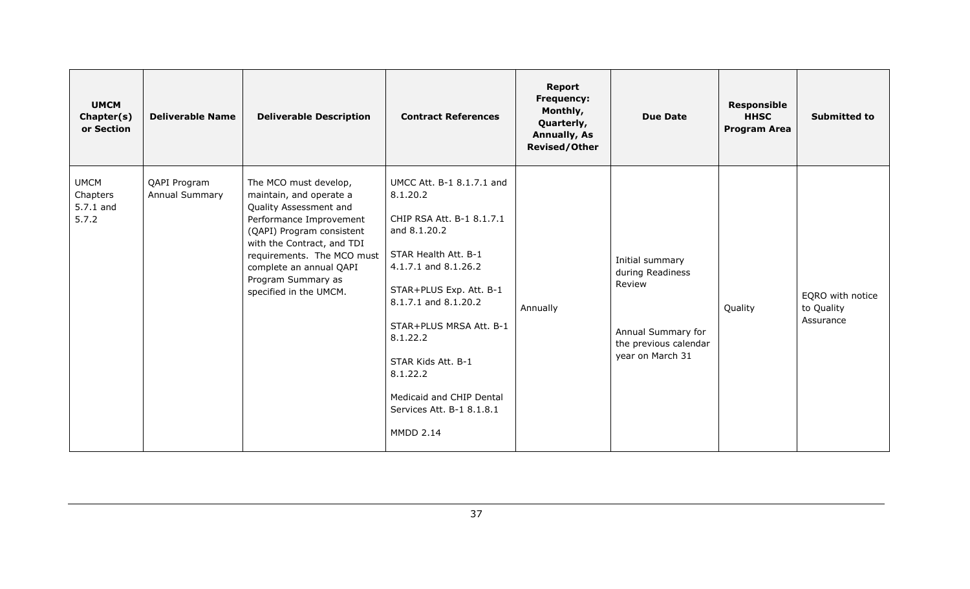| <b>UMCM</b><br>Chapter(s)<br>or Section       | <b>Deliverable Name</b>        | <b>Deliverable Description</b>                                                                                                                                                                                                                                            | <b>Contract References</b>                                                                                                                                                                                                                                                                                                                  | Report<br><b>Frequency:</b><br>Monthly,<br>Quarterly,<br><b>Annually, As</b><br><b>Revised/Other</b> | <b>Due Date</b>                                                                                                  | <b>Responsible</b><br><b>HHSC</b><br><b>Program Area</b> | <b>Submitted to</b>                         |
|-----------------------------------------------|--------------------------------|---------------------------------------------------------------------------------------------------------------------------------------------------------------------------------------------------------------------------------------------------------------------------|---------------------------------------------------------------------------------------------------------------------------------------------------------------------------------------------------------------------------------------------------------------------------------------------------------------------------------------------|------------------------------------------------------------------------------------------------------|------------------------------------------------------------------------------------------------------------------|----------------------------------------------------------|---------------------------------------------|
| <b>UMCM</b><br>Chapters<br>5.7.1 and<br>5.7.2 | QAPI Program<br>Annual Summary | The MCO must develop,<br>maintain, and operate a<br>Quality Assessment and<br>Performance Improvement<br>(QAPI) Program consistent<br>with the Contract, and TDI<br>requirements. The MCO must<br>complete an annual QAPI<br>Program Summary as<br>specified in the UMCM. | UMCC Att. B-1 8.1.7.1 and<br>8.1.20.2<br>CHIP RSA Att. B-1 8.1.7.1<br>and 8.1.20.2<br>STAR Health Att. B-1<br>4.1.7.1 and 8.1.26.2<br>STAR+PLUS Exp. Att. B-1<br>8.1.7.1 and 8.1.20.2<br>STAR+PLUS MRSA Att. B-1<br>8.1.22.2<br>STAR Kids Att. B-1<br>8.1.22.2<br>Medicaid and CHIP Dental<br>Services Att. B-1 8.1.8.1<br><b>MMDD 2.14</b> | Annually                                                                                             | Initial summary<br>during Readiness<br>Review<br>Annual Summary for<br>the previous calendar<br>year on March 31 | Quality                                                  | EQRO with notice<br>to Quality<br>Assurance |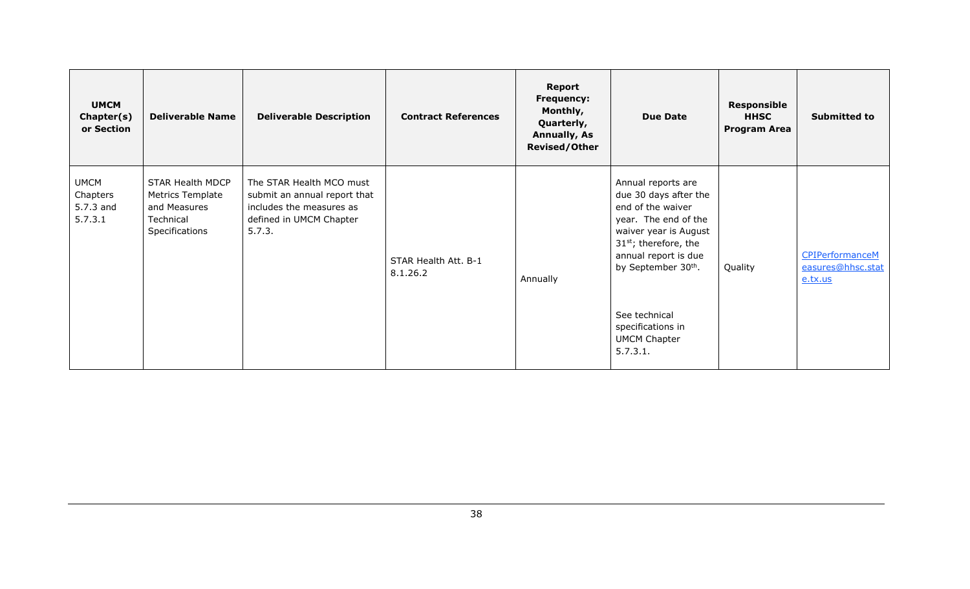| <b>UMCM</b><br>Chapter(s)<br>or Section         | <b>Deliverable Name</b>                                                                    | <b>Deliverable Description</b>                                                                                            | <b>Contract References</b>       | Report<br><b>Frequency:</b><br>Monthly,<br>Quarterly,<br><b>Annually, As</b><br><b>Revised/Other</b> | <b>Due Date</b>                                                                                                                                                                                                                                                     | <b>Responsible</b><br><b>HHSC</b><br><b>Program Area</b> | <b>Submitted to</b>                                    |
|-------------------------------------------------|--------------------------------------------------------------------------------------------|---------------------------------------------------------------------------------------------------------------------------|----------------------------------|------------------------------------------------------------------------------------------------------|---------------------------------------------------------------------------------------------------------------------------------------------------------------------------------------------------------------------------------------------------------------------|----------------------------------------------------------|--------------------------------------------------------|
| <b>UMCM</b><br>Chapters<br>5.7.3 and<br>5.7.3.1 | STAR Health MDCP<br><b>Metrics Template</b><br>and Measures<br>Technical<br>Specifications | The STAR Health MCO must<br>submit an annual report that<br>includes the measures as<br>defined in UMCM Chapter<br>5.7.3. | STAR Health Att. B-1<br>8.1.26.2 | Annually                                                                                             | Annual reports are<br>due 30 days after the<br>end of the waiver<br>year. The end of the<br>waiver year is August<br>$31st$ ; therefore, the<br>annual report is due<br>by September 30th.<br>See technical<br>specifications in<br><b>UMCM Chapter</b><br>5.7.3.1. | Quality                                                  | <b>CPIPerformanceM</b><br>easures@hhsc.stat<br>e.tx.us |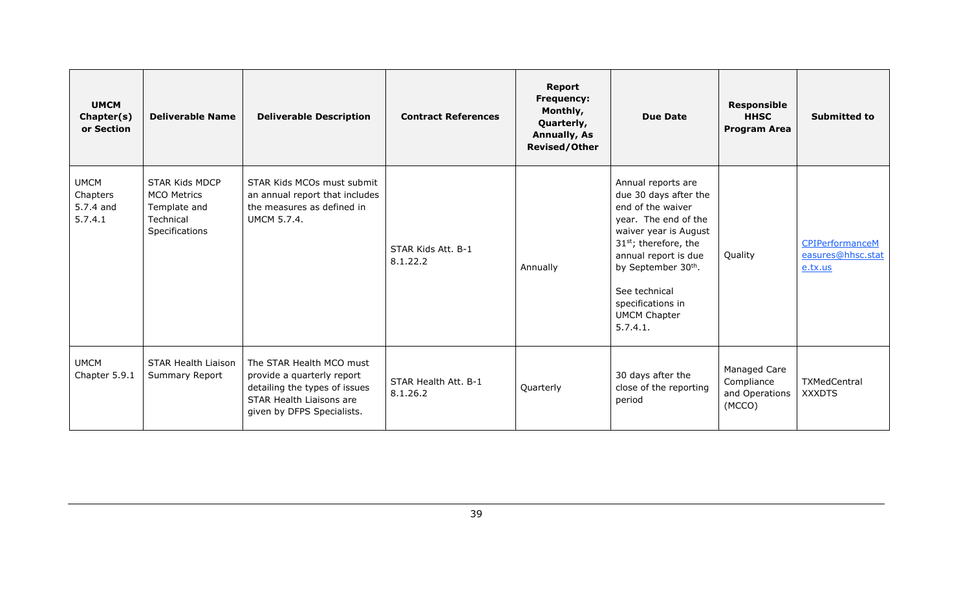| <b>UMCM</b><br>Chapter(s)<br>or Section         | <b>Deliverable Name</b>                                                                    | <b>Deliverable Description</b>                                                                                                                    | <b>Contract References</b>       | <b>Report</b><br><b>Frequency:</b><br>Monthly,<br>Quarterly,<br><b>Annually, As</b><br><b>Revised/Other</b> | <b>Due Date</b>                                                                                                                                                                                                                                                               | <b>Responsible</b><br><b>HHSC</b><br><b>Program Area</b> | <b>Submitted to</b>                                    |
|-------------------------------------------------|--------------------------------------------------------------------------------------------|---------------------------------------------------------------------------------------------------------------------------------------------------|----------------------------------|-------------------------------------------------------------------------------------------------------------|-------------------------------------------------------------------------------------------------------------------------------------------------------------------------------------------------------------------------------------------------------------------------------|----------------------------------------------------------|--------------------------------------------------------|
| <b>UMCM</b><br>Chapters<br>5.7.4 and<br>5.7.4.1 | <b>STAR Kids MDCP</b><br><b>MCO Metrics</b><br>Template and<br>Technical<br>Specifications | STAR Kids MCOs must submit<br>an annual report that includes<br>the measures as defined in<br><b>UMCM 5.7.4.</b>                                  | STAR Kids Att. B-1<br>8.1.22.2   | Annually                                                                                                    | Annual reports are<br>due 30 days after the<br>end of the waiver<br>year. The end of the<br>waiver year is August<br>31 <sup>st</sup> ; therefore, the<br>annual report is due<br>by September 30th.<br>See technical<br>specifications in<br><b>UMCM Chapter</b><br>5.7.4.1. | Quality                                                  | <b>CPIPerformanceM</b><br>easures@hhsc.stat<br>e.tx.us |
| <b>UMCM</b><br>Chapter 5.9.1                    | STAR Health Liaison<br>Summary Report                                                      | The STAR Health MCO must<br>provide a quarterly report<br>detailing the types of issues<br>STAR Health Liaisons are<br>given by DFPS Specialists. | STAR Health Att. B-1<br>8.1.26.2 | Quarterly                                                                                                   | 30 days after the<br>close of the reporting<br>period                                                                                                                                                                                                                         | Managed Care<br>Compliance<br>and Operations<br>(MCCO)   | TXMedCentral<br><b>XXXDTS</b>                          |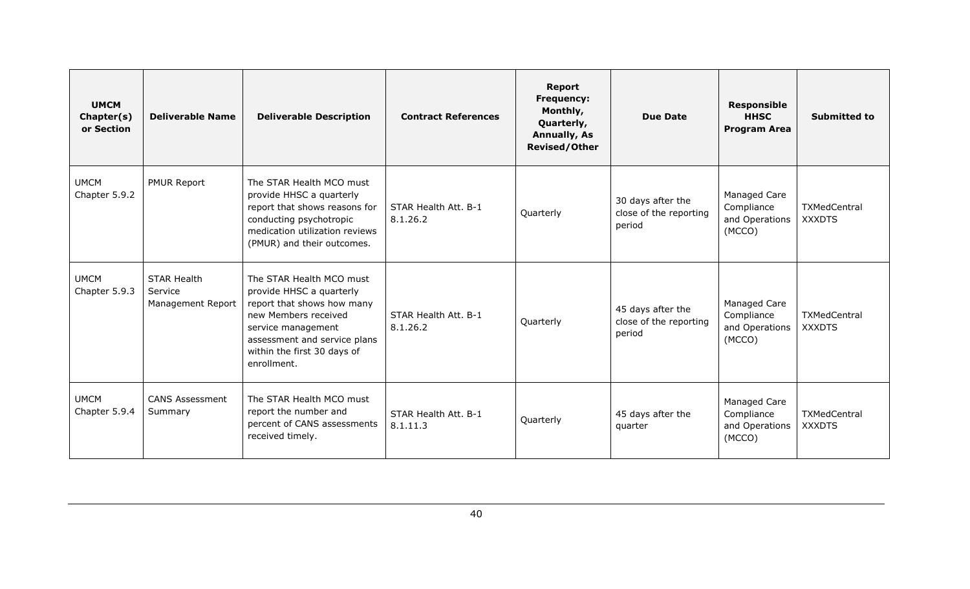| <b>UMCM</b><br>Chapter(s)<br>or Section | <b>Deliverable Name</b>                            | <b>Deliverable Description</b>                                                                                                                                                                                 | <b>Contract References</b>       | <b>Report</b><br><b>Frequency:</b><br>Monthly,<br>Quarterly,<br><b>Annually, As</b><br><b>Revised/Other</b> | <b>Due Date</b>                                       | <b>Responsible</b><br><b>HHSC</b><br><b>Program Area</b> | <b>Submitted to</b>                  |
|-----------------------------------------|----------------------------------------------------|----------------------------------------------------------------------------------------------------------------------------------------------------------------------------------------------------------------|----------------------------------|-------------------------------------------------------------------------------------------------------------|-------------------------------------------------------|----------------------------------------------------------|--------------------------------------|
| <b>UMCM</b><br>Chapter 5.9.2            | <b>PMUR Report</b>                                 | The STAR Health MCO must<br>provide HHSC a quarterly<br>report that shows reasons for<br>conducting psychotropic<br>medication utilization reviews<br>(PMUR) and their outcomes.                               | STAR Health Att. B-1<br>8.1.26.2 | Quarterly                                                                                                   | 30 days after the<br>close of the reporting<br>period | Managed Care<br>Compliance<br>and Operations<br>(MCCO)   | <b>TXMedCentral</b><br><b>XXXDTS</b> |
| <b>UMCM</b><br>Chapter 5.9.3            | <b>STAR Health</b><br>Service<br>Management Report | The STAR Health MCO must<br>provide HHSC a quarterly<br>report that shows how many<br>new Members received<br>service management<br>assessment and service plans<br>within the first 30 days of<br>enrollment. | STAR Health Att. B-1<br>8.1.26.2 | Quarterly                                                                                                   | 45 days after the<br>close of the reporting<br>period | Managed Care<br>Compliance<br>and Operations<br>(MCCO)   | TXMedCentral<br><b>XXXDTS</b>        |
| <b>UMCM</b><br>Chapter 5.9.4            | <b>CANS Assessment</b><br>Summary                  | The STAR Health MCO must<br>report the number and<br>percent of CANS assessments<br>received timely.                                                                                                           | STAR Health Att. B-1<br>8.1.11.3 | Quarterly                                                                                                   | 45 days after the<br>quarter                          | Managed Care<br>Compliance<br>and Operations<br>(MCCO)   | <b>TXMedCentral</b><br><b>XXXDTS</b> |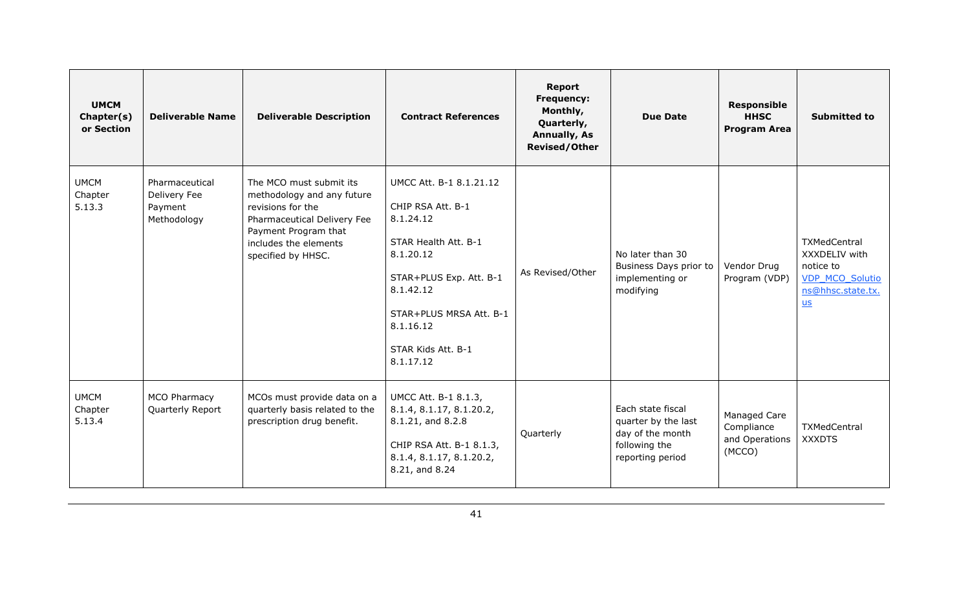| <b>UMCM</b><br>Chapter(s)<br>or Section | <b>Deliverable Name</b>                                  | <b>Deliverable Description</b>                                                                                                                                                   | <b>Contract References</b>                                                                                                                                                                                        | <b>Report</b><br>Frequency:<br>Monthly,<br>Quarterly,<br><b>Annually, As</b><br><b>Revised/Other</b> | <b>Due Date</b>                                                                                   | <b>Responsible</b><br><b>HHSC</b><br><b>Program Area</b> | <b>Submitted to</b>                                                                                      |
|-----------------------------------------|----------------------------------------------------------|----------------------------------------------------------------------------------------------------------------------------------------------------------------------------------|-------------------------------------------------------------------------------------------------------------------------------------------------------------------------------------------------------------------|------------------------------------------------------------------------------------------------------|---------------------------------------------------------------------------------------------------|----------------------------------------------------------|----------------------------------------------------------------------------------------------------------|
| <b>UMCM</b><br>Chapter<br>5.13.3        | Pharmaceutical<br>Delivery Fee<br>Payment<br>Methodology | The MCO must submit its<br>methodology and any future<br>revisions for the<br>Pharmaceutical Delivery Fee<br>Payment Program that<br>includes the elements<br>specified by HHSC. | UMCC Att. B-1 8.1.21.12<br>CHIP RSA Att. B-1<br>8.1.24.12<br>STAR Health Att. B-1<br>8.1.20.12<br>STAR+PLUS Exp. Att. B-1<br>8.1.42.12<br>STAR+PLUS MRSA Att. B-1<br>8.1.16.12<br>STAR Kids Att. B-1<br>8.1.17.12 | As Revised/Other                                                                                     | No later than 30<br>Business Days prior to<br>implementing or<br>modifying                        | Vendor Drug<br>Program (VDP)                             | <b>TXMedCentral</b><br>XXXDELIV with<br>notice to<br><b>VDP MCO Solutio</b><br>ns@hhsc.state.tx.<br>$us$ |
| <b>UMCM</b><br>Chapter<br>5.13.4        | MCO Pharmacy<br>Quarterly Report                         | MCOs must provide data on a<br>quarterly basis related to the<br>prescription drug benefit.                                                                                      | UMCC Att. B-1 8.1.3,<br>8.1.4, 8.1.17, 8.1.20.2,<br>8.1.21, and 8.2.8<br>CHIP RSA Att. B-1 8.1.3,<br>8.1.4, 8.1.17, 8.1.20.2,<br>8.21, and 8.24                                                                   | Quarterly                                                                                            | Each state fiscal<br>quarter by the last<br>day of the month<br>following the<br>reporting period | Managed Care<br>Compliance<br>and Operations<br>(MCCO)   | <b>TXMedCentral</b><br><b>XXXDTS</b>                                                                     |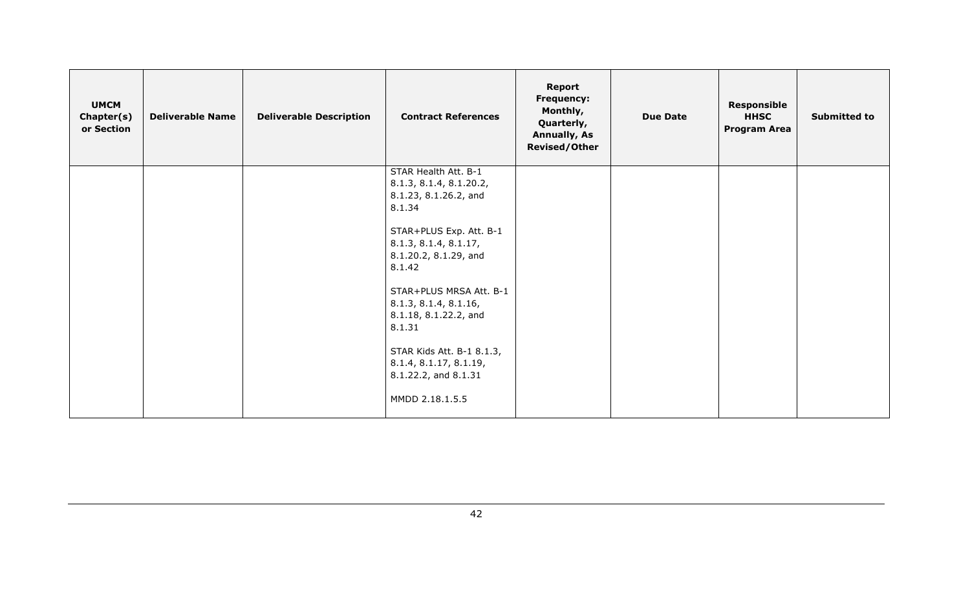| <b>UMCM</b><br>Chapter(s)<br>or Section | <b>Deliverable Name</b> | <b>Deliverable Description</b> | <b>Contract References</b>                                                          | <b>Report</b><br><b>Frequency:</b><br>Monthly,<br>Quarterly,<br><b>Annually, As</b><br><b>Revised/Other</b> | <b>Due Date</b> | Responsible<br><b>HHSC</b><br><b>Program Area</b> | <b>Submitted to</b> |
|-----------------------------------------|-------------------------|--------------------------------|-------------------------------------------------------------------------------------|-------------------------------------------------------------------------------------------------------------|-----------------|---------------------------------------------------|---------------------|
|                                         |                         |                                | STAR Health Att. B-1                                                                |                                                                                                             |                 |                                                   |                     |
|                                         |                         |                                | 8.1.3, 8.1.4, 8.1.20.2,                                                             |                                                                                                             |                 |                                                   |                     |
|                                         |                         |                                | 8.1.23, 8.1.26.2, and                                                               |                                                                                                             |                 |                                                   |                     |
|                                         |                         |                                | 8.1.34                                                                              |                                                                                                             |                 |                                                   |                     |
|                                         |                         |                                | STAR+PLUS Exp. Att. B-1                                                             |                                                                                                             |                 |                                                   |                     |
|                                         |                         |                                | 8.1.3, 8.1.4, 8.1.17,                                                               |                                                                                                             |                 |                                                   |                     |
|                                         |                         |                                | 8.1.20.2, 8.1.29, and                                                               |                                                                                                             |                 |                                                   |                     |
|                                         |                         |                                | 8.1.42                                                                              |                                                                                                             |                 |                                                   |                     |
|                                         |                         |                                | STAR+PLUS MRSA Att. B-1<br>8.1.3, 8.1.4, 8.1.16,<br>8.1.18, 8.1.22.2, and<br>8.1.31 |                                                                                                             |                 |                                                   |                     |
|                                         |                         |                                | STAR Kids Att. B-1 8.1.3,<br>8.1.4, 8.1.17, 8.1.19,<br>8.1.22.2, and 8.1.31         |                                                                                                             |                 |                                                   |                     |
|                                         |                         |                                | MMDD 2.18.1.5.5                                                                     |                                                                                                             |                 |                                                   |                     |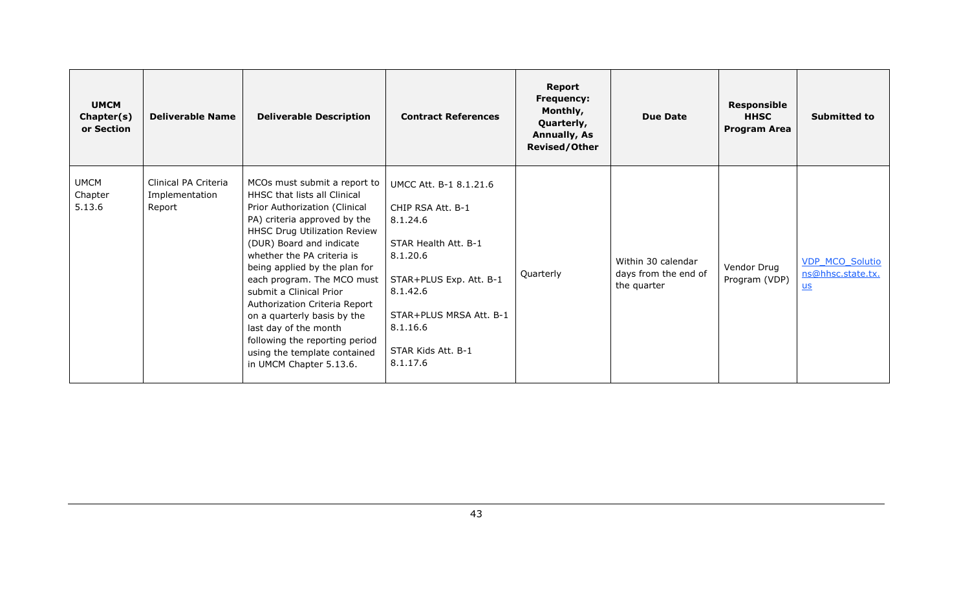| <b>UMCM</b><br>Chapter(s)<br>or Section | <b>Deliverable Name</b>                          | <b>Deliverable Description</b>                                                                                                                                                                                                                                                                                                                                                                                                                                                                                   | <b>Contract References</b>                                                                                                                                                                                  | Report<br><b>Frequency:</b><br>Monthly,<br>Quarterly,<br><b>Annually, As</b><br><b>Revised/Other</b> | <b>Due Date</b>                                           | <b>Responsible</b><br><b>HHSC</b><br><b>Program Area</b> | <b>Submitted to</b>                                 |
|-----------------------------------------|--------------------------------------------------|------------------------------------------------------------------------------------------------------------------------------------------------------------------------------------------------------------------------------------------------------------------------------------------------------------------------------------------------------------------------------------------------------------------------------------------------------------------------------------------------------------------|-------------------------------------------------------------------------------------------------------------------------------------------------------------------------------------------------------------|------------------------------------------------------------------------------------------------------|-----------------------------------------------------------|----------------------------------------------------------|-----------------------------------------------------|
| <b>UMCM</b><br>Chapter<br>5.13.6        | Clinical PA Criteria<br>Implementation<br>Report | MCOs must submit a report to  <br><b>HHSC that lists all Clinical</b><br>Prior Authorization (Clinical<br>PA) criteria approved by the<br>HHSC Drug Utilization Review<br>(DUR) Board and indicate<br>whether the PA criteria is<br>being applied by the plan for<br>each program. The MCO must<br>submit a Clinical Prior<br>Authorization Criteria Report<br>on a quarterly basis by the<br>last day of the month<br>following the reporting period<br>using the template contained<br>in UMCM Chapter 5.13.6. | UMCC Att. B-1 8.1.21.6<br>CHIP RSA Att. B-1<br>8.1.24.6<br>STAR Health Att. B-1<br>8.1.20.6<br>STAR+PLUS Exp. Att. B-1<br>8.1.42.6<br>STAR+PLUS MRSA Att. B-1<br>8.1.16.6<br>STAR Kids Att. B-1<br>8.1.17.6 | Quarterly                                                                                            | Within 30 calendar<br>days from the end of<br>the quarter | Vendor Drug<br>Program (VDP)                             | <b>VDP MCO Solutio</b><br>ns@hhsc.state.tx.<br>$us$ |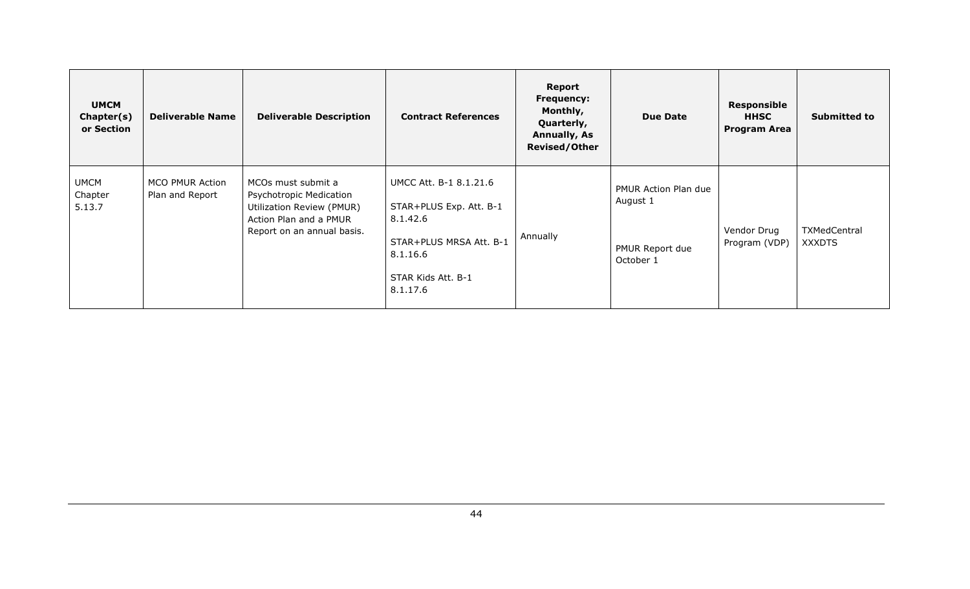| <b>UMCM</b><br>Chapter(s)<br>or Section | <b>Deliverable Name</b>            | <b>Deliverable Description</b>                                                                                                     | <b>Contract References</b>                                                                                                             | Report<br><b>Frequency:</b><br>Monthly,<br>Quarterly,<br><b>Annually, As</b><br><b>Revised/Other</b> | <b>Due Date</b>                                                         | <b>Responsible</b><br><b>HHSC</b><br><b>Program Area</b> | <b>Submitted to</b>           |
|-----------------------------------------|------------------------------------|------------------------------------------------------------------------------------------------------------------------------------|----------------------------------------------------------------------------------------------------------------------------------------|------------------------------------------------------------------------------------------------------|-------------------------------------------------------------------------|----------------------------------------------------------|-------------------------------|
| <b>UMCM</b><br>Chapter<br>5.13.7        | MCO PMUR Action<br>Plan and Report | MCOs must submit a<br>Psychotropic Medication<br>Utilization Review (PMUR)<br>Action Plan and a PMUR<br>Report on an annual basis. | UMCC Att. B-1 8.1.21.6<br>STAR+PLUS Exp. Att. B-1<br>8.1.42.6<br>STAR+PLUS MRSA Att. B-1<br>8.1.16.6<br>STAR Kids Att. B-1<br>8.1.17.6 | Annually                                                                                             | <b>PMUR Action Plan due</b><br>August 1<br>PMUR Report due<br>October 1 | Vendor Drug<br>Program (VDP)                             | TXMedCentral<br><b>XXXDTS</b> |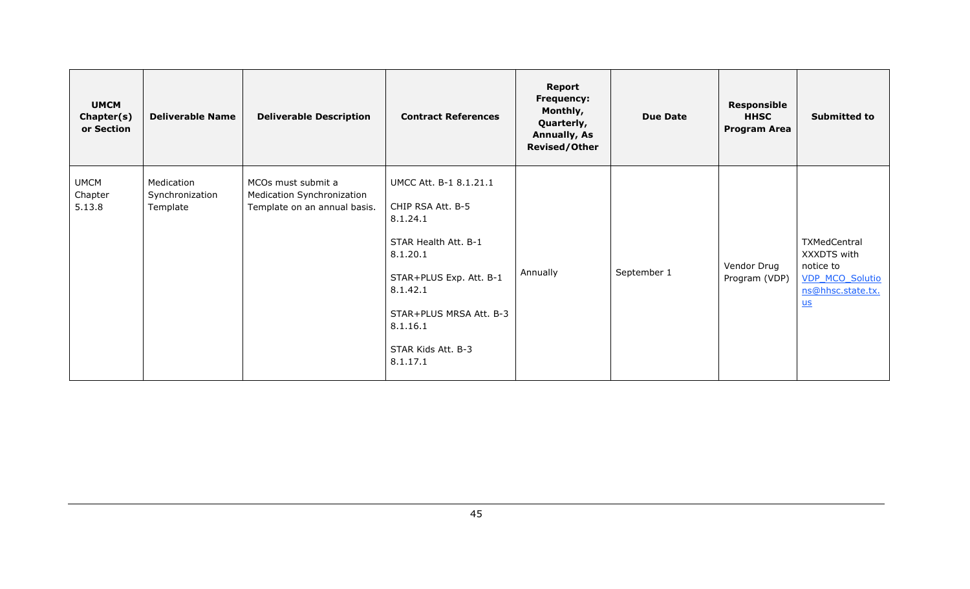| <b>UMCM</b><br>Chapter(s)<br>or Section | <b>Deliverable Name</b>                   | <b>Deliverable Description</b>                                                   | <b>Contract References</b>                                                                                                                                                                                  | <b>Report</b><br><b>Frequency:</b><br>Monthly,<br>Quarterly,<br><b>Annually, As</b><br><b>Revised/Other</b> | <b>Due Date</b> | <b>Responsible</b><br><b>HHSC</b><br><b>Program Area</b> | <b>Submitted to</b>                                                                             |
|-----------------------------------------|-------------------------------------------|----------------------------------------------------------------------------------|-------------------------------------------------------------------------------------------------------------------------------------------------------------------------------------------------------------|-------------------------------------------------------------------------------------------------------------|-----------------|----------------------------------------------------------|-------------------------------------------------------------------------------------------------|
| <b>UMCM</b><br>Chapter<br>5.13.8        | Medication<br>Synchronization<br>Template | MCOs must submit a<br>Medication Synchronization<br>Template on an annual basis. | UMCC Att. B-1 8.1.21.1<br>CHIP RSA Att. B-5<br>8.1.24.1<br>STAR Health Att. B-1<br>8.1.20.1<br>STAR+PLUS Exp. Att. B-1<br>8.1.42.1<br>STAR+PLUS MRSA Att. B-3<br>8.1.16.1<br>STAR Kids Att. B-3<br>8.1.17.1 | Annually                                                                                                    | September 1     | Vendor Drug<br>Program (VDP)                             | TXMedCentral<br>XXXDTS with<br>notice to<br><b>VDP MCO Solutio</b><br>ns@hhsc.state.tx.<br>$us$ |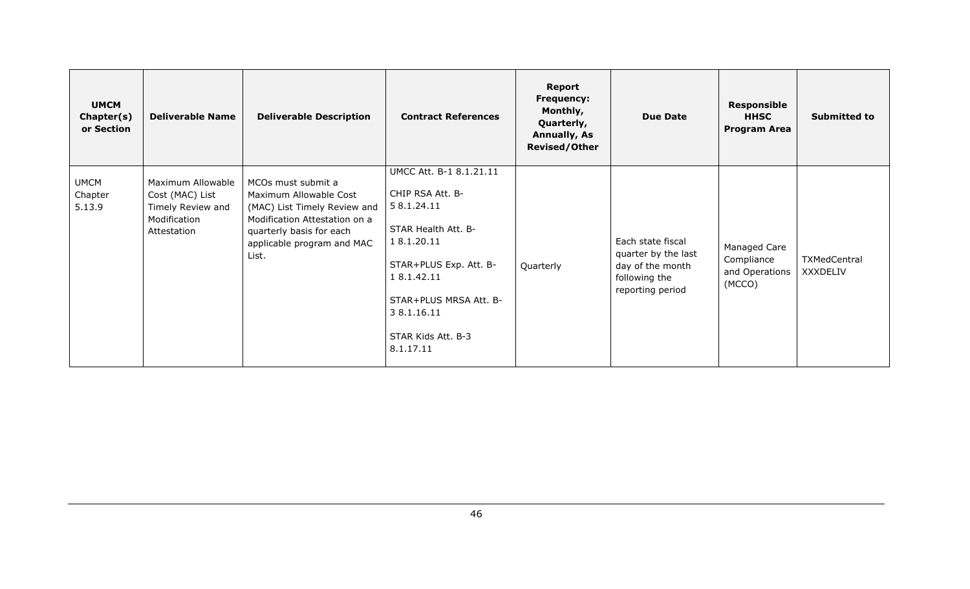| <b>UMCM</b><br>Chapter(s)<br>or Section | <b>Deliverable Name</b>                                                                  | <b>Deliverable Description</b>                                                                                                                                                   | <b>Contract References</b>                                                                                                                                                                                           | Report<br><b>Frequency:</b><br>Monthly,<br>Quarterly,<br><b>Annually, As</b><br><b>Revised/Other</b> | <b>Due Date</b>                                                                                   | Responsible<br><b>HHSC</b><br><b>Program Area</b>      | <b>Submitted to</b>             |
|-----------------------------------------|------------------------------------------------------------------------------------------|----------------------------------------------------------------------------------------------------------------------------------------------------------------------------------|----------------------------------------------------------------------------------------------------------------------------------------------------------------------------------------------------------------------|------------------------------------------------------------------------------------------------------|---------------------------------------------------------------------------------------------------|--------------------------------------------------------|---------------------------------|
| <b>UMCM</b><br>Chapter<br>5.13.9        | Maximum Allowable<br>Cost (MAC) List<br>Timely Review and<br>Modification<br>Attestation | MCOs must submit a<br>Maximum Allowable Cost<br>(MAC) List Timely Review and<br>Modification Attestation on a<br>quarterly basis for each<br>applicable program and MAC<br>List. | UMCC Att. B-1 8.1.21.11<br>CHIP RSA Att. B-<br>5 8.1.24.11<br>STAR Health Att. B-<br>18.1.20.11<br>STAR+PLUS Exp. Att. B-<br>1 8.1.42.11<br>STAR+PLUS MRSA Att. B-<br>3 8.1.16.11<br>STAR Kids Att. B-3<br>8.1.17.11 | Quarterly                                                                                            | Each state fiscal<br>quarter by the last<br>day of the month<br>following the<br>reporting period | Managed Care<br>Compliance<br>and Operations<br>(MCCO) | TXMedCentral<br><b>XXXDELIV</b> |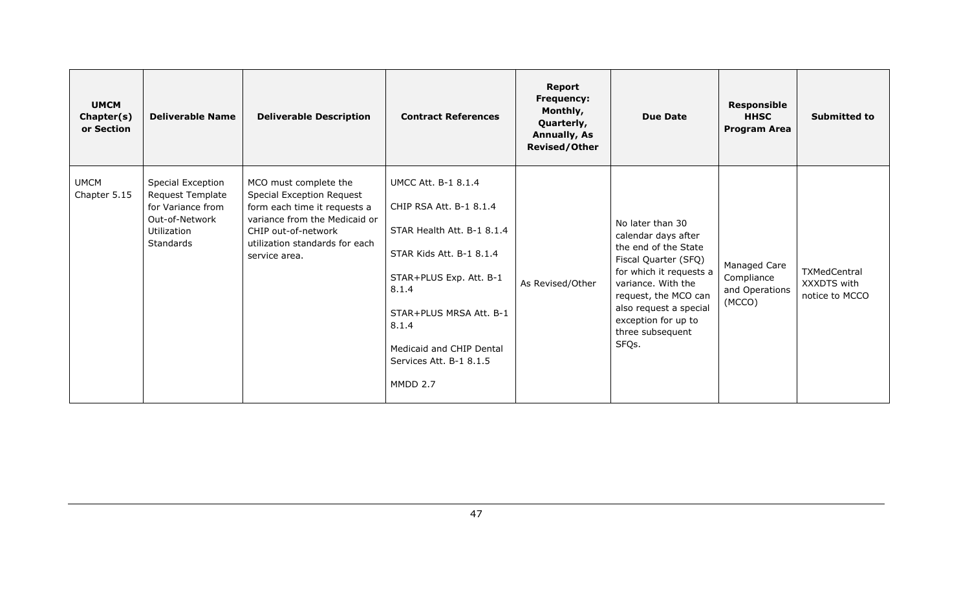| <b>UMCM</b><br>Chapter(s)<br>or Section | <b>Deliverable Name</b>                                                                                  | <b>Deliverable Description</b>                                                                                                                                                                | <b>Contract References</b>                                                                                                                                                                                                                                 | <b>Report</b><br><b>Frequency:</b><br>Monthly,<br>Quarterly,<br><b>Annually, As</b><br><b>Revised/Other</b> | <b>Due Date</b>                                                                                                                                                                                                                                | <b>Responsible</b><br><b>HHSC</b><br><b>Program Area</b> | <b>Submitted to</b>                           |
|-----------------------------------------|----------------------------------------------------------------------------------------------------------|-----------------------------------------------------------------------------------------------------------------------------------------------------------------------------------------------|------------------------------------------------------------------------------------------------------------------------------------------------------------------------------------------------------------------------------------------------------------|-------------------------------------------------------------------------------------------------------------|------------------------------------------------------------------------------------------------------------------------------------------------------------------------------------------------------------------------------------------------|----------------------------------------------------------|-----------------------------------------------|
| <b>UMCM</b><br>Chapter 5.15             | Special Exception<br>Request Template<br>for Variance from<br>Out-of-Network<br>Utilization<br>Standards | MCO must complete the<br>Special Exception Request<br>form each time it requests a<br>variance from the Medicaid or<br>CHIP out-of-network<br>utilization standards for each<br>service area. | <b>UMCC Att. B-1 8.1.4</b><br>CHIP RSA Att. B-1 8.1.4<br>STAR Health Att. B-1 8.1.4<br>STAR Kids Att. B-1 8.1.4<br>STAR+PLUS Exp. Att. B-1<br>8.1.4<br>STAR+PLUS MRSA Att. B-1<br>8.1.4<br>Medicaid and CHIP Dental<br>Services Att. B-1 8.1.5<br>MMDD 2.7 | As Revised/Other                                                                                            | No later than 30<br>calendar days after<br>the end of the State<br>Fiscal Quarter (SFQ)<br>for which it requests a<br>variance. With the<br>request, the MCO can<br>also request a special<br>exception for up to<br>three subsequent<br>SFQs. | Managed Care<br>Compliance<br>and Operations<br>(MCCO)   | TXMedCentral<br>XXXDTS with<br>notice to MCCO |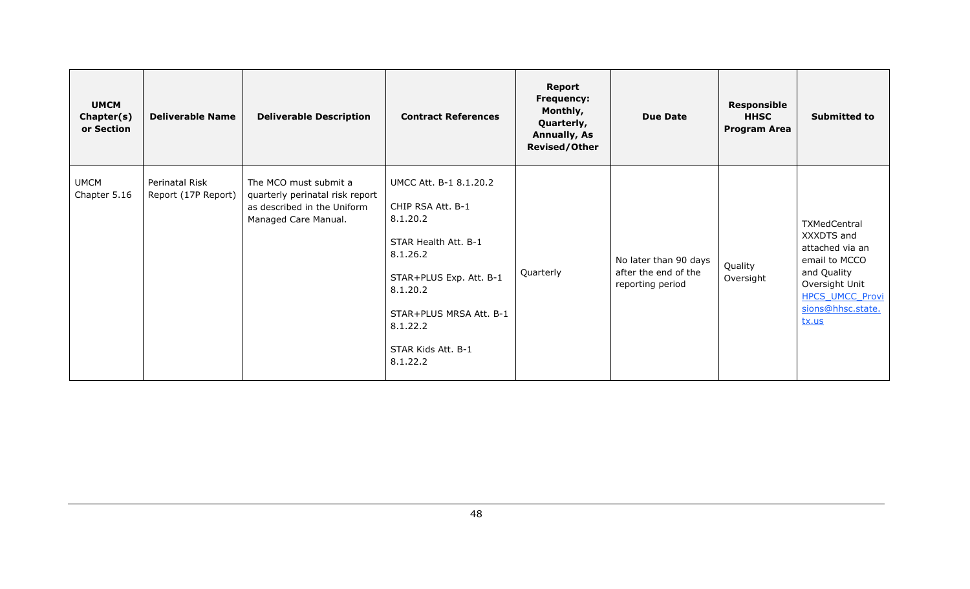| <b>UMCM</b><br>Chapter(s)<br>or Section | <b>Deliverable Name</b>               | <b>Deliverable Description</b>                                                                                  | <b>Contract References</b>                                                                                                                                                                                  | <b>Report</b><br>Frequency:<br>Monthly,<br>Quarterly,<br><b>Annually, As</b><br><b>Revised/Other</b> | <b>Due Date</b>                                                   | <b>Responsible</b><br><b>HHSC</b><br><b>Program Area</b> | <b>Submitted to</b>                                                                                                                                     |
|-----------------------------------------|---------------------------------------|-----------------------------------------------------------------------------------------------------------------|-------------------------------------------------------------------------------------------------------------------------------------------------------------------------------------------------------------|------------------------------------------------------------------------------------------------------|-------------------------------------------------------------------|----------------------------------------------------------|---------------------------------------------------------------------------------------------------------------------------------------------------------|
| <b>UMCM</b><br>Chapter 5.16             | Perinatal Risk<br>Report (17P Report) | The MCO must submit a<br>quarterly perinatal risk report<br>as described in the Uniform<br>Managed Care Manual. | UMCC Att. B-1 8.1.20.2<br>CHIP RSA Att. B-1<br>8.1.20.2<br>STAR Health Att. B-1<br>8.1.26.2<br>STAR+PLUS Exp. Att. B-1<br>8.1.20.2<br>STAR+PLUS MRSA Att. B-1<br>8.1.22.2<br>STAR Kids Att. B-1<br>8.1.22.2 | Quarterly                                                                                            | No later than 90 days<br>after the end of the<br>reporting period | Quality<br>Oversight                                     | TXMedCentral<br>XXXDTS and<br>attached via an<br>email to MCCO<br>and Quality<br>Oversight Unit<br><b>HPCS UMCC Provi</b><br>sions@hhsc.state.<br>tx.us |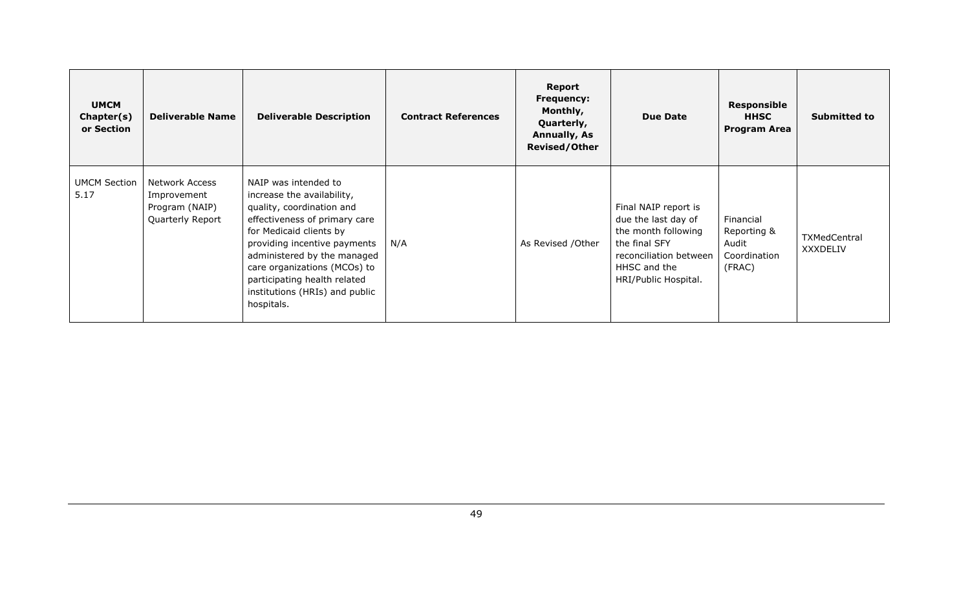| <b>UMCM</b><br>Chapter(s)<br>or Section | <b>Deliverable Name</b>                                             | <b>Deliverable Description</b>                                                                                                                                                                                                                                                                                             | <b>Contract References</b> | Report<br><b>Frequency:</b><br>Monthly,<br>Quarterly,<br><b>Annually, As</b><br><b>Revised/Other</b> | <b>Due Date</b>                                                                                                                                       | <b>Responsible</b><br><b>HHSC</b><br><b>Program Area</b>    | <b>Submitted to</b>             |
|-----------------------------------------|---------------------------------------------------------------------|----------------------------------------------------------------------------------------------------------------------------------------------------------------------------------------------------------------------------------------------------------------------------------------------------------------------------|----------------------------|------------------------------------------------------------------------------------------------------|-------------------------------------------------------------------------------------------------------------------------------------------------------|-------------------------------------------------------------|---------------------------------|
| <b>UMCM Section</b><br>5.17             | Network Access<br>Improvement<br>Program (NAIP)<br>Quarterly Report | NAIP was intended to<br>increase the availability,<br>quality, coordination and<br>effectiveness of primary care<br>for Medicaid clients by<br>providing incentive payments<br>administered by the managed<br>care organizations (MCOs) to<br>participating health related<br>institutions (HRIs) and public<br>hospitals. | N/A                        | As Revised / Other                                                                                   | Final NAIP report is<br>due the last day of<br>the month following<br>the final SFY<br>reconciliation between<br>HHSC and the<br>HRI/Public Hospital. | Financial<br>Reporting &<br>Audit<br>Coordination<br>(FRAC) | <b>TXMedCentral</b><br>XXXDELIV |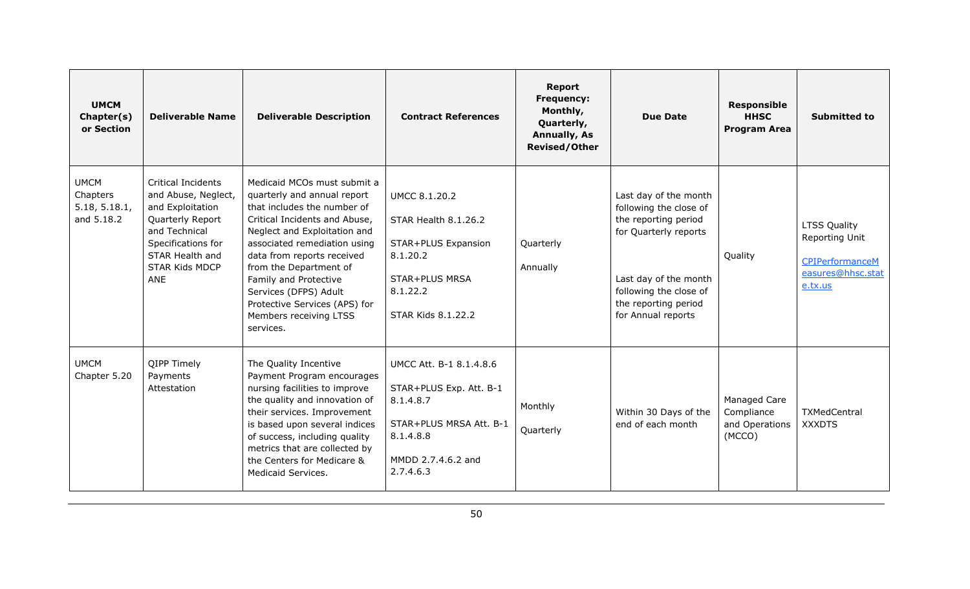| <b>UMCM</b><br>Chapter(s)<br>or Section                | <b>Deliverable Name</b>                                                                                                                                                            | <b>Deliverable Description</b>                                                                                                                                                                                                                                                                                                                                               | <b>Contract References</b>                                                                                                                 | Report<br>Frequency:<br>Monthly,<br>Quarterly,<br><b>Annually, As</b><br><b>Revised/Other</b> | <b>Due Date</b>                                                                                                                                                                                   | <b>Responsible</b><br><b>HHSC</b><br><b>Program Area</b> | <b>Submitted to</b>                                                               |
|--------------------------------------------------------|------------------------------------------------------------------------------------------------------------------------------------------------------------------------------------|------------------------------------------------------------------------------------------------------------------------------------------------------------------------------------------------------------------------------------------------------------------------------------------------------------------------------------------------------------------------------|--------------------------------------------------------------------------------------------------------------------------------------------|-----------------------------------------------------------------------------------------------|---------------------------------------------------------------------------------------------------------------------------------------------------------------------------------------------------|----------------------------------------------------------|-----------------------------------------------------------------------------------|
| <b>UMCM</b><br>Chapters<br>5.18, 5.18.1,<br>and 5.18.2 | <b>Critical Incidents</b><br>and Abuse, Neglect,<br>and Exploitation<br>Quarterly Report<br>and Technical<br>Specifications for<br>STAR Health and<br><b>STAR Kids MDCP</b><br>ANE | Medicaid MCOs must submit a<br>quarterly and annual report<br>that includes the number of<br>Critical Incidents and Abuse,<br>Neglect and Exploitation and<br>associated remediation using<br>data from reports received<br>from the Department of<br>Family and Protective<br>Services (DFPS) Adult<br>Protective Services (APS) for<br>Members receiving LTSS<br>services. | <b>UMCC 8.1.20.2</b><br>STAR Health 8.1.26.2<br>STAR+PLUS Expansion<br>8.1.20.2<br>STAR+PLUS MRSA<br>8.1.22.2<br><b>STAR Kids 8.1.22.2</b> | Quarterly<br>Annually                                                                         | Last day of the month<br>following the close of<br>the reporting period<br>for Quarterly reports<br>Last day of the month<br>following the close of<br>the reporting period<br>for Annual reports | Quality                                                  | LTSS Quality<br>Reporting Unit<br>CPIPerformanceM<br>easures@hhsc.stat<br>e.tx.us |
| <b>UMCM</b><br>Chapter 5.20                            | <b>QIPP Timely</b><br>Payments<br>Attestation                                                                                                                                      | The Quality Incentive<br>Payment Program encourages<br>nursing facilities to improve<br>the quality and innovation of<br>their services. Improvement<br>is based upon several indices<br>of success, including quality<br>metrics that are collected by<br>the Centers for Medicare &<br>Medicaid Services.                                                                  | UMCC Att. B-1 8.1.4.8.6<br>STAR+PLUS Exp. Att. B-1<br>8.1.4.8.7<br>STAR+PLUS MRSA Att. B-1<br>8.1.4.8.8<br>MMDD 2.7.4.6.2 and<br>2.7.4.6.3 | Monthly<br>Quarterly                                                                          | Within 30 Days of the<br>end of each month                                                                                                                                                        | Managed Care<br>Compliance<br>and Operations<br>(MCCO)   | TXMedCentral<br><b>XXXDTS</b>                                                     |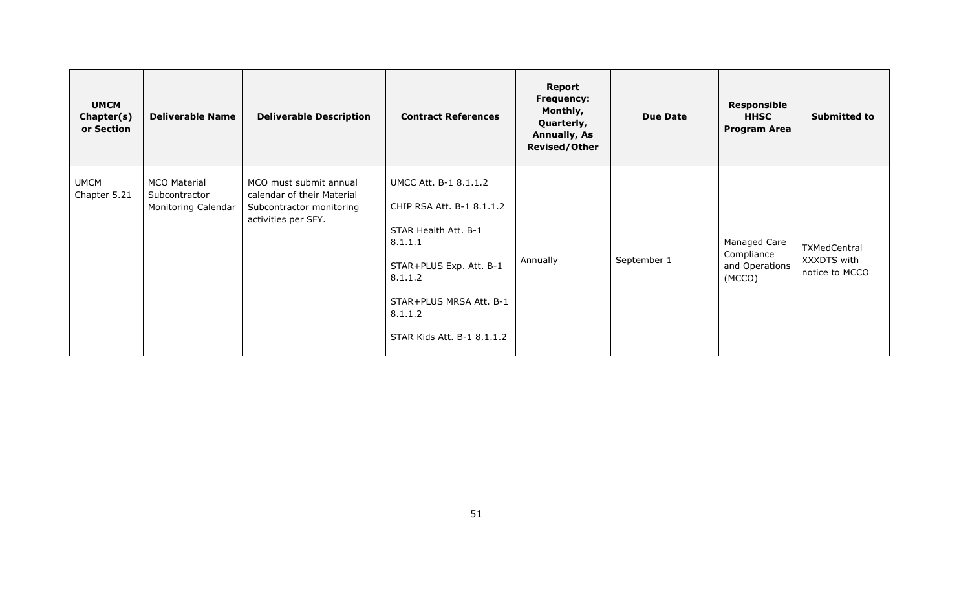| <b>UMCM</b><br>Chapter(s)<br>or Section | <b>Deliverable Name</b>                                     | <b>Deliverable Description</b>                                                                          | <b>Contract References</b>                                                                                                                                                                      | Report<br><b>Frequency:</b><br>Monthly,<br>Quarterly,<br><b>Annually, As</b><br><b>Revised/Other</b> | <b>Due Date</b> | <b>Responsible</b><br><b>HHSC</b><br><b>Program Area</b> | Submitted to                                  |
|-----------------------------------------|-------------------------------------------------------------|---------------------------------------------------------------------------------------------------------|-------------------------------------------------------------------------------------------------------------------------------------------------------------------------------------------------|------------------------------------------------------------------------------------------------------|-----------------|----------------------------------------------------------|-----------------------------------------------|
| <b>UMCM</b><br>Chapter 5.21             | <b>MCO Material</b><br>Subcontractor<br>Monitoring Calendar | MCO must submit annual<br>calendar of their Material<br>Subcontractor monitoring<br>activities per SFY. | UMCC Att. B-1 8.1.1.2<br>CHIP RSA Att. B-1 8.1.1.2<br>STAR Health Att. B-1<br>8.1.1.1<br>STAR+PLUS Exp. Att. B-1<br>8.1.1.2<br>STAR+PLUS MRSA Att. B-1<br>8.1.1.2<br>STAR Kids Att. B-1 8.1.1.2 | Annually                                                                                             | September 1     | Managed Care<br>Compliance<br>and Operations<br>(MCCO)   | TXMedCentral<br>XXXDTS with<br>notice to MCCO |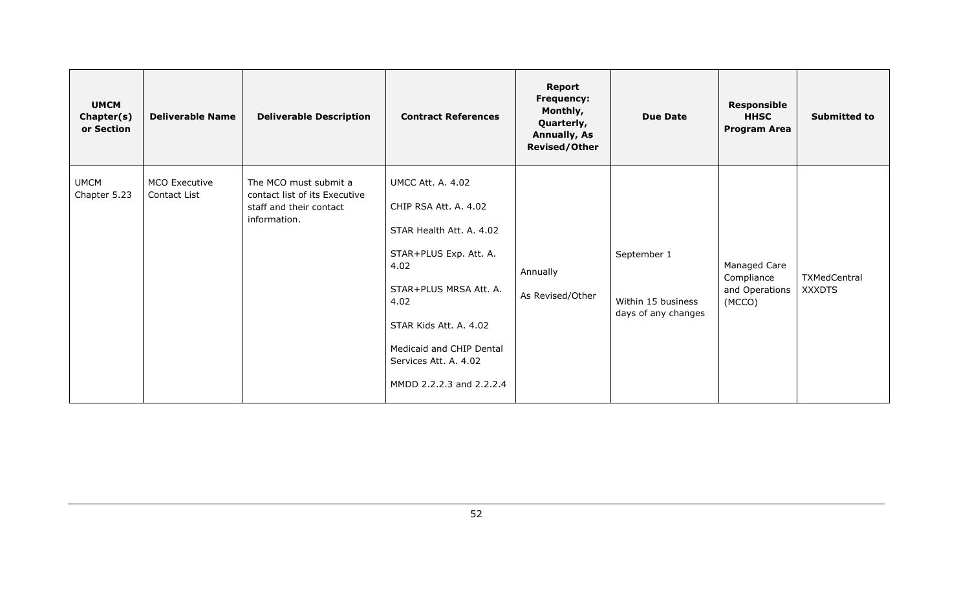| <b>UMCM</b><br>Chapter(s)<br>or Section | <b>Deliverable Name</b>              | <b>Deliverable Description</b>                                                                    | <b>Contract References</b>                                                                                                                                                                                                                                   | <b>Report</b><br><b>Frequency:</b><br>Monthly,<br>Quarterly,<br><b>Annually, As</b><br><b>Revised/Other</b> | <b>Due Date</b>                                          | <b>Responsible</b><br><b>HHSC</b><br><b>Program Area</b> | <b>Submitted to</b>           |
|-----------------------------------------|--------------------------------------|---------------------------------------------------------------------------------------------------|--------------------------------------------------------------------------------------------------------------------------------------------------------------------------------------------------------------------------------------------------------------|-------------------------------------------------------------------------------------------------------------|----------------------------------------------------------|----------------------------------------------------------|-------------------------------|
| <b>UMCM</b><br>Chapter 5.23             | <b>MCO Executive</b><br>Contact List | The MCO must submit a<br>contact list of its Executive<br>staff and their contact<br>information. | <b>UMCC Att. A. 4.02</b><br>CHIP RSA Att. A. 4.02<br>STAR Health Att. A. 4.02<br>STAR+PLUS Exp. Att. A.<br>4.02<br>STAR+PLUS MRSA Att. A.<br>4.02<br>STAR Kids Att. A. 4.02<br>Medicaid and CHIP Dental<br>Services Att. A. 4.02<br>MMDD 2.2.2.3 and 2.2.2.4 | Annually<br>As Revised/Other                                                                                | September 1<br>Within 15 business<br>days of any changes | Managed Care<br>Compliance<br>and Operations<br>(MCCO)   | TXMedCentral<br><b>XXXDTS</b> |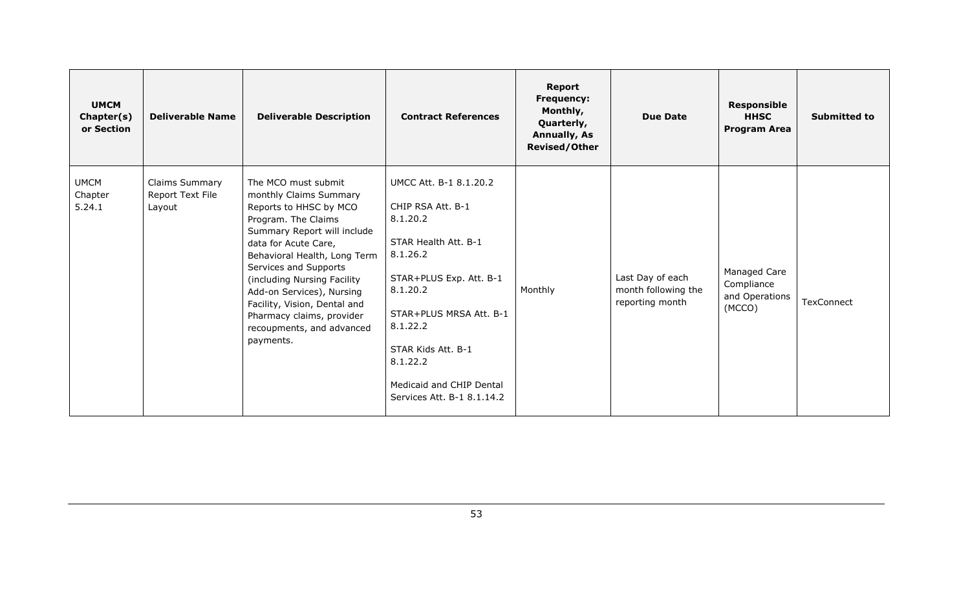| <b>UMCM</b><br>Chapter(s)<br>or Section | <b>Deliverable Name</b>                      | <b>Deliverable Description</b>                                                                                                                                                                                                                                                                                                                                                    | <b>Contract References</b>                                                                                                                                                                                                                                            | <b>Report</b><br><b>Frequency:</b><br>Monthly,<br>Quarterly,<br><b>Annually, As</b><br><b>Revised/Other</b> | <b>Due Date</b>                                            | <b>Responsible</b><br><b>HHSC</b><br><b>Program Area</b> | <b>Submitted to</b> |
|-----------------------------------------|----------------------------------------------|-----------------------------------------------------------------------------------------------------------------------------------------------------------------------------------------------------------------------------------------------------------------------------------------------------------------------------------------------------------------------------------|-----------------------------------------------------------------------------------------------------------------------------------------------------------------------------------------------------------------------------------------------------------------------|-------------------------------------------------------------------------------------------------------------|------------------------------------------------------------|----------------------------------------------------------|---------------------|
| <b>UMCM</b><br>Chapter<br>5.24.1        | Claims Summary<br>Report Text File<br>Layout | The MCO must submit<br>monthly Claims Summary<br>Reports to HHSC by MCO<br>Program. The Claims<br>Summary Report will include<br>data for Acute Care,<br>Behavioral Health, Long Term<br>Services and Supports<br>(including Nursing Facility<br>Add-on Services), Nursing<br>Facility, Vision, Dental and<br>Pharmacy claims, provider<br>recoupments, and advanced<br>payments. | UMCC Att. B-1 8.1.20.2<br>CHIP RSA Att. B-1<br>8.1.20.2<br>STAR Health Att. B-1<br>8.1.26.2<br>STAR+PLUS Exp. Att. B-1<br>8.1.20.2<br>STAR+PLUS MRSA Att. B-1<br>8.1.22.2<br>STAR Kids Att. B-1<br>8.1.22.2<br>Medicaid and CHIP Dental<br>Services Att. B-1 8.1.14.2 | Monthly                                                                                                     | Last Day of each<br>month following the<br>reporting month | Managed Care<br>Compliance<br>and Operations<br>(MCCO)   | TexConnect          |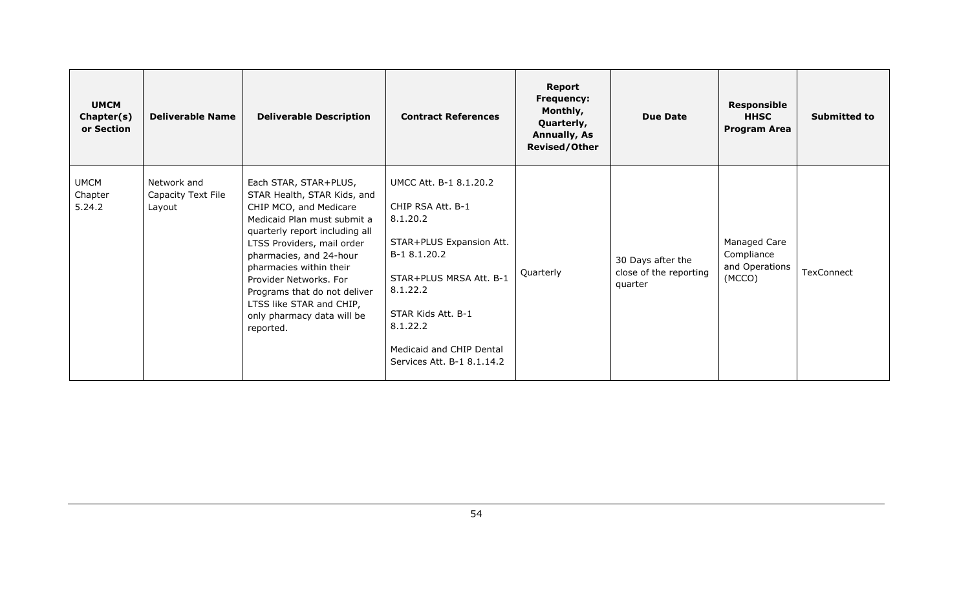| <b>UMCM</b><br>Chapter(s)<br>or Section | <b>Deliverable Name</b>                     | <b>Deliverable Description</b>                                                                                                                                                                                                                                                                                                                                       | <b>Contract References</b>                                                                                                                                                                                                             | Report<br><b>Frequency:</b><br>Monthly,<br>Quarterly,<br><b>Annually, As</b><br><b>Revised/Other</b> | <b>Due Date</b>                                        | <b>Responsible</b><br><b>HHSC</b><br><b>Program Area</b> | <b>Submitted to</b> |
|-----------------------------------------|---------------------------------------------|----------------------------------------------------------------------------------------------------------------------------------------------------------------------------------------------------------------------------------------------------------------------------------------------------------------------------------------------------------------------|----------------------------------------------------------------------------------------------------------------------------------------------------------------------------------------------------------------------------------------|------------------------------------------------------------------------------------------------------|--------------------------------------------------------|----------------------------------------------------------|---------------------|
| <b>UMCM</b><br>Chapter<br>5.24.2        | Network and<br>Capacity Text File<br>Layout | Each STAR, STAR+PLUS,<br>STAR Health, STAR Kids, and<br>CHIP MCO, and Medicare<br>Medicaid Plan must submit a<br>quarterly report including all<br>LTSS Providers, mail order<br>pharmacies, and 24-hour<br>pharmacies within their<br>Provider Networks, For<br>Programs that do not deliver<br>LTSS like STAR and CHIP,<br>only pharmacy data will be<br>reported. | UMCC Att. B-1 8.1.20.2<br>CHIP RSA Att. B-1<br>8.1.20.2<br>STAR+PLUS Expansion Att.<br>B-1 8.1.20.2<br>STAR+PLUS MRSA Att. B-1<br>8.1.22.2<br>STAR Kids Att. B-1<br>8.1.22.2<br>Medicaid and CHIP Dental<br>Services Att. B-1 8.1.14.2 | Quarterly                                                                                            | 30 Days after the<br>close of the reporting<br>quarter | Managed Care<br>Compliance<br>and Operations<br>(MCCO)   | TexConnect          |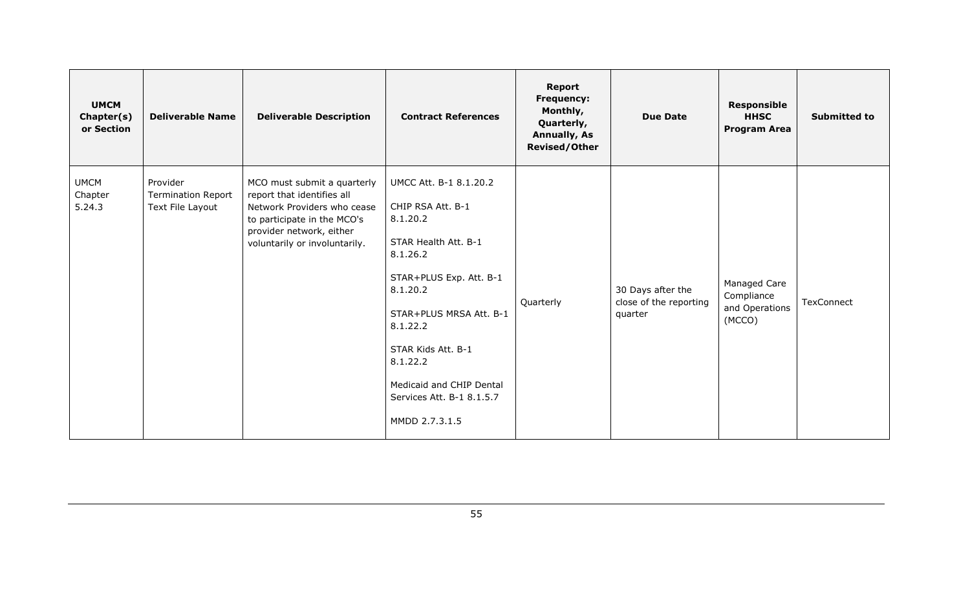| <b>UMCM</b><br>Chapter(s)<br>or Section | <b>Deliverable Name</b>                                   | <b>Deliverable Description</b>                                                                                                                                                       | <b>Contract References</b>                                                                                                                                                                                                                                                             | <b>Report</b><br>Frequency:<br>Monthly,<br>Quarterly,<br><b>Annually, As</b><br><b>Revised/Other</b> | <b>Due Date</b>                                        | <b>Responsible</b><br><b>HHSC</b><br><b>Program Area</b> | <b>Submitted to</b> |
|-----------------------------------------|-----------------------------------------------------------|--------------------------------------------------------------------------------------------------------------------------------------------------------------------------------------|----------------------------------------------------------------------------------------------------------------------------------------------------------------------------------------------------------------------------------------------------------------------------------------|------------------------------------------------------------------------------------------------------|--------------------------------------------------------|----------------------------------------------------------|---------------------|
| <b>UMCM</b><br>Chapter<br>5.24.3        | Provider<br><b>Termination Report</b><br>Text File Layout | MCO must submit a quarterly<br>report that identifies all<br>Network Providers who cease<br>to participate in the MCO's<br>provider network, either<br>voluntarily or involuntarily. | UMCC Att. B-1 8.1.20.2<br>CHIP RSA Att. B-1<br>8.1.20.2<br>STAR Health Att. B-1<br>8.1.26.2<br>STAR+PLUS Exp. Att. B-1<br>8.1.20.2<br>STAR+PLUS MRSA Att. B-1<br>8.1.22.2<br>STAR Kids Att. B-1<br>8.1.22.2<br>Medicaid and CHIP Dental<br>Services Att. B-1 8.1.5.7<br>MMDD 2.7.3.1.5 | Quarterly                                                                                            | 30 Days after the<br>close of the reporting<br>quarter | Managed Care<br>Compliance<br>and Operations<br>(MCCO)   | TexConnect          |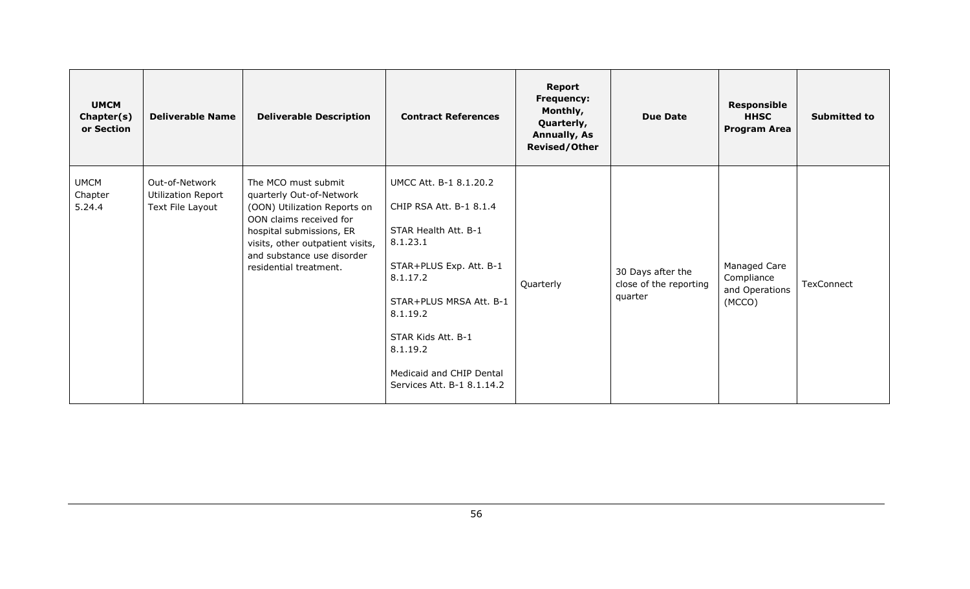| <b>UMCM</b><br>Chapter(s)<br>or Section | <b>Deliverable Name</b>                                         | <b>Deliverable Description</b>                                                                                                                                                                                                     | <b>Contract References</b>                                                                                                                                                                                                                                      | <b>Report</b><br><b>Frequency:</b><br>Monthly,<br>Quarterly,<br><b>Annually, As</b><br><b>Revised/Other</b> | <b>Due Date</b>                                        | <b>Responsible</b><br><b>HHSC</b><br><b>Program Area</b> | <b>Submitted to</b> |
|-----------------------------------------|-----------------------------------------------------------------|------------------------------------------------------------------------------------------------------------------------------------------------------------------------------------------------------------------------------------|-----------------------------------------------------------------------------------------------------------------------------------------------------------------------------------------------------------------------------------------------------------------|-------------------------------------------------------------------------------------------------------------|--------------------------------------------------------|----------------------------------------------------------|---------------------|
| <b>UMCM</b><br>Chapter<br>5.24.4        | Out-of-Network<br><b>Utilization Report</b><br>Text File Layout | The MCO must submit<br>quarterly Out-of-Network<br>(OON) Utilization Reports on<br>OON claims received for<br>hospital submissions, ER<br>visits, other outpatient visits,<br>and substance use disorder<br>residential treatment. | UMCC Att. B-1 8.1.20.2<br>CHIP RSA Att. B-1 8.1.4<br>STAR Health Att. B-1<br>8.1.23.1<br>STAR+PLUS Exp. Att. B-1<br>8.1.17.2<br>STAR+PLUS MRSA Att. B-1<br>8.1.19.2<br>STAR Kids Att. B-1<br>8.1.19.2<br>Medicaid and CHIP Dental<br>Services Att. B-1 8.1.14.2 | Quarterly                                                                                                   | 30 Days after the<br>close of the reporting<br>quarter | Managed Care<br>Compliance<br>and Operations<br>(MCCO)   | TexConnect          |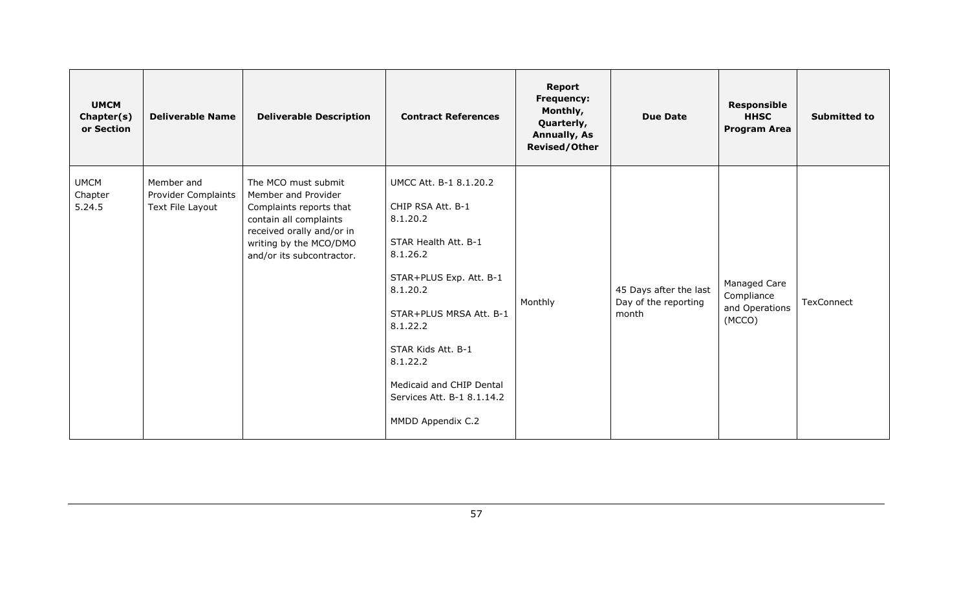| <b>UMCM</b><br>Chapter(s)<br>or Section | <b>Deliverable Name</b>                                      | <b>Deliverable Description</b>                                                                                                                                                      | <b>Contract References</b>                                                                                                                                                                                                                                                                 | <b>Report</b><br>Frequency:<br>Monthly,<br>Quarterly,<br><b>Annually, As</b><br><b>Revised/Other</b> | <b>Due Date</b>                                         | <b>Responsible</b><br><b>HHSC</b><br><b>Program Area</b> | <b>Submitted to</b> |
|-----------------------------------------|--------------------------------------------------------------|-------------------------------------------------------------------------------------------------------------------------------------------------------------------------------------|--------------------------------------------------------------------------------------------------------------------------------------------------------------------------------------------------------------------------------------------------------------------------------------------|------------------------------------------------------------------------------------------------------|---------------------------------------------------------|----------------------------------------------------------|---------------------|
| <b>UMCM</b><br>Chapter<br>5.24.5        | Member and<br><b>Provider Complaints</b><br>Text File Layout | The MCO must submit<br>Member and Provider<br>Complaints reports that<br>contain all complaints<br>received orally and/or in<br>writing by the MCO/DMO<br>and/or its subcontractor. | UMCC Att. B-1 8.1.20.2<br>CHIP RSA Att. B-1<br>8.1.20.2<br>STAR Health Att. B-1<br>8.1.26.2<br>STAR+PLUS Exp. Att. B-1<br>8.1.20.2<br>STAR+PLUS MRSA Att. B-1<br>8.1.22.2<br>STAR Kids Att. B-1<br>8.1.22.2<br>Medicaid and CHIP Dental<br>Services Att. B-1 8.1.14.2<br>MMDD Appendix C.2 | Monthly                                                                                              | 45 Days after the last<br>Day of the reporting<br>month | Managed Care<br>Compliance<br>and Operations<br>(MCCO)   | <b>TexConnect</b>   |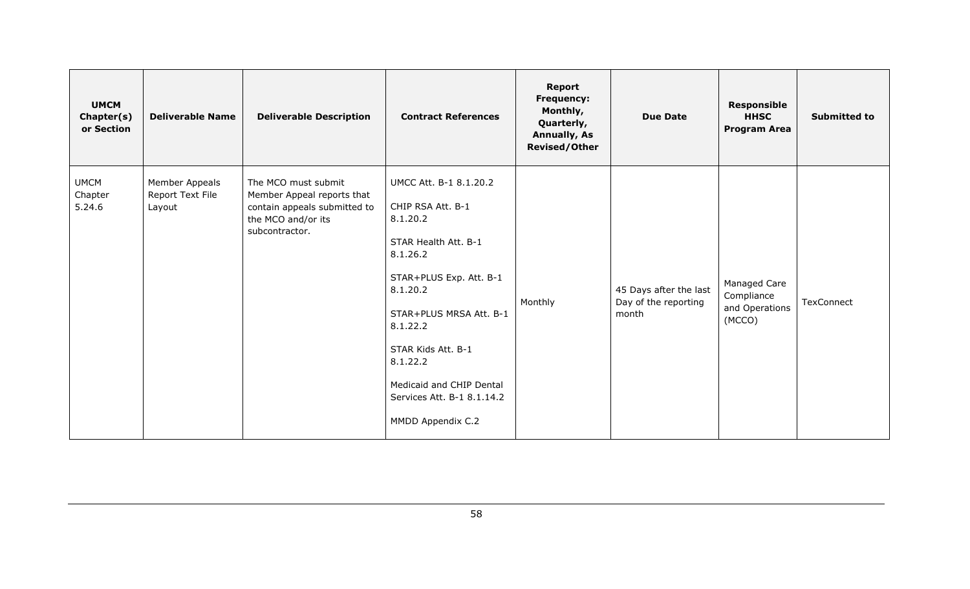| <b>UMCM</b><br>Chapter(s)<br>or Section | <b>Deliverable Name</b>                      | <b>Deliverable Description</b>                                                                                            | <b>Contract References</b>                                                                                                                                                                                                                                                                 | Report<br>Frequency:<br>Monthly,<br>Quarterly,<br><b>Annually, As</b><br><b>Revised/Other</b> | <b>Due Date</b>                                         | <b>Responsible</b><br><b>HHSC</b><br><b>Program Area</b> | <b>Submitted to</b> |
|-----------------------------------------|----------------------------------------------|---------------------------------------------------------------------------------------------------------------------------|--------------------------------------------------------------------------------------------------------------------------------------------------------------------------------------------------------------------------------------------------------------------------------------------|-----------------------------------------------------------------------------------------------|---------------------------------------------------------|----------------------------------------------------------|---------------------|
| <b>UMCM</b><br>Chapter<br>5.24.6        | Member Appeals<br>Report Text File<br>Layout | The MCO must submit<br>Member Appeal reports that<br>contain appeals submitted to<br>the MCO and/or its<br>subcontractor. | UMCC Att. B-1 8.1.20.2<br>CHIP RSA Att. B-1<br>8.1.20.2<br>STAR Health Att. B-1<br>8.1.26.2<br>STAR+PLUS Exp. Att. B-1<br>8.1.20.2<br>STAR+PLUS MRSA Att. B-1<br>8.1.22.2<br>STAR Kids Att. B-1<br>8.1.22.2<br>Medicaid and CHIP Dental<br>Services Att. B-1 8.1.14.2<br>MMDD Appendix C.2 | Monthly                                                                                       | 45 Days after the last<br>Day of the reporting<br>month | Managed Care<br>Compliance<br>and Operations<br>(MCCO)   | <b>TexConnect</b>   |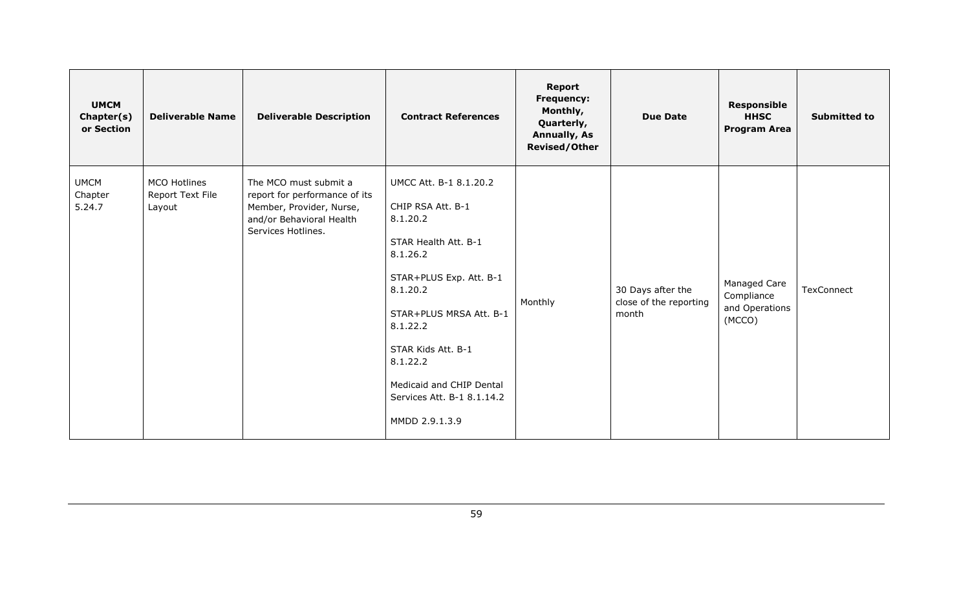| <b>UMCM</b><br>Chapter(s)<br>or Section | <b>Deliverable Name</b>                    | <b>Deliverable Description</b>                                                                                                       | <b>Contract References</b>                                                                                                                                                                                                                                                              | Report<br>Frequency:<br>Monthly,<br>Quarterly,<br><b>Annually, As</b><br><b>Revised/Other</b> | <b>Due Date</b>                                      | <b>Responsible</b><br><b>HHSC</b><br><b>Program Area</b> | <b>Submitted to</b> |
|-----------------------------------------|--------------------------------------------|--------------------------------------------------------------------------------------------------------------------------------------|-----------------------------------------------------------------------------------------------------------------------------------------------------------------------------------------------------------------------------------------------------------------------------------------|-----------------------------------------------------------------------------------------------|------------------------------------------------------|----------------------------------------------------------|---------------------|
| <b>UMCM</b><br>Chapter<br>5.24.7        | MCO Hotlines<br>Report Text File<br>Layout | The MCO must submit a<br>report for performance of its<br>Member, Provider, Nurse,<br>and/or Behavioral Health<br>Services Hotlines. | UMCC Att. B-1 8.1.20.2<br>CHIP RSA Att. B-1<br>8.1.20.2<br>STAR Health Att. B-1<br>8.1.26.2<br>STAR+PLUS Exp. Att. B-1<br>8.1.20.2<br>STAR+PLUS MRSA Att. B-1<br>8.1.22.2<br>STAR Kids Att. B-1<br>8.1.22.2<br>Medicaid and CHIP Dental<br>Services Att. B-1 8.1.14.2<br>MMDD 2.9.1.3.9 | Monthly                                                                                       | 30 Days after the<br>close of the reporting<br>month | Managed Care<br>Compliance<br>and Operations<br>(MCCO)   | <b>TexConnect</b>   |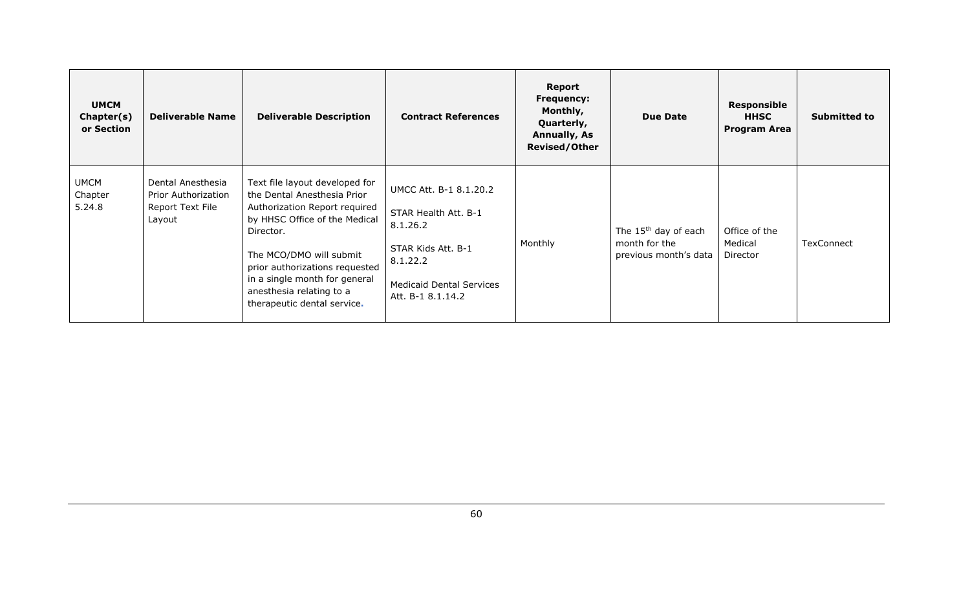| <b>UMCM</b><br>Chapter(s)<br>or Section | <b>Deliverable Name</b>                                                | <b>Deliverable Description</b>                                                                                                                                                                                                                                                                        | <b>Contract References</b>                                                                                                                           | Report<br><b>Frequency:</b><br>Monthly,<br>Quarterly,<br><b>Annually, As</b><br><b>Revised/Other</b> | <b>Due Date</b>                                                            | Responsible<br><b>HHSC</b><br><b>Program Area</b> | <b>Submitted to</b> |
|-----------------------------------------|------------------------------------------------------------------------|-------------------------------------------------------------------------------------------------------------------------------------------------------------------------------------------------------------------------------------------------------------------------------------------------------|------------------------------------------------------------------------------------------------------------------------------------------------------|------------------------------------------------------------------------------------------------------|----------------------------------------------------------------------------|---------------------------------------------------|---------------------|
| <b>UMCM</b><br>Chapter<br>5.24.8        | Dental Anesthesia<br>Prior Authorization<br>Report Text File<br>Layout | Text file layout developed for<br>the Dental Anesthesia Prior<br>Authorization Report required<br>by HHSC Office of the Medical<br>Director.<br>The MCO/DMO will submit<br>prior authorizations requested<br>in a single month for general<br>anesthesia relating to a<br>therapeutic dental service. | UMCC Att. B-1 8.1.20.2<br>STAR Health Att. B-1<br>8.1.26.2<br>STAR Kids Att. B-1<br>8.1.22.2<br><b>Medicaid Dental Services</b><br>Att. B-1 8.1.14.2 | Monthly                                                                                              | The 15 <sup>th</sup> day of each<br>month for the<br>previous month's data | Office of the<br>Medical<br>Director              | TexConnect          |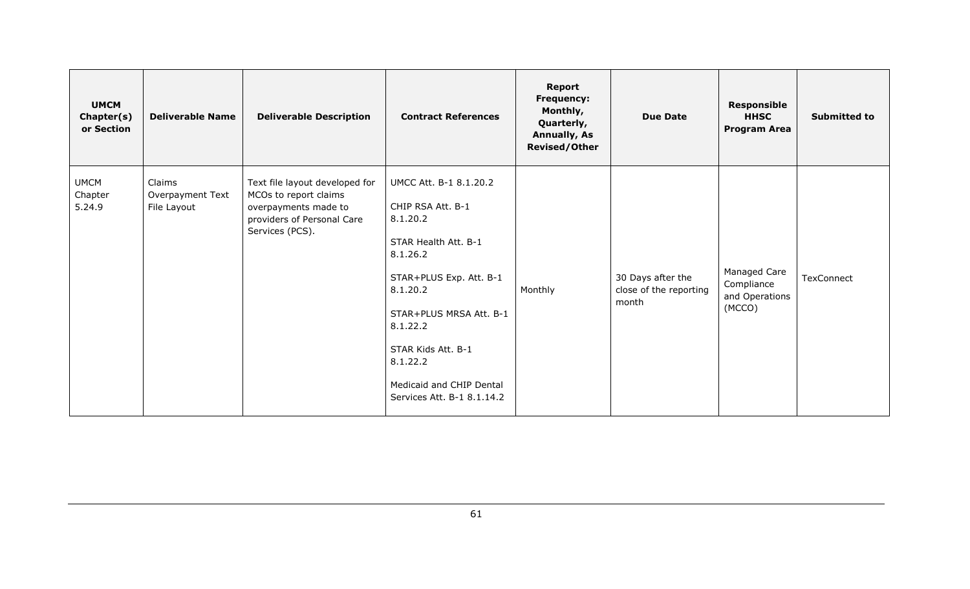| <b>UMCM</b><br>Chapter(s)<br>or Section | <b>Deliverable Name</b>                   | <b>Deliverable Description</b>                                                                                                   | <b>Contract References</b>                                                                                                                                                                                                                                            | <b>Report</b><br><b>Frequency:</b><br>Monthly,<br>Quarterly,<br><b>Annually, As</b><br><b>Revised/Other</b> | <b>Due Date</b>                                      | <b>Responsible</b><br><b>HHSC</b><br><b>Program Area</b> | <b>Submitted to</b> |
|-----------------------------------------|-------------------------------------------|----------------------------------------------------------------------------------------------------------------------------------|-----------------------------------------------------------------------------------------------------------------------------------------------------------------------------------------------------------------------------------------------------------------------|-------------------------------------------------------------------------------------------------------------|------------------------------------------------------|----------------------------------------------------------|---------------------|
| <b>UMCM</b><br>Chapter<br>5.24.9        | Claims<br>Overpayment Text<br>File Layout | Text file layout developed for<br>MCOs to report claims<br>overpayments made to<br>providers of Personal Care<br>Services (PCS). | UMCC Att. B-1 8.1.20.2<br>CHIP RSA Att. B-1<br>8.1.20.2<br>STAR Health Att. B-1<br>8.1.26.2<br>STAR+PLUS Exp. Att. B-1<br>8.1.20.2<br>STAR+PLUS MRSA Att. B-1<br>8.1.22.2<br>STAR Kids Att. B-1<br>8.1.22.2<br>Medicaid and CHIP Dental<br>Services Att. B-1 8.1.14.2 | Monthly                                                                                                     | 30 Days after the<br>close of the reporting<br>month | Managed Care<br>Compliance<br>and Operations<br>(MCCO)   | TexConnect          |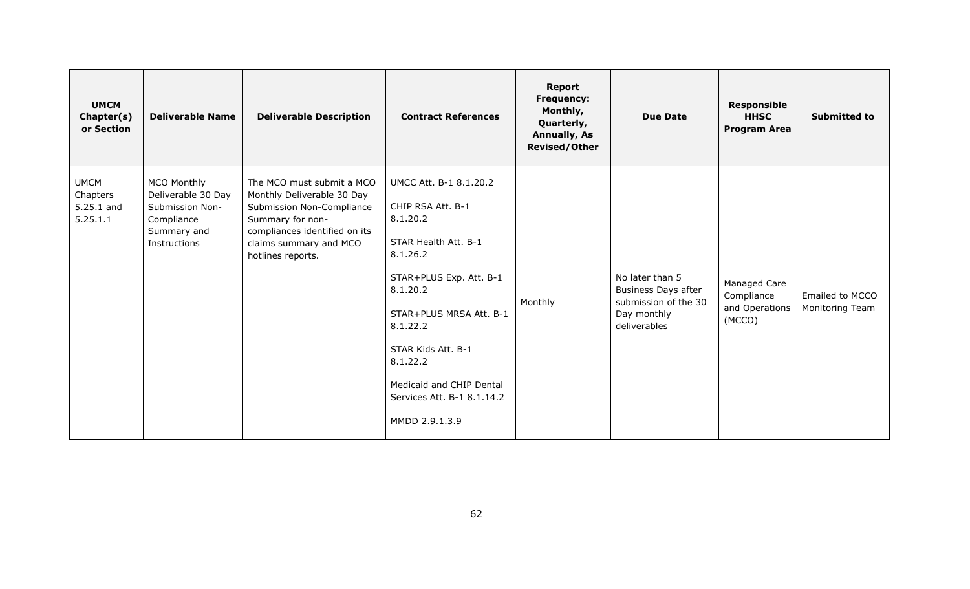| <b>UMCM</b><br>Chapter(s)<br>or Section           | <b>Deliverable Name</b>                                                                                  | <b>Deliverable Description</b>                                                                                                                                                           | <b>Contract References</b>                                                                                                                                                                                                                                                              | <b>Report</b><br><b>Frequency:</b><br>Monthly,<br>Quarterly,<br><b>Annually, As</b><br><b>Revised/Other</b> | <b>Due Date</b>                                                                                      | <b>Responsible</b><br><b>HHSC</b><br><b>Program Area</b> | <b>Submitted to</b>                |
|---------------------------------------------------|----------------------------------------------------------------------------------------------------------|------------------------------------------------------------------------------------------------------------------------------------------------------------------------------------------|-----------------------------------------------------------------------------------------------------------------------------------------------------------------------------------------------------------------------------------------------------------------------------------------|-------------------------------------------------------------------------------------------------------------|------------------------------------------------------------------------------------------------------|----------------------------------------------------------|------------------------------------|
| <b>UMCM</b><br>Chapters<br>5.25.1 and<br>5.25.1.1 | <b>MCO Monthly</b><br>Deliverable 30 Day<br>Submission Non-<br>Compliance<br>Summary and<br>Instructions | The MCO must submit a MCO<br>Monthly Deliverable 30 Day<br>Submission Non-Compliance<br>Summary for non-<br>compliances identified on its<br>claims summary and MCO<br>hotlines reports. | UMCC Att. B-1 8.1.20.2<br>CHIP RSA Att. B-1<br>8.1.20.2<br>STAR Health Att. B-1<br>8.1.26.2<br>STAR+PLUS Exp. Att. B-1<br>8.1.20.2<br>STAR+PLUS MRSA Att. B-1<br>8.1.22.2<br>STAR Kids Att. B-1<br>8.1.22.2<br>Medicaid and CHIP Dental<br>Services Att. B-1 8.1.14.2<br>MMDD 2.9.1.3.9 | Monthly                                                                                                     | No later than 5<br><b>Business Days after</b><br>submission of the 30<br>Day monthly<br>deliverables | Managed Care<br>Compliance<br>and Operations<br>(MCCO)   | Emailed to MCCO<br>Monitoring Team |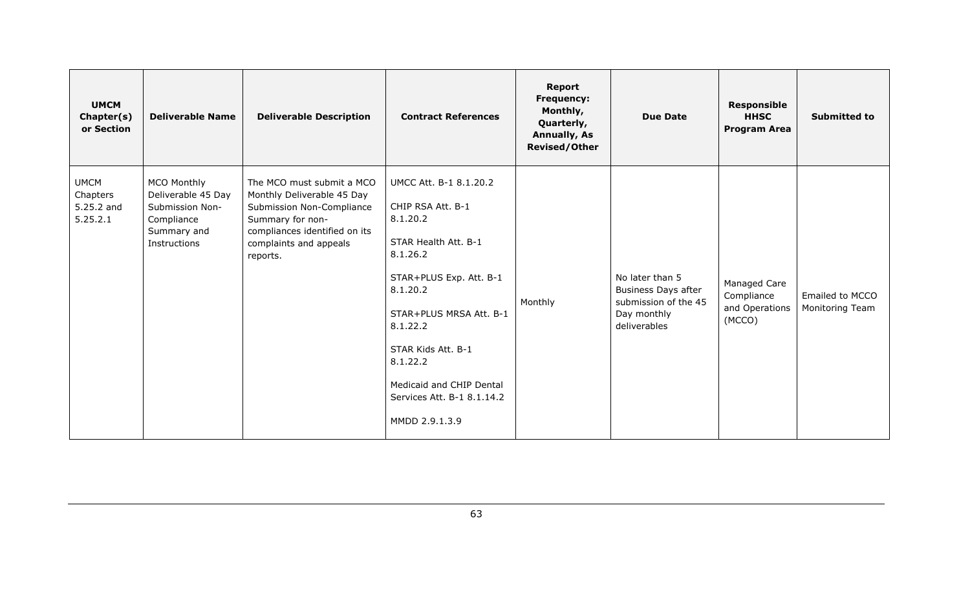| <b>UMCM</b><br>Chapter(s)<br>or Section           | <b>Deliverable Name</b>                                                                                  | <b>Deliverable Description</b>                                                                                                                                                  | <b>Contract References</b>                                                                                                                                                                                                                                                              | <b>Report</b><br>Frequency:<br>Monthly,<br>Quarterly,<br><b>Annually, As</b><br><b>Revised/Other</b> | <b>Due Date</b>                                                                                      | <b>Responsible</b><br><b>HHSC</b><br><b>Program Area</b> | <b>Submitted to</b>                |
|---------------------------------------------------|----------------------------------------------------------------------------------------------------------|---------------------------------------------------------------------------------------------------------------------------------------------------------------------------------|-----------------------------------------------------------------------------------------------------------------------------------------------------------------------------------------------------------------------------------------------------------------------------------------|------------------------------------------------------------------------------------------------------|------------------------------------------------------------------------------------------------------|----------------------------------------------------------|------------------------------------|
| <b>UMCM</b><br>Chapters<br>5.25.2 and<br>5.25.2.1 | <b>MCO Monthly</b><br>Deliverable 45 Day<br>Submission Non-<br>Compliance<br>Summary and<br>Instructions | The MCO must submit a MCO<br>Monthly Deliverable 45 Day<br>Submission Non-Compliance<br>Summary for non-<br>compliances identified on its<br>complaints and appeals<br>reports. | UMCC Att. B-1 8.1.20.2<br>CHIP RSA Att. B-1<br>8.1.20.2<br>STAR Health Att. B-1<br>8.1.26.2<br>STAR+PLUS Exp. Att. B-1<br>8.1.20.2<br>STAR+PLUS MRSA Att. B-1<br>8.1.22.2<br>STAR Kids Att. B-1<br>8.1.22.2<br>Medicaid and CHIP Dental<br>Services Att. B-1 8.1.14.2<br>MMDD 2.9.1.3.9 | Monthly                                                                                              | No later than 5<br><b>Business Days after</b><br>submission of the 45<br>Day monthly<br>deliverables | Managed Care<br>Compliance<br>and Operations<br>(MCCO)   | Emailed to MCCO<br>Monitoring Team |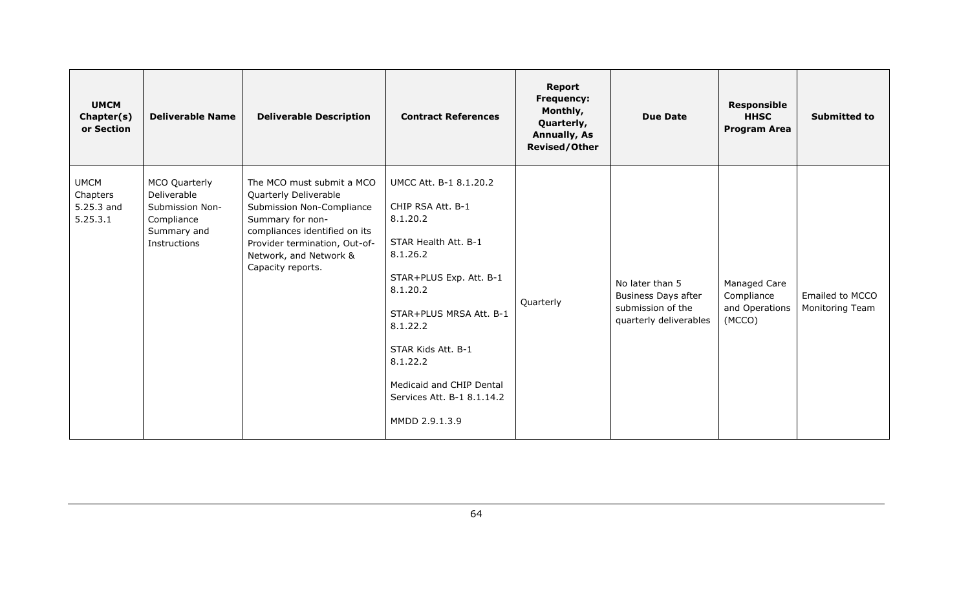| <b>UMCM</b><br>Chapter(s)<br>or Section           | <b>Deliverable Name</b>                                                                      | <b>Deliverable Description</b>                                                                                                                                                                                       | <b>Contract References</b>                                                                                                                                                                                                                                                              | Report<br>Frequency:<br>Monthly,<br>Quarterly,<br><b>Annually, As</b><br><b>Revised/Other</b> | <b>Due Date</b>                                                                              | <b>Responsible</b><br><b>HHSC</b><br><b>Program Area</b> | <b>Submitted to</b>                |
|---------------------------------------------------|----------------------------------------------------------------------------------------------|----------------------------------------------------------------------------------------------------------------------------------------------------------------------------------------------------------------------|-----------------------------------------------------------------------------------------------------------------------------------------------------------------------------------------------------------------------------------------------------------------------------------------|-----------------------------------------------------------------------------------------------|----------------------------------------------------------------------------------------------|----------------------------------------------------------|------------------------------------|
| <b>UMCM</b><br>Chapters<br>5.25.3 and<br>5.25.3.1 | MCO Quarterly<br>Deliverable<br>Submission Non-<br>Compliance<br>Summary and<br>Instructions | The MCO must submit a MCO<br>Quarterly Deliverable<br>Submission Non-Compliance<br>Summary for non-<br>compliances identified on its<br>Provider termination, Out-of-<br>Network, and Network &<br>Capacity reports. | UMCC Att. B-1 8.1.20.2<br>CHIP RSA Att. B-1<br>8.1.20.2<br>STAR Health Att. B-1<br>8.1.26.2<br>STAR+PLUS Exp. Att. B-1<br>8.1.20.2<br>STAR+PLUS MRSA Att. B-1<br>8.1.22.2<br>STAR Kids Att. B-1<br>8.1.22.2<br>Medicaid and CHIP Dental<br>Services Att. B-1 8.1.14.2<br>MMDD 2.9.1.3.9 | Quarterly                                                                                     | No later than 5<br><b>Business Days after</b><br>submission of the<br>quarterly deliverables | Managed Care<br>Compliance<br>and Operations<br>(MCCO)   | Emailed to MCCO<br>Monitoring Team |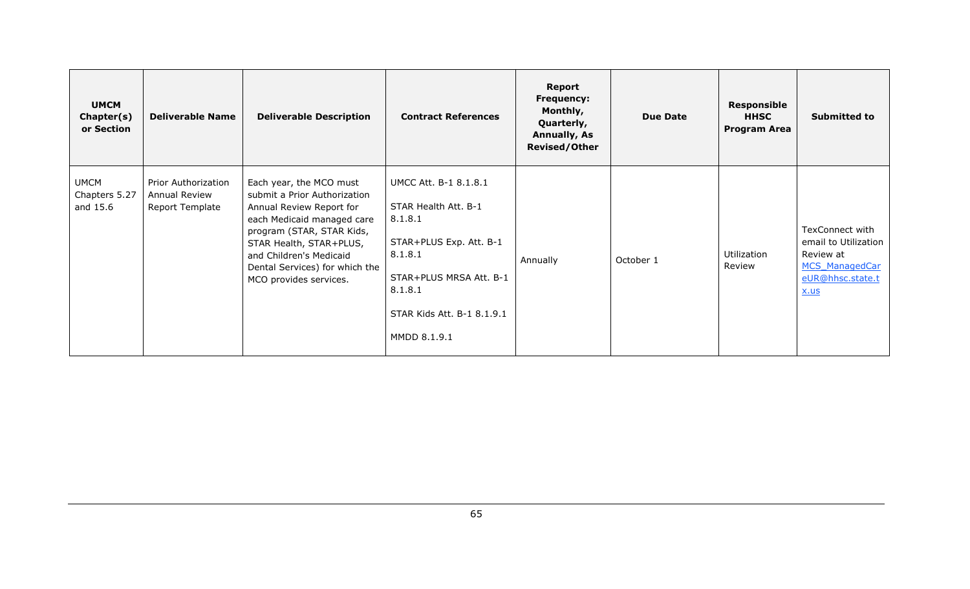| <b>UMCM</b><br>Chapter(s)<br>or Section  | <b>Deliverable Name</b>                                 | <b>Deliverable Description</b>                                                                                                                                                                                                                                   | <b>Contract References</b>                                                                                                                                                         | Report<br><b>Frequency:</b><br>Monthly,<br>Quarterly,<br><b>Annually, As</b><br><b>Revised/Other</b> | <b>Due Date</b> | <b>Responsible</b><br><b>HHSC</b><br><b>Program Area</b> | <b>Submitted to</b>                                                                                              |
|------------------------------------------|---------------------------------------------------------|------------------------------------------------------------------------------------------------------------------------------------------------------------------------------------------------------------------------------------------------------------------|------------------------------------------------------------------------------------------------------------------------------------------------------------------------------------|------------------------------------------------------------------------------------------------------|-----------------|----------------------------------------------------------|------------------------------------------------------------------------------------------------------------------|
| <b>UMCM</b><br>Chapters 5.27<br>and 15.6 | Prior Authorization<br>Annual Review<br>Report Template | Each year, the MCO must<br>submit a Prior Authorization<br>Annual Review Report for<br>each Medicaid managed care<br>program (STAR, STAR Kids,<br>STAR Health, STAR+PLUS,<br>and Children's Medicaid<br>Dental Services) for which the<br>MCO provides services. | UMCC Att. B-1 8.1.8.1<br>STAR Health Att. B-1<br>8.1.8.1<br>STAR+PLUS Exp. Att. B-1<br>8.1.8.1<br>STAR+PLUS MRSA Att. B-1<br>8.1.8.1<br>STAR Kids Att. B-1 8.1.9.1<br>MMDD 8.1.9.1 | Annually                                                                                             | October 1       | Utilization<br>Review                                    | TexConnect with<br>email to Utilization<br>Review at<br><b>MCS ManagedCar</b><br>eUR@hhsc.state.t<br><u>x.us</u> |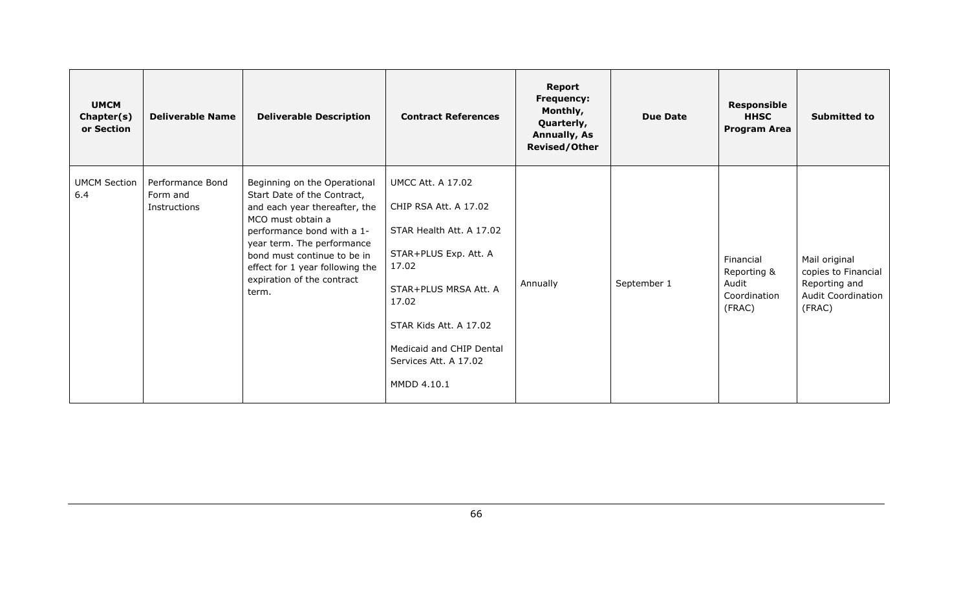| <b>UMCM</b><br>Chapter(s)<br>or Section | <b>Deliverable Name</b>                      | <b>Deliverable Description</b>                                                                                                                                                                                                                                                         | <b>Contract References</b>                                                                                                                                                                                                                      | Report<br><b>Frequency:</b><br>Monthly,<br>Quarterly,<br><b>Annually, As</b><br><b>Revised/Other</b> | <b>Due Date</b> | <b>Responsible</b><br><b>HHSC</b><br><b>Program Area</b>    | <b>Submitted to</b>                                                                          |
|-----------------------------------------|----------------------------------------------|----------------------------------------------------------------------------------------------------------------------------------------------------------------------------------------------------------------------------------------------------------------------------------------|-------------------------------------------------------------------------------------------------------------------------------------------------------------------------------------------------------------------------------------------------|------------------------------------------------------------------------------------------------------|-----------------|-------------------------------------------------------------|----------------------------------------------------------------------------------------------|
| <b>UMCM Section</b><br>6.4              | Performance Bond<br>Form and<br>Instructions | Beginning on the Operational<br>Start Date of the Contract,<br>and each year thereafter, the<br>MCO must obtain a<br>performance bond with a 1-<br>year term. The performance<br>bond must continue to be in<br>effect for 1 year following the<br>expiration of the contract<br>term. | <b>UMCC Att. A 17.02</b><br>CHIP RSA Att. A 17.02<br>STAR Health Att. A 17.02<br>STAR+PLUS Exp. Att. A<br>17.02<br>STAR+PLUS MRSA Att. A<br>17.02<br>STAR Kids Att. A 17.02<br>Medicaid and CHIP Dental<br>Services Att. A 17.02<br>MMDD 4.10.1 | Annually                                                                                             | September 1     | Financial<br>Reporting &<br>Audit<br>Coordination<br>(FRAC) | Mail original<br>copies to Financial<br>Reporting and<br><b>Audit Coordination</b><br>(FRAC) |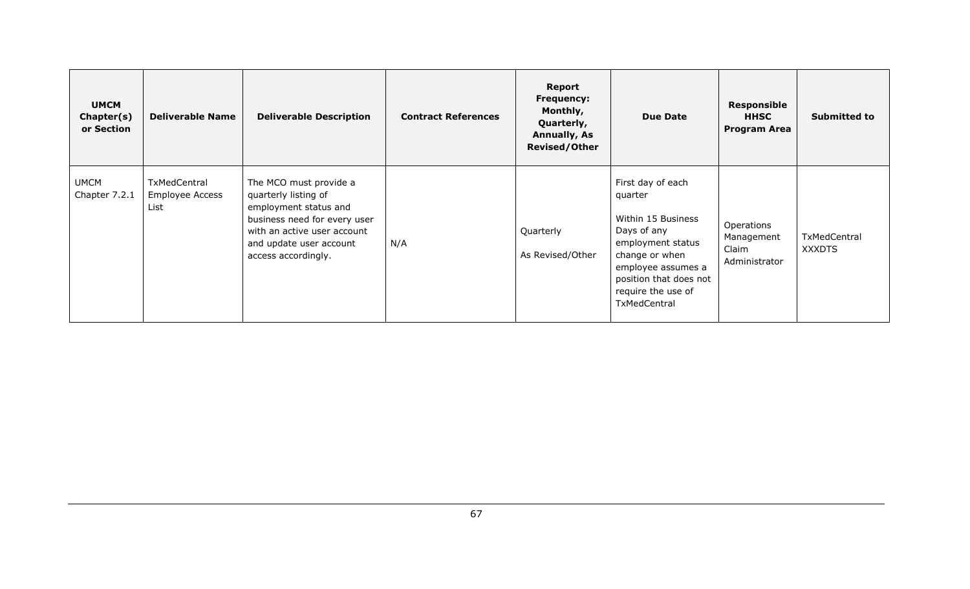| <b>UMCM</b><br>Chapter(s)<br>or Section | <b>Deliverable Name</b>                        | <b>Deliverable Description</b>                                                                                                                                                           | <b>Contract References</b> | Report<br><b>Frequency:</b><br>Monthly,<br>Quarterly,<br>Annually, As<br><b>Revised/Other</b> | <b>Due Date</b>                                                                                                                                                                                | Responsible<br><b>HHSC</b><br><b>Program Area</b>  | <b>Submitted to</b>           |
|-----------------------------------------|------------------------------------------------|------------------------------------------------------------------------------------------------------------------------------------------------------------------------------------------|----------------------------|-----------------------------------------------------------------------------------------------|------------------------------------------------------------------------------------------------------------------------------------------------------------------------------------------------|----------------------------------------------------|-------------------------------|
| <b>UMCM</b><br>Chapter 7.2.1            | TxMedCentral<br><b>Employee Access</b><br>List | The MCO must provide a<br>quarterly listing of<br>employment status and<br>business need for every user<br>with an active user account<br>and update user account<br>access accordingly. | N/A                        | Quarterly<br>As Revised/Other                                                                 | First day of each<br>quarter<br>Within 15 Business<br>Days of any<br>employment status<br>change or when<br>employee assumes a<br>position that does not<br>require the use of<br>TxMedCentral | Operations<br>Management<br>Claim<br>Administrator | TxMedCentral<br><b>XXXDTS</b> |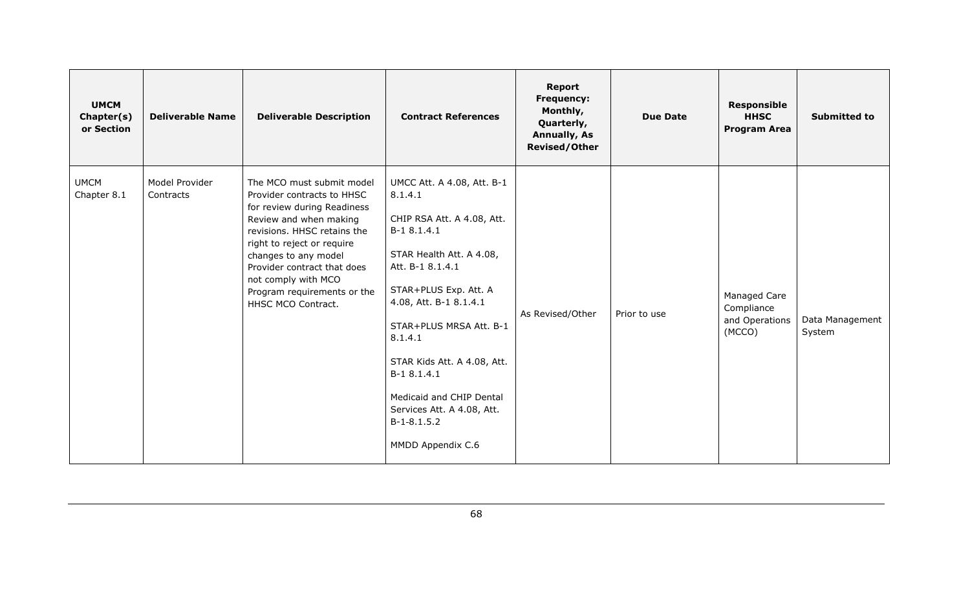| <b>UMCM</b><br>Chapter(s)<br>or Section | <b>Deliverable Name</b>     | <b>Deliverable Description</b>                                                                                                                                                                                                                                                                                   | <b>Contract References</b>                                                                                                                                                                                                                                                                                                                                                | <b>Report</b><br>Frequency:<br>Monthly,<br>Quarterly,<br><b>Annually, As</b><br><b>Revised/Other</b> | <b>Due Date</b> | <b>Responsible</b><br><b>HHSC</b><br><b>Program Area</b> | <b>Submitted to</b>       |
|-----------------------------------------|-----------------------------|------------------------------------------------------------------------------------------------------------------------------------------------------------------------------------------------------------------------------------------------------------------------------------------------------------------|---------------------------------------------------------------------------------------------------------------------------------------------------------------------------------------------------------------------------------------------------------------------------------------------------------------------------------------------------------------------------|------------------------------------------------------------------------------------------------------|-----------------|----------------------------------------------------------|---------------------------|
| <b>UMCM</b><br>Chapter 8.1              | Model Provider<br>Contracts | The MCO must submit model<br>Provider contracts to HHSC<br>for review during Readiness<br>Review and when making<br>revisions. HHSC retains the<br>right to reject or require<br>changes to any model<br>Provider contract that does<br>not comply with MCO<br>Program requirements or the<br>HHSC MCO Contract. | UMCC Att. A 4.08, Att. B-1<br>8.1.4.1<br>CHIP RSA Att. A 4.08, Att.<br>B-1 8.1.4.1<br>STAR Health Att. A 4.08,<br>Att. B-1 8.1.4.1<br>STAR+PLUS Exp. Att. A<br>4.08, Att. B-1 8.1.4.1<br>STAR+PLUS MRSA Att. B-1<br>8.1.4.1<br>STAR Kids Att. A 4.08, Att.<br>B-1 8.1.4.1<br>Medicaid and CHIP Dental<br>Services Att. A 4.08, Att.<br>$B-1-8.1.5.2$<br>MMDD Appendix C.6 | As Revised/Other                                                                                     | Prior to use    | Managed Care<br>Compliance<br>and Operations<br>(MCCO)   | Data Management<br>System |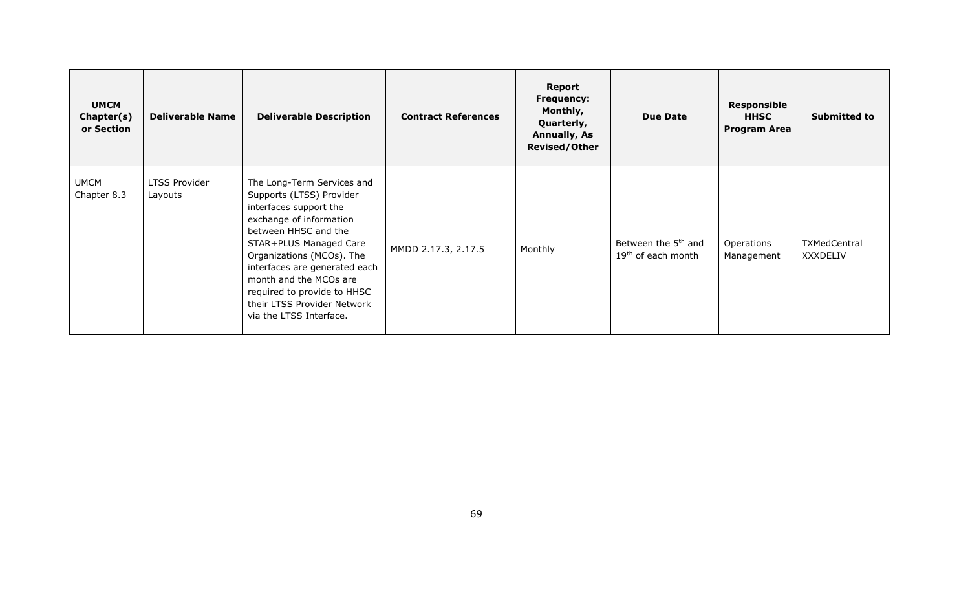| <b>UMCM</b><br>Chapter(s)<br>or Section | <b>Deliverable Name</b>         | <b>Deliverable Description</b>                                                                                                                                                                                                                                                                                                                 | <b>Contract References</b> | Report<br><b>Frequency:</b><br>Monthly,<br>Quarterly,<br><b>Annually, As</b><br><b>Revised/Other</b> | <b>Due Date</b>                                                   | <b>Responsible</b><br><b>HHSC</b><br><b>Program Area</b> | <b>Submitted to</b>             |
|-----------------------------------------|---------------------------------|------------------------------------------------------------------------------------------------------------------------------------------------------------------------------------------------------------------------------------------------------------------------------------------------------------------------------------------------|----------------------------|------------------------------------------------------------------------------------------------------|-------------------------------------------------------------------|----------------------------------------------------------|---------------------------------|
| <b>UMCM</b><br>Chapter 8.3              | <b>LTSS Provider</b><br>Layouts | The Long-Term Services and<br>Supports (LTSS) Provider<br>interfaces support the<br>exchange of information<br>between HHSC and the<br>STAR+PLUS Managed Care<br>Organizations (MCOs). The<br>interfaces are generated each<br>month and the MCOs are<br>required to provide to HHSC<br>their LTSS Provider Network<br>via the LTSS Interface. | MMDD 2.17.3, 2.17.5        | Monthly                                                                                              | Between the 5 <sup>th</sup> and<br>19 <sup>th</sup> of each month | Operations<br>Management                                 | TXMedCentral<br><b>XXXDELIV</b> |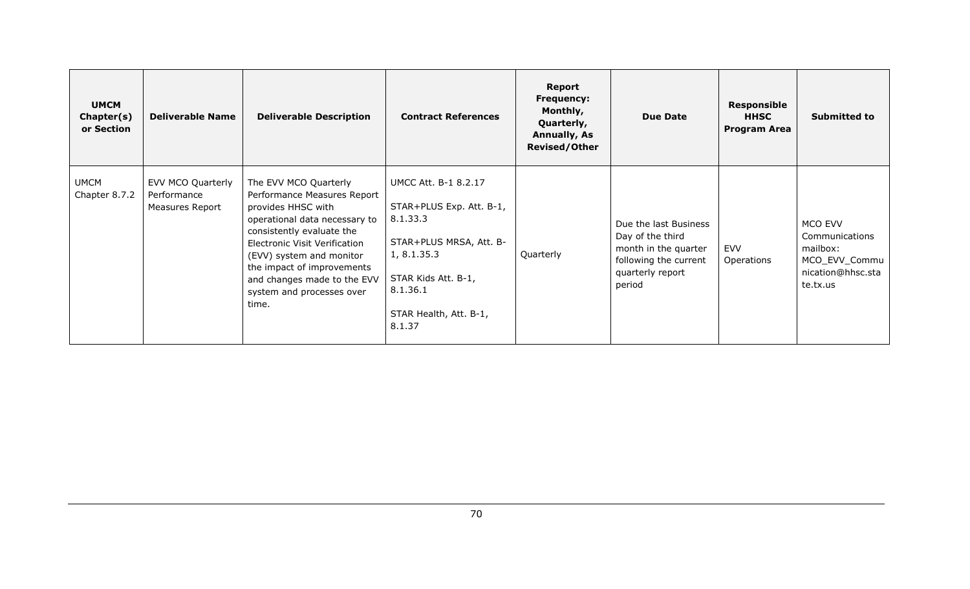| <b>UMCM</b><br>Chapter(s)<br>or Section | <b>Deliverable Name</b>                             | <b>Deliverable Description</b>                                                                                                                                                                                                                                                                           | <b>Contract References</b>                                                                                                                                                           | Report<br><b>Frequency:</b><br>Monthly,<br>Quarterly,<br><b>Annually, As</b><br><b>Revised/Other</b> | <b>Due Date</b>                                                                                                          | <b>Responsible</b><br><b>HHSC</b><br><b>Program Area</b> | Submitted to                                                                            |
|-----------------------------------------|-----------------------------------------------------|----------------------------------------------------------------------------------------------------------------------------------------------------------------------------------------------------------------------------------------------------------------------------------------------------------|--------------------------------------------------------------------------------------------------------------------------------------------------------------------------------------|------------------------------------------------------------------------------------------------------|--------------------------------------------------------------------------------------------------------------------------|----------------------------------------------------------|-----------------------------------------------------------------------------------------|
| <b>UMCM</b><br>Chapter 8.7.2            | EVV MCO Quarterly<br>Performance<br>Measures Report | The EVV MCO Quarterly<br>Performance Measures Report<br>provides HHSC with<br>operational data necessary to<br>consistently evaluate the<br>Electronic Visit Verification<br>(EVV) system and monitor<br>the impact of improvements<br>and changes made to the EVV<br>system and processes over<br>time. | <b>UMCC Att. B-1 8.2.17</b><br>STAR+PLUS Exp. Att. B-1,<br>8.1.33.3<br>STAR+PLUS MRSA, Att. B-<br>1, 8.1.35.3<br>STAR Kids Att. B-1,<br>8.1.36.1<br>STAR Health, Att. B-1,<br>8.1.37 | Quarterly                                                                                            | Due the last Business<br>Day of the third<br>month in the quarter<br>following the current<br>quarterly report<br>period | <b>EVV</b><br>Operations                                 | MCO EVV<br>Communications<br>mailbox:<br>MCO_EVV_Commu<br>nication@hhsc.sta<br>te.tx.us |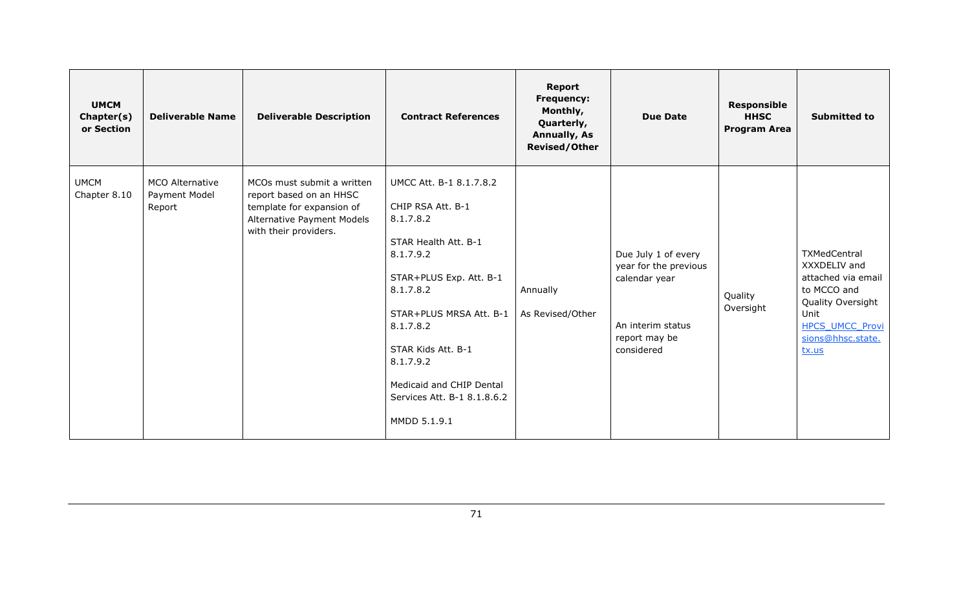| <b>UMCM</b><br>Chapter(s)<br>or Section | <b>Deliverable Name</b>                           | <b>Deliverable Description</b>                                                                                                            | <b>Contract References</b>                                                                                                                                                                                                                                                                   | <b>Report</b><br>Frequency:<br>Monthly,<br>Quarterly,<br><b>Annually, As</b><br><b>Revised/Other</b> | <b>Due Date</b>                                                                                                   | <b>Responsible</b><br><b>HHSC</b><br><b>Program Area</b> | <b>Submitted to</b>                                                                                                                                           |
|-----------------------------------------|---------------------------------------------------|-------------------------------------------------------------------------------------------------------------------------------------------|----------------------------------------------------------------------------------------------------------------------------------------------------------------------------------------------------------------------------------------------------------------------------------------------|------------------------------------------------------------------------------------------------------|-------------------------------------------------------------------------------------------------------------------|----------------------------------------------------------|---------------------------------------------------------------------------------------------------------------------------------------------------------------|
| <b>UMCM</b><br>Chapter 8.10             | <b>MCO Alternative</b><br>Payment Model<br>Report | MCOs must submit a written<br>report based on an HHSC<br>template for expansion of<br>Alternative Payment Models<br>with their providers. | UMCC Att. B-1 8.1.7.8.2<br>CHIP RSA Att. B-1<br>8.1.7.8.2<br>STAR Health Att. B-1<br>8.1.7.9.2<br>STAR+PLUS Exp. Att. B-1<br>8.1.7.8.2<br>STAR+PLUS MRSA Att. B-1<br>8.1.7.8.2<br>STAR Kids Att. B-1<br>8.1.7.9.2<br>Medicaid and CHIP Dental<br>Services Att. B-1 8.1.8.6.2<br>MMDD 5.1.9.1 | Annually<br>As Revised/Other                                                                         | Due July 1 of every<br>year for the previous<br>calendar year<br>An interim status<br>report may be<br>considered | Quality<br>Oversight                                     | <b>TXMedCentral</b><br>XXXDELIV and<br>attached via email<br>to MCCO and<br>Quality Oversight<br>Unit<br><b>HPCS UMCC Provi</b><br>sions@hhsc.state.<br>tx.us |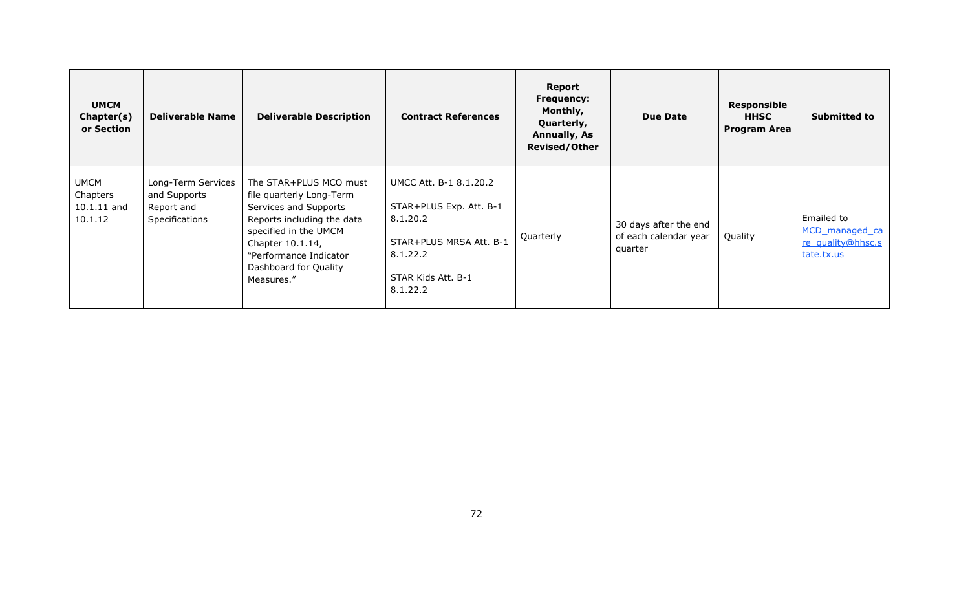| <b>UMCM</b><br>Chapter(s)<br>or Section             | <b>Deliverable Name</b>                                            | <b>Deliverable Description</b>                                                                                                                                                                                          | <b>Contract References</b>                                                                                                             | Report<br><b>Frequency:</b><br>Monthly,<br>Quarterly,<br><b>Annually, As</b><br><b>Revised/Other</b> | <b>Due Date</b>                                           | Responsible<br><b>HHSC</b><br><b>Program Area</b> | <b>Submitted to</b>                                             |
|-----------------------------------------------------|--------------------------------------------------------------------|-------------------------------------------------------------------------------------------------------------------------------------------------------------------------------------------------------------------------|----------------------------------------------------------------------------------------------------------------------------------------|------------------------------------------------------------------------------------------------------|-----------------------------------------------------------|---------------------------------------------------|-----------------------------------------------------------------|
| <b>UMCM</b><br>Chapters<br>$10.1.11$ and<br>10.1.12 | Long-Term Services<br>and Supports<br>Report and<br>Specifications | The STAR+PLUS MCO must<br>file quarterly Long-Term<br>Services and Supports<br>Reports including the data<br>specified in the UMCM<br>Chapter 10.1.14,<br>"Performance Indicator<br>Dashboard for Quality<br>Measures." | UMCC Att. B-1 8.1.20.2<br>STAR+PLUS Exp. Att. B-1<br>8.1.20.2<br>STAR+PLUS MRSA Att. B-1<br>8.1.22.2<br>STAR Kids Att. B-1<br>8.1.22.2 | Quarterly                                                                                            | 30 days after the end<br>of each calendar year<br>quarter | Quality                                           | Emailed to<br>MCD managed ca<br>re quality@hhsc.s<br>tate.tx.us |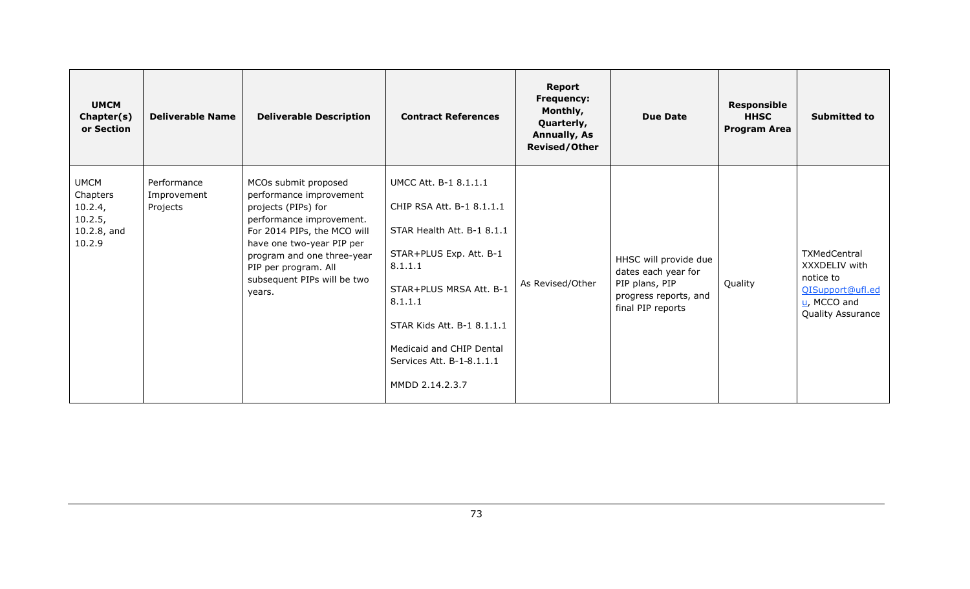| <b>UMCM</b><br>Chapter(s)<br>or Section                                   | <b>Deliverable Name</b>                | <b>Deliverable Description</b>                                                                                                                                                                                                                                | <b>Contract References</b>                                                                                                                                                                                                                                             | <b>Report</b><br><b>Frequency:</b><br>Monthly,<br>Quarterly,<br><b>Annually, As</b><br><b>Revised/Other</b> | <b>Due Date</b>                                                                                              | <b>Responsible</b><br><b>HHSC</b><br><b>Program Area</b> | <b>Submitted to</b>                                                                                   |
|---------------------------------------------------------------------------|----------------------------------------|---------------------------------------------------------------------------------------------------------------------------------------------------------------------------------------------------------------------------------------------------------------|------------------------------------------------------------------------------------------------------------------------------------------------------------------------------------------------------------------------------------------------------------------------|-------------------------------------------------------------------------------------------------------------|--------------------------------------------------------------------------------------------------------------|----------------------------------------------------------|-------------------------------------------------------------------------------------------------------|
| <b>UMCM</b><br>Chapters<br>10.2.4,<br>10.2.5,<br>$10.2.8$ , and<br>10.2.9 | Performance<br>Improvement<br>Projects | MCOs submit proposed<br>performance improvement<br>projects (PIPs) for<br>performance improvement.<br>For 2014 PIPs, the MCO will<br>have one two-year PIP per<br>program and one three-year<br>PIP per program. All<br>subsequent PIPs will be two<br>years. | UMCC Att. B-1 8.1.1.1<br>CHIP RSA Att. B-1 8.1.1.1<br>STAR Health Att. B-1 8.1.1<br>STAR+PLUS Exp. Att. B-1<br>8.1.1.1<br>STAR+PLUS MRSA Att. B-1<br>8.1.1.1<br>STAR Kids Att. B-1 8.1.1.1<br>Medicaid and CHIP Dental<br>Services Att. B-1-8.1.1.1<br>MMDD 2.14.2.3.7 | As Revised/Other                                                                                            | HHSC will provide due<br>dates each year for<br>PIP plans, PIP<br>progress reports, and<br>final PIP reports | Quality                                                  | TXMedCentral<br>XXXDELIV with<br>notice to<br>QISupport@ufl.ed<br>$u$ , MCCO and<br>Quality Assurance |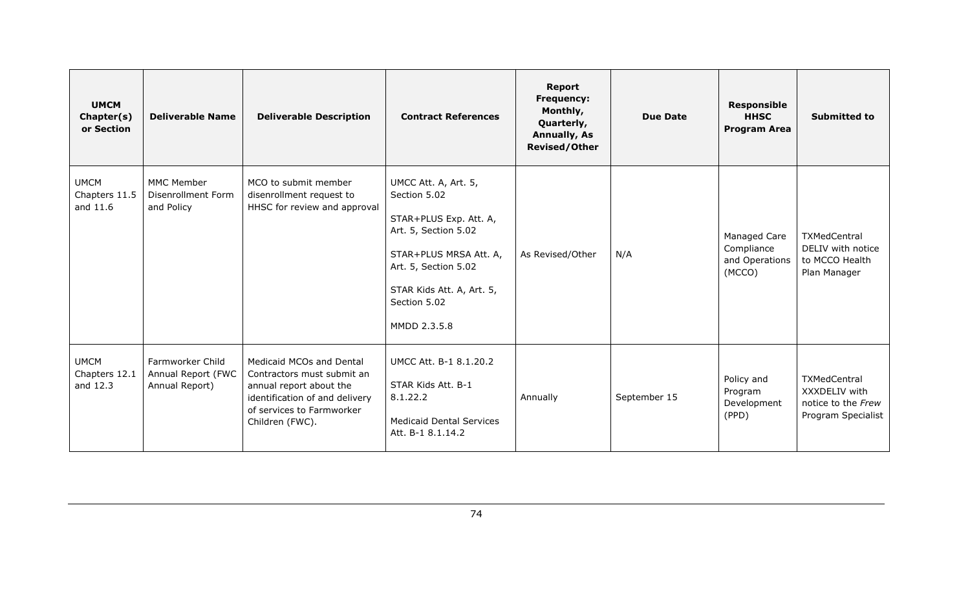| <b>UMCM</b><br>Chapter(s)<br>or Section  | <b>Deliverable Name</b>                                      | <b>Deliverable Description</b>                                                                                                                                      | <b>Contract References</b>                                                                                                                                                                            | <b>Report</b><br><b>Frequency:</b><br>Monthly,<br>Quarterly,<br><b>Annually, As</b><br><b>Revised/Other</b> | Due Date     | <b>Responsible</b><br><b>HHSC</b><br><b>Program Area</b> | <b>Submitted to</b>                                                       |
|------------------------------------------|--------------------------------------------------------------|---------------------------------------------------------------------------------------------------------------------------------------------------------------------|-------------------------------------------------------------------------------------------------------------------------------------------------------------------------------------------------------|-------------------------------------------------------------------------------------------------------------|--------------|----------------------------------------------------------|---------------------------------------------------------------------------|
| <b>UMCM</b><br>Chapters 11.5<br>and 11.6 | <b>MMC Member</b><br><b>Disenrollment Form</b><br>and Policy | MCO to submit member<br>disenrollment request to<br>HHSC for review and approval                                                                                    | UMCC Att. A, Art. 5,<br>Section 5.02<br>STAR+PLUS Exp. Att. A,<br>Art. 5, Section 5.02<br>STAR+PLUS MRSA Att. A,<br>Art. 5, Section 5.02<br>STAR Kids Att. A, Art. 5,<br>Section 5.02<br>MMDD 2.3.5.8 | As Revised/Other                                                                                            | N/A          | Managed Care<br>Compliance<br>and Operations<br>(MCCO)   | TXMedCentral<br>DELIV with notice<br>to MCCO Health<br>Plan Manager       |
| <b>UMCM</b><br>Chapters 12.1<br>and 12.3 | Farmworker Child<br>Annual Report (FWC<br>Annual Report)     | Medicaid MCOs and Dental<br>Contractors must submit an<br>annual report about the<br>identification of and delivery<br>of services to Farmworker<br>Children (FWC). | UMCC Att. B-1 8.1.20.2<br>STAR Kids Att. B-1<br>8.1.22.2<br><b>Medicaid Dental Services</b><br>Att. B-1 8.1.14.2                                                                                      | Annually                                                                                                    | September 15 | Policy and<br>Program<br>Development<br>(PPD)            | TXMedCentral<br>XXXDELIV with<br>notice to the Frew<br>Program Specialist |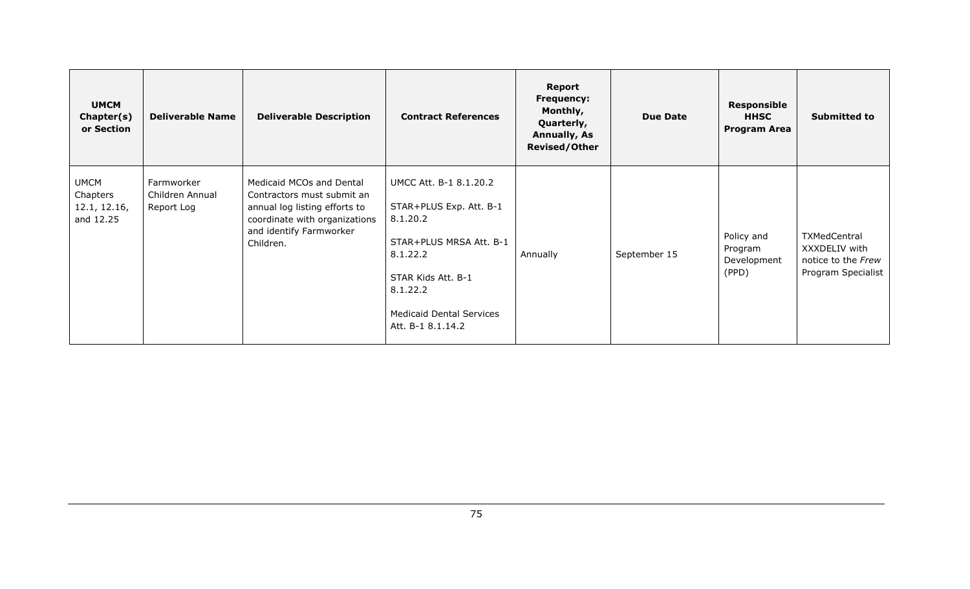| <b>UMCM</b><br>Chapter(s)<br>or Section              | <b>Deliverable Name</b>                     | <b>Deliverable Description</b>                                                                                                                                   | <b>Contract References</b>                                                                                                                                                                     | Report<br><b>Frequency:</b><br>Monthly,<br>Quarterly,<br><b>Annually, As</b><br><b>Revised/Other</b> | <b>Due Date</b> | <b>Responsible</b><br><b>HHSC</b><br><b>Program Area</b> | <b>Submitted to</b>                                                       |
|------------------------------------------------------|---------------------------------------------|------------------------------------------------------------------------------------------------------------------------------------------------------------------|------------------------------------------------------------------------------------------------------------------------------------------------------------------------------------------------|------------------------------------------------------------------------------------------------------|-----------------|----------------------------------------------------------|---------------------------------------------------------------------------|
| <b>UMCM</b><br>Chapters<br>12.1, 12.16,<br>and 12.25 | Farmworker<br>Children Annual<br>Report Log | Medicaid MCOs and Dental<br>Contractors must submit an<br>annual log listing efforts to<br>coordinate with organizations<br>and identify Farmworker<br>Children. | UMCC Att. B-1 8.1.20.2<br>STAR+PLUS Exp. Att. B-1<br>8.1.20.2<br>STAR+PLUS MRSA Att. B-1<br>8.1.22.2<br>STAR Kids Att. B-1<br>8.1.22.2<br><b>Medicaid Dental Services</b><br>Att. B-1 8.1.14.2 | Annually                                                                                             | September 15    | Policy and<br>Program<br>Development<br>(PPD)            | TXMedCentral<br>XXXDELIV with<br>notice to the Frew<br>Program Specialist |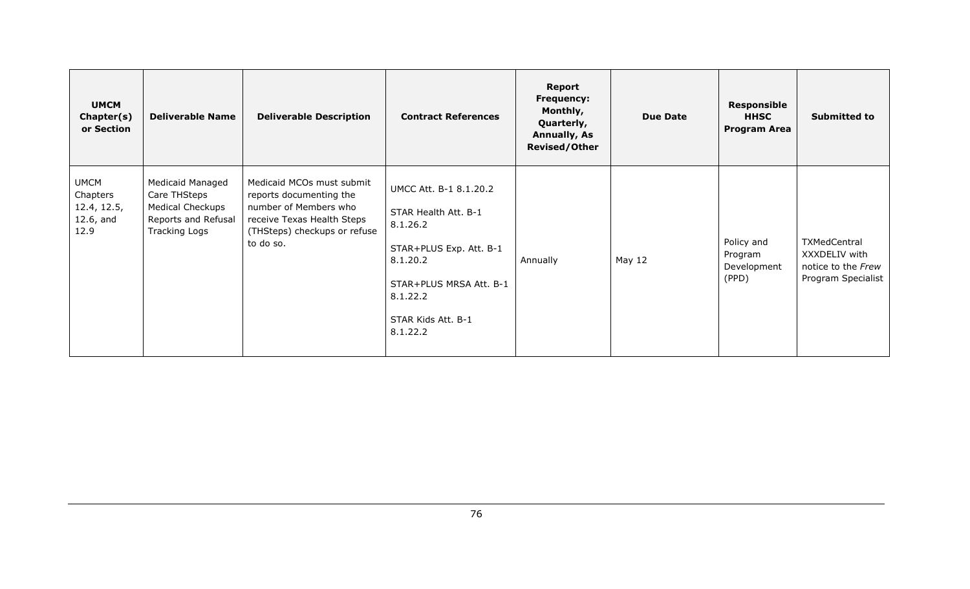| <b>UMCM</b><br>Chapter(s)<br>or Section                        | <b>Deliverable Name</b>                                                                                           | <b>Deliverable Description</b>                                                                                                                           | <b>Contract References</b>                                                                                                                                                 | Report<br><b>Frequency:</b><br>Monthly,<br>Quarterly,<br><b>Annually, As</b><br><b>Revised/Other</b> | <b>Due Date</b> | <b>Responsible</b><br><b>HHSC</b><br><b>Program Area</b> | <b>Submitted to</b>                                                       |
|----------------------------------------------------------------|-------------------------------------------------------------------------------------------------------------------|----------------------------------------------------------------------------------------------------------------------------------------------------------|----------------------------------------------------------------------------------------------------------------------------------------------------------------------------|------------------------------------------------------------------------------------------------------|-----------------|----------------------------------------------------------|---------------------------------------------------------------------------|
| <b>UMCM</b><br>Chapters<br>12.4, 12.5,<br>$12.6$ , and<br>12.9 | <b>Medicaid Managed</b><br>Care THSteps<br><b>Medical Checkups</b><br>Reports and Refusal<br><b>Tracking Logs</b> | Medicaid MCOs must submit<br>reports documenting the<br>number of Members who<br>receive Texas Health Steps<br>(THSteps) checkups or refuse<br>to do so. | UMCC Att. B-1 8.1.20.2<br>STAR Health Att. B-1<br>8.1.26.2<br>STAR+PLUS Exp. Att. B-1<br>8.1.20.2<br>STAR+PLUS MRSA Att. B-1<br>8.1.22.2<br>STAR Kids Att. B-1<br>8.1.22.2 | Annually                                                                                             | May 12          | Policy and<br>Program<br>Development<br>(PPD)            | TXMedCentral<br>XXXDELIV with<br>notice to the Frew<br>Program Specialist |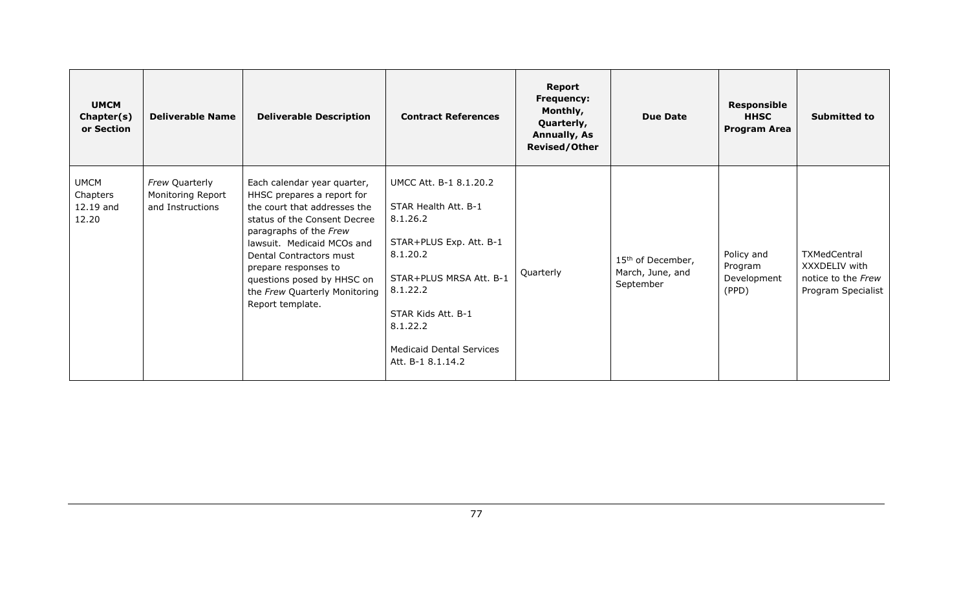| <b>UMCM</b><br>Chapter(s)<br>or Section       | <b>Deliverable Name</b>                                 | <b>Deliverable Description</b>                                                                                                                                                                                                                                                                                          | <b>Contract References</b>                                                                                                                                                                                                         | <b>Report</b><br><b>Frequency:</b><br>Monthly,<br>Quarterly,<br><b>Annually, As</b><br><b>Revised/Other</b> | <b>Due Date</b>                                                | Responsible<br><b>HHSC</b><br><b>Program Area</b> | <b>Submitted to</b>                                                       |
|-----------------------------------------------|---------------------------------------------------------|-------------------------------------------------------------------------------------------------------------------------------------------------------------------------------------------------------------------------------------------------------------------------------------------------------------------------|------------------------------------------------------------------------------------------------------------------------------------------------------------------------------------------------------------------------------------|-------------------------------------------------------------------------------------------------------------|----------------------------------------------------------------|---------------------------------------------------|---------------------------------------------------------------------------|
| <b>UMCM</b><br>Chapters<br>12.19 and<br>12.20 | Frew Quarterly<br>Monitoring Report<br>and Instructions | Each calendar year quarter,<br>HHSC prepares a report for<br>the court that addresses the<br>status of the Consent Decree<br>paragraphs of the Frew<br>lawsuit. Medicaid MCOs and<br>Dental Contractors must<br>prepare responses to<br>questions posed by HHSC on<br>the Frew Quarterly Monitoring<br>Report template. | UMCC Att. B-1 8.1.20.2<br>STAR Health Att. B-1<br>8.1.26.2<br>STAR+PLUS Exp. Att. B-1<br>8.1.20.2<br>STAR+PLUS MRSA Att. B-1<br>8.1.22.2<br>STAR Kids Att. B-1<br>8.1.22.2<br><b>Medicaid Dental Services</b><br>Att. B-1 8.1.14.2 | Quarterly                                                                                                   | 15 <sup>th</sup> of December,<br>March, June, and<br>September | Policy and<br>Program<br>Development<br>(PPD)     | TXMedCentral<br>XXXDELIV with<br>notice to the Frew<br>Program Specialist |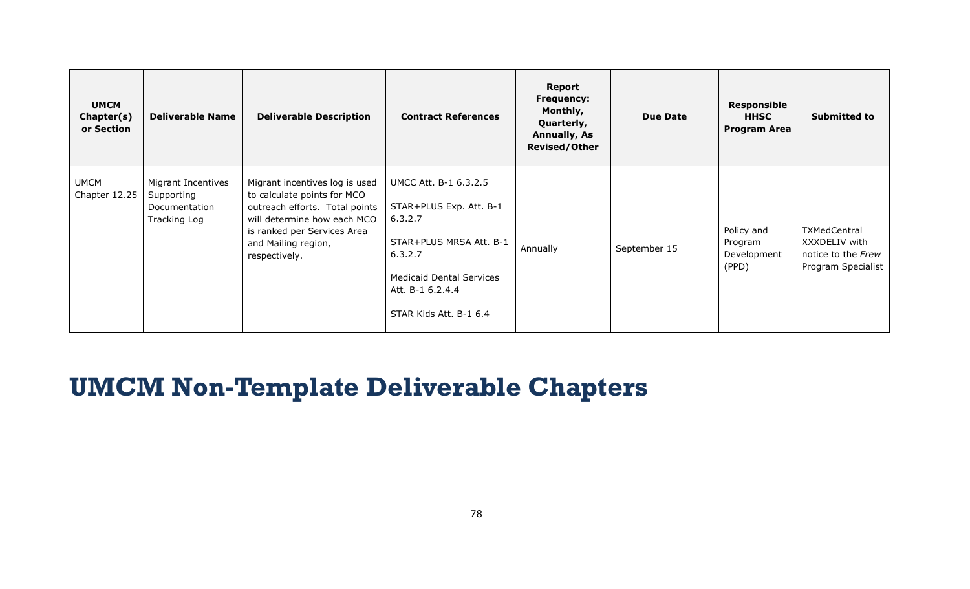| <b>UMCM</b><br>Chapter(s)<br>or Section | <b>Deliverable Name</b>                                           | <b>Deliverable Description</b>                                                                                                                                                                        | <b>Contract References</b>                                                                                                                                                         | <b>Report</b><br><b>Frequency:</b><br>Monthly,<br>Quarterly,<br><b>Annually, As</b><br><b>Revised/Other</b> | <b>Due Date</b> | <b>Responsible</b><br><b>HHSC</b><br><b>Program Area</b> | <b>Submitted to</b>                                                              |
|-----------------------------------------|-------------------------------------------------------------------|-------------------------------------------------------------------------------------------------------------------------------------------------------------------------------------------------------|------------------------------------------------------------------------------------------------------------------------------------------------------------------------------------|-------------------------------------------------------------------------------------------------------------|-----------------|----------------------------------------------------------|----------------------------------------------------------------------------------|
| <b>UMCM</b><br>Chapter 12.25            | Migrant Incentives<br>Supporting<br>Documentation<br>Tracking Log | Migrant incentives log is used<br>to calculate points for MCO<br>outreach efforts. Total points<br>will determine how each MCO<br>is ranked per Services Area<br>and Mailing region,<br>respectively. | UMCC Att. B-1 6.3.2.5<br>STAR+PLUS Exp. Att. B-1<br>6.3.2.7<br>STAR+PLUS MRSA Att. B-1<br>6.3.2.7<br><b>Medicaid Dental Services</b><br>Att. B-1 6.2.4.4<br>STAR Kids Att. B-1 6.4 | Annually                                                                                                    | September 15    | Policy and<br>Program<br>Development<br>(PPD)            | <b>TXMedCentral</b><br>XXXDELIV with<br>notice to the Frew<br>Program Specialist |

## **UMCM Non-Template Deliverable Chapters**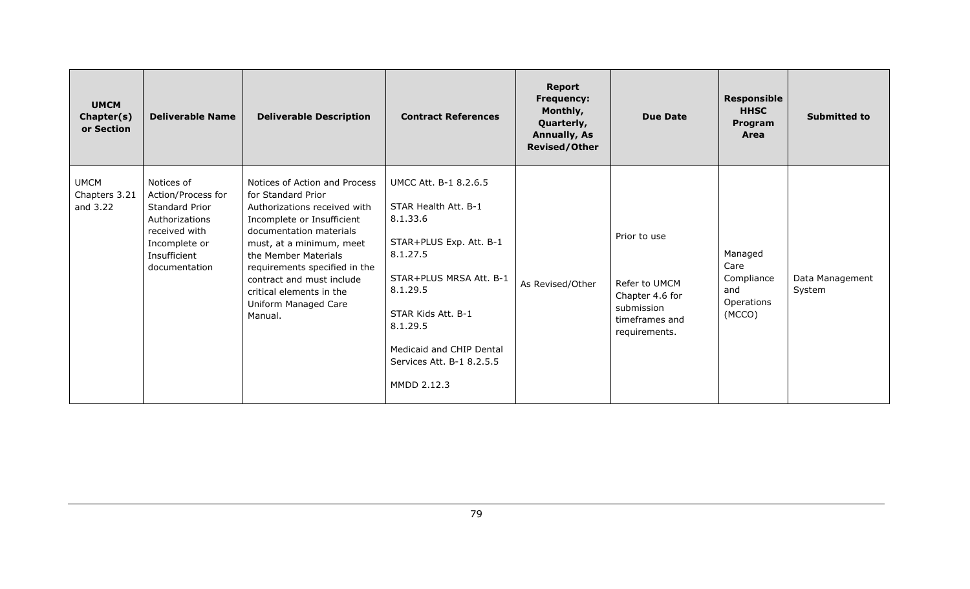| <b>UMCM</b><br>Chapter(s)<br>or Section  | <b>Deliverable Name</b>                                                                                                                 | <b>Deliverable Description</b>                                                                                                                                                                                                                                                                                                | <b>Contract References</b>                                                                                                                                                                                                                        | <b>Report</b><br><b>Frequency:</b><br>Monthly,<br>Quarterly,<br><b>Annually, As</b><br><b>Revised/Other</b> | <b>Due Date</b>                                                                                   | <b>Responsible</b><br><b>HHSC</b><br>Program<br>Area         | <b>Submitted to</b>       |
|------------------------------------------|-----------------------------------------------------------------------------------------------------------------------------------------|-------------------------------------------------------------------------------------------------------------------------------------------------------------------------------------------------------------------------------------------------------------------------------------------------------------------------------|---------------------------------------------------------------------------------------------------------------------------------------------------------------------------------------------------------------------------------------------------|-------------------------------------------------------------------------------------------------------------|---------------------------------------------------------------------------------------------------|--------------------------------------------------------------|---------------------------|
| <b>UMCM</b><br>Chapters 3.21<br>and 3.22 | Notices of<br>Action/Process for<br>Standard Prior<br>Authorizations<br>received with<br>Incomplete or<br>Insufficient<br>documentation | Notices of Action and Process<br>for Standard Prior<br>Authorizations received with<br>Incomplete or Insufficient<br>documentation materials<br>must, at a minimum, meet<br>the Member Materials<br>requirements specified in the<br>contract and must include<br>critical elements in the<br>Uniform Managed Care<br>Manual. | UMCC Att. B-1 8.2.6.5<br>STAR Health Att. B-1<br>8.1.33.6<br>STAR+PLUS Exp. Att. B-1<br>8.1.27.5<br>STAR+PLUS MRSA Att. B-1<br>8.1.29.5<br>STAR Kids Att. B-1<br>8.1.29.5<br>Medicaid and CHIP Dental<br>Services Att. B-1 8.2.5.5<br>MMDD 2.12.3 | As Revised/Other                                                                                            | Prior to use<br>Refer to UMCM<br>Chapter 4.6 for<br>submission<br>timeframes and<br>requirements. | Managed<br>Care<br>Compliance<br>and<br>Operations<br>(MCCO) | Data Management<br>System |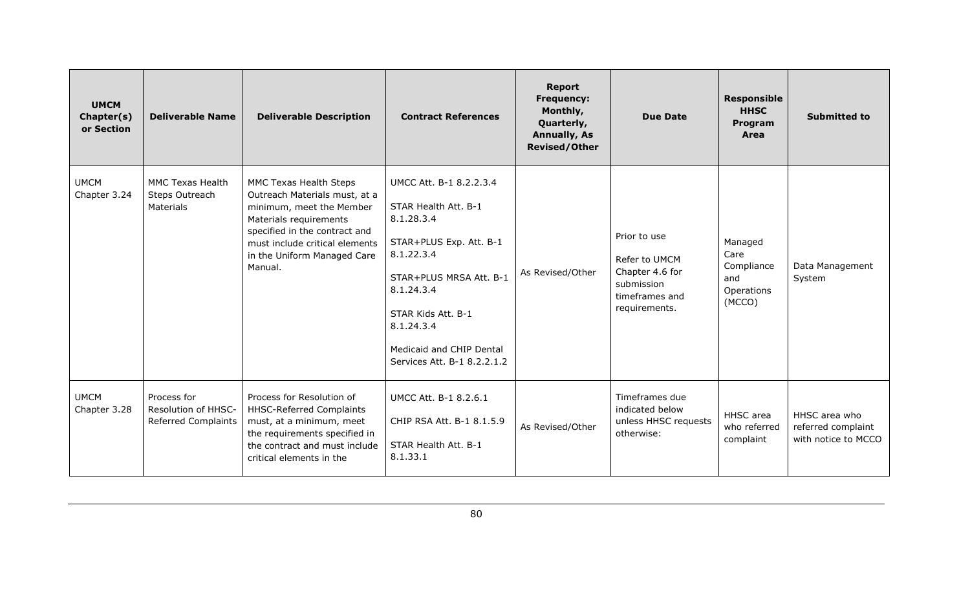| <b>UMCM</b><br>Chapter(s)<br>or Section | <b>Deliverable Name</b>                                          | <b>Deliverable Description</b>                                                                                                                                                                                             | <b>Contract References</b>                                                                                                                                                                                                                     | <b>Report</b><br><b>Frequency:</b><br>Monthly,<br>Quarterly,<br><b>Annually, As</b><br><b>Revised/Other</b> | <b>Due Date</b>                                                                                   | <b>Responsible</b><br><b>HHSC</b><br>Program<br>Area         | <b>Submitted to</b>                                        |
|-----------------------------------------|------------------------------------------------------------------|----------------------------------------------------------------------------------------------------------------------------------------------------------------------------------------------------------------------------|------------------------------------------------------------------------------------------------------------------------------------------------------------------------------------------------------------------------------------------------|-------------------------------------------------------------------------------------------------------------|---------------------------------------------------------------------------------------------------|--------------------------------------------------------------|------------------------------------------------------------|
| <b>UMCM</b><br>Chapter 3.24             | <b>MMC Texas Health</b><br>Steps Outreach<br>Materials           | MMC Texas Health Steps<br>Outreach Materials must, at a<br>minimum, meet the Member<br>Materials requirements<br>specified in the contract and<br>must include critical elements<br>in the Uniform Managed Care<br>Manual. | UMCC Att. B-1 8.2.2.3.4<br>STAR Health Att. B-1<br>8.1.28.3.4<br>STAR+PLUS Exp. Att. B-1<br>8.1.22.3.4<br>STAR+PLUS MRSA Att. B-1<br>8.1.24.3.4<br>STAR Kids Att. B-1<br>8.1.24.3.4<br>Medicaid and CHIP Dental<br>Services Att. B-1 8.2.2.1.2 | As Revised/Other                                                                                            | Prior to use<br>Refer to UMCM<br>Chapter 4.6 for<br>submission<br>timeframes and<br>requirements. | Managed<br>Care<br>Compliance<br>and<br>Operations<br>(MCCO) | Data Management<br>System                                  |
| <b>UMCM</b><br>Chapter 3.28             | Process for<br>Resolution of HHSC-<br><b>Referred Complaints</b> | Process for Resolution of<br><b>HHSC-Referred Complaints</b><br>must, at a minimum, meet<br>the requirements specified in<br>the contract and must include<br>critical elements in the                                     | UMCC Att. B-1 8.2.6.1<br>CHIP RSA Att. B-1 8.1.5.9<br>STAR Health Att. B-1<br>8.1.33.1                                                                                                                                                         | As Revised/Other                                                                                            | Timeframes due<br>indicated below<br>unless HHSC requests<br>otherwise:                           | HHSC area<br>who referred<br>complaint                       | HHSC area who<br>referred complaint<br>with notice to MCCO |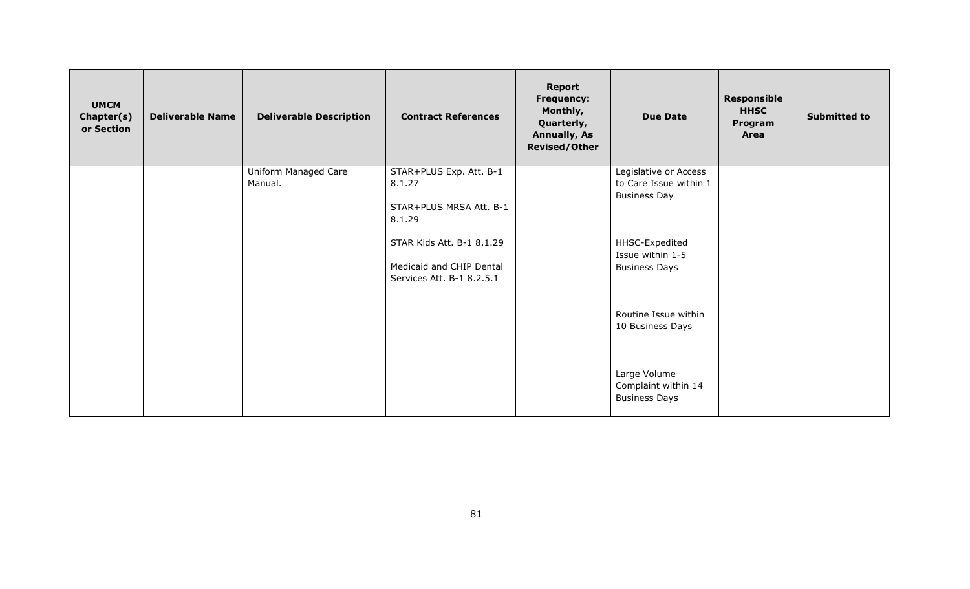| <b>UMCM</b><br>Chapter(s)<br>or Section | <b>Deliverable Name</b> | <b>Deliverable Description</b>  | <b>Contract References</b>                                                         | <b>Report</b><br><b>Frequency:</b><br>Monthly,<br>Quarterly,<br><b>Annually, As</b><br><b>Revised/Other</b> | <b>Due Date</b>                                                        | <b>Responsible</b><br><b>HHSC</b><br>Program<br>Area | <b>Submitted to</b> |
|-----------------------------------------|-------------------------|---------------------------------|------------------------------------------------------------------------------------|-------------------------------------------------------------------------------------------------------------|------------------------------------------------------------------------|------------------------------------------------------|---------------------|
|                                         |                         | Uniform Managed Care<br>Manual. | STAR+PLUS Exp. Att. B-1<br>8.1.27<br>STAR+PLUS MRSA Att. B-1<br>8.1.29             |                                                                                                             | Legislative or Access<br>to Care Issue within 1<br><b>Business Day</b> |                                                      |                     |
|                                         |                         |                                 | STAR Kids Att. B-1 8.1.29<br>Medicaid and CHIP Dental<br>Services Att. B-1 8.2.5.1 |                                                                                                             | HHSC-Expedited<br>Issue within 1-5<br><b>Business Days</b>             |                                                      |                     |
|                                         |                         |                                 |                                                                                    |                                                                                                             | Routine Issue within<br>10 Business Days                               |                                                      |                     |
|                                         |                         |                                 |                                                                                    |                                                                                                             | Large Volume<br>Complaint within 14<br><b>Business Days</b>            |                                                      |                     |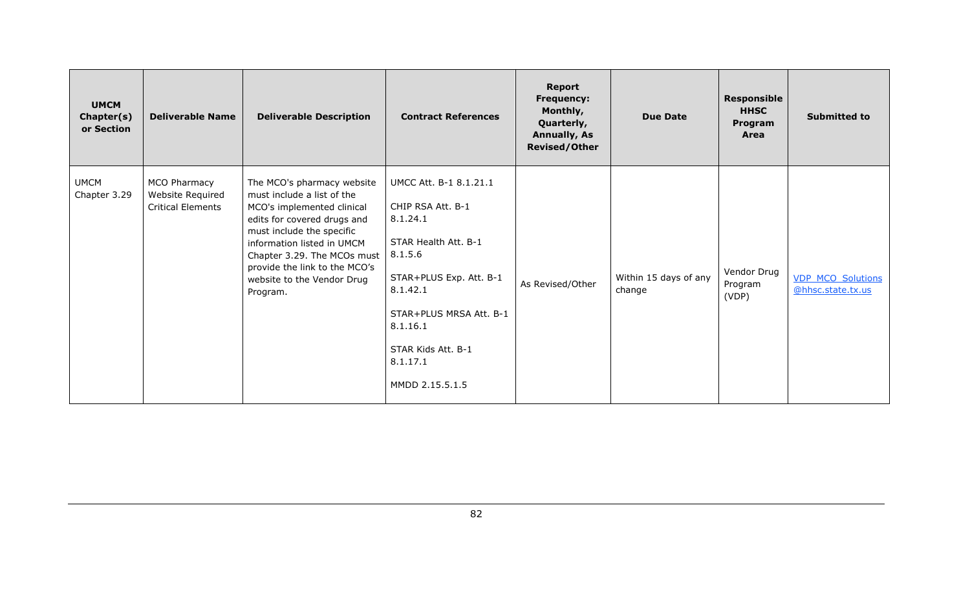| <b>UMCM</b><br>Chapter(s)<br>or Section | <b>Deliverable Name</b>                                      | <b>Deliverable Description</b>                                                                                                                                                                                                                                                             | <b>Contract References</b>                                                                                                                                                                                                    | <b>Report</b><br><b>Frequency:</b><br>Monthly,<br>Quarterly,<br><b>Annually, As</b><br><b>Revised/Other</b> | <b>Due Date</b>                 | <b>Responsible</b><br><b>HHSC</b><br>Program<br>Area | <b>Submitted to</b>                           |
|-----------------------------------------|--------------------------------------------------------------|--------------------------------------------------------------------------------------------------------------------------------------------------------------------------------------------------------------------------------------------------------------------------------------------|-------------------------------------------------------------------------------------------------------------------------------------------------------------------------------------------------------------------------------|-------------------------------------------------------------------------------------------------------------|---------------------------------|------------------------------------------------------|-----------------------------------------------|
| <b>UMCM</b><br>Chapter 3.29             | MCO Pharmacy<br>Website Required<br><b>Critical Elements</b> | The MCO's pharmacy website<br>must include a list of the<br>MCO's implemented clinical<br>edits for covered drugs and<br>must include the specific<br>information listed in UMCM<br>Chapter 3.29. The MCOs must<br>provide the link to the MCO's<br>website to the Vendor Drug<br>Program. | UMCC Att. B-1 8.1.21.1<br>CHIP RSA Att. B-1<br>8.1.24.1<br>STAR Health Att. B-1<br>8.1.5.6<br>STAR+PLUS Exp. Att. B-1<br>8.1.42.1<br>STAR+PLUS MRSA Att. B-1<br>8.1.16.1<br>STAR Kids Att. B-1<br>8.1.17.1<br>MMDD 2.15.5.1.5 | As Revised/Other                                                                                            | Within 15 days of any<br>change | Vendor Drug<br>Program<br>(VDP)                      | <b>VDP_MCO_Solutions</b><br>@hhsc.state.tx.us |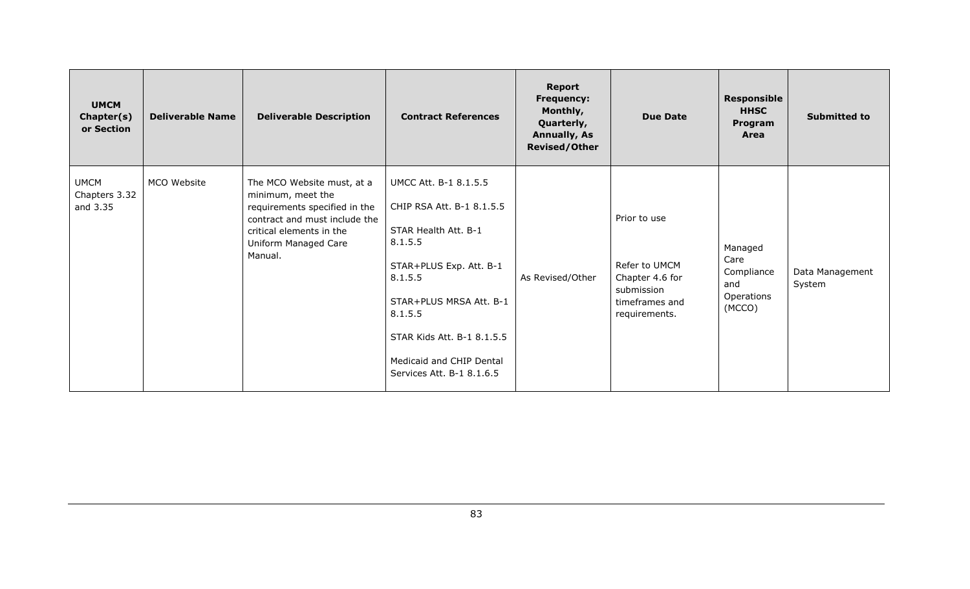| <b>UMCM</b><br>Chapter(s)<br>or Section  | <b>Deliverable Name</b> | <b>Deliverable Description</b>                                                                                                                                                   | <b>Contract References</b>                                                                                                                                                                                                                               | <b>Report</b><br><b>Frequency:</b><br>Monthly,<br>Quarterly,<br><b>Annually, As</b><br><b>Revised/Other</b> | <b>Due Date</b>                                                                                   | <b>Responsible</b><br><b>HHSC</b><br>Program<br>Area         | <b>Submitted to</b>       |
|------------------------------------------|-------------------------|----------------------------------------------------------------------------------------------------------------------------------------------------------------------------------|----------------------------------------------------------------------------------------------------------------------------------------------------------------------------------------------------------------------------------------------------------|-------------------------------------------------------------------------------------------------------------|---------------------------------------------------------------------------------------------------|--------------------------------------------------------------|---------------------------|
| <b>UMCM</b><br>Chapters 3.32<br>and 3.35 | MCO Website             | The MCO Website must, at a<br>minimum, meet the<br>requirements specified in the<br>contract and must include the<br>critical elements in the<br>Uniform Managed Care<br>Manual. | UMCC Att. B-1 8.1.5.5<br>CHIP RSA Att. B-1 8.1.5.5<br>STAR Health Att. B-1<br>8.1.5.5<br>STAR+PLUS Exp. Att. B-1<br>8.1.5.5<br>STAR+PLUS MRSA Att. B-1<br>8.1.5.5<br>STAR Kids Att. B-1 8.1.5.5<br>Medicaid and CHIP Dental<br>Services Att. B-1 8.1.6.5 | As Revised/Other                                                                                            | Prior to use<br>Refer to UMCM<br>Chapter 4.6 for<br>submission<br>timeframes and<br>requirements. | Managed<br>Care<br>Compliance<br>and<br>Operations<br>(MCCO) | Data Management<br>System |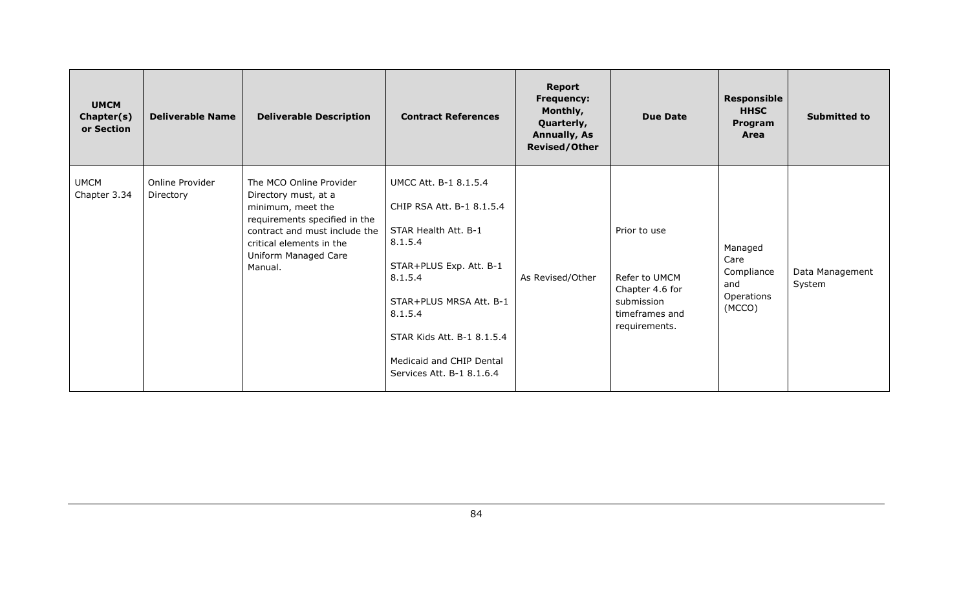| <b>UMCM</b><br>Chapter(s)<br>or Section | <b>Deliverable Name</b>      | <b>Deliverable Description</b>                                                                                                                                                                        | <b>Contract References</b>                                                                                                                                                                                                                               | <b>Report</b><br><b>Frequency:</b><br>Monthly,<br>Quarterly,<br><b>Annually, As</b><br><b>Revised/Other</b> | <b>Due Date</b>                                                                                   | <b>Responsible</b><br><b>HHSC</b><br>Program<br>Area         | <b>Submitted to</b>       |
|-----------------------------------------|------------------------------|-------------------------------------------------------------------------------------------------------------------------------------------------------------------------------------------------------|----------------------------------------------------------------------------------------------------------------------------------------------------------------------------------------------------------------------------------------------------------|-------------------------------------------------------------------------------------------------------------|---------------------------------------------------------------------------------------------------|--------------------------------------------------------------|---------------------------|
| <b>UMCM</b><br>Chapter 3.34             | Online Provider<br>Directory | The MCO Online Provider<br>Directory must, at a<br>minimum, meet the<br>requirements specified in the<br>contract and must include the<br>critical elements in the<br>Uniform Managed Care<br>Manual. | UMCC Att. B-1 8.1.5.4<br>CHIP RSA Att. B-1 8.1.5.4<br>STAR Health Att. B-1<br>8.1.5.4<br>STAR+PLUS Exp. Att. B-1<br>8.1.5.4<br>STAR+PLUS MRSA Att. B-1<br>8.1.5.4<br>STAR Kids Att. B-1 8.1.5.4<br>Medicaid and CHIP Dental<br>Services Att. B-1 8.1.6.4 | As Revised/Other                                                                                            | Prior to use<br>Refer to UMCM<br>Chapter 4.6 for<br>submission<br>timeframes and<br>requirements. | Managed<br>Care<br>Compliance<br>and<br>Operations<br>(MCCO) | Data Management<br>System |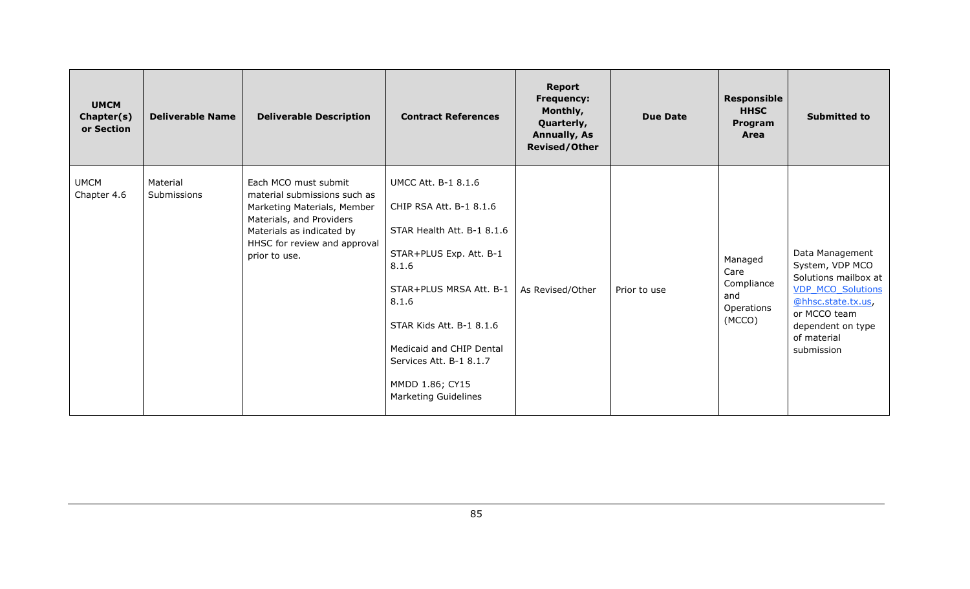| <b>UMCM</b><br>Chapter(s)<br>or Section | <b>Deliverable Name</b> | <b>Deliverable Description</b>                                                                                                                                                                | <b>Contract References</b>                                                                                                                                                                                                                                                                | <b>Report</b><br><b>Frequency:</b><br>Monthly,<br>Quarterly,<br><b>Annually, As</b><br><b>Revised/Other</b> | <b>Due Date</b> | <b>Responsible</b><br><b>HHSC</b><br>Program<br>Area         | <b>Submitted to</b>                                                                                                                                                            |
|-----------------------------------------|-------------------------|-----------------------------------------------------------------------------------------------------------------------------------------------------------------------------------------------|-------------------------------------------------------------------------------------------------------------------------------------------------------------------------------------------------------------------------------------------------------------------------------------------|-------------------------------------------------------------------------------------------------------------|-----------------|--------------------------------------------------------------|--------------------------------------------------------------------------------------------------------------------------------------------------------------------------------|
| <b>UMCM</b><br>Chapter 4.6              | Material<br>Submissions | Each MCO must submit<br>material submissions such as<br>Marketing Materials, Member<br>Materials, and Providers<br>Materials as indicated by<br>HHSC for review and approval<br>prior to use. | <b>UMCC Att. B-1 8.1.6</b><br>CHIP RSA Att. B-1 8.1.6<br>STAR Health Att. B-1 8.1.6<br>STAR+PLUS Exp. Att. B-1<br>8.1.6<br>STAR+PLUS MRSA Att. B-1<br>8.1.6<br>STAR Kids Att. B-1 8.1.6<br>Medicaid and CHIP Dental<br>Services Att. B-1 8.1.7<br>MMDD 1.86; CY15<br>Marketing Guidelines | As Revised/Other                                                                                            | Prior to use    | Managed<br>Care<br>Compliance<br>and<br>Operations<br>(MCCO) | Data Management<br>System, VDP MCO<br>Solutions mailbox at<br><b>VDP_MCO_Solutions</b><br>@hhsc.state.tx.us,<br>or MCCO team<br>dependent on type<br>of material<br>submission |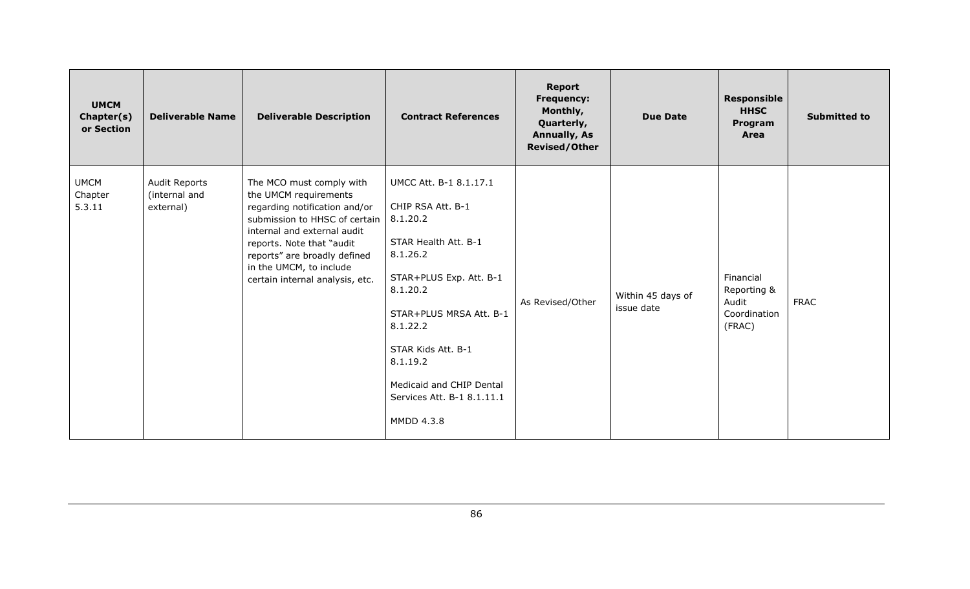| <b>UMCM</b><br>Chapter(s)<br>or Section | <b>Deliverable Name</b>                     | <b>Deliverable Description</b>                                                                                                                                                                                                                                                | <b>Contract References</b>                                                                                                                                                                                                                                                          | <b>Report</b><br><b>Frequency:</b><br>Monthly,<br>Quarterly,<br><b>Annually, As</b><br><b>Revised/Other</b> | <b>Due Date</b>                 | <b>Responsible</b><br><b>HHSC</b><br>Program<br>Area        | <b>Submitted to</b> |
|-----------------------------------------|---------------------------------------------|-------------------------------------------------------------------------------------------------------------------------------------------------------------------------------------------------------------------------------------------------------------------------------|-------------------------------------------------------------------------------------------------------------------------------------------------------------------------------------------------------------------------------------------------------------------------------------|-------------------------------------------------------------------------------------------------------------|---------------------------------|-------------------------------------------------------------|---------------------|
| <b>UMCM</b><br>Chapter<br>5.3.11        | Audit Reports<br>(internal and<br>external) | The MCO must comply with<br>the UMCM requirements<br>regarding notification and/or<br>submission to HHSC of certain<br>internal and external audit<br>reports. Note that "audit<br>reports" are broadly defined<br>in the UMCM, to include<br>certain internal analysis, etc. | UMCC Att. B-1 8.1.17.1<br>CHIP RSA Att. B-1<br>8.1.20.2<br>STAR Health Att. B-1<br>8.1.26.2<br>STAR+PLUS Exp. Att. B-1<br>8.1.20.2<br>STAR+PLUS MRSA Att. B-1<br>8.1.22.2<br>STAR Kids Att. B-1<br>8.1.19.2<br>Medicaid and CHIP Dental<br>Services Att. B-1 8.1.11.1<br>MMDD 4.3.8 | As Revised/Other                                                                                            | Within 45 days of<br>issue date | Financial<br>Reporting &<br>Audit<br>Coordination<br>(FRAC) | <b>FRAC</b>         |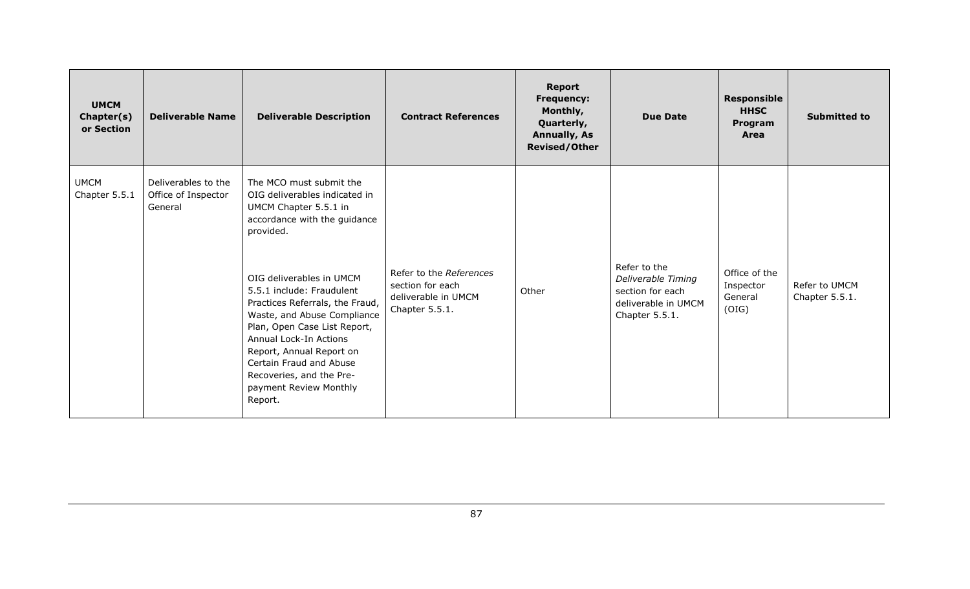| <b>UMCM</b><br>Chapter(s)<br>or Section | <b>Deliverable Name</b>                               | <b>Deliverable Description</b>                                                                                                                                                                                                                                                                                                                                                                                                              | <b>Contract References</b>                                                           | <b>Report</b><br><b>Frequency:</b><br>Monthly,<br>Quarterly,<br><b>Annually, As</b><br><b>Revised/Other</b> | <b>Due Date</b>                                                                                 | <b>Responsible</b><br><b>HHSC</b><br>Program<br>Area | <b>Submitted to</b>             |
|-----------------------------------------|-------------------------------------------------------|---------------------------------------------------------------------------------------------------------------------------------------------------------------------------------------------------------------------------------------------------------------------------------------------------------------------------------------------------------------------------------------------------------------------------------------------|--------------------------------------------------------------------------------------|-------------------------------------------------------------------------------------------------------------|-------------------------------------------------------------------------------------------------|------------------------------------------------------|---------------------------------|
| <b>UMCM</b><br>Chapter 5.5.1            | Deliverables to the<br>Office of Inspector<br>General | The MCO must submit the<br>OIG deliverables indicated in<br>UMCM Chapter 5.5.1 in<br>accordance with the guidance<br>provided.<br>OIG deliverables in UMCM<br>5.5.1 include: Fraudulent<br>Practices Referrals, the Fraud,<br>Waste, and Abuse Compliance<br>Plan, Open Case List Report,<br>Annual Lock-In Actions<br>Report, Annual Report on<br>Certain Fraud and Abuse<br>Recoveries, and the Pre-<br>payment Review Monthly<br>Report. | Refer to the References<br>section for each<br>deliverable in UMCM<br>Chapter 5.5.1. | Other                                                                                                       | Refer to the<br>Deliverable Timing<br>section for each<br>deliverable in UMCM<br>Chapter 5.5.1. | Office of the<br>Inspector<br>General<br>(OIG)       | Refer to UMCM<br>Chapter 5.5.1. |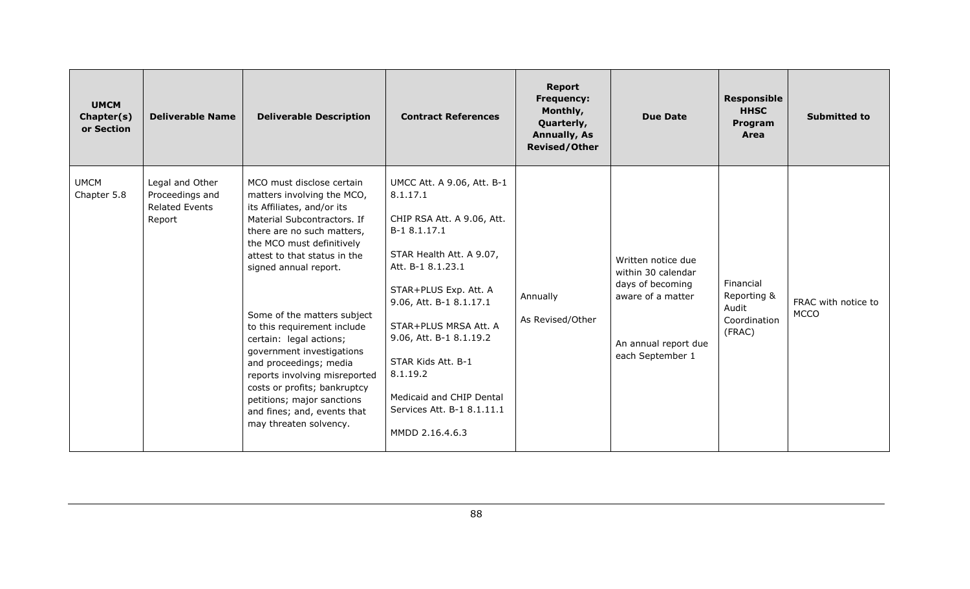| <b>UMCM</b><br>Chapter(s)<br>or Section | <b>Deliverable Name</b>                                               | <b>Deliverable Description</b>                                                                                                                                                                                                                                                                                                                                                                                                                                                                                                                   | <b>Contract References</b>                                                                                                                                                                                                                                                                                                                                   | Report<br><b>Frequency:</b><br>Monthly,<br>Quarterly,<br><b>Annually, As</b><br><b>Revised/Other</b> | <b>Due Date</b>                                                                                                               | <b>Responsible</b><br><b>HHSC</b><br>Program<br>Area        | <b>Submitted to</b>                |
|-----------------------------------------|-----------------------------------------------------------------------|--------------------------------------------------------------------------------------------------------------------------------------------------------------------------------------------------------------------------------------------------------------------------------------------------------------------------------------------------------------------------------------------------------------------------------------------------------------------------------------------------------------------------------------------------|--------------------------------------------------------------------------------------------------------------------------------------------------------------------------------------------------------------------------------------------------------------------------------------------------------------------------------------------------------------|------------------------------------------------------------------------------------------------------|-------------------------------------------------------------------------------------------------------------------------------|-------------------------------------------------------------|------------------------------------|
| <b>UMCM</b><br>Chapter 5.8              | Legal and Other<br>Proceedings and<br><b>Related Events</b><br>Report | MCO must disclose certain<br>matters involving the MCO,<br>its Affiliates, and/or its<br>Material Subcontractors. If<br>there are no such matters,<br>the MCO must definitively<br>attest to that status in the<br>signed annual report.<br>Some of the matters subject<br>to this requirement include<br>certain: legal actions;<br>government investigations<br>and proceedings; media<br>reports involving misreported<br>costs or profits; bankruptcy<br>petitions; major sanctions<br>and fines; and, events that<br>may threaten solvency. | UMCC Att. A 9.06, Att. B-1<br>8.1.17.1<br>CHIP RSA Att. A 9.06, Att.<br>B-1 8.1.17.1<br>STAR Health Att. A 9.07,<br>Att. B-1 8.1.23.1<br>STAR+PLUS Exp. Att. A<br>9.06, Att. B-1 8.1.17.1<br>STAR+PLUS MRSA Att. A<br>9.06, Att. B-1 8.1.19.2<br>STAR Kids Att. B-1<br>8.1.19.2<br>Medicaid and CHIP Dental<br>Services Att. B-1 8.1.11.1<br>MMDD 2.16.4.6.3 | Annually<br>As Revised/Other                                                                         | Written notice due<br>within 30 calendar<br>days of becoming<br>aware of a matter<br>An annual report due<br>each September 1 | Financial<br>Reporting &<br>Audit<br>Coordination<br>(FRAC) | FRAC with notice to<br><b>MCCO</b> |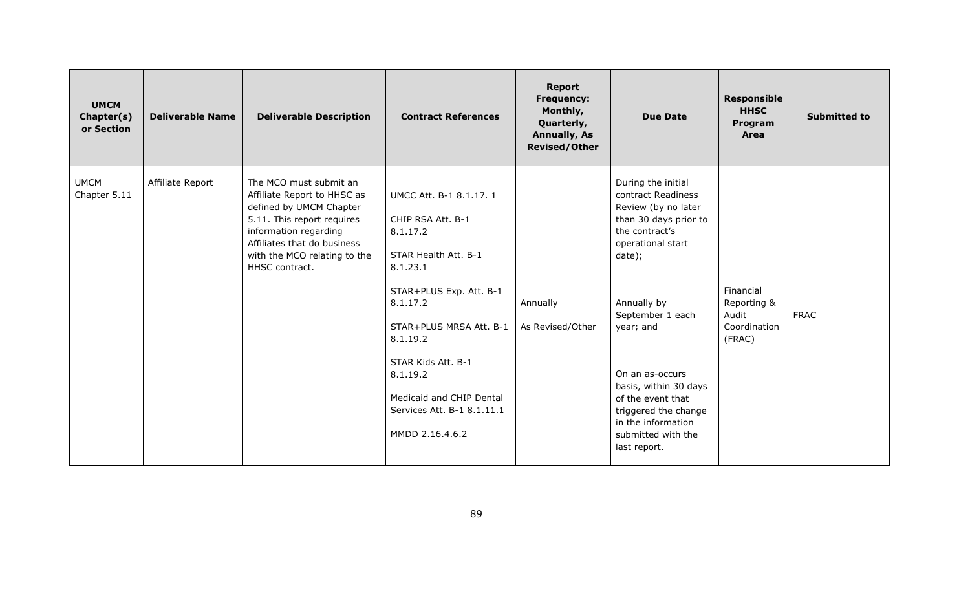| <b>UMCM</b><br>Chapter(s)<br>or Section | <b>Deliverable Name</b> | <b>Deliverable Description</b>                                                                                                                                                                                           | <b>Contract References</b>                                                                                                                                                                                                                                                                | <b>Report</b><br><b>Frequency:</b><br>Monthly,<br>Quarterly,<br><b>Annually, As</b><br><b>Revised/Other</b> | <b>Due Date</b>                                                                                                                                                                                                                                                                                                                                | <b>Responsible</b><br><b>HHSC</b><br>Program<br>Area        | <b>Submitted to</b> |
|-----------------------------------------|-------------------------|--------------------------------------------------------------------------------------------------------------------------------------------------------------------------------------------------------------------------|-------------------------------------------------------------------------------------------------------------------------------------------------------------------------------------------------------------------------------------------------------------------------------------------|-------------------------------------------------------------------------------------------------------------|------------------------------------------------------------------------------------------------------------------------------------------------------------------------------------------------------------------------------------------------------------------------------------------------------------------------------------------------|-------------------------------------------------------------|---------------------|
| <b>UMCM</b><br>Chapter 5.11             | Affiliate Report        | The MCO must submit an<br>Affiliate Report to HHSC as<br>defined by UMCM Chapter<br>5.11. This report requires<br>information regarding<br>Affiliates that do business<br>with the MCO relating to the<br>HHSC contract. | UMCC Att. B-1 8.1.17. 1<br>CHIP RSA Att. B-1<br>8.1.17.2<br>STAR Health Att. B-1<br>8.1.23.1<br>STAR+PLUS Exp. Att. B-1<br>8.1.17.2<br>STAR+PLUS MRSA Att. B-1<br>8.1.19.2<br>STAR Kids Att. B-1<br>8.1.19.2<br>Medicaid and CHIP Dental<br>Services Att. B-1 8.1.11.1<br>MMDD 2.16.4.6.2 | Annually<br>As Revised/Other                                                                                | During the initial<br>contract Readiness<br>Review (by no later<br>than 30 days prior to<br>the contract's<br>operational start<br>date);<br>Annually by<br>September 1 each<br>year; and<br>On an as-occurs<br>basis, within 30 days<br>of the event that<br>triggered the change<br>in the information<br>submitted with the<br>last report. | Financial<br>Reporting &<br>Audit<br>Coordination<br>(FRAC) | <b>FRAC</b>         |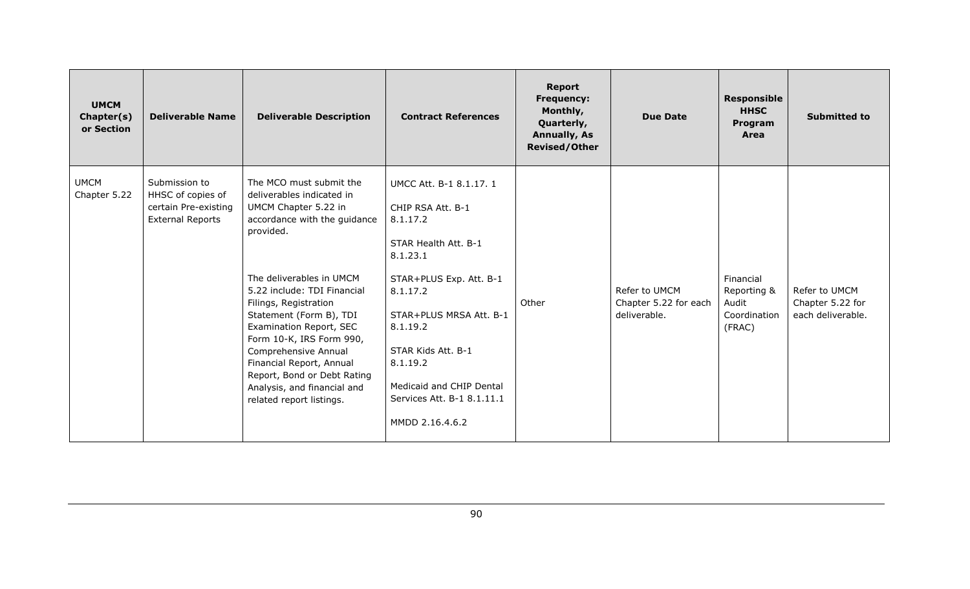| <b>UMCM</b><br>Chapter(s)<br>or Section | <b>Deliverable Name</b>                                                               | <b>Deliverable Description</b>                                                                                                                                                                                                                                                                                                                                                                                                                | <b>Contract References</b>                                                                                                                                                                                                                                                                | <b>Report</b><br><b>Frequency:</b><br>Monthly,<br>Quarterly,<br><b>Annually, As</b><br>Revised/Other | <b>Due Date</b>                                        | <b>Responsible</b><br><b>HHSC</b><br>Program<br>Area        | <b>Submitted to</b>                                    |
|-----------------------------------------|---------------------------------------------------------------------------------------|-----------------------------------------------------------------------------------------------------------------------------------------------------------------------------------------------------------------------------------------------------------------------------------------------------------------------------------------------------------------------------------------------------------------------------------------------|-------------------------------------------------------------------------------------------------------------------------------------------------------------------------------------------------------------------------------------------------------------------------------------------|------------------------------------------------------------------------------------------------------|--------------------------------------------------------|-------------------------------------------------------------|--------------------------------------------------------|
| <b>UMCM</b><br>Chapter 5.22             | Submission to<br>HHSC of copies of<br>certain Pre-existing<br><b>External Reports</b> | The MCO must submit the<br>deliverables indicated in<br>UMCM Chapter 5.22 in<br>accordance with the guidance<br>provided.<br>The deliverables in UMCM<br>5.22 include: TDI Financial<br>Filings, Registration<br>Statement (Form B), TDI<br>Examination Report, SEC<br>Form 10-K, IRS Form 990,<br>Comprehensive Annual<br>Financial Report, Annual<br>Report, Bond or Debt Rating<br>Analysis, and financial and<br>related report listings. | UMCC Att. B-1 8.1.17. 1<br>CHIP RSA Att. B-1<br>8.1.17.2<br>STAR Health Att. B-1<br>8.1.23.1<br>STAR+PLUS Exp. Att. B-1<br>8.1.17.2<br>STAR+PLUS MRSA Att. B-1<br>8.1.19.2<br>STAR Kids Att. B-1<br>8.1.19.2<br>Medicaid and CHIP Dental<br>Services Att. B-1 8.1.11.1<br>MMDD 2.16.4.6.2 | Other                                                                                                | Refer to UMCM<br>Chapter 5.22 for each<br>deliverable. | Financial<br>Reporting &<br>Audit<br>Coordination<br>(FRAC) | Refer to UMCM<br>Chapter 5.22 for<br>each deliverable. |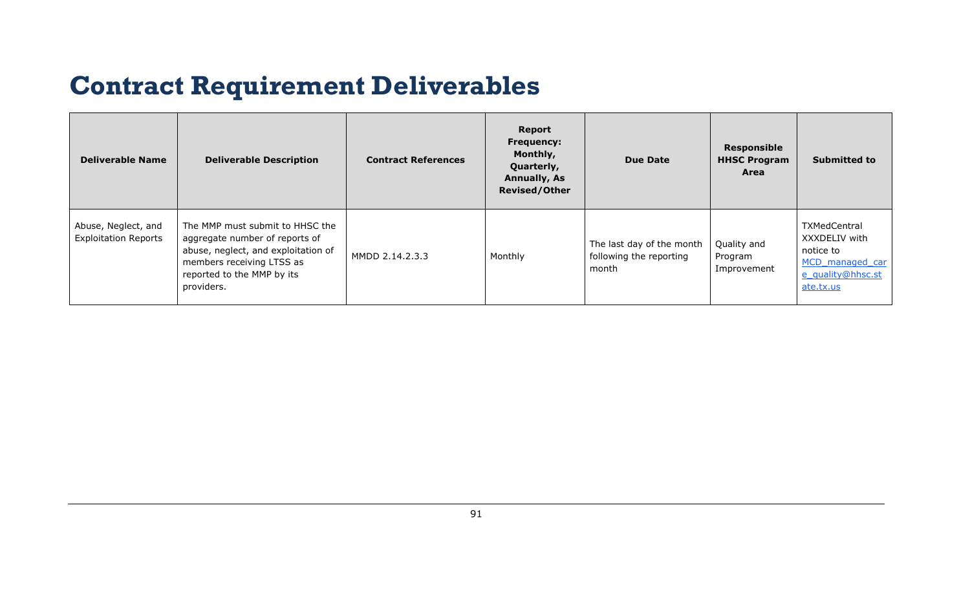## **Contract Requirement Deliverables**

| <b>Deliverable Name</b>                            | <b>Deliverable Description</b>                                                                                                                                                    | <b>Contract References</b> | Report<br><b>Frequency:</b><br>Monthly,<br>Quarterly,<br><b>Annually, As</b><br><b>Revised/Other</b> | <b>Due Date</b>                                               | <b>Responsible</b><br><b>HHSC Program</b><br>Area | <b>Submitted to</b>                                                                                    |
|----------------------------------------------------|-----------------------------------------------------------------------------------------------------------------------------------------------------------------------------------|----------------------------|------------------------------------------------------------------------------------------------------|---------------------------------------------------------------|---------------------------------------------------|--------------------------------------------------------------------------------------------------------|
| Abuse, Neglect, and<br><b>Exploitation Reports</b> | The MMP must submit to HHSC the<br>aggregate number of reports of<br>abuse, neglect, and exploitation of<br>members receiving LTSS as<br>reported to the MMP by its<br>providers. | MMDD 2.14.2.3.3            | Monthly                                                                                              | The last day of the month<br>following the reporting<br>month | Quality and<br>Program<br>Improvement             | <b>TXMedCentral</b><br>XXXDELIV with<br>notice to<br>MCD managed car<br>e quality@hhsc.st<br>ate.tx.us |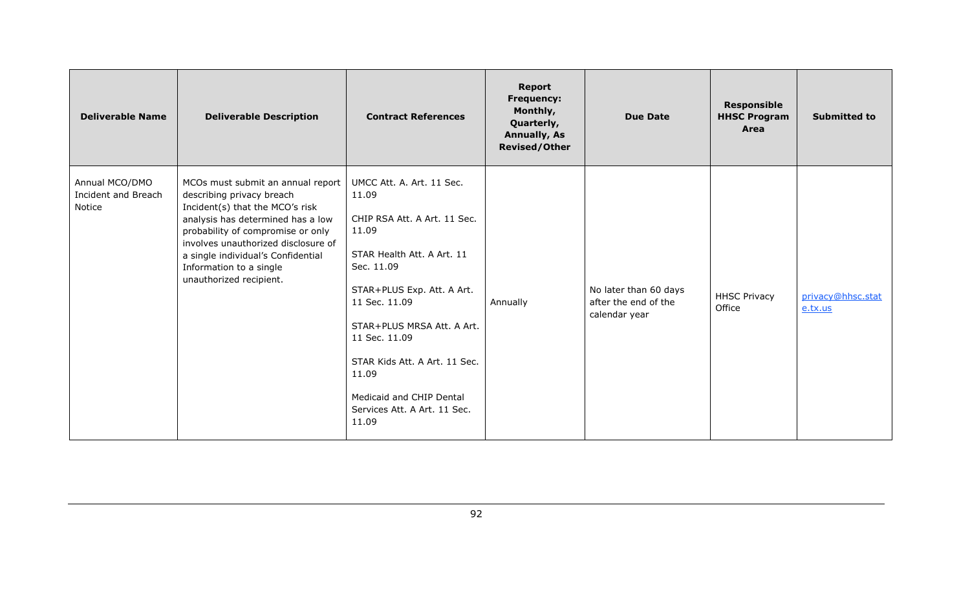| <b>Deliverable Name</b>                         | <b>Deliverable Description</b>                                                                                                                                                                                                                                                                                 | <b>Contract References</b>                                                                                                                                                                                                                                                                                                           | <b>Report</b><br><b>Frequency:</b><br>Monthly,<br>Quarterly,<br><b>Annually, As</b><br><b>Revised/Other</b> | <b>Due Date</b>                                                | <b>Responsible</b><br><b>HHSC Program</b><br>Area | <b>Submitted to</b>          |
|-------------------------------------------------|----------------------------------------------------------------------------------------------------------------------------------------------------------------------------------------------------------------------------------------------------------------------------------------------------------------|--------------------------------------------------------------------------------------------------------------------------------------------------------------------------------------------------------------------------------------------------------------------------------------------------------------------------------------|-------------------------------------------------------------------------------------------------------------|----------------------------------------------------------------|---------------------------------------------------|------------------------------|
| Annual MCO/DMO<br>Incident and Breach<br>Notice | MCOs must submit an annual report<br>describing privacy breach<br>Incident(s) that the MCO's risk<br>analysis has determined has a low<br>probability of compromise or only<br>involves unauthorized disclosure of<br>a single individual's Confidential<br>Information to a single<br>unauthorized recipient. | UMCC Att. A. Art. 11 Sec.<br>11.09<br>CHIP RSA Att. A Art. 11 Sec.<br>11.09<br>STAR Health Att. A Art. 11<br>Sec. 11.09<br>STAR+PLUS Exp. Att. A Art.<br>11 Sec. 11.09<br>STAR+PLUS MRSA Att. A Art.<br>11 Sec. 11.09<br>STAR Kids Att. A Art. 11 Sec.<br>11.09<br>Medicaid and CHIP Dental<br>Services Att. A Art. 11 Sec.<br>11.09 | Annually                                                                                                    | No later than 60 days<br>after the end of the<br>calendar year | <b>HHSC Privacy</b><br>Office                     | privacy@hhsc.stat<br>e.tx.us |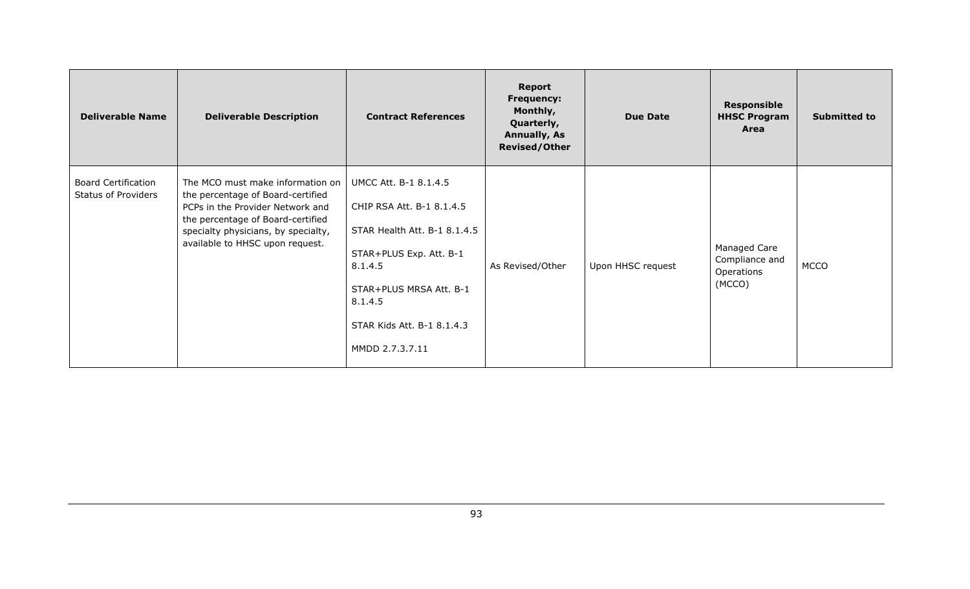| <b>Deliverable Name</b>                                  | <b>Deliverable Description</b>                                                                                                                                                                                           | <b>Contract References</b>                                                                                                                                                                                      | <b>Report</b><br><b>Frequency:</b><br>Monthly,<br>Quarterly,<br><b>Annually, As</b><br><b>Revised/Other</b> | <b>Due Date</b>   | <b>Responsible</b><br><b>HHSC Program</b><br>Area      | <b>Submitted to</b> |
|----------------------------------------------------------|--------------------------------------------------------------------------------------------------------------------------------------------------------------------------------------------------------------------------|-----------------------------------------------------------------------------------------------------------------------------------------------------------------------------------------------------------------|-------------------------------------------------------------------------------------------------------------|-------------------|--------------------------------------------------------|---------------------|
| <b>Board Certification</b><br><b>Status of Providers</b> | The MCO must make information on<br>the percentage of Board-certified<br>PCPs in the Provider Network and<br>the percentage of Board-certified<br>specialty physicians, by specialty,<br>available to HHSC upon request. | UMCC Att. B-1 8.1.4.5<br>CHIP RSA Att. B-1 8.1.4.5<br>STAR Health Att. B-1 8.1.4.5<br>STAR+PLUS Exp. Att. B-1<br>8.1.4.5<br>STAR+PLUS MRSA Att. B-1<br>8.1.4.5<br>STAR Kids Att. B-1 8.1.4.3<br>MMDD 2.7.3.7.11 | As Revised/Other                                                                                            | Upon HHSC request | Managed Care<br>Compliance and<br>Operations<br>(MCCO) | <b>MCCO</b>         |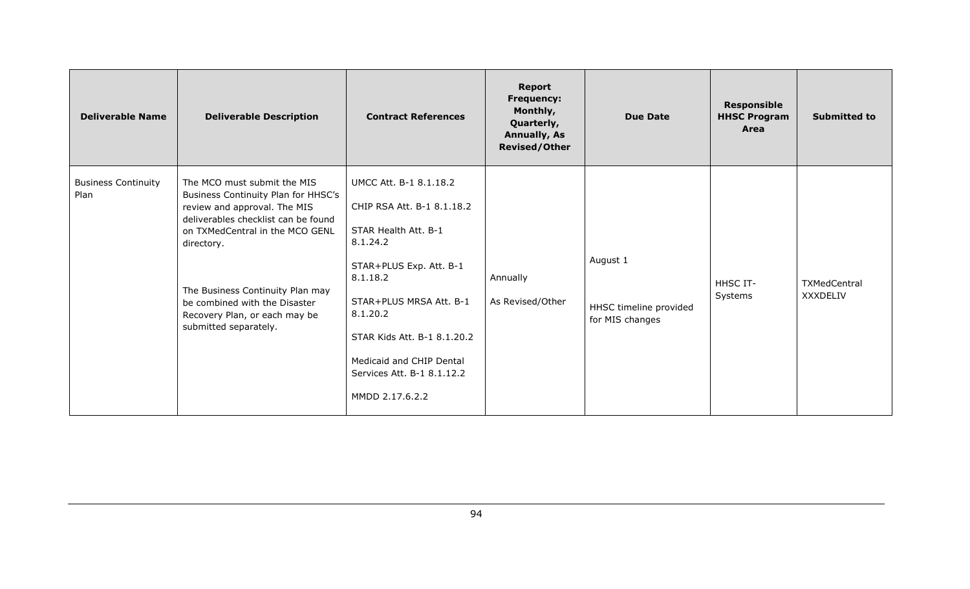| <b>Deliverable Name</b>            | <b>Deliverable Description</b>                                                                                                                                                                                                                                                                                            | <b>Contract References</b>                                                                                                                                                                                                                                                         | <b>Report</b><br><b>Frequency:</b><br>Monthly,<br>Quarterly,<br><b>Annually, As</b><br><b>Revised/Other</b> | <b>Due Date</b>                                       | <b>Responsible</b><br><b>HHSC Program</b><br>Area | <b>Submitted to</b>      |
|------------------------------------|---------------------------------------------------------------------------------------------------------------------------------------------------------------------------------------------------------------------------------------------------------------------------------------------------------------------------|------------------------------------------------------------------------------------------------------------------------------------------------------------------------------------------------------------------------------------------------------------------------------------|-------------------------------------------------------------------------------------------------------------|-------------------------------------------------------|---------------------------------------------------|--------------------------|
| <b>Business Continuity</b><br>Plan | The MCO must submit the MIS<br>Business Continuity Plan for HHSC's<br>review and approval. The MIS<br>deliverables checklist can be found<br>on TXMedCentral in the MCO GENL<br>directory.<br>The Business Continuity Plan may<br>be combined with the Disaster<br>Recovery Plan, or each may be<br>submitted separately. | UMCC Att. B-1 8.1.18.2<br>CHIP RSA Att. B-1 8.1.18.2<br>STAR Health Att. B-1<br>8.1.24.2<br>STAR+PLUS Exp. Att. B-1<br>8.1.18.2<br>STAR+PLUS MRSA Att. B-1<br>8.1.20.2<br>STAR Kids Att. B-1 8.1.20.2<br>Medicaid and CHIP Dental<br>Services Att. B-1 8.1.12.2<br>MMDD 2.17.6.2.2 | Annually<br>As Revised/Other                                                                                | August 1<br>HHSC timeline provided<br>for MIS changes | <b>HHSC IT-</b><br>Systems                        | TXMedCentral<br>XXXDELIV |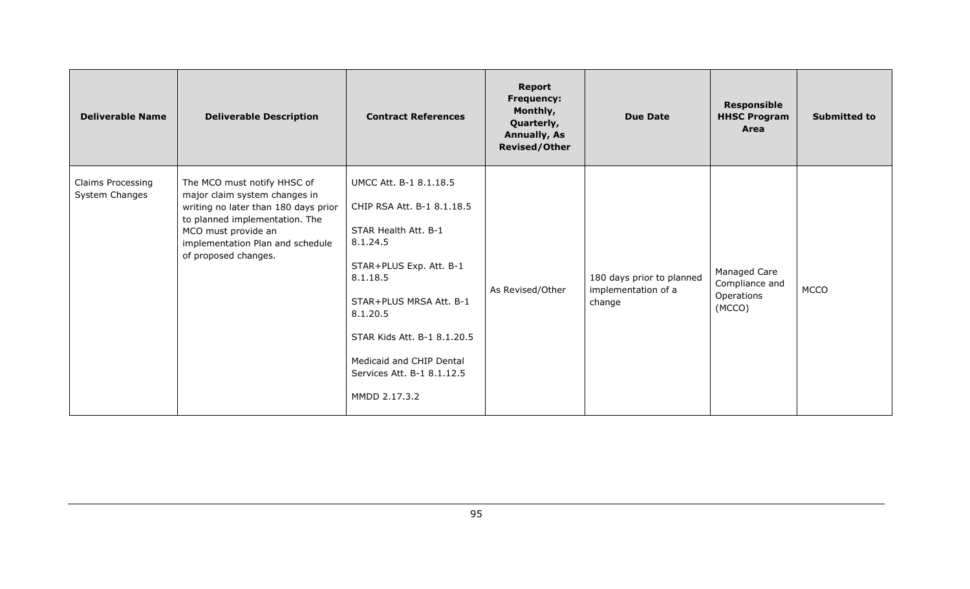| <b>Deliverable Name</b>             | <b>Deliverable Description</b>                                                                                                                                                                                            | <b>Contract References</b>                                                                                                                                                                                                                                                       | <b>Report</b><br><b>Frequency:</b><br>Monthly,<br>Quarterly,<br><b>Annually, As</b><br><b>Revised/Other</b> | <b>Due Date</b>                                            | <b>Responsible</b><br><b>HHSC Program</b><br>Area      | <b>Submitted to</b> |
|-------------------------------------|---------------------------------------------------------------------------------------------------------------------------------------------------------------------------------------------------------------------------|----------------------------------------------------------------------------------------------------------------------------------------------------------------------------------------------------------------------------------------------------------------------------------|-------------------------------------------------------------------------------------------------------------|------------------------------------------------------------|--------------------------------------------------------|---------------------|
| Claims Processing<br>System Changes | The MCO must notify HHSC of<br>major claim system changes in<br>writing no later than 180 days prior<br>to planned implementation. The<br>MCO must provide an<br>implementation Plan and schedule<br>of proposed changes. | UMCC Att. B-1 8.1.18.5<br>CHIP RSA Att. B-1 8.1.18.5<br>STAR Health Att. B-1<br>8.1.24.5<br>STAR+PLUS Exp. Att. B-1<br>8.1.18.5<br>STAR+PLUS MRSA Att. B-1<br>8.1.20.5<br>STAR Kids Att. B-1 8.1.20.5<br>Medicaid and CHIP Dental<br>Services Att. B-1 8.1.12.5<br>MMDD 2.17.3.2 | As Revised/Other                                                                                            | 180 days prior to planned<br>implementation of a<br>change | Managed Care<br>Compliance and<br>Operations<br>(MCCO) | <b>MCCO</b>         |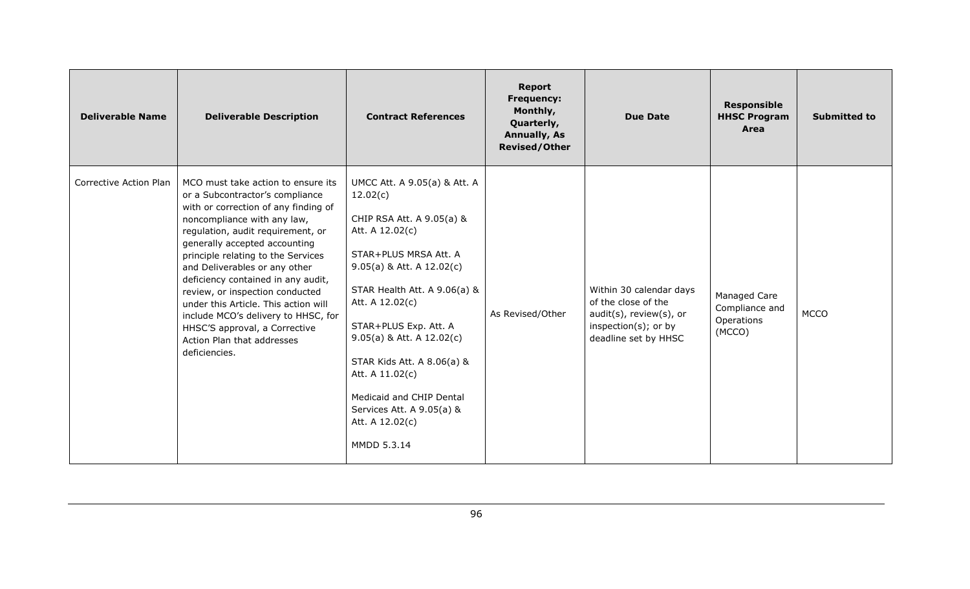| <b>Deliverable Name</b> | <b>Deliverable Description</b>                                                                                                                                                                                                                                                                                                                                                                                                                                                                                                    | <b>Contract References</b>                                                                                                                                                                                                                                                                                                                                                                              | <b>Report</b><br><b>Frequency:</b><br>Monthly,<br>Quarterly,<br><b>Annually, As</b><br><b>Revised/Other</b> | <b>Due Date</b>                                                                                                           | <b>Responsible</b><br><b>HHSC Program</b><br>Area      | <b>Submitted to</b> |
|-------------------------|-----------------------------------------------------------------------------------------------------------------------------------------------------------------------------------------------------------------------------------------------------------------------------------------------------------------------------------------------------------------------------------------------------------------------------------------------------------------------------------------------------------------------------------|---------------------------------------------------------------------------------------------------------------------------------------------------------------------------------------------------------------------------------------------------------------------------------------------------------------------------------------------------------------------------------------------------------|-------------------------------------------------------------------------------------------------------------|---------------------------------------------------------------------------------------------------------------------------|--------------------------------------------------------|---------------------|
| Corrective Action Plan  | MCO must take action to ensure its<br>or a Subcontractor's compliance<br>with or correction of any finding of<br>noncompliance with any law,<br>regulation, audit requirement, or<br>generally accepted accounting<br>principle relating to the Services<br>and Deliverables or any other<br>deficiency contained in any audit,<br>review, or inspection conducted<br>under this Article. This action will<br>include MCO's delivery to HHSC, for<br>HHSC'S approval, a Corrective<br>Action Plan that addresses<br>deficiencies. | UMCC Att. A 9.05(a) & Att. A<br>12.02(c)<br>CHIP RSA Att. A 9.05(a) &<br>Att. A 12.02(c)<br>STAR+PLUS MRSA Att. A<br>$9.05(a)$ & Att. A 12.02(c)<br>STAR Health Att. A 9.06(a) &<br>Att. A 12.02(c)<br>STAR+PLUS Exp. Att. A<br>$9.05(a)$ & Att. A 12.02(c)<br>STAR Kids Att. A 8.06(a) &<br>Att. A 11.02(c)<br>Medicaid and CHIP Dental<br>Services Att. A 9.05(a) &<br>Att. A 12.02(c)<br>MMDD 5.3.14 | As Revised/Other                                                                                            | Within 30 calendar days<br>of the close of the<br>audit(s), review(s), or<br>inspection(s); or by<br>deadline set by HHSC | Managed Care<br>Compliance and<br>Operations<br>(MCCO) | <b>MCCO</b>         |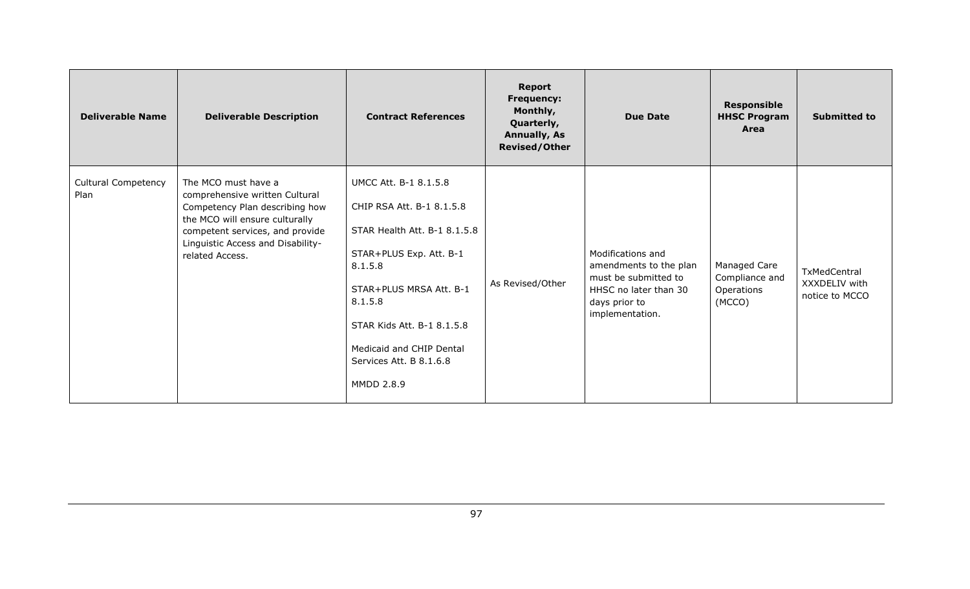| <b>Deliverable Name</b>            | <b>Deliverable Description</b>                                                                                                                                                                                       | <b>Contract References</b>                                                                                                                                                                                                                                        | <b>Report</b><br><b>Frequency:</b><br>Monthly,<br>Quarterly,<br><b>Annually, As</b><br><b>Revised/Other</b> | <b>Due Date</b>                                                                                                                  | <b>Responsible</b><br><b>HHSC Program</b><br>Area      | <b>Submitted to</b>                             |
|------------------------------------|----------------------------------------------------------------------------------------------------------------------------------------------------------------------------------------------------------------------|-------------------------------------------------------------------------------------------------------------------------------------------------------------------------------------------------------------------------------------------------------------------|-------------------------------------------------------------------------------------------------------------|----------------------------------------------------------------------------------------------------------------------------------|--------------------------------------------------------|-------------------------------------------------|
| <b>Cultural Competency</b><br>Plan | The MCO must have a<br>comprehensive written Cultural<br>Competency Plan describing how<br>the MCO will ensure culturally<br>competent services, and provide<br>Linguistic Access and Disability-<br>related Access. | UMCC Att. B-1 8.1.5.8<br>CHIP RSA Att. B-1 8.1.5.8<br>STAR Health Att. B-1 8.1.5.8<br>STAR+PLUS Exp. Att. B-1<br>8.1.5.8<br>STAR+PLUS MRSA Att. B-1<br>8.1.5.8<br>STAR Kids Att. B-1 8.1.5.8<br>Medicaid and CHIP Dental<br>Services Att. B 8.1.6.8<br>MMDD 2.8.9 | As Revised/Other                                                                                            | Modifications and<br>amendments to the plan<br>must be submitted to<br>HHSC no later than 30<br>days prior to<br>implementation. | Managed Care<br>Compliance and<br>Operations<br>(MCCO) | TxMedCentral<br>XXXDELIV with<br>notice to MCCO |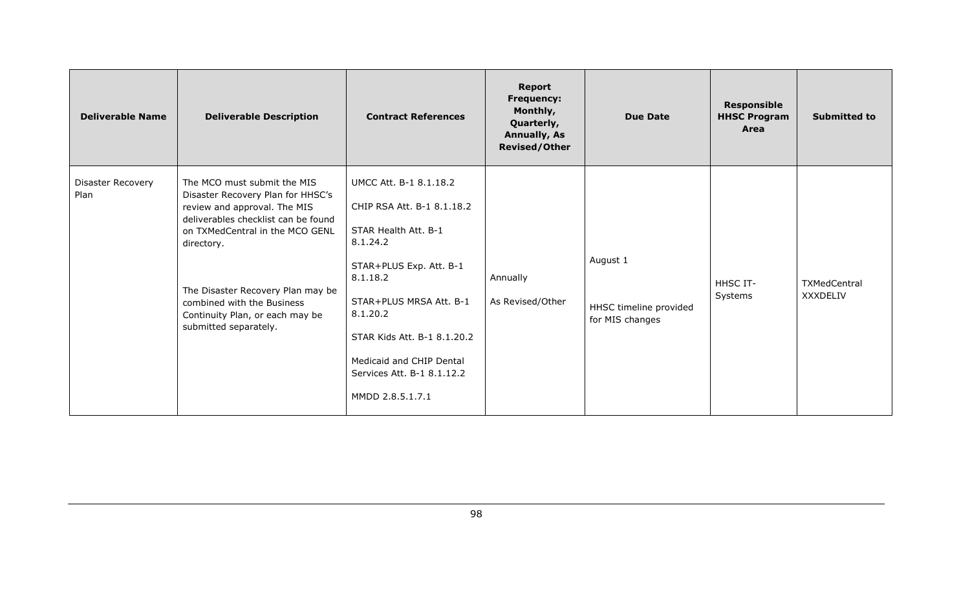| <b>Deliverable Name</b>   | <b>Deliverable Description</b>                                                                                                                                                                                                                                                                                          | <b>Contract References</b>                                                                                                                                                                                                                                                          | <b>Report</b><br><b>Frequency:</b><br>Monthly,<br>Quarterly,<br><b>Annually, As</b><br><b>Revised/Other</b> | <b>Due Date</b>                                       | <b>Responsible</b><br><b>HHSC Program</b><br>Area | <b>Submitted to</b>      |
|---------------------------|-------------------------------------------------------------------------------------------------------------------------------------------------------------------------------------------------------------------------------------------------------------------------------------------------------------------------|-------------------------------------------------------------------------------------------------------------------------------------------------------------------------------------------------------------------------------------------------------------------------------------|-------------------------------------------------------------------------------------------------------------|-------------------------------------------------------|---------------------------------------------------|--------------------------|
| Disaster Recovery<br>Plan | The MCO must submit the MIS<br>Disaster Recovery Plan for HHSC's<br>review and approval. The MIS<br>deliverables checklist can be found<br>on TXMedCentral in the MCO GENL<br>directory.<br>The Disaster Recovery Plan may be<br>combined with the Business<br>Continuity Plan, or each may be<br>submitted separately. | UMCC Att. B-1 8.1.18.2<br>CHIP RSA Att. B-1 8.1.18.2<br>STAR Health Att. B-1<br>8.1.24.2<br>STAR+PLUS Exp. Att. B-1<br>8.1.18.2<br>STAR+PLUS MRSA Att. B-1<br>8.1.20.2<br>STAR Kids Att. B-1 8.1.20.2<br>Medicaid and CHIP Dental<br>Services Att. B-1 8.1.12.2<br>MMDD 2.8.5.1.7.1 | Annually<br>As Revised/Other                                                                                | August 1<br>HHSC timeline provided<br>for MIS changes | HHSC IT-<br>Systems                               | TXMedCentral<br>XXXDELIV |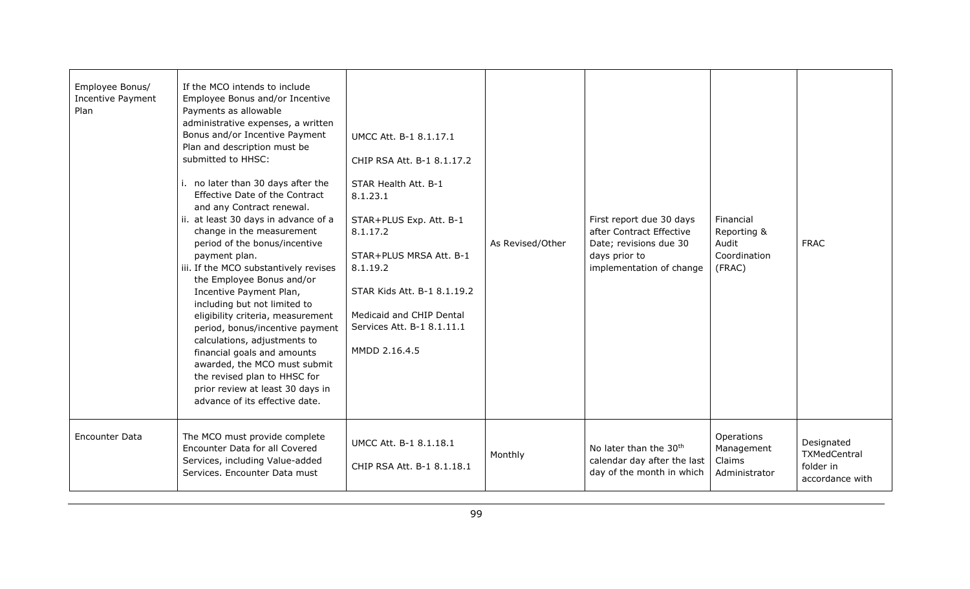| Employee Bonus/<br>Incentive Payment<br>Plan | If the MCO intends to include<br>Employee Bonus and/or Incentive<br>Payments as allowable<br>administrative expenses, a written<br>Bonus and/or Incentive Payment<br>Plan and description must be<br>submitted to HHSC:<br>i. no later than 30 days after the<br>Effective Date of the Contract<br>and any Contract renewal.<br>ii. at least 30 days in advance of a<br>change in the measurement<br>period of the bonus/incentive<br>payment plan.<br>iii. If the MCO substantively revises<br>the Employee Bonus and/or<br>Incentive Payment Plan,<br>including but not limited to<br>eligibility criteria, measurement<br>period, bonus/incentive payment<br>calculations, adjustments to<br>financial goals and amounts<br>awarded, the MCO must submit<br>the revised plan to HHSC for<br>prior review at least 30 days in<br>advance of its effective date. | UMCC Att. B-1 8.1.17.1<br>CHIP RSA Att. B-1 8.1.17.2<br>STAR Health Att. B-1<br>8.1.23.1<br>STAR+PLUS Exp. Att. B-1<br>8.1.17.2<br>STAR+PLUS MRSA Att. B-1<br>8.1.19.2<br>STAR Kids Att. B-1 8.1.19.2<br>Medicaid and CHIP Dental<br>Services Att. B-1 8.1.11.1<br>MMDD 2.16.4.5 | As Revised/Other | First report due 30 days<br>after Contract Effective<br>Date; revisions due 30<br>days prior to<br>implementation of change | Financial<br>Reporting &<br>Audit<br>Coordination<br>(FRAC) | <b>FRAC</b>                                                |
|----------------------------------------------|-------------------------------------------------------------------------------------------------------------------------------------------------------------------------------------------------------------------------------------------------------------------------------------------------------------------------------------------------------------------------------------------------------------------------------------------------------------------------------------------------------------------------------------------------------------------------------------------------------------------------------------------------------------------------------------------------------------------------------------------------------------------------------------------------------------------------------------------------------------------|----------------------------------------------------------------------------------------------------------------------------------------------------------------------------------------------------------------------------------------------------------------------------------|------------------|-----------------------------------------------------------------------------------------------------------------------------|-------------------------------------------------------------|------------------------------------------------------------|
| <b>Encounter Data</b>                        | The MCO must provide complete<br>Encounter Data for all Covered<br>Services, including Value-added<br>Services, Encounter Data must                                                                                                                                                                                                                                                                                                                                                                                                                                                                                                                                                                                                                                                                                                                               | UMCC Att. B-1 8.1.18.1<br>CHIP RSA Att. B-1 8.1.18.1                                                                                                                                                                                                                             | Monthly          | No later than the 30 <sup>th</sup><br>calendar day after the last<br>day of the month in which                              | Operations<br>Management<br>Claims<br>Administrator         | Designated<br>TXMedCentral<br>folder in<br>accordance with |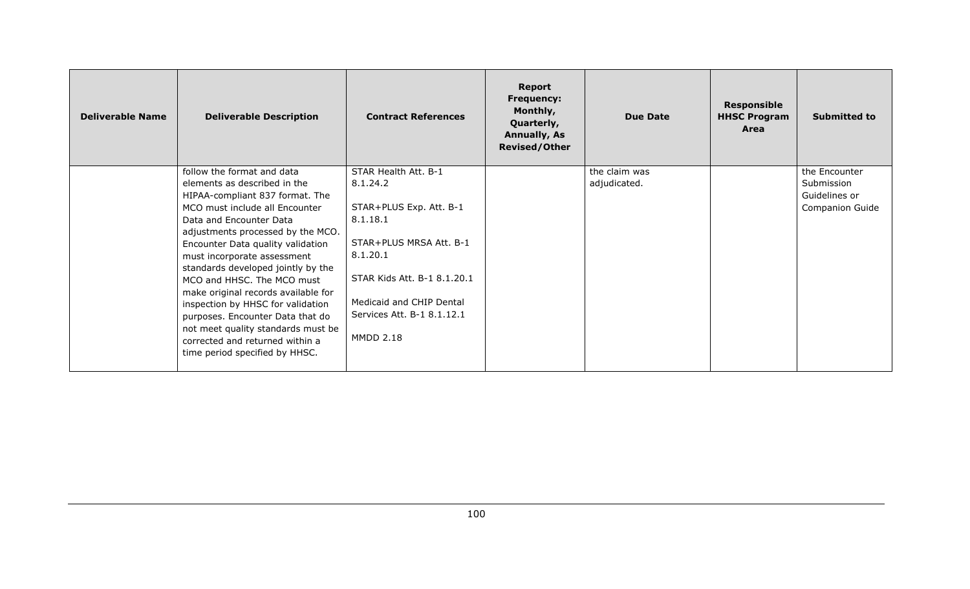| <b>Deliverable Name</b> | <b>Deliverable Description</b>                                         | <b>Contract References</b>  | <b>Report</b><br><b>Frequency:</b><br>Monthly,<br>Quarterly,<br><b>Annually, As</b><br><b>Revised/Other</b> | <b>Due Date</b> | <b>Responsible</b><br><b>HHSC Program</b><br>Area | <b>Submitted to</b>    |
|-------------------------|------------------------------------------------------------------------|-----------------------------|-------------------------------------------------------------------------------------------------------------|-----------------|---------------------------------------------------|------------------------|
|                         | follow the format and data                                             | STAR Health Att. B-1        |                                                                                                             | the claim was   |                                                   | the Encounter          |
|                         | elements as described in the                                           | 8.1.24.2                    |                                                                                                             | adjudicated.    |                                                   | Submission             |
|                         | HIPAA-compliant 837 format. The                                        |                             |                                                                                                             |                 |                                                   | Guidelines or          |
|                         | MCO must include all Encounter                                         | STAR+PLUS Exp. Att. B-1     |                                                                                                             |                 |                                                   | <b>Companion Guide</b> |
|                         | Data and Encounter Data                                                | 8.1.18.1                    |                                                                                                             |                 |                                                   |                        |
|                         | adjustments processed by the MCO.<br>Encounter Data quality validation | STAR+PLUS MRSA Att. B-1     |                                                                                                             |                 |                                                   |                        |
|                         | must incorporate assessment                                            | 8.1.20.1                    |                                                                                                             |                 |                                                   |                        |
|                         | standards developed jointly by the                                     |                             |                                                                                                             |                 |                                                   |                        |
|                         | MCO and HHSC. The MCO must                                             | STAR Kids Att. B-1 8.1.20.1 |                                                                                                             |                 |                                                   |                        |
|                         | make original records available for                                    |                             |                                                                                                             |                 |                                                   |                        |
|                         | inspection by HHSC for validation                                      | Medicaid and CHIP Dental    |                                                                                                             |                 |                                                   |                        |
|                         | purposes. Encounter Data that do                                       | Services Att. B-1 8.1.12.1  |                                                                                                             |                 |                                                   |                        |
|                         | not meet quality standards must be                                     |                             |                                                                                                             |                 |                                                   |                        |
|                         | corrected and returned within a                                        | <b>MMDD 2.18</b>            |                                                                                                             |                 |                                                   |                        |
|                         | time period specified by HHSC.                                         |                             |                                                                                                             |                 |                                                   |                        |
|                         |                                                                        |                             |                                                                                                             |                 |                                                   |                        |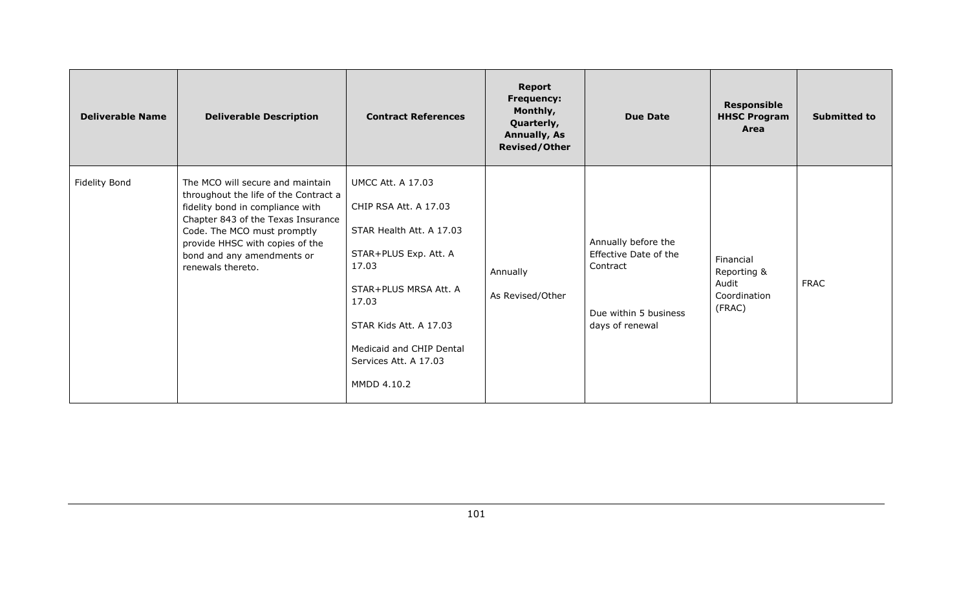| <b>Deliverable Name</b> | <b>Deliverable Description</b>                                                                                                                                                                                                                                           | <b>Contract References</b>                                                                                                                                                                                                                      | <b>Report</b><br><b>Frequency:</b><br>Monthly,<br>Quarterly,<br><b>Annually, As</b><br><b>Revised/Other</b> | Due Date                                                                                             | <b>Responsible</b><br><b>HHSC Program</b><br>Area           | <b>Submitted to</b> |
|-------------------------|--------------------------------------------------------------------------------------------------------------------------------------------------------------------------------------------------------------------------------------------------------------------------|-------------------------------------------------------------------------------------------------------------------------------------------------------------------------------------------------------------------------------------------------|-------------------------------------------------------------------------------------------------------------|------------------------------------------------------------------------------------------------------|-------------------------------------------------------------|---------------------|
| <b>Fidelity Bond</b>    | The MCO will secure and maintain<br>throughout the life of the Contract a<br>fidelity bond in compliance with<br>Chapter 843 of the Texas Insurance<br>Code. The MCO must promptly<br>provide HHSC with copies of the<br>bond and any amendments or<br>renewals thereto. | <b>UMCC Att. A 17.03</b><br>CHIP RSA Att. A 17.03<br>STAR Health Att. A 17.03<br>STAR+PLUS Exp. Att. A<br>17.03<br>STAR+PLUS MRSA Att. A<br>17.03<br>STAR Kids Att. A 17.03<br>Medicaid and CHIP Dental<br>Services Att. A 17.03<br>MMDD 4.10.2 | Annually<br>As Revised/Other                                                                                | Annually before the<br>Effective Date of the<br>Contract<br>Due within 5 business<br>days of renewal | Financial<br>Reporting &<br>Audit<br>Coordination<br>(FRAC) | <b>FRAC</b>         |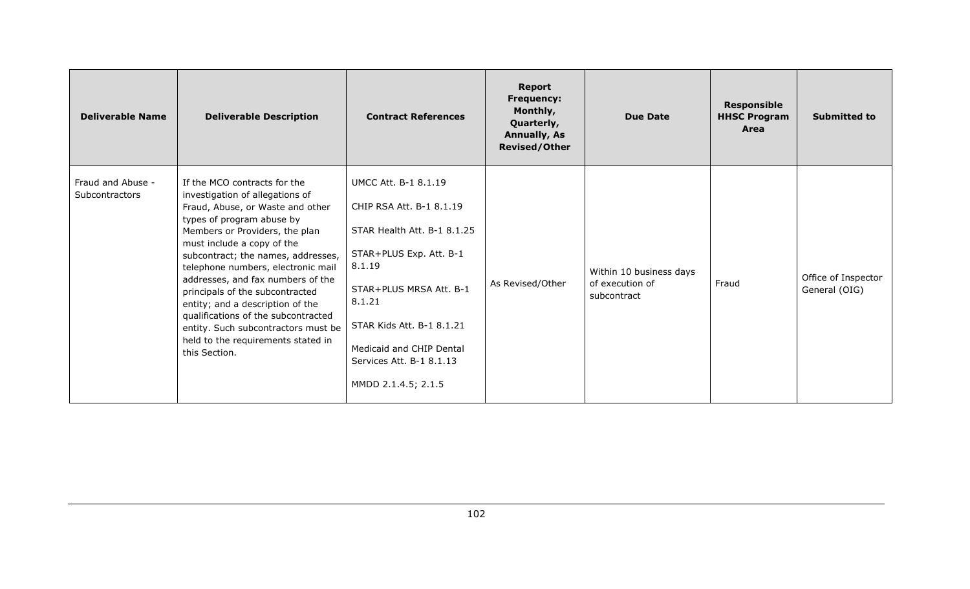| <b>Deliverable Name</b>                    | <b>Deliverable Description</b>                                                                                                                                                                                                                                                                                                                                                                                                                                                                                                | <b>Contract References</b>                                                                                                                                                                                                                                                   | <b>Report</b><br><b>Frequency:</b><br>Monthly,<br>Quarterly,<br><b>Annually, As</b><br><b>Revised/Other</b> | <b>Due Date</b>                                           | <b>Responsible</b><br><b>HHSC Program</b><br>Area | <b>Submitted to</b>                  |
|--------------------------------------------|-------------------------------------------------------------------------------------------------------------------------------------------------------------------------------------------------------------------------------------------------------------------------------------------------------------------------------------------------------------------------------------------------------------------------------------------------------------------------------------------------------------------------------|------------------------------------------------------------------------------------------------------------------------------------------------------------------------------------------------------------------------------------------------------------------------------|-------------------------------------------------------------------------------------------------------------|-----------------------------------------------------------|---------------------------------------------------|--------------------------------------|
| Fraud and Abuse -<br><b>Subcontractors</b> | If the MCO contracts for the<br>investigation of allegations of<br>Fraud, Abuse, or Waste and other<br>types of program abuse by<br>Members or Providers, the plan<br>must include a copy of the<br>subcontract; the names, addresses,<br>telephone numbers, electronic mail<br>addresses, and fax numbers of the<br>principals of the subcontracted<br>entity; and a description of the<br>qualifications of the subcontracted<br>entity. Such subcontractors must be<br>held to the requirements stated in<br>this Section. | <b>UMCC Att. B-1 8.1.19</b><br>CHIP RSA Att. B-1 8.1.19<br>STAR Health Att. B-1 8.1.25<br>STAR+PLUS Exp. Att. B-1<br>8.1.19<br>STAR+PLUS MRSA Att. B-1<br>8.1.21<br>STAR Kids Att. B-1 8.1.21<br>Medicaid and CHIP Dental<br>Services Att. B-1 8.1.13<br>MMDD 2.1.4.5; 2.1.5 | As Revised/Other                                                                                            | Within 10 business days<br>of execution of<br>subcontract | Fraud                                             | Office of Inspector<br>General (OIG) |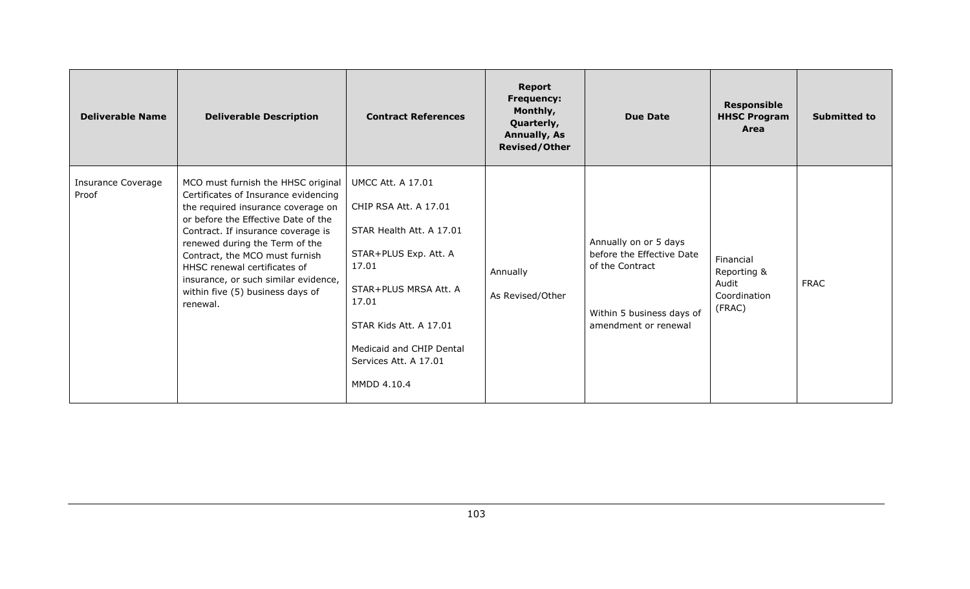| <b>Deliverable Name</b>     | <b>Deliverable Description</b>                                                                                                                                                                                                                                                                                                                                                            | <b>Contract References</b>                                                                                                                                                                                                                      | <b>Report</b><br><b>Frequency:</b><br>Monthly,<br>Quarterly,<br><b>Annually, As</b><br><b>Revised/Other</b> | <b>Due Date</b>                                                                                                            | <b>Responsible</b><br><b>HHSC Program</b><br>Area           | <b>Submitted to</b> |
|-----------------------------|-------------------------------------------------------------------------------------------------------------------------------------------------------------------------------------------------------------------------------------------------------------------------------------------------------------------------------------------------------------------------------------------|-------------------------------------------------------------------------------------------------------------------------------------------------------------------------------------------------------------------------------------------------|-------------------------------------------------------------------------------------------------------------|----------------------------------------------------------------------------------------------------------------------------|-------------------------------------------------------------|---------------------|
| Insurance Coverage<br>Proof | MCO must furnish the HHSC original<br>Certificates of Insurance evidencing<br>the required insurance coverage on<br>or before the Effective Date of the<br>Contract. If insurance coverage is<br>renewed during the Term of the<br>Contract, the MCO must furnish<br>HHSC renewal certificates of<br>insurance, or such similar evidence,<br>within five (5) business days of<br>renewal. | <b>UMCC Att. A 17.01</b><br>CHIP RSA Att. A 17.01<br>STAR Health Att. A 17.01<br>STAR+PLUS Exp. Att. A<br>17.01<br>STAR+PLUS MRSA Att. A<br>17.01<br>STAR Kids Att. A 17.01<br>Medicaid and CHIP Dental<br>Services Att. A 17.01<br>MMDD 4.10.4 | Annually<br>As Revised/Other                                                                                | Annually on or 5 days<br>before the Effective Date<br>of the Contract<br>Within 5 business days of<br>amendment or renewal | Financial<br>Reporting &<br>Audit<br>Coordination<br>(FRAC) | <b>FRAC</b>         |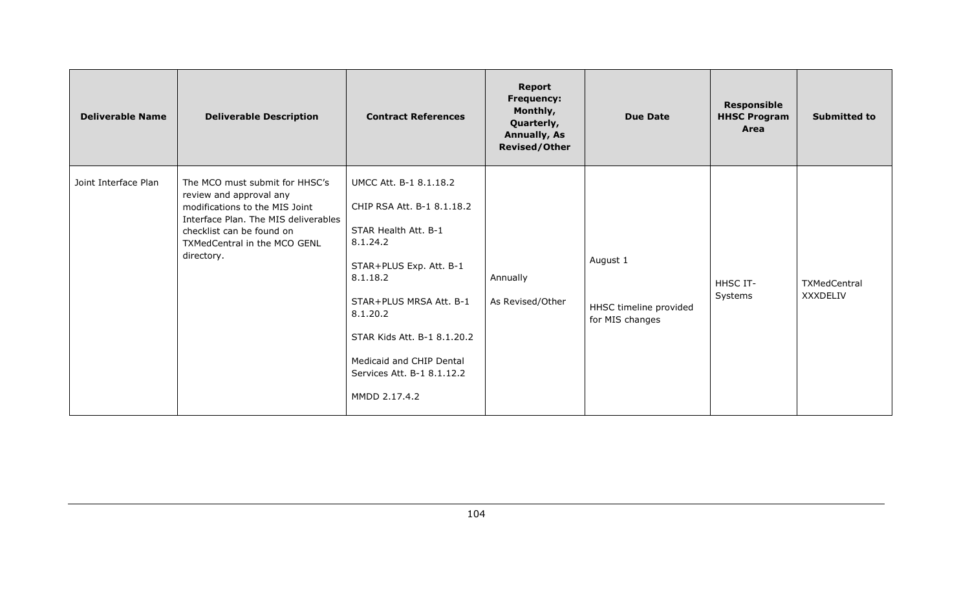| <b>Deliverable Name</b> | <b>Deliverable Description</b>                                                                                                                                                                                 | <b>Contract References</b>                                                                                                                                                                                                                                                       | <b>Report</b><br><b>Frequency:</b><br>Monthly,<br>Quarterly,<br><b>Annually, As</b><br><b>Revised/Other</b> | <b>Due Date</b>                                       | <b>Responsible</b><br><b>HHSC Program</b><br>Area | <b>Submitted to</b>             |
|-------------------------|----------------------------------------------------------------------------------------------------------------------------------------------------------------------------------------------------------------|----------------------------------------------------------------------------------------------------------------------------------------------------------------------------------------------------------------------------------------------------------------------------------|-------------------------------------------------------------------------------------------------------------|-------------------------------------------------------|---------------------------------------------------|---------------------------------|
| Joint Interface Plan    | The MCO must submit for HHSC's<br>review and approval any<br>modifications to the MIS Joint<br>Interface Plan. The MIS deliverables<br>checklist can be found on<br>TXMedCentral in the MCO GENL<br>directory. | UMCC Att. B-1 8.1.18.2<br>CHIP RSA Att. B-1 8.1.18.2<br>STAR Health Att. B-1<br>8.1.24.2<br>STAR+PLUS Exp. Att. B-1<br>8.1.18.2<br>STAR+PLUS MRSA Att. B-1<br>8.1.20.2<br>STAR Kids Att. B-1 8.1.20.2<br>Medicaid and CHIP Dental<br>Services Att. B-1 8.1.12.2<br>MMDD 2.17.4.2 | Annually<br>As Revised/Other                                                                                | August 1<br>HHSC timeline provided<br>for MIS changes | HHSC IT-<br>Systems                               | TXMedCentral<br><b>XXXDELIV</b> |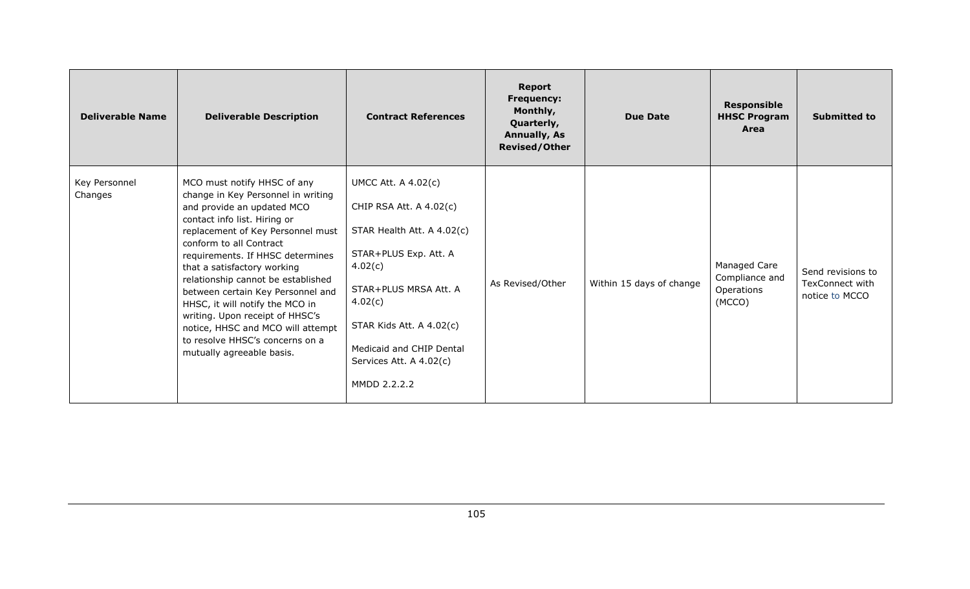| <b>Deliverable Name</b>  | <b>Deliverable Description</b>                                                                                                                                                                                                                                                                                                                                                                                                                                                                                           | <b>Contract References</b>                                                                                                                                                                                                                                     | <b>Report</b><br><b>Frequency:</b><br>Monthly,<br>Quarterly,<br><b>Annually, As</b><br><b>Revised/Other</b> | <b>Due Date</b>          | <b>Responsible</b><br><b>HHSC Program</b><br>Area      | <b>Submitted to</b>                                           |
|--------------------------|--------------------------------------------------------------------------------------------------------------------------------------------------------------------------------------------------------------------------------------------------------------------------------------------------------------------------------------------------------------------------------------------------------------------------------------------------------------------------------------------------------------------------|----------------------------------------------------------------------------------------------------------------------------------------------------------------------------------------------------------------------------------------------------------------|-------------------------------------------------------------------------------------------------------------|--------------------------|--------------------------------------------------------|---------------------------------------------------------------|
| Key Personnel<br>Changes | MCO must notify HHSC of any<br>change in Key Personnel in writing<br>and provide an updated MCO<br>contact info list. Hiring or<br>replacement of Key Personnel must<br>conform to all Contract<br>requirements. If HHSC determines<br>that a satisfactory working<br>relationship cannot be established<br>between certain Key Personnel and<br>HHSC, it will notify the MCO in<br>writing. Upon receipt of HHSC's<br>notice, HHSC and MCO will attempt<br>to resolve HHSC's concerns on a<br>mutually agreeable basis. | <b>UMCC Att. A 4.02(c)</b><br>CHIP RSA Att. A 4.02(c)<br>STAR Health Att. A 4.02(c)<br>STAR+PLUS Exp. Att. A<br>4.02(c)<br>STAR+PLUS MRSA Att. A<br>4.02(c)<br>STAR Kids Att. A 4.02(c)<br>Medicaid and CHIP Dental<br>Services Att. A 4.02(c)<br>MMDD 2.2.2.2 | As Revised/Other                                                                                            | Within 15 days of change | Managed Care<br>Compliance and<br>Operations<br>(MCCO) | Send revisions to<br><b>TexConnect with</b><br>notice to MCCO |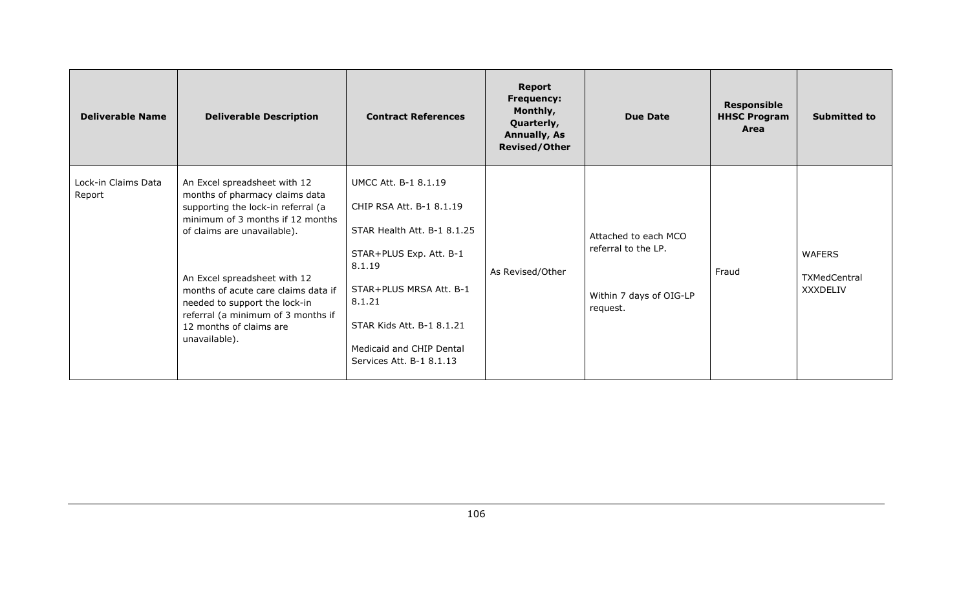| <b>Deliverable Name</b>       | <b>Deliverable Description</b>                                                                                                                                                                                                                                                                                                                                    | <b>Contract References</b>                                                                                                                                                                                                                            | <b>Report</b><br><b>Frequency:</b><br>Monthly,<br>Quarterly,<br><b>Annually, As</b><br><b>Revised/Other</b> | <b>Due Date</b>                                                                    | <b>Responsible</b><br><b>HHSC Program</b><br>Area | <b>Submitted to</b>                              |
|-------------------------------|-------------------------------------------------------------------------------------------------------------------------------------------------------------------------------------------------------------------------------------------------------------------------------------------------------------------------------------------------------------------|-------------------------------------------------------------------------------------------------------------------------------------------------------------------------------------------------------------------------------------------------------|-------------------------------------------------------------------------------------------------------------|------------------------------------------------------------------------------------|---------------------------------------------------|--------------------------------------------------|
| Lock-in Claims Data<br>Report | An Excel spreadsheet with 12<br>months of pharmacy claims data<br>supporting the lock-in referral (a<br>minimum of 3 months if 12 months<br>of claims are unavailable).<br>An Excel spreadsheet with 12<br>months of acute care claims data if<br>needed to support the lock-in<br>referral (a minimum of 3 months if<br>12 months of claims are<br>unavailable). | <b>UMCC Att. B-1 8.1.19</b><br>CHIP RSA Att. B-1 8.1.19<br>STAR Health Att. B-1 8.1.25<br>STAR+PLUS Exp. Att. B-1<br>8.1.19<br>STAR+PLUS MRSA Att. B-1<br>8.1.21<br>STAR Kids Att. B-1 8.1.21<br>Medicaid and CHIP Dental<br>Services Att. B-1 8.1.13 | As Revised/Other                                                                                            | Attached to each MCO<br>referral to the LP.<br>Within 7 days of OIG-LP<br>request. | Fraud                                             | <b>WAFERS</b><br>TXMedCentral<br><b>XXXDELIV</b> |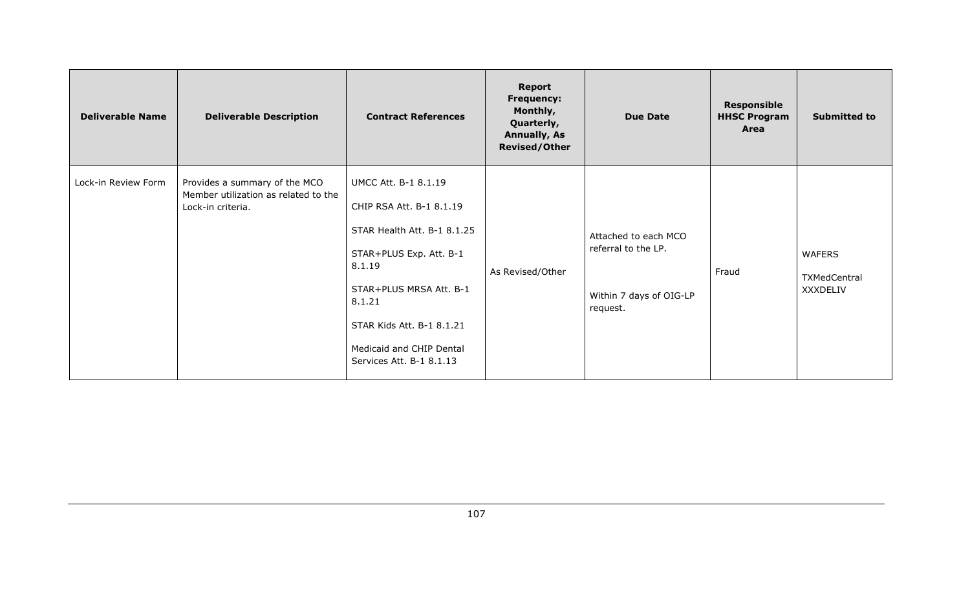| <b>Deliverable Name</b> | <b>Deliverable Description</b>                                                             | <b>Contract References</b>                                                                                                                                                                                                                     | <b>Report</b><br><b>Frequency:</b><br>Monthly,<br>Quarterly,<br><b>Annually, As</b><br><b>Revised/Other</b> | <b>Due Date</b>                                                                    | <b>Responsible</b><br><b>HHSC Program</b><br>Area | <b>Submitted to</b>                       |
|-------------------------|--------------------------------------------------------------------------------------------|------------------------------------------------------------------------------------------------------------------------------------------------------------------------------------------------------------------------------------------------|-------------------------------------------------------------------------------------------------------------|------------------------------------------------------------------------------------|---------------------------------------------------|-------------------------------------------|
| Lock-in Review Form     | Provides a summary of the MCO<br>Member utilization as related to the<br>Lock-in criteria. | UMCC Att. B-1 8.1.19<br>CHIP RSA Att. B-1 8.1.19<br>STAR Health Att. B-1 8.1.25<br>STAR+PLUS Exp. Att. B-1<br>8.1.19<br>STAR+PLUS MRSA Att. B-1<br>8.1.21<br>STAR Kids Att. B-1 8.1.21<br>Medicaid and CHIP Dental<br>Services Att. B-1 8.1.13 | As Revised/Other                                                                                            | Attached to each MCO<br>referral to the LP.<br>Within 7 days of OIG-LP<br>request. | Fraud                                             | <b>WAFERS</b><br>TXMedCentral<br>XXXDELIV |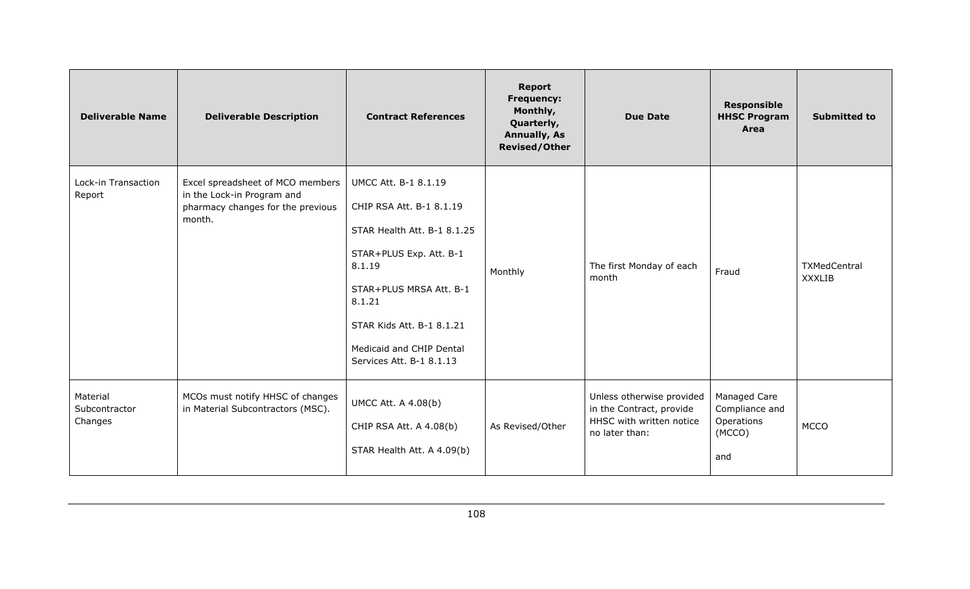| <b>Deliverable Name</b>              | <b>Deliverable Description</b>                                                                                | <b>Contract References</b>                                                                                                                                                                                                                            | <b>Report</b><br><b>Frequency:</b><br>Monthly,<br>Quarterly,<br><b>Annually, As</b><br><b>Revised/Other</b> | <b>Due Date</b>                                                                                     | <b>Responsible</b><br><b>HHSC Program</b><br>Area             | <b>Submitted to</b>           |
|--------------------------------------|---------------------------------------------------------------------------------------------------------------|-------------------------------------------------------------------------------------------------------------------------------------------------------------------------------------------------------------------------------------------------------|-------------------------------------------------------------------------------------------------------------|-----------------------------------------------------------------------------------------------------|---------------------------------------------------------------|-------------------------------|
| Lock-in Transaction<br>Report        | Excel spreadsheet of MCO members<br>in the Lock-in Program and<br>pharmacy changes for the previous<br>month. | <b>UMCC Att. B-1 8.1.19</b><br>CHIP RSA Att. B-1 8.1.19<br>STAR Health Att. B-1 8.1.25<br>STAR+PLUS Exp. Att. B-1<br>8.1.19<br>STAR+PLUS MRSA Att. B-1<br>8.1.21<br>STAR Kids Att. B-1 8.1.21<br>Medicaid and CHIP Dental<br>Services Att. B-1 8.1.13 | Monthly                                                                                                     | The first Monday of each<br>month                                                                   | Fraud                                                         | TXMedCentral<br><b>XXXLIB</b> |
| Material<br>Subcontractor<br>Changes | MCOs must notify HHSC of changes<br>in Material Subcontractors (MSC).                                         | <b>UMCC Att. A 4.08(b)</b><br>CHIP RSA Att. A 4.08(b)<br>STAR Health Att. A 4.09(b)                                                                                                                                                                   | As Revised/Other                                                                                            | Unless otherwise provided<br>in the Contract, provide<br>HHSC with written notice<br>no later than: | Managed Care<br>Compliance and<br>Operations<br>(MCCO)<br>and | <b>MCCO</b>                   |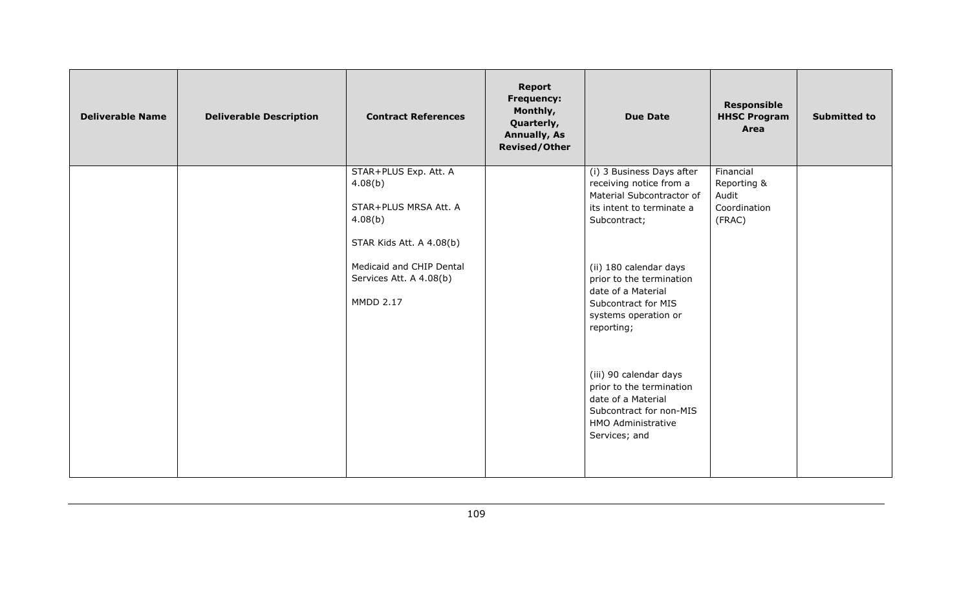| <b>Deliverable Name</b> | <b>Deliverable Description</b> | <b>Contract References</b>                                                                                                                                                  | <b>Report</b><br><b>Frequency:</b><br>Monthly,<br>Quarterly,<br><b>Annually, As</b><br><b>Revised/Other</b> | <b>Due Date</b>                                                                                                                                                                                                                                                                                                                                                                                                       | <b>Responsible</b><br><b>HHSC Program</b><br>Area           | <b>Submitted to</b> |
|-------------------------|--------------------------------|-----------------------------------------------------------------------------------------------------------------------------------------------------------------------------|-------------------------------------------------------------------------------------------------------------|-----------------------------------------------------------------------------------------------------------------------------------------------------------------------------------------------------------------------------------------------------------------------------------------------------------------------------------------------------------------------------------------------------------------------|-------------------------------------------------------------|---------------------|
|                         |                                | STAR+PLUS Exp. Att. A<br>4.08(b)<br>STAR+PLUS MRSA Att. A<br>4.08(b)<br>STAR Kids Att. A 4.08(b)<br>Medicaid and CHIP Dental<br>Services Att. A 4.08(b)<br><b>MMDD 2.17</b> |                                                                                                             | (i) 3 Business Days after<br>receiving notice from a<br>Material Subcontractor of<br>its intent to terminate a<br>Subcontract;<br>(ii) 180 calendar days<br>prior to the termination<br>date of a Material<br>Subcontract for MIS<br>systems operation or<br>reporting;<br>(iii) 90 calendar days<br>prior to the termination<br>date of a Material<br>Subcontract for non-MIS<br>HMO Administrative<br>Services; and | Financial<br>Reporting &<br>Audit<br>Coordination<br>(FRAC) |                     |
|                         |                                |                                                                                                                                                                             |                                                                                                             |                                                                                                                                                                                                                                                                                                                                                                                                                       |                                                             |                     |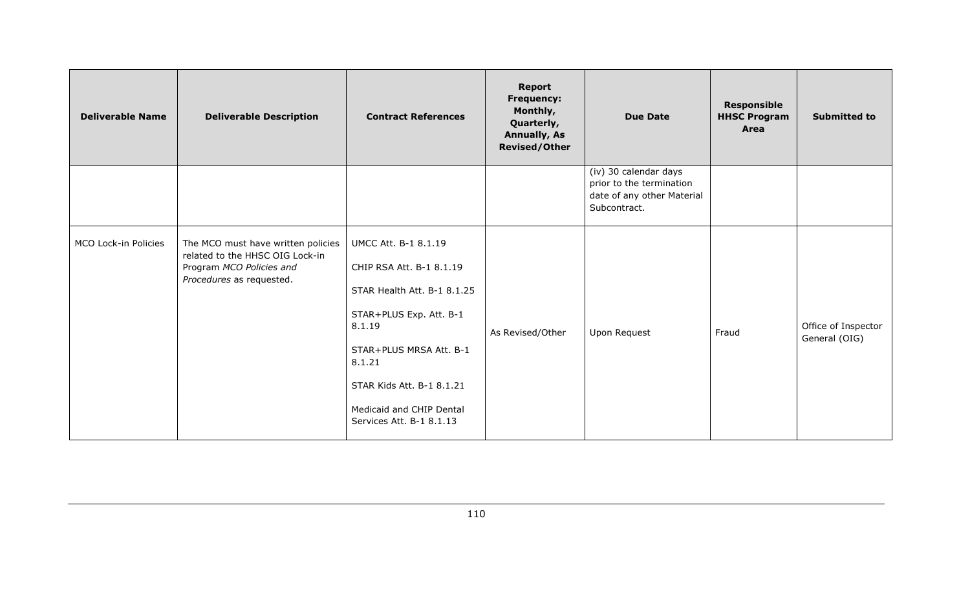| <b>Deliverable Name</b> | <b>Deliverable Description</b>                                                                                                | <b>Contract References</b>                                                                                                                                                                                                                     | <b>Report</b><br><b>Frequency:</b><br>Monthly,<br>Quarterly,<br><b>Annually, As</b><br><b>Revised/Other</b> | <b>Due Date</b>                                                                                 | <b>Responsible</b><br><b>HHSC Program</b><br>Area | <b>Submitted to</b>                  |
|-------------------------|-------------------------------------------------------------------------------------------------------------------------------|------------------------------------------------------------------------------------------------------------------------------------------------------------------------------------------------------------------------------------------------|-------------------------------------------------------------------------------------------------------------|-------------------------------------------------------------------------------------------------|---------------------------------------------------|--------------------------------------|
|                         |                                                                                                                               |                                                                                                                                                                                                                                                |                                                                                                             | (iv) 30 calendar days<br>prior to the termination<br>date of any other Material<br>Subcontract. |                                                   |                                      |
| MCO Lock-in Policies    | The MCO must have written policies<br>related to the HHSC OIG Lock-in<br>Program MCO Policies and<br>Procedures as requested. | UMCC Att. B-1 8.1.19<br>CHIP RSA Att. B-1 8.1.19<br>STAR Health Att. B-1 8.1.25<br>STAR+PLUS Exp. Att. B-1<br>8.1.19<br>STAR+PLUS MRSA Att. B-1<br>8.1.21<br>STAR Kids Att. B-1 8.1.21<br>Medicaid and CHIP Dental<br>Services Att. B-1 8.1.13 | As Revised/Other                                                                                            | Upon Request                                                                                    | Fraud                                             | Office of Inspector<br>General (OIG) |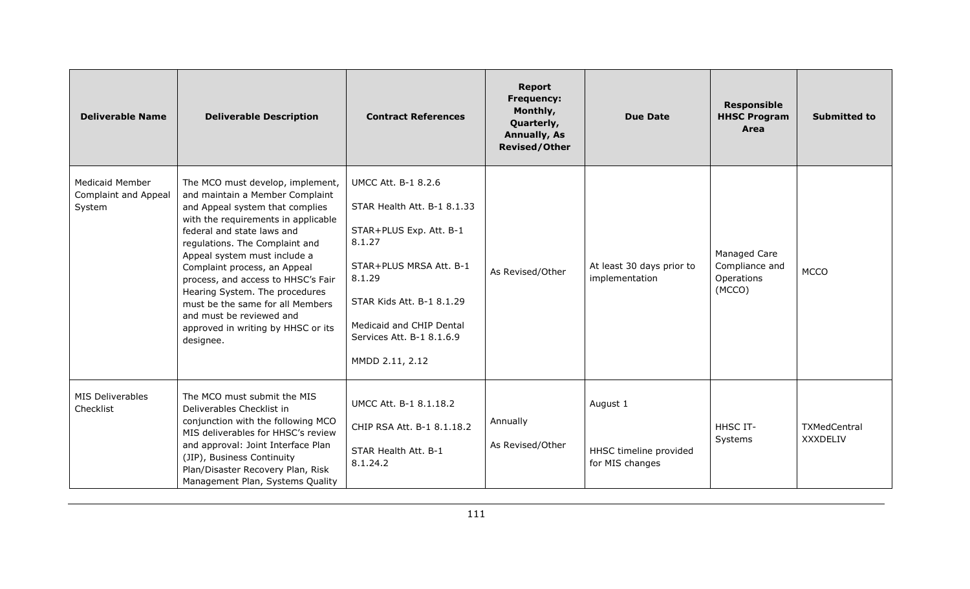| <b>Deliverable Name</b>                                  | <b>Deliverable Description</b>                                                                                                                                                                                                                                                                                                                                                                                                                                           | <b>Contract References</b>                                                                                                                                                                                                                   | <b>Report</b><br><b>Frequency:</b><br>Monthly,<br>Quarterly,<br><b>Annually, As</b><br><b>Revised/Other</b> | <b>Due Date</b>                                       | <b>Responsible</b><br><b>HHSC Program</b><br><b>Area</b> | <b>Submitted to</b>                    |
|----------------------------------------------------------|--------------------------------------------------------------------------------------------------------------------------------------------------------------------------------------------------------------------------------------------------------------------------------------------------------------------------------------------------------------------------------------------------------------------------------------------------------------------------|----------------------------------------------------------------------------------------------------------------------------------------------------------------------------------------------------------------------------------------------|-------------------------------------------------------------------------------------------------------------|-------------------------------------------------------|----------------------------------------------------------|----------------------------------------|
| Medicaid Member<br><b>Complaint and Appeal</b><br>System | The MCO must develop, implement,<br>and maintain a Member Complaint<br>and Appeal system that complies<br>with the requirements in applicable<br>federal and state laws and<br>regulations. The Complaint and<br>Appeal system must include a<br>Complaint process, an Appeal<br>process, and access to HHSC's Fair<br>Hearing System. The procedures<br>must be the same for all Members<br>and must be reviewed and<br>approved in writing by HHSC or its<br>designee. | <b>UMCC Att. B-1 8.2.6</b><br>STAR Health Att. B-1 8.1.33<br>STAR+PLUS Exp. Att. B-1<br>8.1.27<br>STAR+PLUS MRSA Att. B-1<br>8.1.29<br>STAR Kids Att. B-1 8.1.29<br>Medicaid and CHIP Dental<br>Services Att. B-1 8.1.6.9<br>MMDD 2.11, 2.12 | As Revised/Other                                                                                            | At least 30 days prior to<br>implementation           | Managed Care<br>Compliance and<br>Operations<br>(MCCO)   | <b>MCCO</b>                            |
| <b>MIS Deliverables</b><br>Checklist                     | The MCO must submit the MIS<br>Deliverables Checklist in<br>conjunction with the following MCO<br>MIS deliverables for HHSC's review<br>and approval: Joint Interface Plan<br>(JIP), Business Continuity<br>Plan/Disaster Recovery Plan, Risk<br>Management Plan, Systems Quality                                                                                                                                                                                        | UMCC Att. B-1 8.1.18.2<br>CHIP RSA Att. B-1 8.1.18.2<br>STAR Health Att. B-1<br>8.1.24.2                                                                                                                                                     | Annually<br>As Revised/Other                                                                                | August 1<br>HHSC timeline provided<br>for MIS changes | <b>HHSC IT-</b><br>Systems                               | <b>TXMedCentral</b><br><b>XXXDELIV</b> |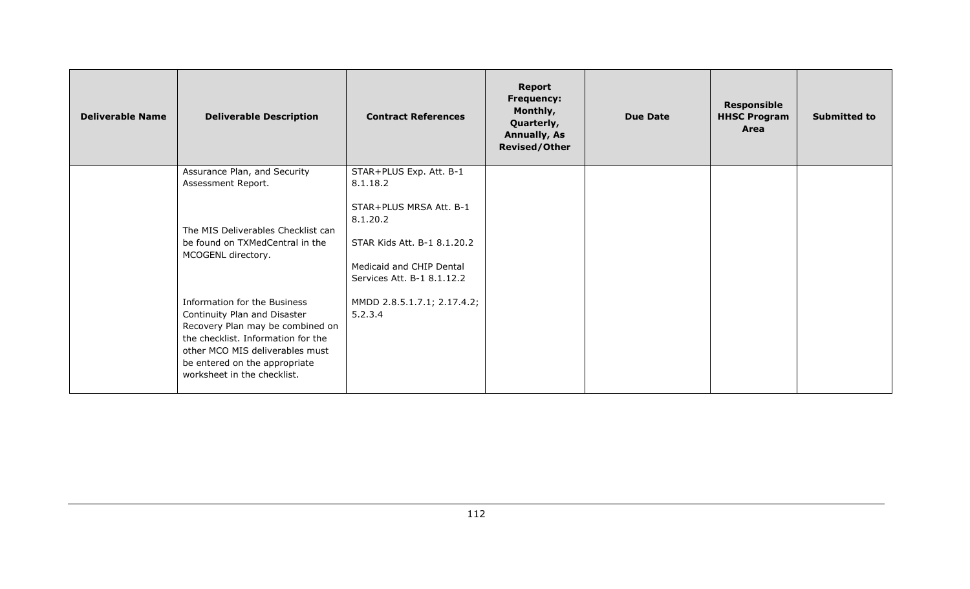| <b>Deliverable Name</b> | <b>Deliverable Description</b>                                                                                                                                                                                                            | <b>Contract References</b>                                                                                                   | <b>Report</b><br><b>Frequency:</b><br>Monthly,<br>Quarterly,<br><b>Annually, As</b><br><b>Revised/Other</b> | <b>Due Date</b> | <b>Responsible</b><br><b>HHSC Program</b><br>Area | <b>Submitted to</b> |
|-------------------------|-------------------------------------------------------------------------------------------------------------------------------------------------------------------------------------------------------------------------------------------|------------------------------------------------------------------------------------------------------------------------------|-------------------------------------------------------------------------------------------------------------|-----------------|---------------------------------------------------|---------------------|
|                         | Assurance Plan, and Security<br>Assessment Report.                                                                                                                                                                                        | STAR+PLUS Exp. Att. B-1<br>8.1.18.2                                                                                          |                                                                                                             |                 |                                                   |                     |
|                         | The MIS Deliverables Checklist can<br>be found on TXMedCentral in the<br>MCOGENL directory.                                                                                                                                               | STAR+PLUS MRSA Att. B-1<br>8.1.20.2<br>STAR Kids Att. B-1 8.1.20.2<br>Medicaid and CHIP Dental<br>Services Att. B-1 8.1.12.2 |                                                                                                             |                 |                                                   |                     |
|                         | Information for the Business<br>Continuity Plan and Disaster<br>Recovery Plan may be combined on<br>the checklist. Information for the<br>other MCO MIS deliverables must<br>be entered on the appropriate<br>worksheet in the checklist. | MMDD 2.8.5.1.7.1; 2.17.4.2;<br>5.2.3.4                                                                                       |                                                                                                             |                 |                                                   |                     |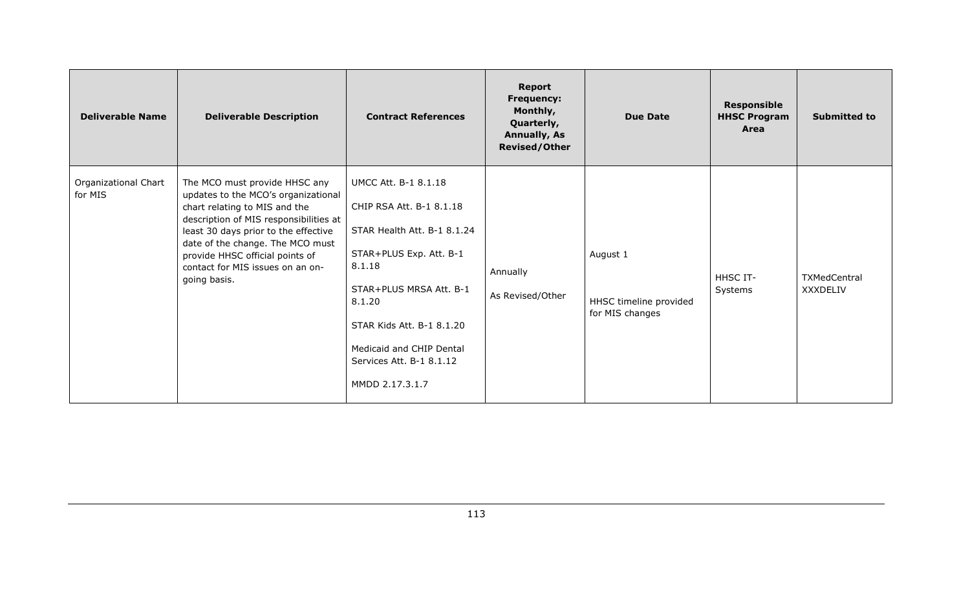| <b>Deliverable Name</b>         | <b>Deliverable Description</b>                                                                                                                                                                                                                                                                                     | <b>Contract References</b>                                                                                                                                                                                                                                               | <b>Report</b><br><b>Frequency:</b><br>Monthly,<br>Quarterly,<br><b>Annually, As</b><br><b>Revised/Other</b> | <b>Due Date</b>                                       | <b>Responsible</b><br><b>HHSC Program</b><br>Area | <b>Submitted to</b>             |
|---------------------------------|--------------------------------------------------------------------------------------------------------------------------------------------------------------------------------------------------------------------------------------------------------------------------------------------------------------------|--------------------------------------------------------------------------------------------------------------------------------------------------------------------------------------------------------------------------------------------------------------------------|-------------------------------------------------------------------------------------------------------------|-------------------------------------------------------|---------------------------------------------------|---------------------------------|
| Organizational Chart<br>for MIS | The MCO must provide HHSC any<br>updates to the MCO's organizational<br>chart relating to MIS and the<br>description of MIS responsibilities at<br>least 30 days prior to the effective<br>date of the change. The MCO must<br>provide HHSC official points of<br>contact for MIS issues on an on-<br>going basis. | <b>UMCC Att. B-1 8.1.18</b><br>CHIP RSA Att. B-1 8.1.18<br>STAR Health Att. B-1 8.1.24<br>STAR+PLUS Exp. Att. B-1<br>8.1.18<br>STAR+PLUS MRSA Att. B-1<br>8.1.20<br>STAR Kids Att. B-1 8.1.20<br>Medicaid and CHIP Dental<br>Services Att. B-1 8.1.12<br>MMDD 2.17.3.1.7 | Annually<br>As Revised/Other                                                                                | August 1<br>HHSC timeline provided<br>for MIS changes | HHSC IT-<br>Systems                               | TXMedCentral<br><b>XXXDELIV</b> |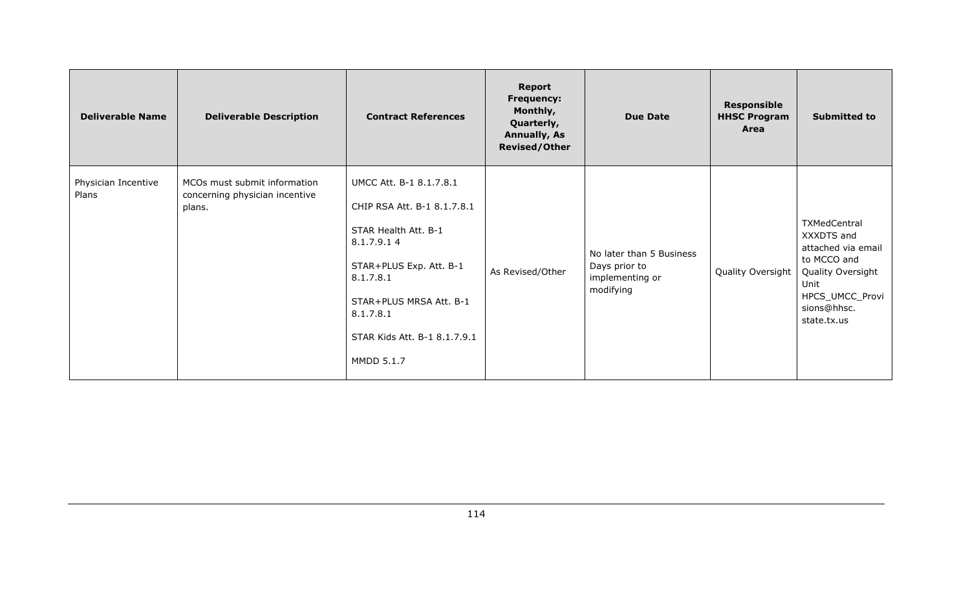| <b>Deliverable Name</b>      | <b>Deliverable Description</b>                                           | <b>Contract References</b>                                                                                                                                                                                                 | Report<br><b>Frequency:</b><br>Monthly,<br>Quarterly,<br><b>Annually, As</b><br><b>Revised/Other</b> | <b>Due Date</b>                                                           | <b>Responsible</b><br><b>HHSC Program</b><br>Area | <b>Submitted to</b>                                                                                                                           |
|------------------------------|--------------------------------------------------------------------------|----------------------------------------------------------------------------------------------------------------------------------------------------------------------------------------------------------------------------|------------------------------------------------------------------------------------------------------|---------------------------------------------------------------------------|---------------------------------------------------|-----------------------------------------------------------------------------------------------------------------------------------------------|
| Physician Incentive<br>Plans | MCOs must submit information<br>concerning physician incentive<br>plans. | UMCC Att. B-1 8.1.7.8.1<br>CHIP RSA Att. B-1 8.1.7.8.1<br>STAR Health Att. B-1<br>8.1.7.9.14<br>STAR+PLUS Exp. Att. B-1<br>8.1.7.8.1<br>STAR+PLUS MRSA Att. B-1<br>8.1.7.8.1<br>STAR Kids Att. B-1 8.1.7.9.1<br>MMDD 5.1.7 | As Revised/Other                                                                                     | No later than 5 Business<br>Days prior to<br>implementing or<br>modifying | Quality Oversight                                 | TXMedCentral<br>XXXDTS and<br>attached via email<br>to MCCO and<br>Quality Oversight<br>Unit<br>HPCS_UMCC_Provi<br>sions@hhsc.<br>state.tx.us |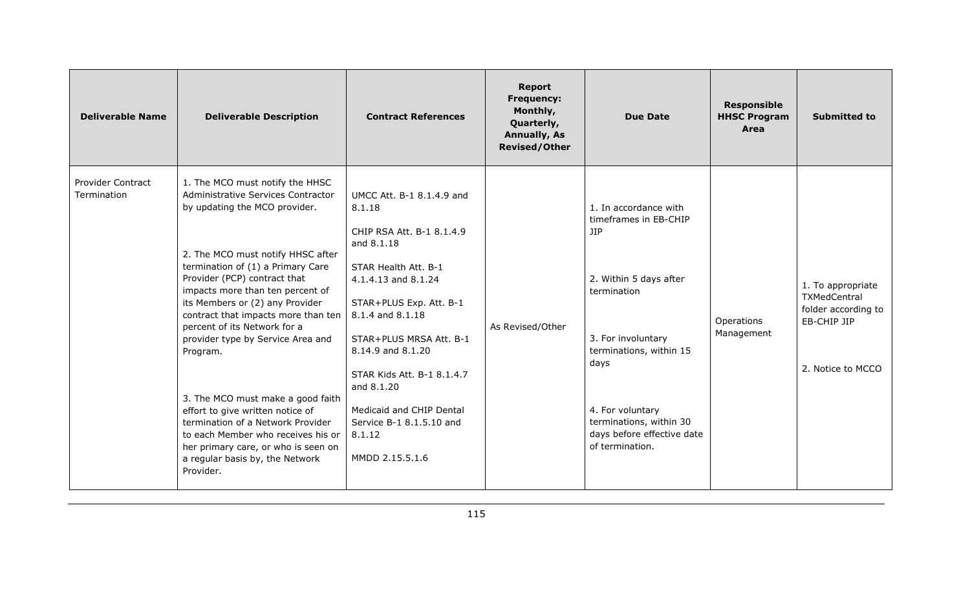| <b>Deliverable Name</b>                 | <b>Deliverable Description</b>                                                                                                                                                                                                                                                                                                                                                                                                                                                                                                                                                                                                                             | <b>Contract References</b>                                                                                                                                                                                                                                                                                                                                    | <b>Report</b><br><b>Frequency:</b><br>Monthly,<br>Quarterly,<br><b>Annually, As</b><br><b>Revised/Other</b> | <b>Due Date</b>                                                                                                                                                                                                                                                | <b>Responsible</b><br><b>HHSC Program</b><br>Area | <b>Submitted to</b>                                                                          |
|-----------------------------------------|------------------------------------------------------------------------------------------------------------------------------------------------------------------------------------------------------------------------------------------------------------------------------------------------------------------------------------------------------------------------------------------------------------------------------------------------------------------------------------------------------------------------------------------------------------------------------------------------------------------------------------------------------------|---------------------------------------------------------------------------------------------------------------------------------------------------------------------------------------------------------------------------------------------------------------------------------------------------------------------------------------------------------------|-------------------------------------------------------------------------------------------------------------|----------------------------------------------------------------------------------------------------------------------------------------------------------------------------------------------------------------------------------------------------------------|---------------------------------------------------|----------------------------------------------------------------------------------------------|
| <b>Provider Contract</b><br>Termination | 1. The MCO must notify the HHSC<br>Administrative Services Contractor<br>by updating the MCO provider.<br>2. The MCO must notify HHSC after<br>termination of (1) a Primary Care<br>Provider (PCP) contract that<br>impacts more than ten percent of<br>its Members or (2) any Provider<br>contract that impacts more than ten<br>percent of its Network for a<br>provider type by Service Area and<br>Program.<br>3. The MCO must make a good faith<br>effort to give written notice of<br>termination of a Network Provider<br>to each Member who receives his or<br>her primary care, or who is seen on<br>a regular basis by, the Network<br>Provider. | UMCC Att. B-1 8.1.4.9 and<br>8.1.18<br>CHIP RSA Att. B-1 8.1.4.9<br>and 8.1.18<br>STAR Health Att. B-1<br>4.1.4.13 and 8.1.24<br>STAR+PLUS Exp. Att. B-1<br>8.1.4 and 8.1.18<br>STAR+PLUS MRSA Att. B-1<br>8.14.9 and 8.1.20<br>STAR Kids Att. B-1 8.1.4.7<br>and 8.1.20<br>Medicaid and CHIP Dental<br>Service B-1 8.1.5.10 and<br>8.1.12<br>MMDD 2.15.5.1.6 | As Revised/Other                                                                                            | 1. In accordance with<br>timeframes in EB-CHIP<br><b>JIP</b><br>2. Within 5 days after<br>termination<br>3. For involuntary<br>terminations, within 15<br>days<br>4. For voluntary<br>terminations, within 30<br>days before effective date<br>of termination. | Operations<br>Management                          | 1. To appropriate<br>TXMedCentral<br>folder according to<br>EB-CHIP JIP<br>2. Notice to MCCO |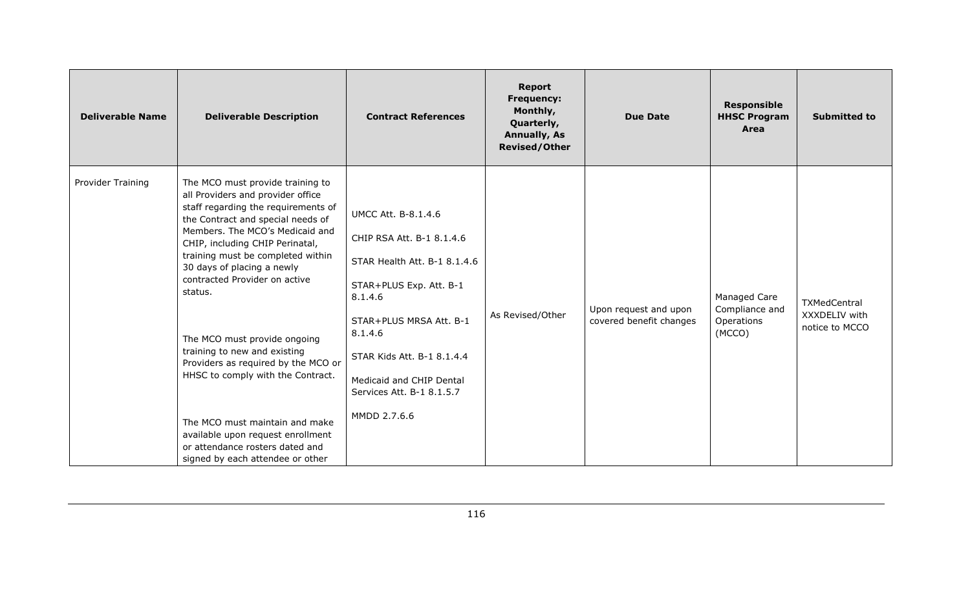| <b>Deliverable Name</b> | <b>Deliverable Description</b>                                                                                                                                                                                                                                                                                                                                                                                                                                                                                                                                                                                                   | <b>Contract References</b>                                                                                                                                                                                                                                                 | <b>Report</b><br><b>Frequency:</b><br>Monthly,<br>Quarterly,<br><b>Annually, As</b><br><b>Revised/Other</b> | <b>Due Date</b>                                  | <b>Responsible</b><br><b>HHSC Program</b><br>Area      | <b>Submitted to</b>                             |
|-------------------------|----------------------------------------------------------------------------------------------------------------------------------------------------------------------------------------------------------------------------------------------------------------------------------------------------------------------------------------------------------------------------------------------------------------------------------------------------------------------------------------------------------------------------------------------------------------------------------------------------------------------------------|----------------------------------------------------------------------------------------------------------------------------------------------------------------------------------------------------------------------------------------------------------------------------|-------------------------------------------------------------------------------------------------------------|--------------------------------------------------|--------------------------------------------------------|-------------------------------------------------|
| Provider Training       | The MCO must provide training to<br>all Providers and provider office<br>staff regarding the requirements of<br>the Contract and special needs of<br>Members. The MCO's Medicaid and<br>CHIP, including CHIP Perinatal,<br>training must be completed within<br>30 days of placing a newly<br>contracted Provider on active<br>status.<br>The MCO must provide ongoing<br>training to new and existing<br>Providers as required by the MCO or<br>HHSC to comply with the Contract.<br>The MCO must maintain and make<br>available upon request enrollment<br>or attendance rosters dated and<br>signed by each attendee or other | <b>UMCC Att. B-8.1.4.6</b><br>CHIP RSA Att. B-1 8.1.4.6<br>STAR Health Att. B-1 8.1.4.6<br>STAR+PLUS Exp. Att. B-1<br>8.1.4.6<br>STAR+PLUS MRSA Att. B-1<br>8.1.4.6<br>STAR Kids Att. B-1 8.1.4.4<br>Medicaid and CHIP Dental<br>Services Att. B-1 8.1.5.7<br>MMDD 2.7.6.6 | As Revised/Other                                                                                            | Upon request and upon<br>covered benefit changes | Managed Care<br>Compliance and<br>Operations<br>(MCCO) | TXMedCentral<br>XXXDELIV with<br>notice to MCCO |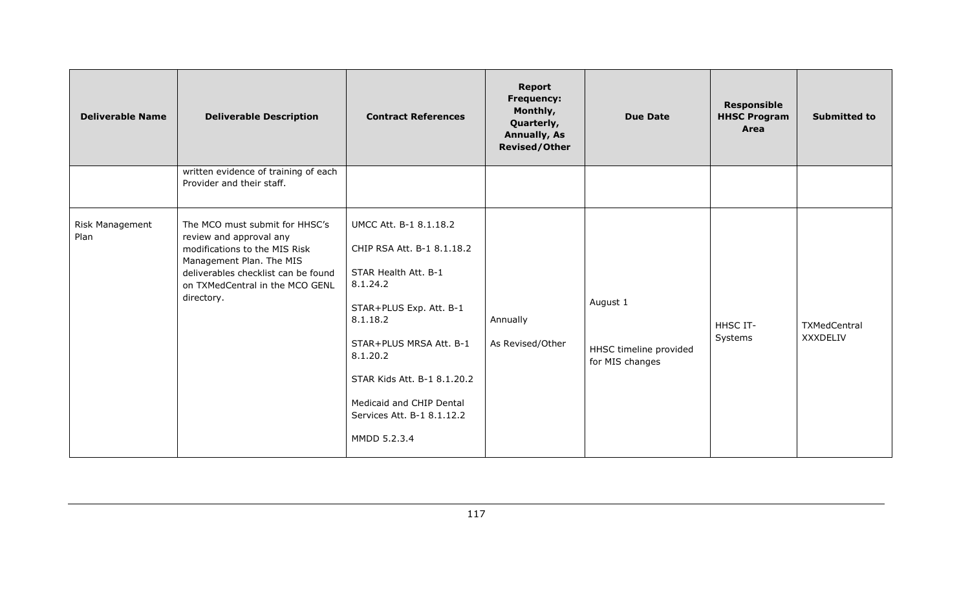| <b>Deliverable Name</b> | <b>Deliverable Description</b>                                                                                                                                                                                 | <b>Contract References</b>                                                                                                                                                                                                                                                      | <b>Report</b><br><b>Frequency:</b><br>Monthly,<br>Quarterly,<br><b>Annually, As</b><br><b>Revised/Other</b> | <b>Due Date</b>                                       | <b>Responsible</b><br><b>HHSC Program</b><br>Area | <b>Submitted to</b>      |
|-------------------------|----------------------------------------------------------------------------------------------------------------------------------------------------------------------------------------------------------------|---------------------------------------------------------------------------------------------------------------------------------------------------------------------------------------------------------------------------------------------------------------------------------|-------------------------------------------------------------------------------------------------------------|-------------------------------------------------------|---------------------------------------------------|--------------------------|
|                         | written evidence of training of each<br>Provider and their staff.                                                                                                                                              |                                                                                                                                                                                                                                                                                 |                                                                                                             |                                                       |                                                   |                          |
| Risk Management<br>Plan | The MCO must submit for HHSC's<br>review and approval any<br>modifications to the MIS Risk<br>Management Plan. The MIS<br>deliverables checklist can be found<br>on TXMedCentral in the MCO GENL<br>directory. | UMCC Att. B-1 8.1.18.2<br>CHIP RSA Att. B-1 8.1.18.2<br>STAR Health Att. B-1<br>8.1.24.2<br>STAR+PLUS Exp. Att. B-1<br>8.1.18.2<br>STAR+PLUS MRSA Att. B-1<br>8.1.20.2<br>STAR Kids Att. B-1 8.1.20.2<br>Medicaid and CHIP Dental<br>Services Att. B-1 8.1.12.2<br>MMDD 5.2.3.4 | Annually<br>As Revised/Other                                                                                | August 1<br>HHSC timeline provided<br>for MIS changes | <b>HHSC IT-</b><br>Systems                        | TXMedCentral<br>XXXDELIV |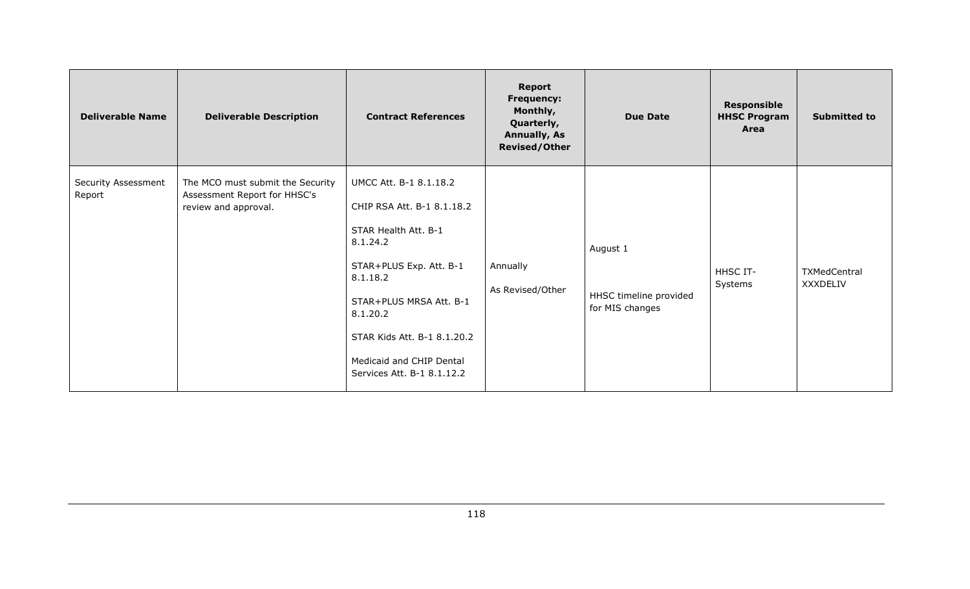| <b>Deliverable Name</b>       | <b>Deliverable Description</b>                                                           | <b>Contract References</b>                                                                                                                                                                                                                                      | <b>Report</b><br><b>Frequency:</b><br>Monthly,<br>Quarterly,<br><b>Annually, As</b><br><b>Revised/Other</b> | <b>Due Date</b>                                       | <b>Responsible</b><br><b>HHSC Program</b><br>Area | <b>Submitted to</b>      |
|-------------------------------|------------------------------------------------------------------------------------------|-----------------------------------------------------------------------------------------------------------------------------------------------------------------------------------------------------------------------------------------------------------------|-------------------------------------------------------------------------------------------------------------|-------------------------------------------------------|---------------------------------------------------|--------------------------|
| Security Assessment<br>Report | The MCO must submit the Security<br>Assessment Report for HHSC's<br>review and approval. | UMCC Att. B-1 8.1.18.2<br>CHIP RSA Att. B-1 8.1.18.2<br>STAR Health Att. B-1<br>8.1.24.2<br>STAR+PLUS Exp. Att. B-1<br>8.1.18.2<br>STAR+PLUS MRSA Att. B-1<br>8.1.20.2<br>STAR Kids Att. B-1 8.1.20.2<br>Medicaid and CHIP Dental<br>Services Att. B-1 8.1.12.2 | Annually<br>As Revised/Other                                                                                | August 1<br>HHSC timeline provided<br>for MIS changes | HHSC IT-<br>Systems                               | TXMedCentral<br>XXXDELIV |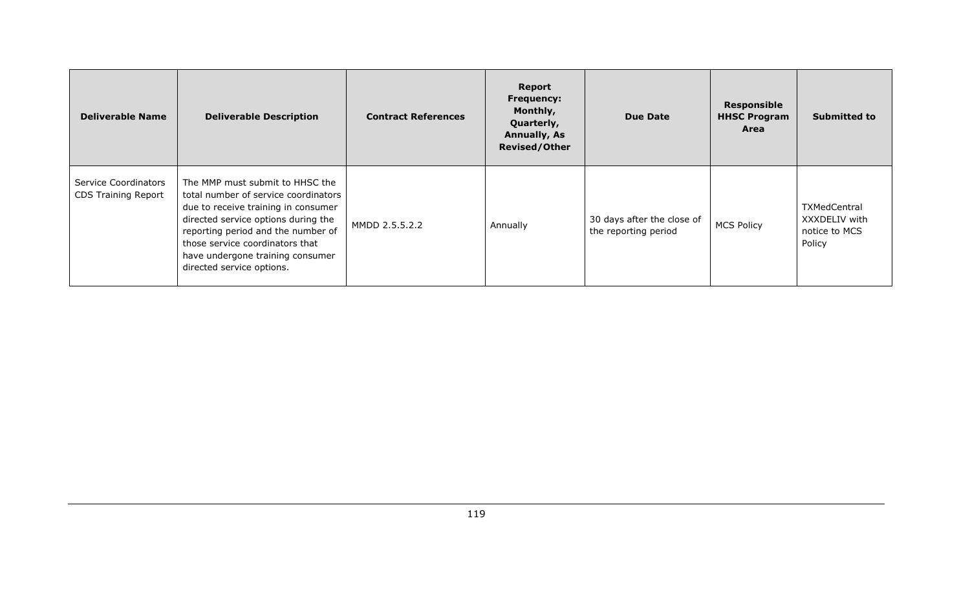| <b>Deliverable Name</b>                            | <b>Deliverable Description</b>                                                                                                                                                                                                                                                                  | <b>Contract References</b> | Report<br><b>Frequency:</b><br>Monthly,<br>Quarterly,<br><b>Annually, As</b><br><b>Revised/Other</b> | <b>Due Date</b>                                    | <b>Responsible</b><br><b>HHSC Program</b><br>Area | <b>Submitted to</b>                                             |
|----------------------------------------------------|-------------------------------------------------------------------------------------------------------------------------------------------------------------------------------------------------------------------------------------------------------------------------------------------------|----------------------------|------------------------------------------------------------------------------------------------------|----------------------------------------------------|---------------------------------------------------|-----------------------------------------------------------------|
| Service Coordinators<br><b>CDS Training Report</b> | The MMP must submit to HHSC the<br>total number of service coordinators<br>due to receive training in consumer<br>directed service options during the<br>reporting period and the number of<br>those service coordinators that<br>have undergone training consumer<br>directed service options. | MMDD 2.5.5.2.2             | Annually                                                                                             | 30 days after the close of<br>the reporting period | <b>MCS Policy</b>                                 | <b>TXMedCentral</b><br>XXXDELIV with<br>notice to MCS<br>Policy |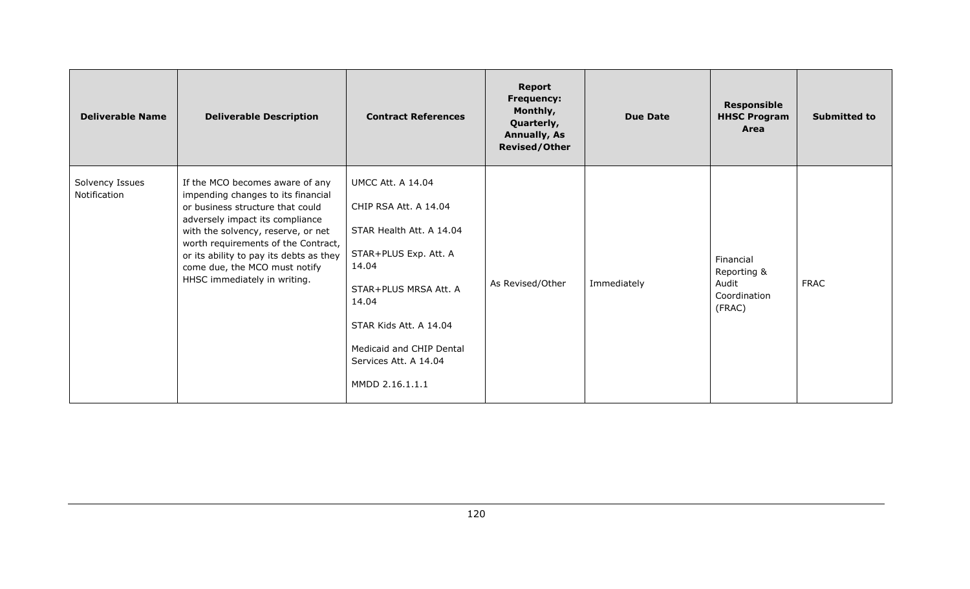| <b>Deliverable Name</b>         | <b>Deliverable Description</b>                                                                                                                                                                                                                                                                                                        | <b>Contract References</b>                                                                                                                                                                                                                          | <b>Report</b><br><b>Frequency:</b><br>Monthly,<br>Quarterly,<br><b>Annually, As</b><br><b>Revised/Other</b> | <b>Due Date</b> | <b>Responsible</b><br><b>HHSC Program</b><br>Area           | <b>Submitted to</b> |
|---------------------------------|---------------------------------------------------------------------------------------------------------------------------------------------------------------------------------------------------------------------------------------------------------------------------------------------------------------------------------------|-----------------------------------------------------------------------------------------------------------------------------------------------------------------------------------------------------------------------------------------------------|-------------------------------------------------------------------------------------------------------------|-----------------|-------------------------------------------------------------|---------------------|
| Solvency Issues<br>Notification | If the MCO becomes aware of any<br>impending changes to its financial<br>or business structure that could<br>adversely impact its compliance<br>with the solvency, reserve, or net<br>worth requirements of the Contract,<br>or its ability to pay its debts as they<br>come due, the MCO must notify<br>HHSC immediately in writing. | <b>UMCC Att. A 14.04</b><br>CHIP RSA Att. A 14.04<br>STAR Health Att. A 14.04<br>STAR+PLUS Exp. Att. A<br>14.04<br>STAR+PLUS MRSA Att. A<br>14.04<br>STAR Kids Att. A 14.04<br>Medicaid and CHIP Dental<br>Services Att. A 14.04<br>MMDD 2.16.1.1.1 | As Revised/Other                                                                                            | Immediately     | Financial<br>Reporting &<br>Audit<br>Coordination<br>(FRAC) | <b>FRAC</b>         |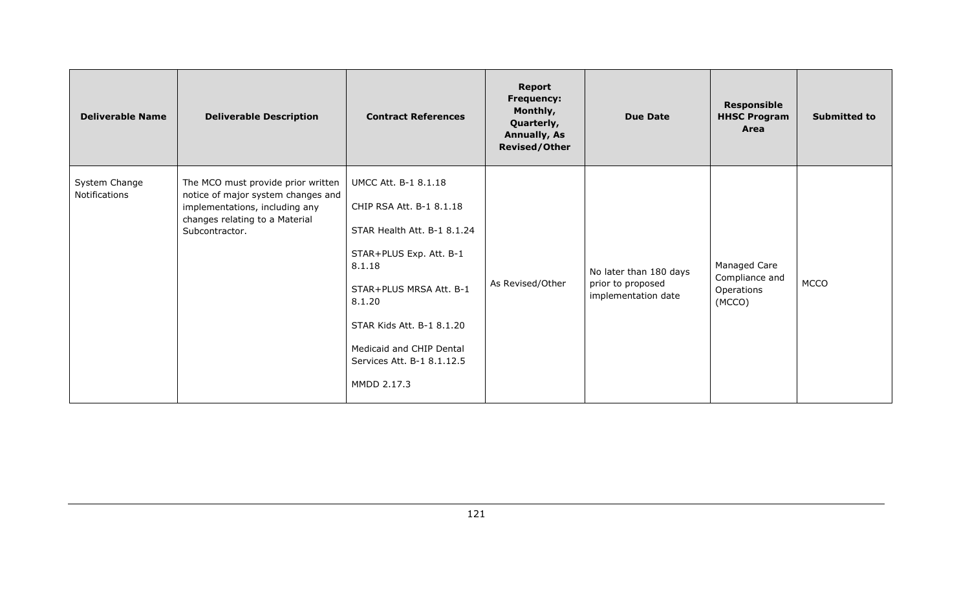| <b>Deliverable Name</b>        | <b>Deliverable Description</b>                                                                                                                                 | <b>Contract References</b>                                                                                                                                                                                                                                             | <b>Report</b><br><b>Frequency:</b><br>Monthly,<br>Quarterly,<br><b>Annually, As</b><br><b>Revised/Other</b> | <b>Due Date</b>                                                    | <b>Responsible</b><br><b>HHSC Program</b><br>Area      | <b>Submitted to</b> |
|--------------------------------|----------------------------------------------------------------------------------------------------------------------------------------------------------------|------------------------------------------------------------------------------------------------------------------------------------------------------------------------------------------------------------------------------------------------------------------------|-------------------------------------------------------------------------------------------------------------|--------------------------------------------------------------------|--------------------------------------------------------|---------------------|
| System Change<br>Notifications | The MCO must provide prior written<br>notice of major system changes and<br>implementations, including any<br>changes relating to a Material<br>Subcontractor. | <b>UMCC Att. B-1 8.1.18</b><br>CHIP RSA Att. B-1 8.1.18<br>STAR Health Att. B-1 8.1.24<br>STAR+PLUS Exp. Att. B-1<br>8.1.18<br>STAR+PLUS MRSA Att. B-1<br>8.1.20<br>STAR Kids Att. B-1 8.1.20<br>Medicaid and CHIP Dental<br>Services Att. B-1 8.1.12.5<br>MMDD 2.17.3 | As Revised/Other                                                                                            | No later than 180 days<br>prior to proposed<br>implementation date | Managed Care<br>Compliance and<br>Operations<br>(MCCO) | <b>MCCO</b>         |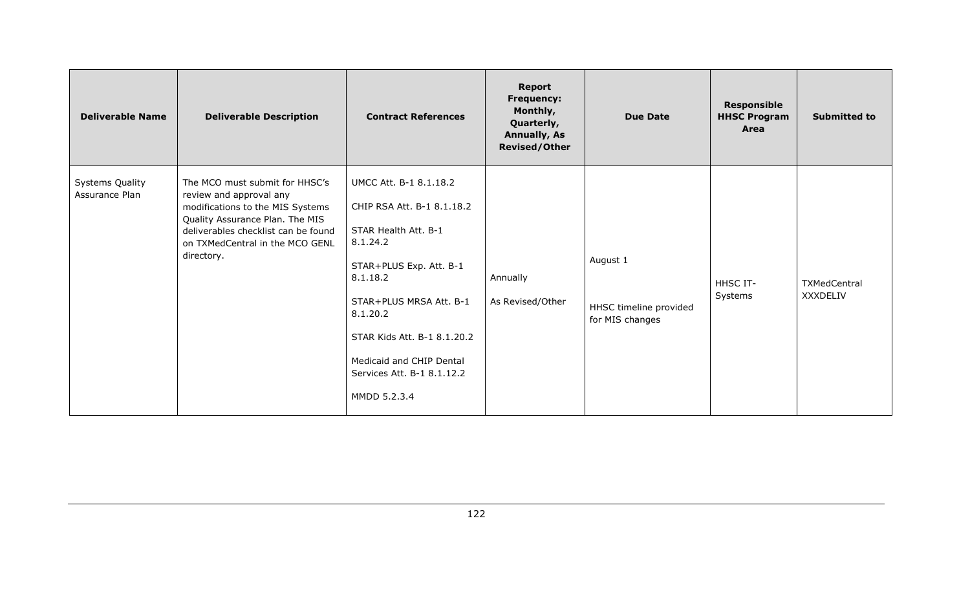| <b>Deliverable Name</b>                  | <b>Deliverable Description</b>                                                                                                                                                                                           | <b>Contract References</b>                                                                                                                                                                                                                                                      | Report<br><b>Frequency:</b><br>Monthly,<br>Quarterly,<br><b>Annually, As</b><br><b>Revised/Other</b> | <b>Due Date</b>                                       | <b>Responsible</b><br><b>HHSC Program</b><br>Area | <b>Submitted to</b>      |
|------------------------------------------|--------------------------------------------------------------------------------------------------------------------------------------------------------------------------------------------------------------------------|---------------------------------------------------------------------------------------------------------------------------------------------------------------------------------------------------------------------------------------------------------------------------------|------------------------------------------------------------------------------------------------------|-------------------------------------------------------|---------------------------------------------------|--------------------------|
| <b>Systems Quality</b><br>Assurance Plan | The MCO must submit for HHSC's<br>review and approval any<br>modifications to the MIS Systems<br>Quality Assurance Plan. The MIS<br>deliverables checklist can be found<br>on TXMedCentral in the MCO GENL<br>directory. | UMCC Att. B-1 8.1.18.2<br>CHIP RSA Att. B-1 8.1.18.2<br>STAR Health Att. B-1<br>8.1.24.2<br>STAR+PLUS Exp. Att. B-1<br>8.1.18.2<br>STAR+PLUS MRSA Att. B-1<br>8.1.20.2<br>STAR Kids Att. B-1 8.1.20.2<br>Medicaid and CHIP Dental<br>Services Att. B-1 8.1.12.2<br>MMDD 5.2.3.4 | Annually<br>As Revised/Other                                                                         | August 1<br>HHSC timeline provided<br>for MIS changes | HHSC IT-<br>Systems                               | TXMedCentral<br>XXXDELIV |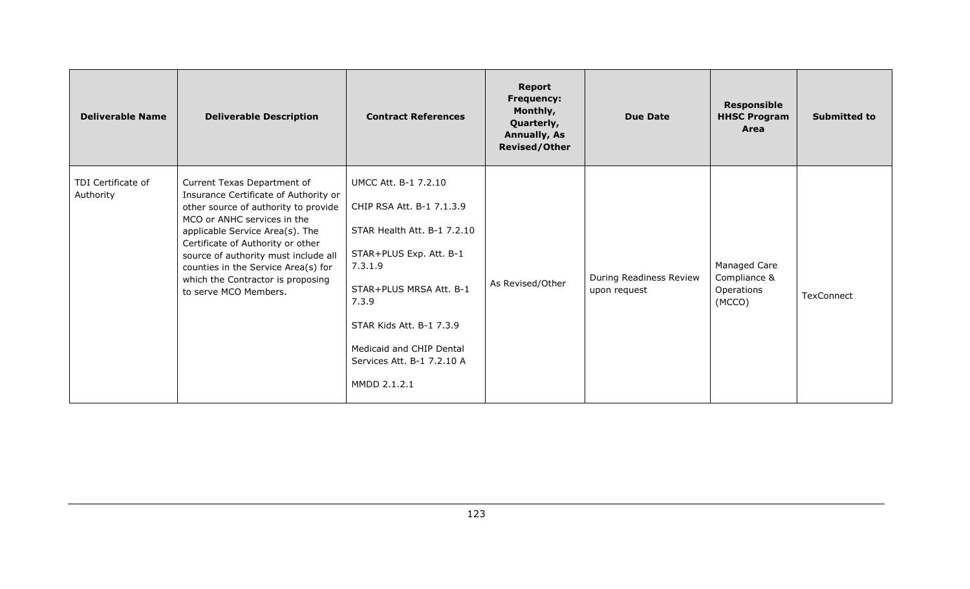| <b>Deliverable Name</b>         | <b>Deliverable Description</b>                                                                                                                                                                                                                                                                                                                                   | <b>Contract References</b>                                                                                                                                                                                                                                              | <b>Report</b><br><b>Frequency:</b><br>Monthly,<br>Quarterly,<br><b>Annually, As</b><br><b>Revised/Other</b> | <b>Due Date</b>                         | <b>Responsible</b><br><b>HHSC Program</b><br>Area    | <b>Submitted to</b> |
|---------------------------------|------------------------------------------------------------------------------------------------------------------------------------------------------------------------------------------------------------------------------------------------------------------------------------------------------------------------------------------------------------------|-------------------------------------------------------------------------------------------------------------------------------------------------------------------------------------------------------------------------------------------------------------------------|-------------------------------------------------------------------------------------------------------------|-----------------------------------------|------------------------------------------------------|---------------------|
| TDI Certificate of<br>Authority | Current Texas Department of<br>Insurance Certificate of Authority or<br>other source of authority to provide<br>MCO or ANHC services in the<br>applicable Service Area(s). The<br>Certificate of Authority or other<br>source of authority must include all<br>counties in the Service Area(s) for<br>which the Contractor is proposing<br>to serve MCO Members. | <b>UMCC Att. B-1 7.2.10</b><br>CHIP RSA Att. B-1 7.1.3.9<br>STAR Health Att. B-1 7.2.10<br>STAR+PLUS Exp. Att. B-1<br>7.3.1.9<br>STAR+PLUS MRSA Att. B-1<br>7.3.9<br>STAR Kids Att. B-1 7.3.9<br>Medicaid and CHIP Dental<br>Services Att. B-1 7.2.10 A<br>MMDD 2.1.2.1 | As Revised/Other                                                                                            | During Readiness Review<br>upon request | Managed Care<br>Compliance &<br>Operations<br>(MCCO) | TexConnect          |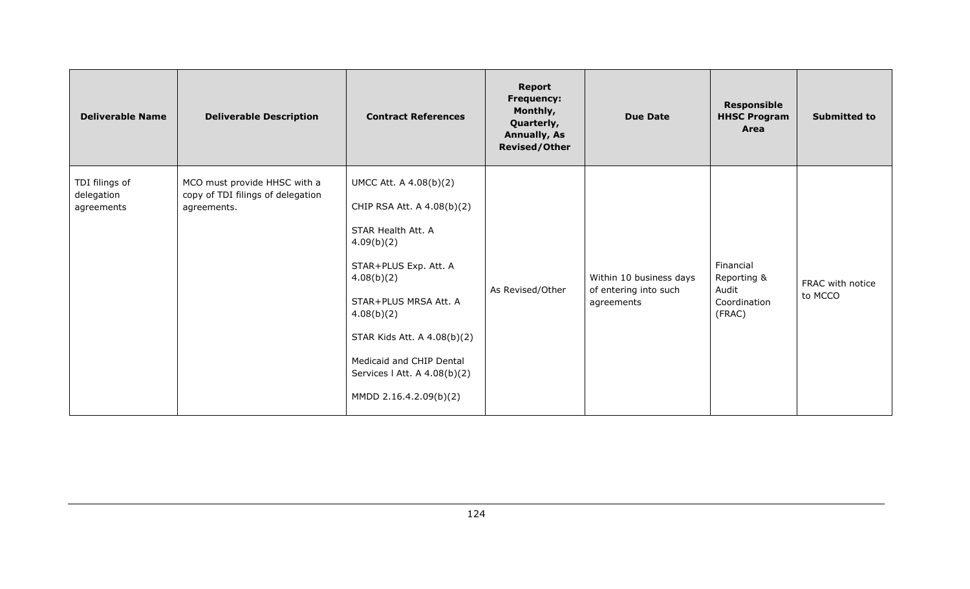| <b>Deliverable Name</b>                    | <b>Deliverable Description</b>                                                   | <b>Contract References</b>                                                                                                                                                                                                                                                                  | <b>Report</b><br><b>Frequency:</b><br>Monthly,<br>Quarterly,<br><b>Annually, As</b><br><b>Revised/Other</b> | <b>Due Date</b>                                                | <b>Responsible</b><br><b>HHSC Program</b><br>Area           | <b>Submitted to</b>         |
|--------------------------------------------|----------------------------------------------------------------------------------|---------------------------------------------------------------------------------------------------------------------------------------------------------------------------------------------------------------------------------------------------------------------------------------------|-------------------------------------------------------------------------------------------------------------|----------------------------------------------------------------|-------------------------------------------------------------|-----------------------------|
| TDI filings of<br>delegation<br>agreements | MCO must provide HHSC with a<br>copy of TDI filings of delegation<br>agreements. | UMCC Att. A 4.08(b)(2)<br>CHIP RSA Att. A 4.08(b)(2)<br>STAR Health Att. A<br>4.09(b)(2)<br>STAR+PLUS Exp. Att. A<br>4.08(b)(2)<br>STAR+PLUS MRSA Att. A<br>4.08(b)(2)<br>STAR Kids Att. A 4.08(b)(2)<br>Medicaid and CHIP Dental<br>Services   Att. A 4.08(b)(2)<br>MMDD 2.16.4.2.09(b)(2) | As Revised/Other                                                                                            | Within 10 business days<br>of entering into such<br>agreements | Financial<br>Reporting &<br>Audit<br>Coordination<br>(FRAC) | FRAC with notice<br>to MCCO |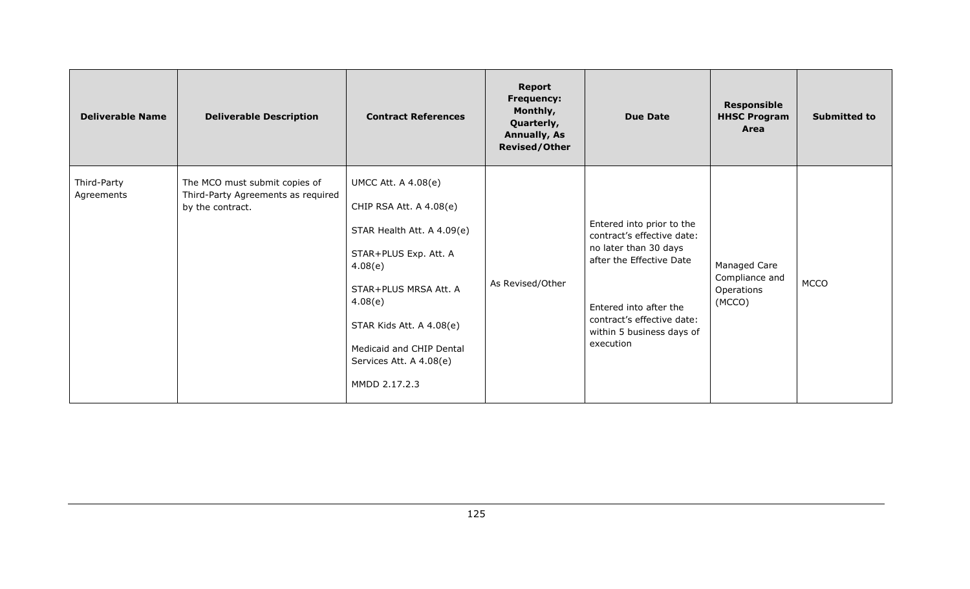| <b>Deliverable Name</b>   | <b>Deliverable Description</b>                                                          | <b>Contract References</b>                                                                                                                                                                                                                               | <b>Report</b><br><b>Frequency:</b><br>Monthly,<br>Quarterly,<br><b>Annually, As</b><br><b>Revised/Other</b> | <b>Due Date</b>                                                                                                                                                                                                | <b>Responsible</b><br><b>HHSC Program</b><br>Area      | <b>Submitted to</b> |
|---------------------------|-----------------------------------------------------------------------------------------|----------------------------------------------------------------------------------------------------------------------------------------------------------------------------------------------------------------------------------------------------------|-------------------------------------------------------------------------------------------------------------|----------------------------------------------------------------------------------------------------------------------------------------------------------------------------------------------------------------|--------------------------------------------------------|---------------------|
| Third-Party<br>Agreements | The MCO must submit copies of<br>Third-Party Agreements as required<br>by the contract. | UMCC Att. A 4.08(e)<br>CHIP RSA Att. A 4.08(e)<br>STAR Health Att. A 4.09(e)<br>STAR+PLUS Exp. Att. A<br>4.08(e)<br>STAR+PLUS MRSA Att. A<br>4.08(e)<br>STAR Kids Att. A 4.08(e)<br>Medicaid and CHIP Dental<br>Services Att. A 4.08(e)<br>MMDD 2.17.2.3 | As Revised/Other                                                                                            | Entered into prior to the<br>contract's effective date:<br>no later than 30 days<br>after the Effective Date<br>Entered into after the<br>contract's effective date:<br>within 5 business days of<br>execution | Managed Care<br>Compliance and<br>Operations<br>(MCCO) | <b>MCCO</b>         |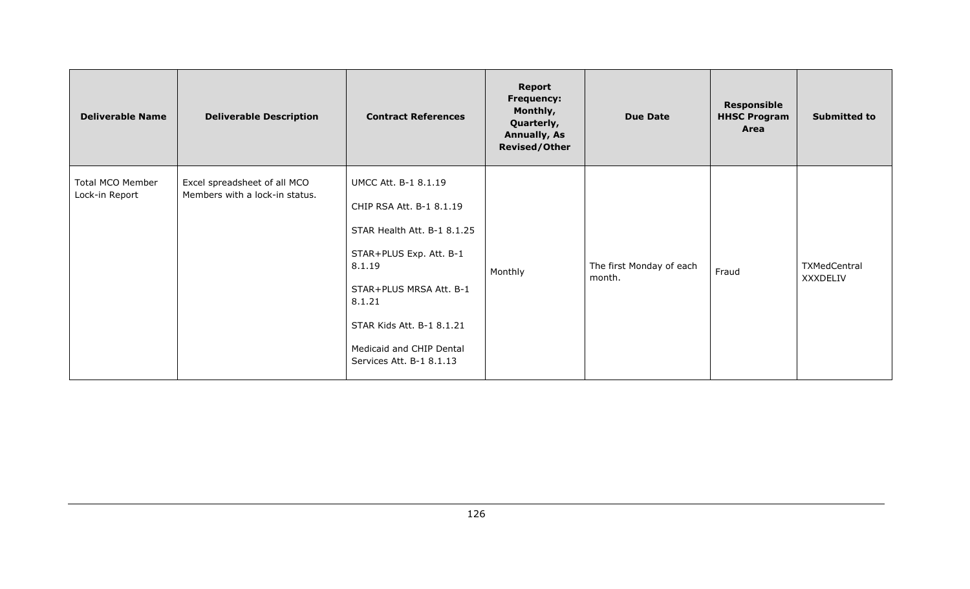| <b>Deliverable Name</b>            | <b>Deliverable Description</b>                                 | <b>Contract References</b>                                                                                                                                                                                                                     | <b>Report</b><br>Frequency:<br>Monthly,<br>Quarterly,<br><b>Annually, As</b><br><b>Revised/Other</b> | <b>Due Date</b>                    | <b>Responsible</b><br><b>HHSC Program</b><br>Area | <b>Submitted to</b>             |
|------------------------------------|----------------------------------------------------------------|------------------------------------------------------------------------------------------------------------------------------------------------------------------------------------------------------------------------------------------------|------------------------------------------------------------------------------------------------------|------------------------------------|---------------------------------------------------|---------------------------------|
| Total MCO Member<br>Lock-in Report | Excel spreadsheet of all MCO<br>Members with a lock-in status. | UMCC Att. B-1 8.1.19<br>CHIP RSA Att. B-1 8.1.19<br>STAR Health Att. B-1 8.1.25<br>STAR+PLUS Exp. Att. B-1<br>8.1.19<br>STAR+PLUS MRSA Att. B-1<br>8.1.21<br>STAR Kids Att. B-1 8.1.21<br>Medicaid and CHIP Dental<br>Services Att. B-1 8.1.13 | Monthly                                                                                              | The first Monday of each<br>month. | Fraud                                             | TXMedCentral<br><b>XXXDELIV</b> |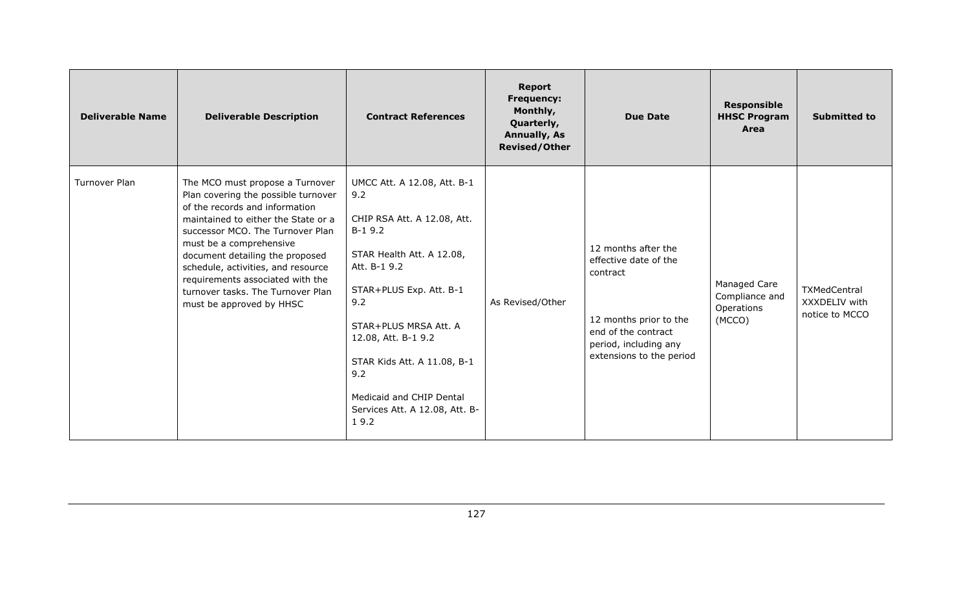| <b>Deliverable Name</b> | <b>Deliverable Description</b>                                                                                                                                                                                                                                                                                                                                                               | <b>Contract References</b>                                                                                                                                                                                                                                                                                               | <b>Report</b><br><b>Frequency:</b><br>Monthly,<br>Quarterly,<br><b>Annually, As</b><br><b>Revised/Other</b> | <b>Due Date</b>                                                                                                                                                | <b>Responsible</b><br><b>HHSC Program</b><br>Area      | <b>Submitted to</b>                             |
|-------------------------|----------------------------------------------------------------------------------------------------------------------------------------------------------------------------------------------------------------------------------------------------------------------------------------------------------------------------------------------------------------------------------------------|--------------------------------------------------------------------------------------------------------------------------------------------------------------------------------------------------------------------------------------------------------------------------------------------------------------------------|-------------------------------------------------------------------------------------------------------------|----------------------------------------------------------------------------------------------------------------------------------------------------------------|--------------------------------------------------------|-------------------------------------------------|
| Turnover Plan           | The MCO must propose a Turnover<br>Plan covering the possible turnover<br>of the records and information<br>maintained to either the State or a<br>successor MCO. The Turnover Plan<br>must be a comprehensive<br>document detailing the proposed<br>schedule, activities, and resource<br>requirements associated with the<br>turnover tasks. The Turnover Plan<br>must be approved by HHSC | UMCC Att. A 12.08, Att. B-1<br>9.2<br>CHIP RSA Att. A 12.08, Att.<br>$B-19.2$<br>STAR Health Att. A 12.08,<br>Att. B-1 9.2<br>STAR+PLUS Exp. Att. B-1<br>9.2<br>STAR+PLUS MRSA Att. A<br>12.08, Att. B-1 9.2<br>STAR Kids Att. A 11.08, B-1<br>9.2<br>Medicaid and CHIP Dental<br>Services Att. A 12.08, Att. B-<br>19.2 | As Revised/Other                                                                                            | 12 months after the<br>effective date of the<br>contract<br>12 months prior to the<br>end of the contract<br>period, including any<br>extensions to the period | Managed Care<br>Compliance and<br>Operations<br>(MCCO) | TXMedCentral<br>XXXDELIV with<br>notice to MCCO |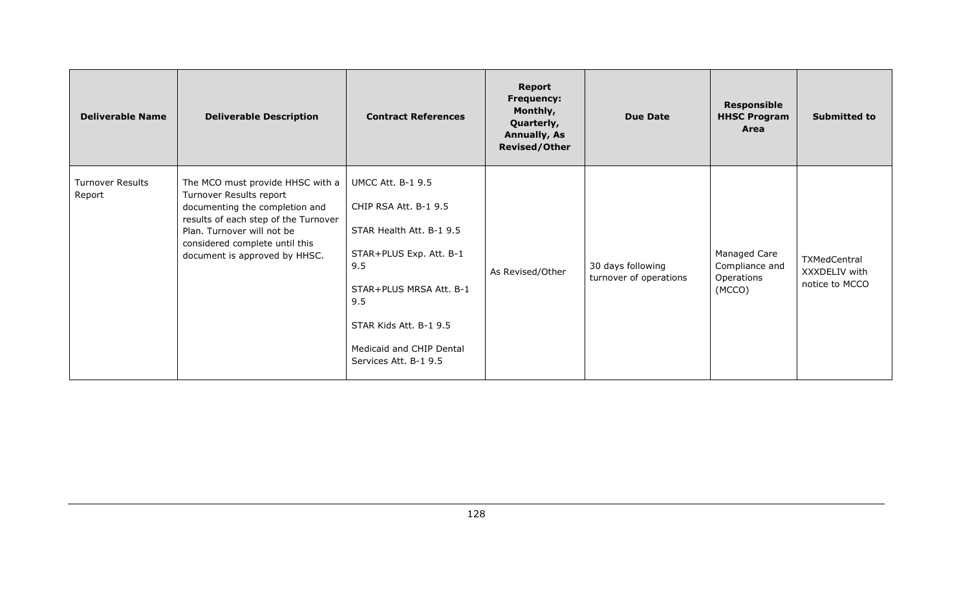| <b>Deliverable Name</b>           | <b>Deliverable Description</b>                                                                                                                                                                                                         | <b>Contract References</b>                                                                                                                                                                                                       | <b>Report</b><br><b>Frequency:</b><br>Monthly,<br>Quarterly,<br><b>Annually, As</b><br><b>Revised/Other</b> | <b>Due Date</b>                             | <b>Responsible</b><br><b>HHSC Program</b><br>Area      | <b>Submitted to</b>                             |
|-----------------------------------|----------------------------------------------------------------------------------------------------------------------------------------------------------------------------------------------------------------------------------------|----------------------------------------------------------------------------------------------------------------------------------------------------------------------------------------------------------------------------------|-------------------------------------------------------------------------------------------------------------|---------------------------------------------|--------------------------------------------------------|-------------------------------------------------|
| <b>Turnover Results</b><br>Report | The MCO must provide HHSC with a<br>Turnover Results report<br>documenting the completion and<br>results of each step of the Turnover<br>Plan. Turnover will not be<br>considered complete until this<br>document is approved by HHSC. | <b>UMCC Att. B-1 9.5</b><br>CHIP RSA Att. B-1 9.5<br>STAR Health Att. B-1 9.5<br>STAR+PLUS Exp. Att. B-1<br>9.5<br>STAR+PLUS MRSA Att. B-1<br>9.5<br>STAR Kids Att. B-1 9.5<br>Medicaid and CHIP Dental<br>Services Att. B-1 9.5 | As Revised/Other                                                                                            | 30 days following<br>turnover of operations | Managed Care<br>Compliance and<br>Operations<br>(MCCO) | TXMedCentral<br>XXXDELIV with<br>notice to MCCO |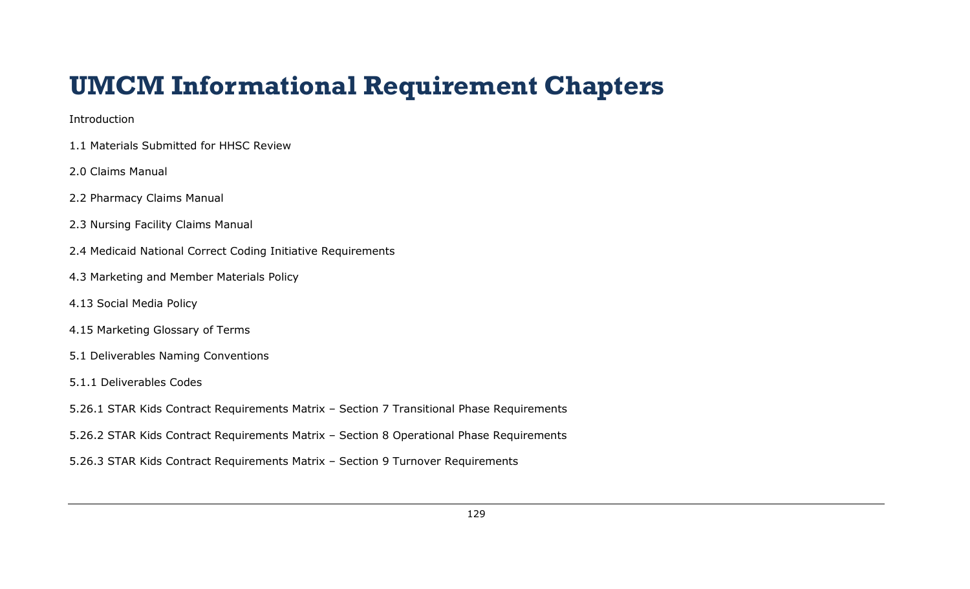## **UMCM Informational Requirement Chapters**

## Introduction

- 1.1 Materials Submitted for HHSC Review
- 2.0 Claims Manual
- 2.2 Pharmacy Claims Manual
- 2.3 Nursing Facility Claims Manual
- 2.4 Medicaid National Correct Coding Initiative Requirements
- 4.3 Marketing and Member Materials Policy
- 4.13 Social Media Policy
- 4.15 Marketing Glossary of Terms
- 5.1 Deliverables Naming Conventions
- 5.1.1 Deliverables Codes
- 5.26.1 STAR Kids Contract Requirements Matrix Section 7 Transitional Phase Requirements
- 5.26.2 STAR Kids Contract Requirements Matrix Section 8 Operational Phase Requirements
- 5.26.3 STAR Kids Contract Requirements Matrix Section 9 Turnover Requirements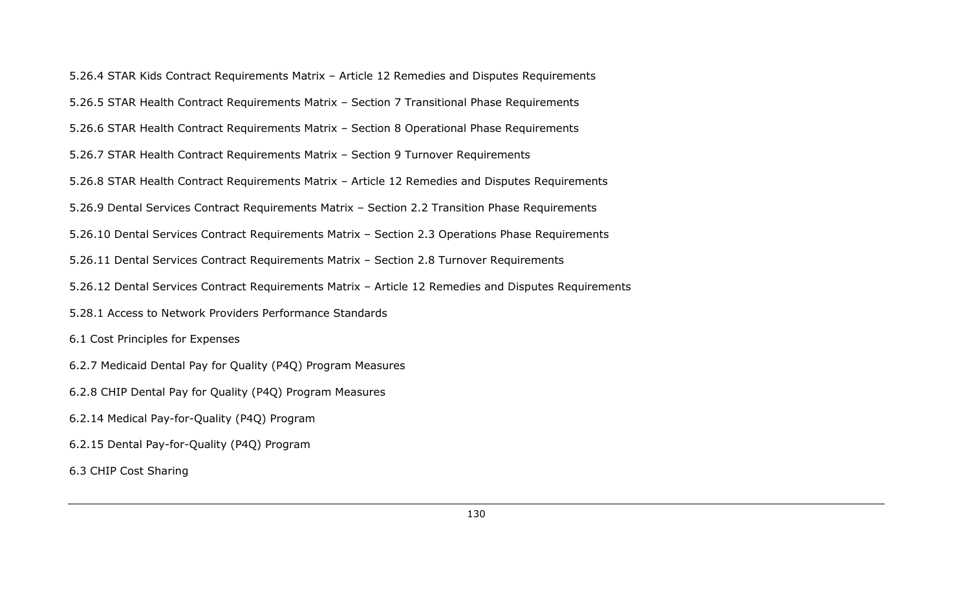5.26.4 STAR Kids Contract Requirements Matrix – Article 12 Remedies and Disputes Requirements 5.26.5 STAR Health Contract Requirements Matrix – Section 7 Transitional Phase Requirements 5.26.6 STAR Health Contract Requirements Matrix – Section 8 Operational Phase Requirements 5.26.7 STAR Health Contract Requirements Matrix – Section 9 Turnover Requirements 5.26.8 STAR Health Contract Requirements Matrix – Article 12 Remedies and Disputes Requirements 5.26.9 Dental Services Contract Requirements Matrix – Section 2.2 Transition Phase Requirements 5.26.10 Dental Services Contract Requirements Matrix – Section 2.3 Operations Phase Requirements 5.26.11 Dental Services Contract Requirements Matrix – Section 2.8 Turnover Requirements 5.26.12 Dental Services Contract Requirements Matrix – Article 12 Remedies and Disputes Requirements 5.28.1 Access to Network Providers Performance Standards 6.1 Cost Principles for Expenses 6.2.7 Medicaid Dental Pay for Quality (P4Q) Program Measures 6.2.8 CHIP Dental Pay for Quality (P4Q) Program Measures 6.2.14 Medical Pay-for-Quality (P4Q) Program 6.2.15 Dental Pay-for-Quality (P4Q) Program 6.3 CHIP Cost Sharing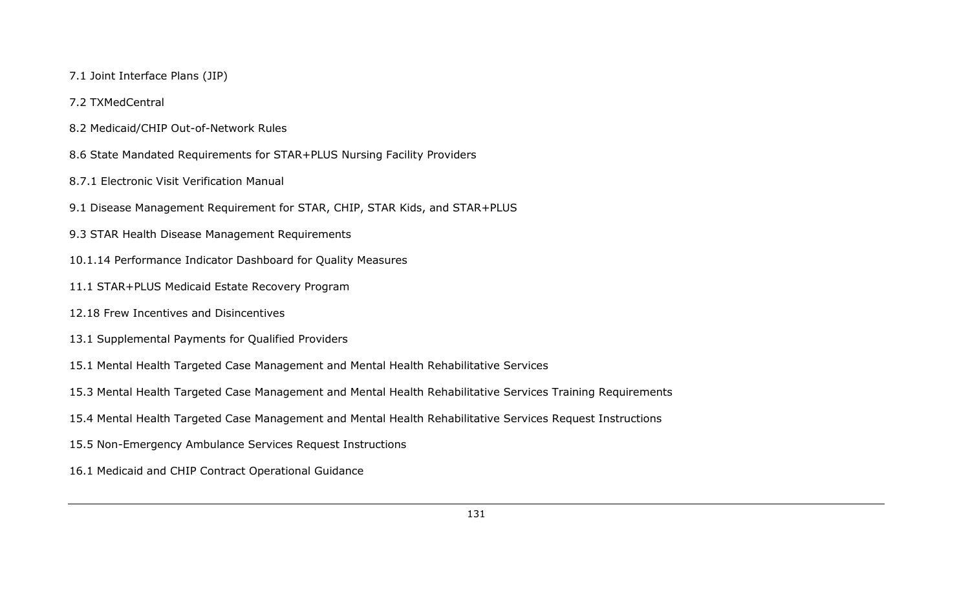- 7.1 Joint Interface Plans (JIP)
- 7.2 TXMedCentral
- 8.2 Medicaid/CHIP Out-of-Network Rules
- 8.6 State Mandated Requirements for STAR+PLUS Nursing Facility Providers
- 8.7.1 Electronic Visit Verification Manual
- 9.1 Disease Management Requirement for STAR, CHIP, STAR Kids, and STAR+PLUS
- 9.3 STAR Health Disease Management Requirements
- 10.1.14 Performance Indicator Dashboard for Quality Measures
- 11.1 STAR+PLUS Medicaid Estate Recovery Program
- 12.18 Frew Incentives and Disincentives
- 13.1 Supplemental Payments for Qualified Providers
- 15.1 Mental Health Targeted Case Management and Mental Health Rehabilitative Services
- 15.3 Mental Health Targeted Case Management and Mental Health Rehabilitative Services Training Requirements
- 15.4 Mental Health Targeted Case Management and Mental Health Rehabilitative Services Request Instructions
- 15.5 Non-Emergency Ambulance Services Request Instructions
- 16.1 Medicaid and CHIP Contract Operational Guidance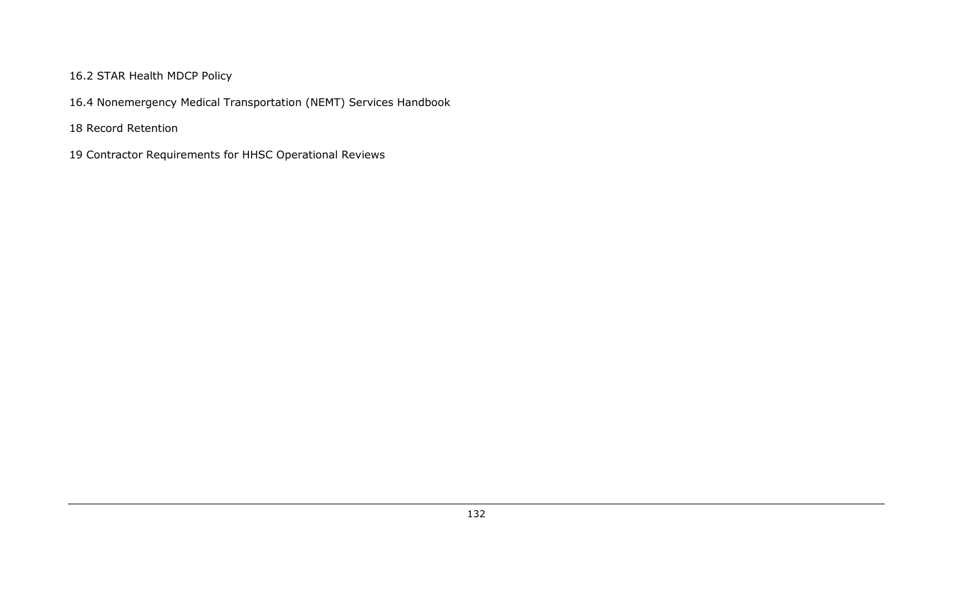## 16.2 STAR Health MDCP Policy

16.4 Nonemergency Medical Transportation (NEMT) Services Handbook

18 Record Retention

19 Contractor Requirements for HHSC Operational Reviews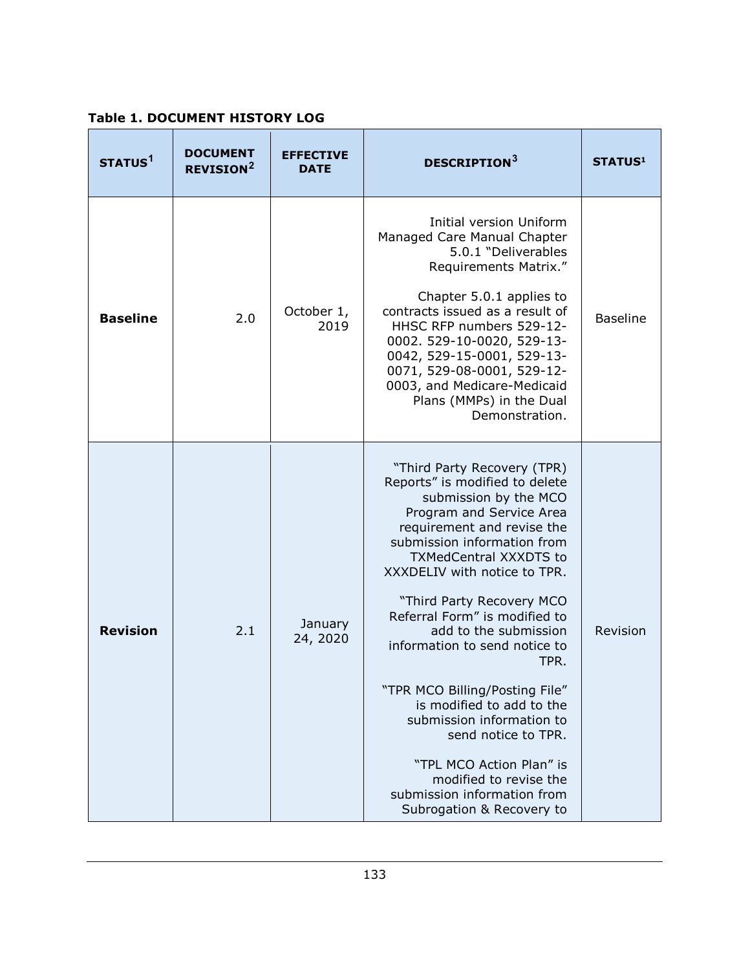**Table 1. DOCUMENT HISTORY LOG**

| STATUS <sup>1</sup> | <b>DOCUMENT</b><br><b>REVISION<sup>2</sup></b> | <b>EFFECTIVE</b><br><b>DATE</b> | <b>DESCRIPTION</b> <sup>3</sup>                                                                                                                                                                                                                                                                                                                                                                                                                                                                                                                                                                                       | <b>STATUS1</b>  |
|---------------------|------------------------------------------------|---------------------------------|-----------------------------------------------------------------------------------------------------------------------------------------------------------------------------------------------------------------------------------------------------------------------------------------------------------------------------------------------------------------------------------------------------------------------------------------------------------------------------------------------------------------------------------------------------------------------------------------------------------------------|-----------------|
| <b>Baseline</b>     | 2.0                                            | October 1,<br>2019              | Initial version Uniform<br>Managed Care Manual Chapter<br>5.0.1 "Deliverables<br>Requirements Matrix."<br>Chapter 5.0.1 applies to<br>contracts issued as a result of<br>HHSC RFP numbers 529-12-<br>0002. 529-10-0020, 529-13-<br>0042, 529-15-0001, 529-13-<br>0071, 529-08-0001, 529-12-<br>0003, and Medicare-Medicaid<br>Plans (MMPs) in the Dual<br>Demonstration.                                                                                                                                                                                                                                              | <b>Baseline</b> |
| <b>Revision</b>     | 2.1                                            | January<br>24, 2020             | "Third Party Recovery (TPR)<br>Reports" is modified to delete<br>submission by the MCO<br>Program and Service Area<br>requirement and revise the<br>submission information from<br><b>TXMedCentral XXXDTS to</b><br>XXXDELIV with notice to TPR.<br>"Third Party Recovery MCO<br>Referral Form" is modified to<br>add to the submission<br>information to send notice to<br>TPR.<br>"TPR MCO Billing/Posting File"<br>is modified to add to the<br>submission information to<br>send notice to TPR.<br>"TPL MCO Action Plan" is<br>modified to revise the<br>submission information from<br>Subrogation & Recovery to | Revision        |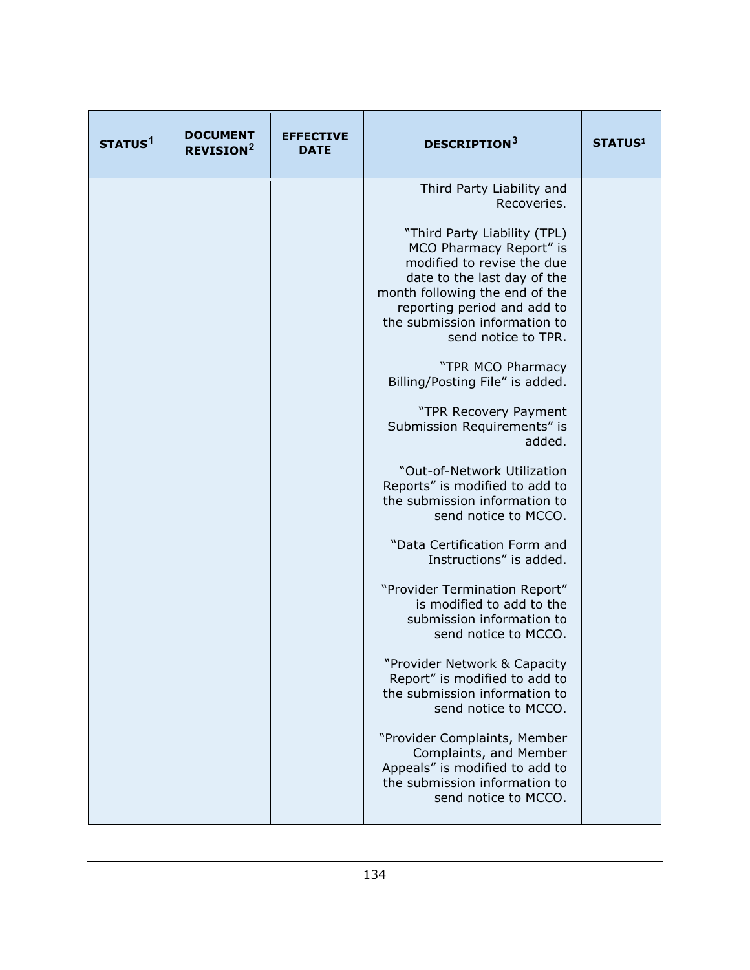| STATUS <sup>1</sup> | <b>DOCUMENT</b><br><b>REVISION<sup>2</sup></b> | <b>EFFECTIVE</b><br><b>DATE</b> | <b>DESCRIPTION3</b>                                                                                                                                                                                                                           | <b>STATUS1</b> |
|---------------------|------------------------------------------------|---------------------------------|-----------------------------------------------------------------------------------------------------------------------------------------------------------------------------------------------------------------------------------------------|----------------|
|                     |                                                |                                 | Third Party Liability and<br>Recoveries.                                                                                                                                                                                                      |                |
|                     |                                                |                                 | "Third Party Liability (TPL)<br>MCO Pharmacy Report" is<br>modified to revise the due<br>date to the last day of the<br>month following the end of the<br>reporting period and add to<br>the submission information to<br>send notice to TPR. |                |
|                     |                                                |                                 | "TPR MCO Pharmacy<br>Billing/Posting File" is added.                                                                                                                                                                                          |                |
|                     |                                                |                                 | "TPR Recovery Payment<br>Submission Requirements" is<br>added.                                                                                                                                                                                |                |
|                     |                                                |                                 | "Out-of-Network Utilization<br>Reports" is modified to add to<br>the submission information to<br>send notice to MCCO.                                                                                                                        |                |
|                     |                                                |                                 | "Data Certification Form and<br>Instructions" is added.                                                                                                                                                                                       |                |
|                     |                                                |                                 | "Provider Termination Report"<br>is modified to add to the<br>submission information to<br>send notice to MCCO.                                                                                                                               |                |
|                     |                                                |                                 | "Provider Network & Capacity<br>Report" is modified to add to<br>the submission information to<br>send notice to MCCO.                                                                                                                        |                |
|                     |                                                |                                 | "Provider Complaints, Member<br>Complaints, and Member<br>Appeals" is modified to add to<br>the submission information to<br>send notice to MCCO.                                                                                             |                |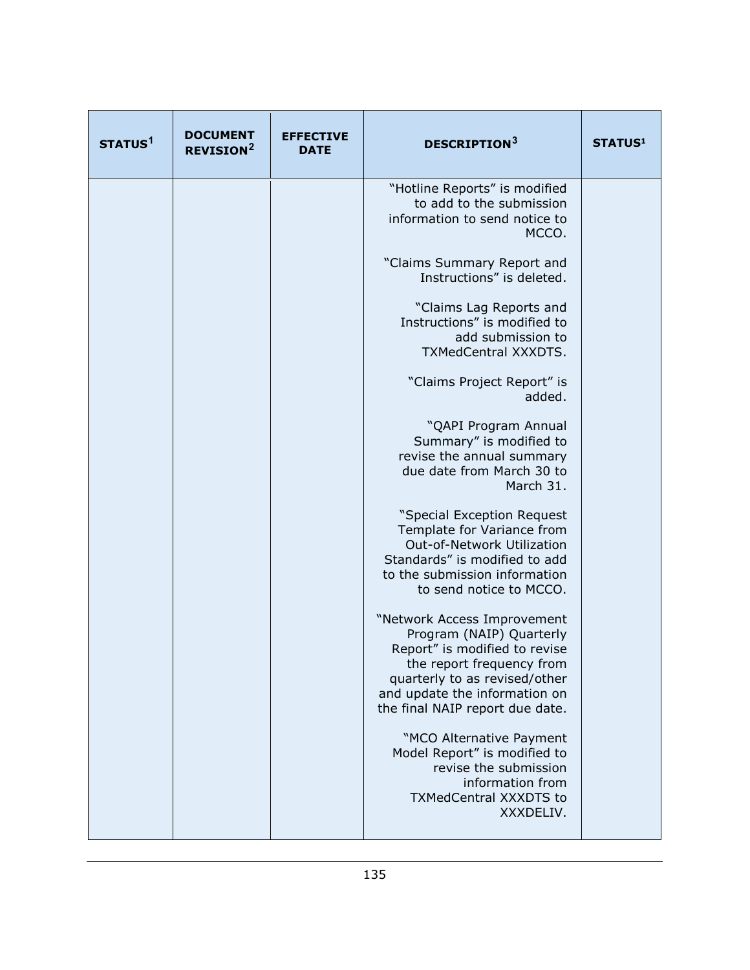| STATUS <sup>1</sup> | <b>DOCUMENT</b><br><b>REVISION<sup>2</sup></b> | <b>EFFECTIVE</b><br><b>DATE</b> | <b>DESCRIPTION3</b>                                                                                                                                                                                                        | <b>STATUS1</b> |
|---------------------|------------------------------------------------|---------------------------------|----------------------------------------------------------------------------------------------------------------------------------------------------------------------------------------------------------------------------|----------------|
|                     |                                                |                                 | "Hotline Reports" is modified<br>to add to the submission<br>information to send notice to<br>MCCO.                                                                                                                        |                |
|                     |                                                |                                 | "Claims Summary Report and<br>Instructions" is deleted.                                                                                                                                                                    |                |
|                     |                                                |                                 | "Claims Lag Reports and<br>Instructions" is modified to<br>add submission to<br>TXMedCentral XXXDTS.                                                                                                                       |                |
|                     |                                                |                                 | "Claims Project Report" is<br>added.                                                                                                                                                                                       |                |
|                     |                                                |                                 | "QAPI Program Annual<br>Summary" is modified to<br>revise the annual summary<br>due date from March 30 to<br>March 31.                                                                                                     |                |
|                     |                                                |                                 | "Special Exception Request<br>Template for Variance from<br>Out-of-Network Utilization<br>Standards" is modified to add<br>to the submission information<br>to send notice to MCCO.                                        |                |
|                     |                                                |                                 | "Network Access Improvement<br>Program (NAIP) Quarterly<br>Report" is modified to revise<br>the report frequency from<br>quarterly to as revised/other<br>and update the information on<br>the final NAIP report due date. |                |
|                     |                                                |                                 | "MCO Alternative Payment<br>Model Report" is modified to<br>revise the submission<br>information from<br><b>TXMedCentral XXXDTS to</b><br>XXXDELIV.                                                                        |                |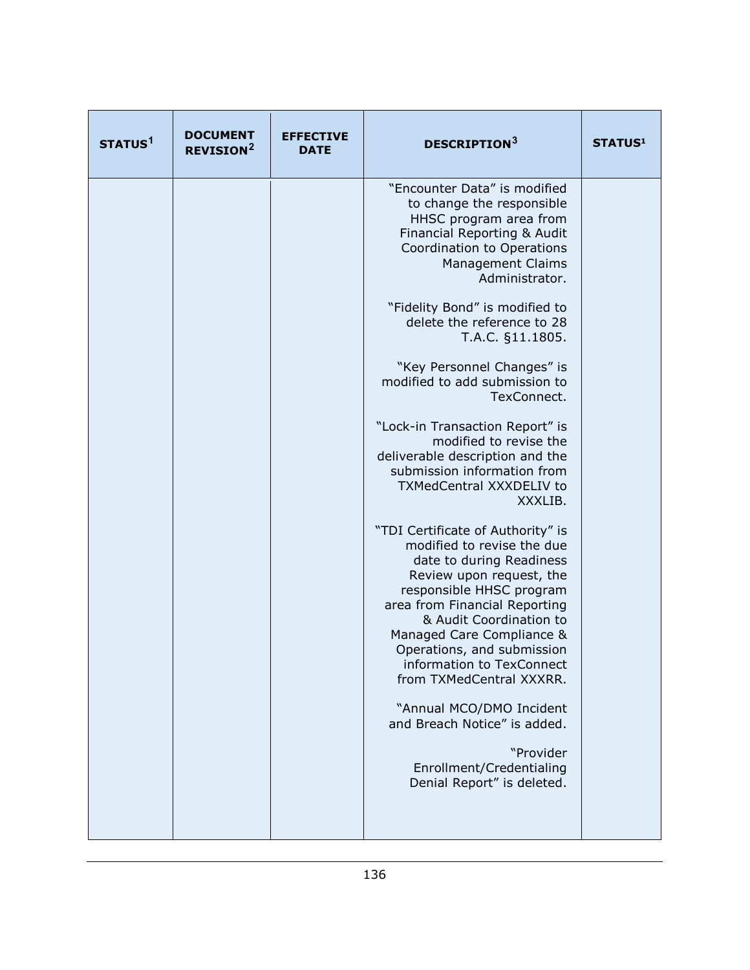| STATUS <sup>1</sup> | <b>DOCUMENT</b><br><b>REVISION<sup>2</sup></b> | <b>EFFECTIVE</b><br><b>DATE</b> | <b>DESCRIPTION3</b>                                                                                                                                                                                                                                                                                                                 | <b>STATUS1</b> |
|---------------------|------------------------------------------------|---------------------------------|-------------------------------------------------------------------------------------------------------------------------------------------------------------------------------------------------------------------------------------------------------------------------------------------------------------------------------------|----------------|
|                     |                                                |                                 | "Encounter Data" is modified<br>to change the responsible<br>HHSC program area from<br>Financial Reporting & Audit<br>Coordination to Operations<br><b>Management Claims</b><br>Administrator.                                                                                                                                      |                |
|                     |                                                |                                 | "Fidelity Bond" is modified to<br>delete the reference to 28<br>T.A.C. §11.1805.                                                                                                                                                                                                                                                    |                |
|                     |                                                |                                 | "Key Personnel Changes" is<br>modified to add submission to<br>TexConnect.                                                                                                                                                                                                                                                          |                |
|                     |                                                |                                 | "Lock-in Transaction Report" is<br>modified to revise the<br>deliverable description and the<br>submission information from<br><b>TXMedCentral XXXDELIV to</b><br>XXXLIB.                                                                                                                                                           |                |
|                     |                                                |                                 | "TDI Certificate of Authority" is<br>modified to revise the due<br>date to during Readiness<br>Review upon request, the<br>responsible HHSC program<br>area from Financial Reporting<br>& Audit Coordination to<br>Managed Care Compliance &<br>Operations, and submission<br>information to TexConnect<br>from TXMedCentral XXXRR. |                |
|                     |                                                |                                 | "Annual MCO/DMO Incident<br>and Breach Notice" is added.                                                                                                                                                                                                                                                                            |                |
|                     |                                                |                                 | "Provider<br>Enrollment/Credentialing<br>Denial Report" is deleted.                                                                                                                                                                                                                                                                 |                |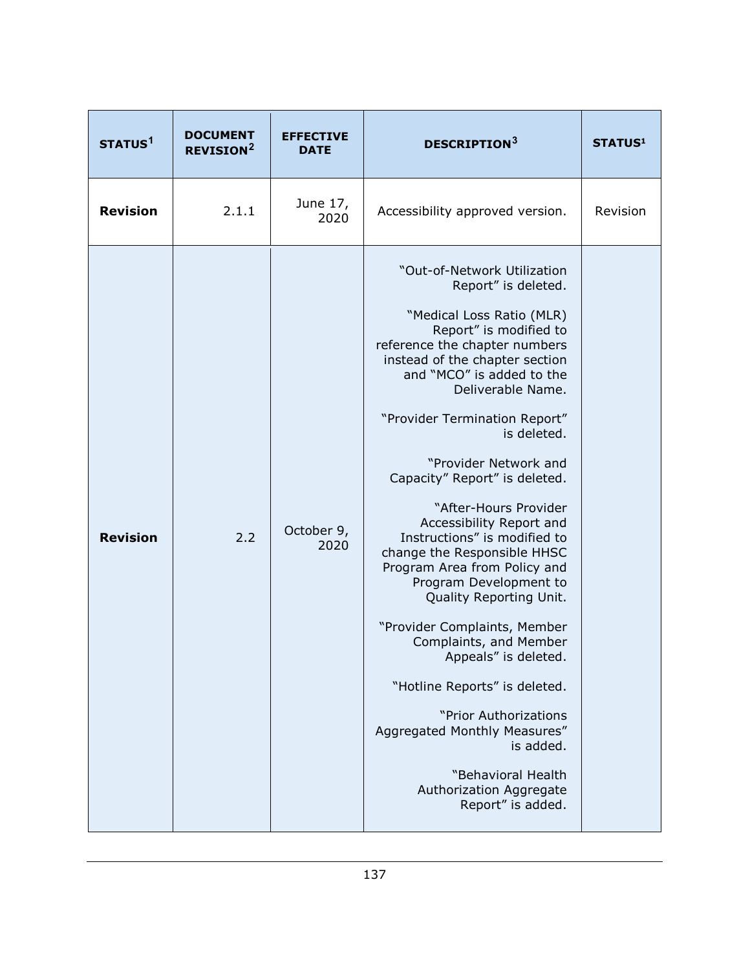| STATUS <sup>1</sup> | <b>DOCUMENT</b><br><b>REVISION<sup>2</sup></b> | <b>EFFECTIVE</b><br><b>DATE</b> | <b>DESCRIPTION</b> <sup>3</sup>                                                                                                                                                                                                                                                                                                                                                                                                                                                                                                                                                                                                                                                                                                                                                                                 | <b>STATUS1</b> |
|---------------------|------------------------------------------------|---------------------------------|-----------------------------------------------------------------------------------------------------------------------------------------------------------------------------------------------------------------------------------------------------------------------------------------------------------------------------------------------------------------------------------------------------------------------------------------------------------------------------------------------------------------------------------------------------------------------------------------------------------------------------------------------------------------------------------------------------------------------------------------------------------------------------------------------------------------|----------------|
| <b>Revision</b>     | 2.1.1                                          | June 17,<br>2020                | Accessibility approved version.                                                                                                                                                                                                                                                                                                                                                                                                                                                                                                                                                                                                                                                                                                                                                                                 | Revision       |
| <b>Revision</b>     | 2.2                                            | October 9,<br>2020              | "Out-of-Network Utilization<br>Report" is deleted.<br>"Medical Loss Ratio (MLR)<br>Report" is modified to<br>reference the chapter numbers<br>instead of the chapter section<br>and "MCO" is added to the<br>Deliverable Name.<br>"Provider Termination Report"<br>is deleted.<br>"Provider Network and<br>Capacity" Report" is deleted.<br>"After-Hours Provider<br>Accessibility Report and<br>Instructions" is modified to<br>change the Responsible HHSC<br>Program Area from Policy and<br>Program Development to<br>Quality Reporting Unit.<br>"Provider Complaints, Member<br>Complaints, and Member<br>Appeals" is deleted<br>"Hotline Reports" is deleted.<br>"Prior Authorizations<br>Aggregated Monthly Measures"<br>is added.<br>"Behavioral Health<br>Authorization Aggregate<br>Report" is added. |                |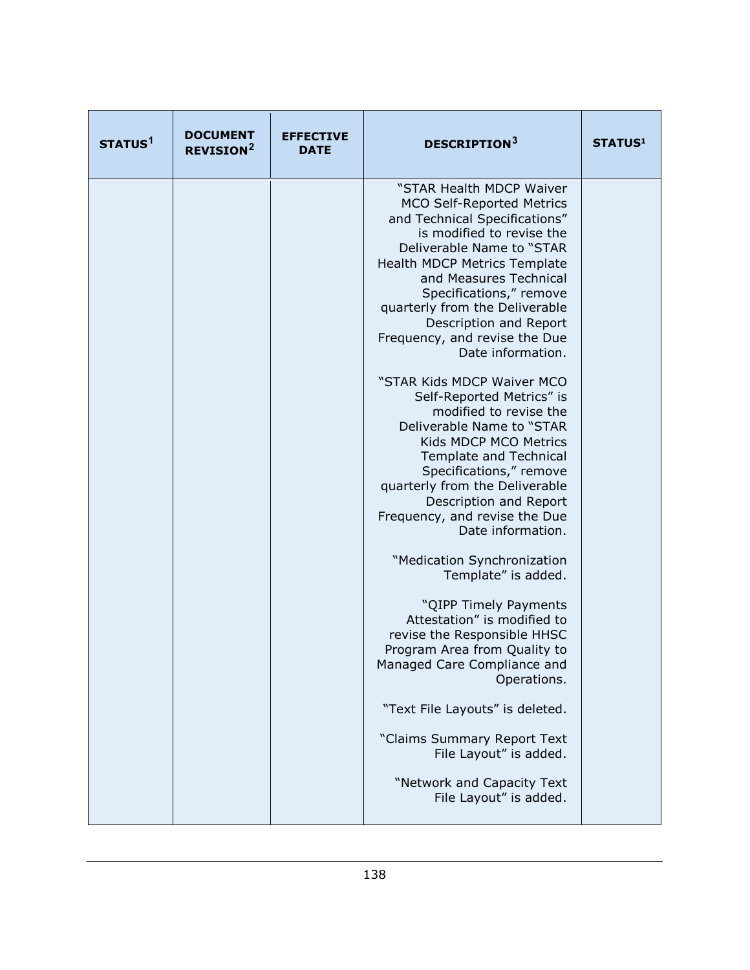| STATUS <sup>1</sup> | <b>DOCUMENT</b><br><b>REVISION<sup>2</sup></b> | <b>EFFECTIVE</b><br><b>DATE</b> | <b>DESCRIPTION</b> <sup>3</sup>                                                                                                                                                                                                                                                                                                                                                                                                                                                                                                                                                                                                                                                                                                                                                                                                                                                                                                                                                                                                                                               | <b>STATUS1</b> |
|---------------------|------------------------------------------------|---------------------------------|-------------------------------------------------------------------------------------------------------------------------------------------------------------------------------------------------------------------------------------------------------------------------------------------------------------------------------------------------------------------------------------------------------------------------------------------------------------------------------------------------------------------------------------------------------------------------------------------------------------------------------------------------------------------------------------------------------------------------------------------------------------------------------------------------------------------------------------------------------------------------------------------------------------------------------------------------------------------------------------------------------------------------------------------------------------------------------|----------------|
|                     |                                                |                                 | "STAR Health MDCP Waiver<br><b>MCO Self-Reported Metrics</b><br>and Technical Specifications"<br>is modified to revise the<br>Deliverable Name to "STAR<br><b>Health MDCP Metrics Template</b><br>and Measures Technical<br>Specifications," remove<br>quarterly from the Deliverable<br>Description and Report<br>Frequency, and revise the Due<br>Date information.<br>"STAR Kids MDCP Waiver MCO<br>Self-Reported Metrics" is<br>modified to revise the<br>Deliverable Name to "STAR<br>Kids MDCP MCO Metrics<br><b>Template and Technical</b><br>Specifications," remove<br>quarterly from the Deliverable<br>Description and Report<br>Frequency, and revise the Due<br>Date information.<br>"Medication Synchronization<br>Template" is added.<br>"QIPP Timely Payments<br>Attestation" is modified to<br>revise the Responsible HHSC<br>Program Area from Quality to<br>Managed Care Compliance and<br>Operations.<br>"Text File Layouts" is deleted.<br>"Claims Summary Report Text<br>File Layout" is added.<br>"Network and Capacity Text<br>File Layout" is added. |                |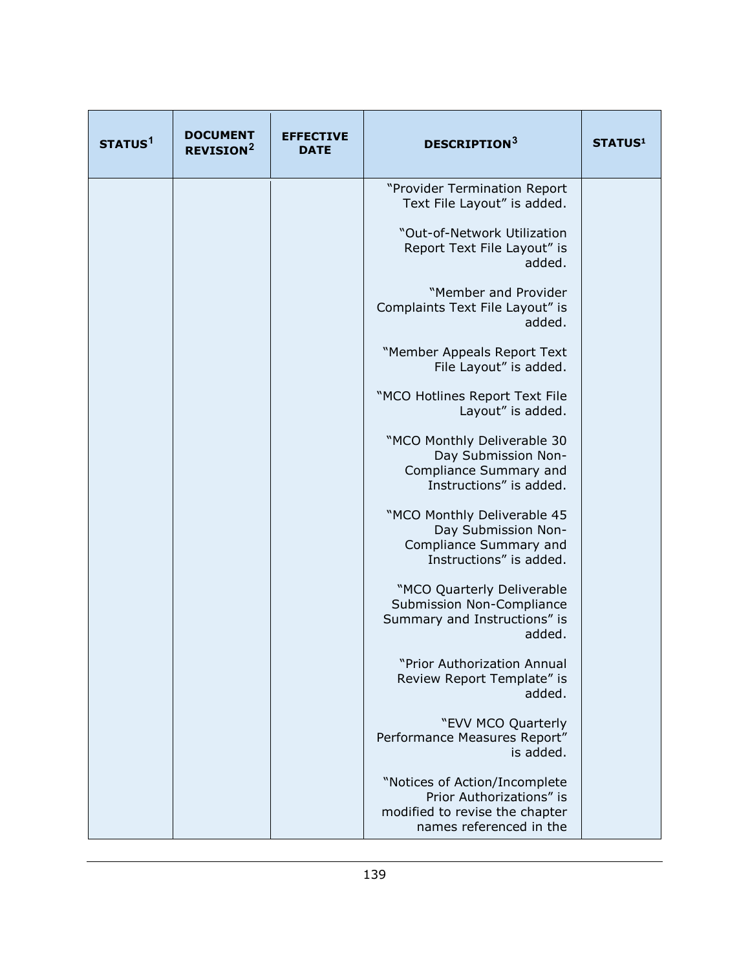| STATUS <sup>1</sup> | <b>DOCUMENT</b><br><b>REVISION<sup>2</sup></b> | <b>EFFECTIVE</b><br><b>DATE</b> | <b>DESCRIPTION3</b>                                                                                                    | <b>STATUS1</b> |
|---------------------|------------------------------------------------|---------------------------------|------------------------------------------------------------------------------------------------------------------------|----------------|
|                     |                                                |                                 | "Provider Termination Report<br>Text File Layout" is added.                                                            |                |
|                     |                                                |                                 | "Out-of-Network Utilization<br>Report Text File Layout" is<br>added.                                                   |                |
|                     |                                                |                                 | "Member and Provider<br>Complaints Text File Layout" is<br>added.                                                      |                |
|                     |                                                |                                 | "Member Appeals Report Text<br>File Layout" is added.                                                                  |                |
|                     |                                                |                                 | "MCO Hotlines Report Text File<br>Layout" is added.                                                                    |                |
|                     |                                                |                                 | "MCO Monthly Deliverable 30<br>Day Submission Non-<br>Compliance Summary and<br>Instructions" is added.                |                |
|                     |                                                |                                 | "MCO Monthly Deliverable 45<br>Day Submission Non-<br>Compliance Summary and<br>Instructions" is added.                |                |
|                     |                                                |                                 | "MCO Quarterly Deliverable<br>Submission Non-Compliance<br>Summary and Instructions" is<br>added.                      |                |
|                     |                                                |                                 | "Prior Authorization Annual<br>Review Report Template" is<br>added.                                                    |                |
|                     |                                                |                                 | "EVV MCO Quarterly<br>Performance Measures Report"<br>is added.                                                        |                |
|                     |                                                |                                 | "Notices of Action/Incomplete<br>Prior Authorizations" is<br>modified to revise the chapter<br>names referenced in the |                |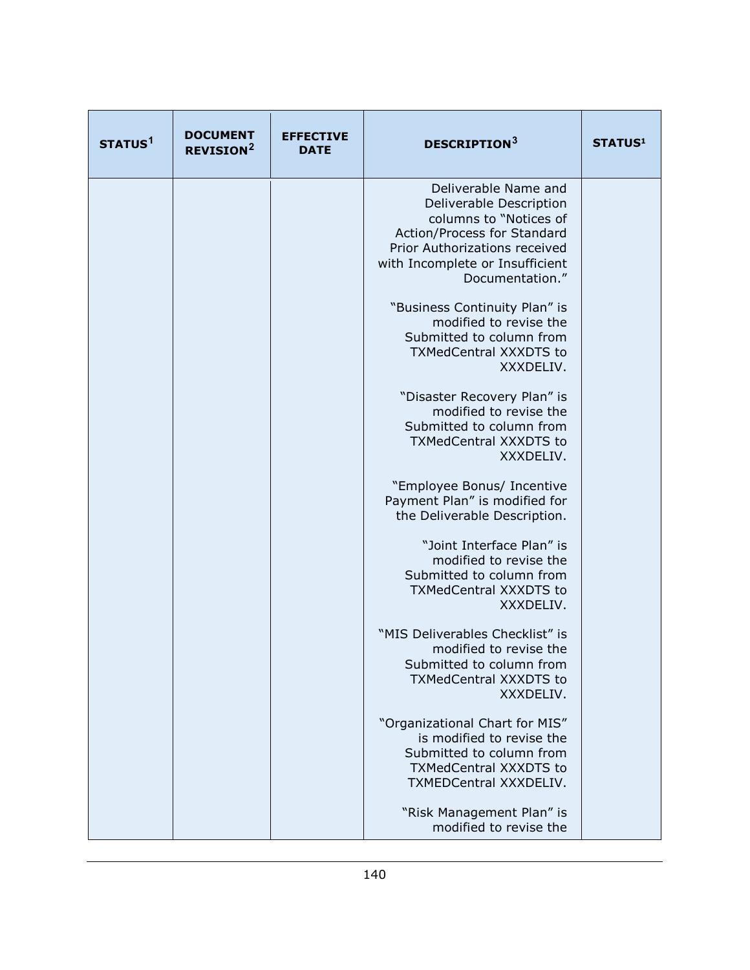| STATUS <sup>1</sup> | <b>DOCUMENT</b><br><b>REVISION<sup>2</sup></b> | <b>EFFECTIVE</b><br><b>DATE</b> | <b>DESCRIPTION3</b>                                                                                                                                                                             | <b>STATUS1</b> |
|---------------------|------------------------------------------------|---------------------------------|-------------------------------------------------------------------------------------------------------------------------------------------------------------------------------------------------|----------------|
|                     |                                                |                                 | Deliverable Name and<br>Deliverable Description<br>columns to "Notices of<br>Action/Process for Standard<br>Prior Authorizations received<br>with Incomplete or Insufficient<br>Documentation." |                |
|                     |                                                |                                 | "Business Continuity Plan" is<br>modified to revise the<br>Submitted to column from<br><b>TXMedCentral XXXDTS to</b><br>XXXDELIV.                                                               |                |
|                     |                                                |                                 | "Disaster Recovery Plan" is<br>modified to revise the<br>Submitted to column from<br><b>TXMedCentral XXXDTS to</b><br>XXXDELIV.                                                                 |                |
|                     |                                                |                                 | "Employee Bonus/ Incentive<br>Payment Plan" is modified for<br>the Deliverable Description.                                                                                                     |                |
|                     |                                                |                                 | "Joint Interface Plan" is<br>modified to revise the<br>Submitted to column from<br><b>TXMedCentral XXXDTS to</b><br>XXXDELIV.                                                                   |                |
|                     |                                                |                                 | "MIS Deliverables Checklist" is<br>modified to revise the<br>Submitted to column from<br><b>TXMedCentral XXXDTS to</b><br>XXXDELIV.                                                             |                |
|                     |                                                |                                 | "Organizational Chart for MIS"<br>is modified to revise the<br>Submitted to column from<br><b>TXMedCentral XXXDTS to</b><br>TXMEDCentral XXXDELIV.                                              |                |
|                     |                                                |                                 | "Risk Management Plan" is<br>modified to revise the                                                                                                                                             |                |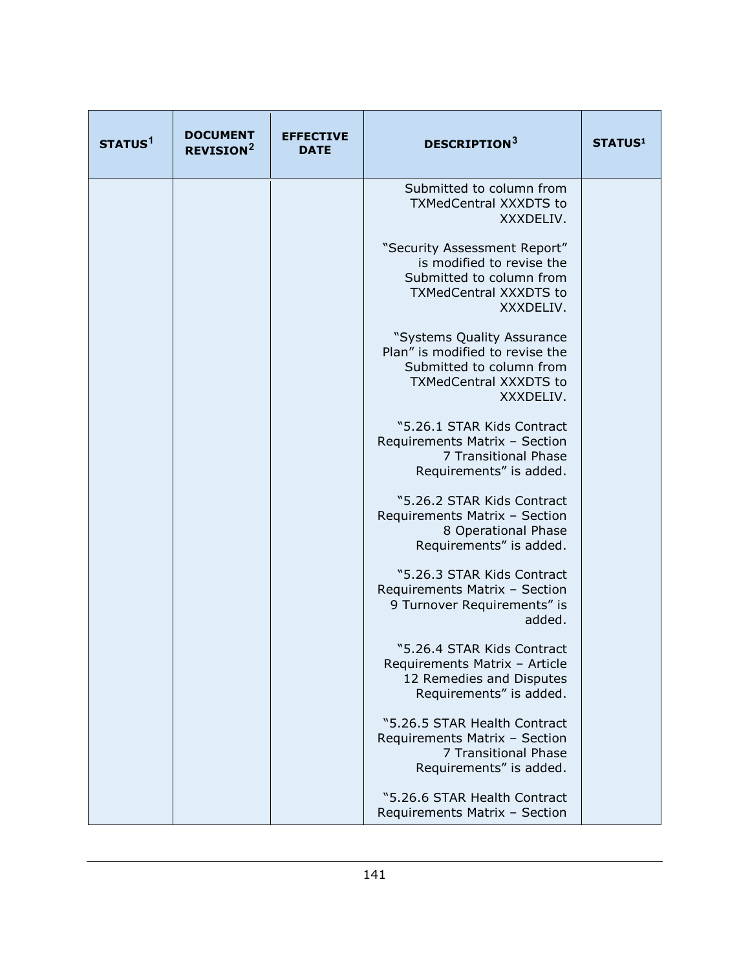| STATUS <sup>1</sup> | <b>DOCUMENT</b><br><b>REVISION<sup>2</sup></b> | <b>EFFECTIVE</b><br><b>DATE</b> | <b>DESCRIPTION3</b>                                                                                                                     | <b>STATUS1</b> |
|---------------------|------------------------------------------------|---------------------------------|-----------------------------------------------------------------------------------------------------------------------------------------|----------------|
|                     |                                                |                                 | Submitted to column from<br><b>TXMedCentral XXXDTS to</b><br>XXXDELIV.                                                                  |                |
|                     |                                                |                                 | "Security Assessment Report"<br>is modified to revise the<br>Submitted to column from<br><b>TXMedCentral XXXDTS to</b><br>XXXDELIV.     |                |
|                     |                                                |                                 | "Systems Quality Assurance<br>Plan" is modified to revise the<br>Submitted to column from<br><b>TXMedCentral XXXDTS to</b><br>XXXDELIV. |                |
|                     |                                                |                                 | "5.26.1 STAR Kids Contract<br>Requirements Matrix - Section<br>7 Transitional Phase<br>Requirements" is added.                          |                |
|                     |                                                |                                 | "5.26.2 STAR Kids Contract<br>Requirements Matrix - Section<br>8 Operational Phase<br>Requirements" is added.                           |                |
|                     |                                                |                                 | "5.26.3 STAR Kids Contract<br>Requirements Matrix - Section<br>9 Turnover Requirements" is<br>added.                                    |                |
|                     |                                                |                                 | "5.26.4 STAR Kids Contract<br>Requirements Matrix - Article<br>12 Remedies and Disputes<br>Requirements" is added.                      |                |
|                     |                                                |                                 | "5.26.5 STAR Health Contract<br>Requirements Matrix - Section<br>7 Transitional Phase<br>Requirements" is added.                        |                |
|                     |                                                |                                 | "5.26.6 STAR Health Contract<br>Requirements Matrix - Section                                                                           |                |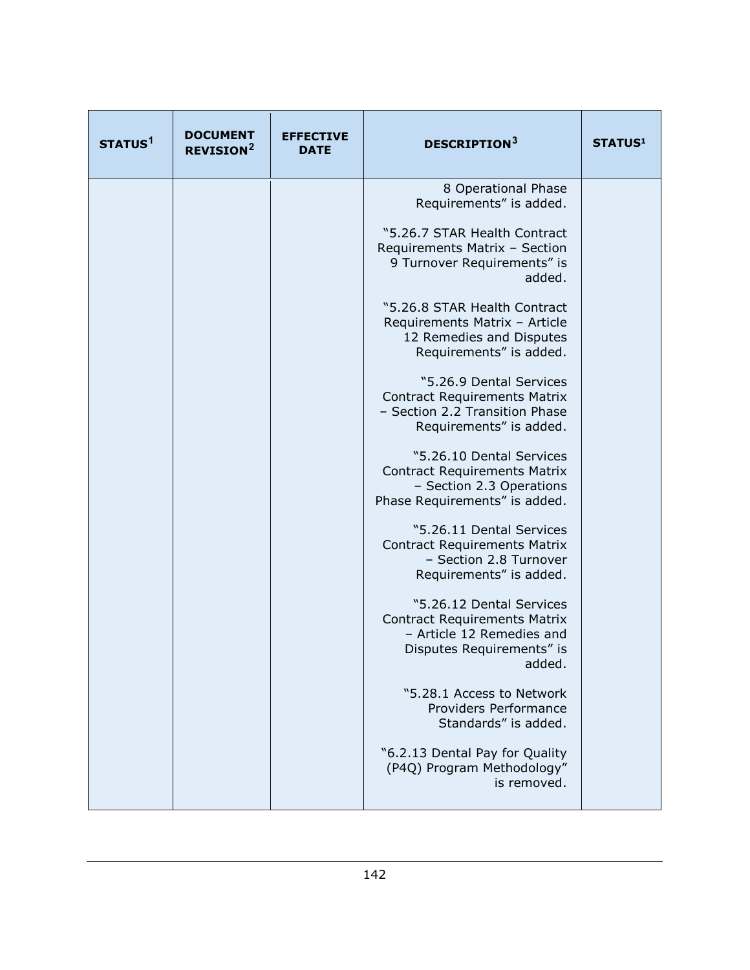| STATUS <sup>1</sup> | <b>DOCUMENT</b><br><b>REVISION<sup>2</sup></b> | <b>EFFECTIVE</b><br><b>DATE</b> | <b>DESCRIPTION3</b>                                                                                                                 | <b>STATUS1</b> |
|---------------------|------------------------------------------------|---------------------------------|-------------------------------------------------------------------------------------------------------------------------------------|----------------|
|                     |                                                |                                 | 8 Operational Phase<br>Requirements" is added.                                                                                      |                |
|                     |                                                |                                 | "5.26.7 STAR Health Contract<br>Requirements Matrix - Section<br>9 Turnover Requirements" is<br>added.                              |                |
|                     |                                                |                                 | "5.26.8 STAR Health Contract<br>Requirements Matrix - Article<br>12 Remedies and Disputes<br>Requirements" is added.                |                |
|                     |                                                |                                 | "5.26.9 Dental Services<br><b>Contract Requirements Matrix</b><br>- Section 2.2 Transition Phase<br>Requirements" is added.         |                |
|                     |                                                |                                 | "5.26.10 Dental Services<br><b>Contract Requirements Matrix</b><br>- Section 2.3 Operations<br>Phase Requirements" is added.        |                |
|                     |                                                |                                 | "5.26.11 Dental Services<br><b>Contract Requirements Matrix</b><br>- Section 2.8 Turnover<br>Requirements" is added.                |                |
|                     |                                                |                                 | "5.26.12 Dental Services<br><b>Contract Requirements Matrix</b><br>- Article 12 Remedies and<br>Disputes Requirements" is<br>added. |                |
|                     |                                                |                                 | "5.28.1 Access to Network<br>Providers Performance<br>Standards" is added.                                                          |                |
|                     |                                                |                                 | "6.2.13 Dental Pay for Quality<br>(P4Q) Program Methodology"<br>is removed.                                                         |                |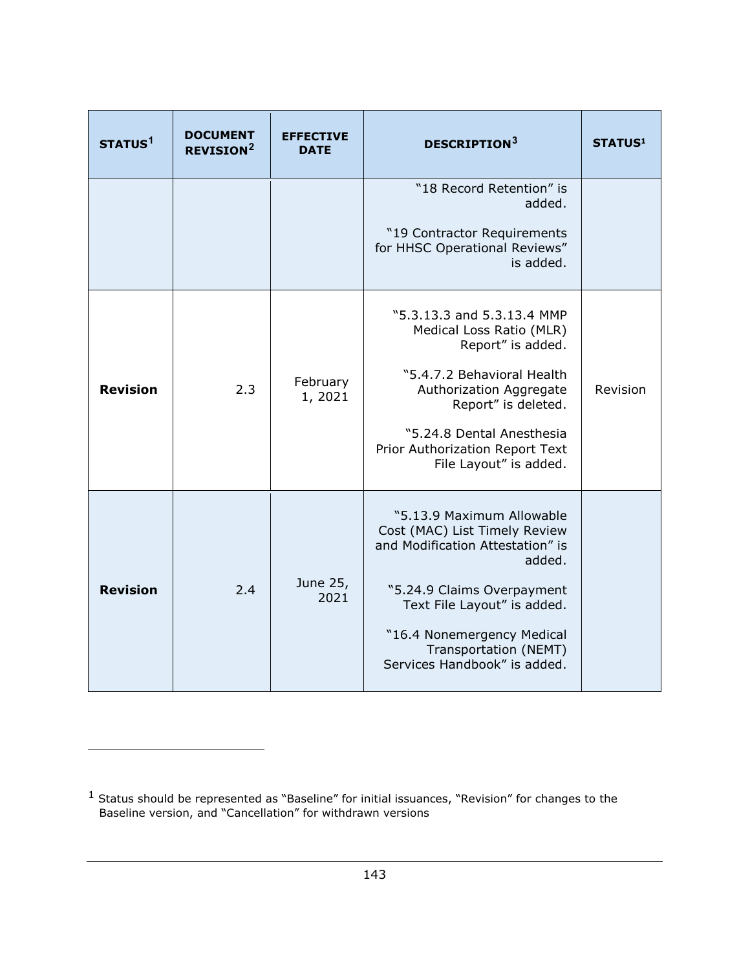<span id="page-142-2"></span><span id="page-142-1"></span>

| STATUS <sup>1</sup> | <b>DOCUMENT</b><br><b>REVISION<sup>2</sup></b> | <b>EFFECTIVE</b><br><b>DATE</b> | <b>DESCRIPTION3</b>                                                                                                                                                                                                                                          | <b>STATUS1</b> |
|---------------------|------------------------------------------------|---------------------------------|--------------------------------------------------------------------------------------------------------------------------------------------------------------------------------------------------------------------------------------------------------------|----------------|
|                     |                                                |                                 | "18 Record Retention" is<br>added.<br>"19 Contractor Requirements<br>for HHSC Operational Reviews"<br>is added.                                                                                                                                              |                |
| <b>Revision</b>     | 2.3                                            | February<br>1,2021              | "5.3.13.3 and 5.3.13.4 MMP<br>Medical Loss Ratio (MLR)<br>Report" is added.<br>"5.4.7.2 Behavioral Health<br>Authorization Aggregate<br>Report" is deleted.<br>"5.24.8 Dental Anesthesia<br>Prior Authorization Report Text<br>File Layout" is added.        | Revision       |
| <b>Revision</b>     | 2.4                                            | June 25,<br>2021                | "5.13.9 Maximum Allowable<br>Cost (MAC) List Timely Review<br>and Modification Attestation" is<br>added.<br>"5.24.9 Claims Overpayment<br>Text File Layout" is added.<br>"16.4 Nonemergency Medical<br>Transportation (NEMT)<br>Services Handbook" is added. |                |

1

<span id="page-142-0"></span> $<sup>1</sup>$  Status should be represented as "Baseline" for initial issuances, "Revision" for changes to the</sup> Baseline version, and "Cancellation" for withdrawn versions